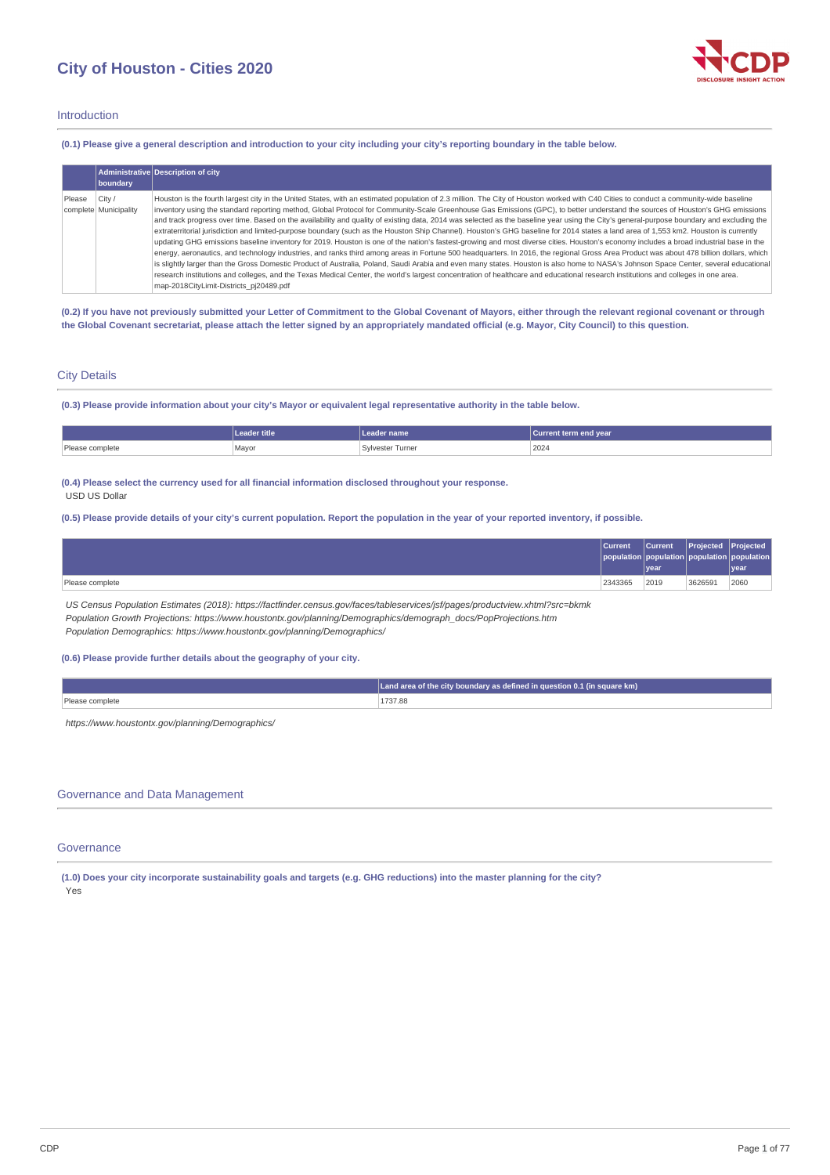# **City of Houston - Cities 2020**



# Introduction

(0.1) Please give a general description and introduction to your city including your city's reporting boundary in the table below.

|        | boundary                        | Administrative Description of city                                                                                                                                                                                                                                                                                                                                                                                                                                                                                                                                                                                                                                                                                                                                                                                                                                                                                                                                                                                                                                                                                                                                                                                                                                                                                                     |
|--------|---------------------------------|----------------------------------------------------------------------------------------------------------------------------------------------------------------------------------------------------------------------------------------------------------------------------------------------------------------------------------------------------------------------------------------------------------------------------------------------------------------------------------------------------------------------------------------------------------------------------------------------------------------------------------------------------------------------------------------------------------------------------------------------------------------------------------------------------------------------------------------------------------------------------------------------------------------------------------------------------------------------------------------------------------------------------------------------------------------------------------------------------------------------------------------------------------------------------------------------------------------------------------------------------------------------------------------------------------------------------------------|
| Please | City /<br>complete Municipality | Houston is the fourth largest city in the United States, with an estimated population of 2.3 million. The City of Houston worked with C40 Cities to conduct a community-wide baseline<br>inventory using the standard reporting method, Global Protocol for Community-Scale Greenhouse Gas Emissions (GPC), to better understand the sources of Houston's GHG emissions<br>and track progress over time. Based on the availability and quality of existing data, 2014 was selected as the baseline year using the City's general-purpose boundary and excluding the<br>extraterritorial jurisdiction and limited-purpose boundary (such as the Houston Ship Channel). Houston's GHG baseline for 2014 states a land area of 1,553 km2. Houston is currently<br>updating GHG emissions baseline inventory for 2019. Houston is one of the nation's fastest-growing and most diverse cities. Houston's economy includes a broad industrial base in the<br>energy, aeronautics, and technology industries, and ranks third among areas in Fortune 500 headquarters. In 2016, the regional Gross Area Product was about 478 billion dollars, which<br>is slightly larger than the Gross Domestic Product of Australia, Poland, Saudi Arabia and even many states. Houston is also home to NASA's Johnson Space Center, several educational |
|        |                                 | research institutions and colleges, and the Texas Medical Center, the world's largest concentration of healthcare and educational research institutions and colleges in one area.<br>map-2018CityLimit-Districts pj20489.pdf                                                                                                                                                                                                                                                                                                                                                                                                                                                                                                                                                                                                                                                                                                                                                                                                                                                                                                                                                                                                                                                                                                           |

(0.2) If you have not previously submitted your Letter of Commitment to the Global Covenant of Mayors, either through the relevant regional covenant or through the Global Covenant secretariat, please attach the letter signed by an appropriately mandated official (e.g. Mayor, City Council) to this question.

# City Details

(0.3) Please provide information about your city's Mayor or equivalent legal representative authority in the table below.

|                 | Leader title | eader name :            | Current term end year |
|-----------------|--------------|-------------------------|-----------------------|
| Please complete | Mavor        | <b>Sylvester Turner</b> | 2024                  |

### **(0.4) Please select the currency used for all financial information disclosed throughout your response.** USD US Dollar

(0.5) Please provide details of your city's current population. Report the population in the year of your reported inventory, if possible.

|                 | Current | <b>Current</b><br><u> year</u> | <b>Projected Projected</b> | opulation population population<br>vear |
|-----------------|---------|--------------------------------|----------------------------|-----------------------------------------|
| Please complete | 2343365 | 2019                           | 3626591                    | 2060                                    |

*US Census Population Estimates (2018): https://factfinder.census.gov/faces/tableservices/jsf/pages/productview.xhtml?src=bkmk Population Growth Projections: https://www.houstontx.gov/planning/Demographics/demograph\_docs/PopProjections.htm Population Demographics: https://www.houstontx.gov/planning/Demographics/*

### **(0.6) Please provide further details about the geography of your city.**

|                 | $\Box$ Land area of the city boundary as defined in question 0.1 (in square km) |
|-----------------|---------------------------------------------------------------------------------|
| Please complete | 1737.88                                                                         |
|                 |                                                                                 |

*https://www.houstontx.gov/planning/Demographics/*

# Governance and Data Management

# Governance

(1.0) Does your city incorporate sustainability goals and targets (e.g. GHG reductions) into the master planning for the city? Yes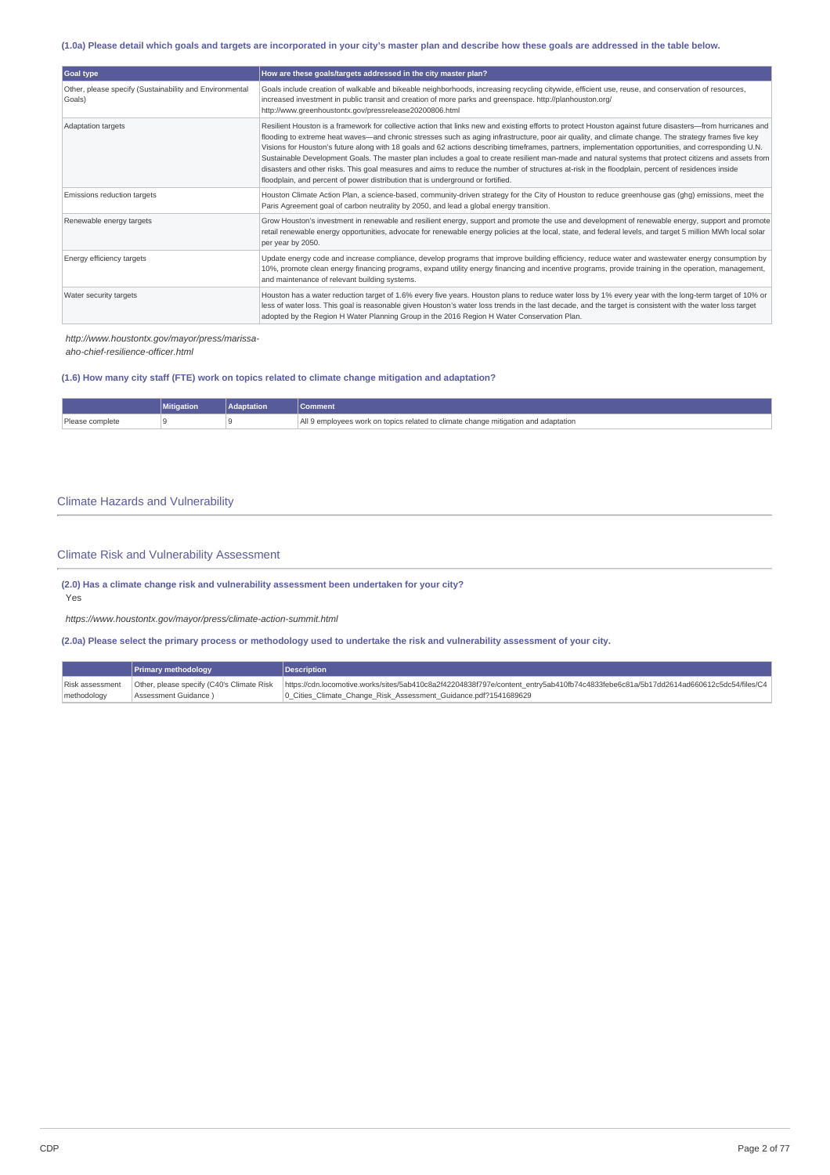# (1.0a) Please detail which goals and targets are incorporated in your city's master plan and describe how these goals are addressed in the table below.

| Goal type                                                         | How are these goals/targets addressed in the city master plan?                                                                                                                                                                                                                                                                                                                                                                                                                                                                                                                                                                                                                                                                                                                                                                                                               |
|-------------------------------------------------------------------|------------------------------------------------------------------------------------------------------------------------------------------------------------------------------------------------------------------------------------------------------------------------------------------------------------------------------------------------------------------------------------------------------------------------------------------------------------------------------------------------------------------------------------------------------------------------------------------------------------------------------------------------------------------------------------------------------------------------------------------------------------------------------------------------------------------------------------------------------------------------------|
| Other, please specify (Sustainability and Environmental<br>Goals) | Goals include creation of walkable and bikeable neighborhoods, increasing recycling citywide, efficient use, reuse, and conservation of resources,<br>increased investment in public transit and creation of more parks and greenspace. http://planhouston.org/<br>http://www.greenhoustontx.gov/pressrelease20200806.html                                                                                                                                                                                                                                                                                                                                                                                                                                                                                                                                                   |
| Adaptation targets                                                | Resilient Houston is a framework for collective action that links new and existing efforts to protect Houston against future disasters-from hurricanes and<br>flooding to extreme heat waves—and chronic stresses such as aging infrastructure, poor air quality, and climate change. The strategy frames five key<br>Visions for Houston's future along with 18 goals and 62 actions describing timeframes, partners, implementation opportunities, and corresponding U.N.<br>Sustainable Development Goals. The master plan includes a goal to create resilient man-made and natural systems that protect citizens and assets from<br>disasters and other risks. This goal measures and aims to reduce the number of structures at-risk in the floodplain, percent of residences inside<br>floodplain, and percent of power distribution that is underground or fortified. |
| Emissions reduction targets                                       | Houston Climate Action Plan, a science-based, community-driven strategy for the City of Houston to reduce greenhouse gas (ghg) emissions, meet the<br>Paris Agreement goal of carbon neutrality by 2050, and lead a global energy transition.                                                                                                                                                                                                                                                                                                                                                                                                                                                                                                                                                                                                                                |
| Renewable energy targets                                          | Grow Houston's investment in renewable and resilient energy, support and promote the use and development of renewable energy, support and promote<br>retail renewable energy opportunities, advocate for renewable energy policies at the local, state, and federal levels, and target 5 million MWh local solar<br>per year by 2050.                                                                                                                                                                                                                                                                                                                                                                                                                                                                                                                                        |
| Energy efficiency targets                                         | Update energy code and increase compliance, develop programs that improve building efficiency, reduce water and wastewater energy consumption by<br>10%, promote clean energy financing programs, expand utility energy financing and incentive programs, provide training in the operation, management,<br>and maintenance of relevant building systems.                                                                                                                                                                                                                                                                                                                                                                                                                                                                                                                    |
| Water security targets                                            | Houston has a water reduction target of 1.6% every five years. Houston plans to reduce water loss by 1% every year with the long-term target of 10% or<br>less of water loss. This goal is reasonable given Houston's water loss trends in the last decade, and the target is consistent with the water loss target<br>adopted by the Region H Water Planning Group in the 2016 Region H Water Conservation Plan.                                                                                                                                                                                                                                                                                                                                                                                                                                                            |

*http://www.houstontx.gov/mayor/press/marissa-*

*aho-chief-resilience-officer.html*

# **(1.6) How many city staff (FTE) work on topics related to climate change mitigation and adaptation?**

|             | ---<br><b>Mitigation</b> | <b>Adaptation</b> | <b>Comment</b>                                                                               |
|-------------|--------------------------|-------------------|----------------------------------------------------------------------------------------------|
| mplete<br>. |                          |                   | and adaptation<br>e change mitigation :<br>con topics related to climate<br>emr<br>ugae work |

# Climate Hazards and Vulnerability

# Climate Risk and Vulnerability Assessment

**(2.0) Has a climate change risk and vulnerability assessment been undertaken for your city?**

Yes

*https://www.houstontx.gov/mayor/press/climate-action-summit.html*

(2.0a) Please select the primary process or methodology used to undertake the risk and vulnerability assessment of your city.

|                 | <b>Primary methodology</b>                | <b>Description</b>                                                                                                                  |
|-----------------|-------------------------------------------|-------------------------------------------------------------------------------------------------------------------------------------|
| Risk assessment | Other, please specify (C40's Climate Risk | https://cdn.locomotive.works/sites/5ab410c8a2f42204838f797e/content_entry5ab410fb74c4833febe6c81a/5b17dd2614ad660612c5dc54/files/C4 |
| methodology     | Assessment Guidance)                      | 10 Cities Climate Change Risk Assessment Guidance.pdf?1541689629                                                                    |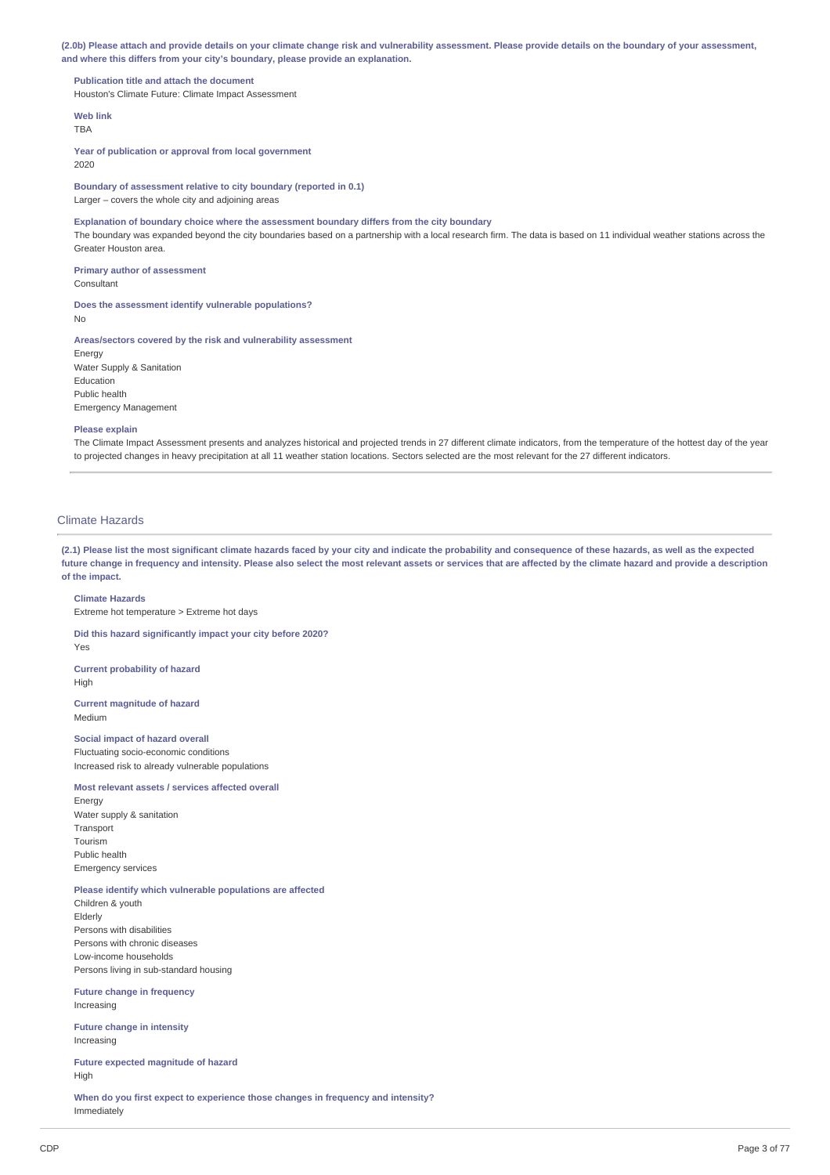(2.0b) Please attach and provide details on your climate change risk and vulnerability assessment. Please provide details on the boundary of your assessment, **and where this differs from your city's boundary, please provide an explanation.**

**Publication title and attach the document** Houston's Climate Future: Climate Impact Assessment

**Web link** TBA

**Year of publication or approval from local government** 2020

**Boundary of assessment relative to city boundary (reported in 0.1)**

Larger – covers the whole city and adjoining areas

**Explanation of boundary choice where the assessment boundary differs from the city boundary**

The boundary was expanded beyond the city boundaries based on a partnership with a local research firm. The data is based on 11 individual weather stations across the Greater Houston area.

**Primary author of assessment** Consultant

**Does the assessment identify vulnerable populations?** No

**Areas/sectors covered by the risk and vulnerability assessment** Energy Water Supply & Sanitation Education Public health Emergency Management

### **Please explain**

The Climate Impact Assessment presents and analyzes historical and projected trends in 27 different climate indicators, from the temperature of the hottest day of the year to projected changes in heavy precipitation at all 11 weather station locations. Sectors selected are the most relevant for the 27 different indicators.

# Climate Hazards

(2.1) Please list the most significant climate hazards faced by your city and indicate the probability and consequence of these hazards, as well as the expected future change in frequency and intensity. Please also select the most relevant assets or services that are affected by the climate hazard and provide a description **of the impact.**

# **Climate Hazards**

Extreme hot temperature > Extreme hot days

**Did this hazard significantly impact your city before 2020?**

Yes

**Current probability of hazard** High

**Current magnitude of hazard** Medium

# **Social impact of hazard overall**

Fluctuating socio-economic conditions Increased risk to already vulnerable populations

### **Most relevant assets / services affected overall**

Energy Water supply & sanitation **Transport** Tourism Public health Emergency services

# **Please identify which vulnerable populations are affected**

Children & youth Elderly Persons with disabilities Persons with chronic diseases Low-income households Persons living in sub-standard housing

**Future change in frequency** Increasing

**Future change in intensity** Increasing

**Future expected magnitude of hazard** High

**When do you first expect to experience those changes in frequency and intensity?** Immediately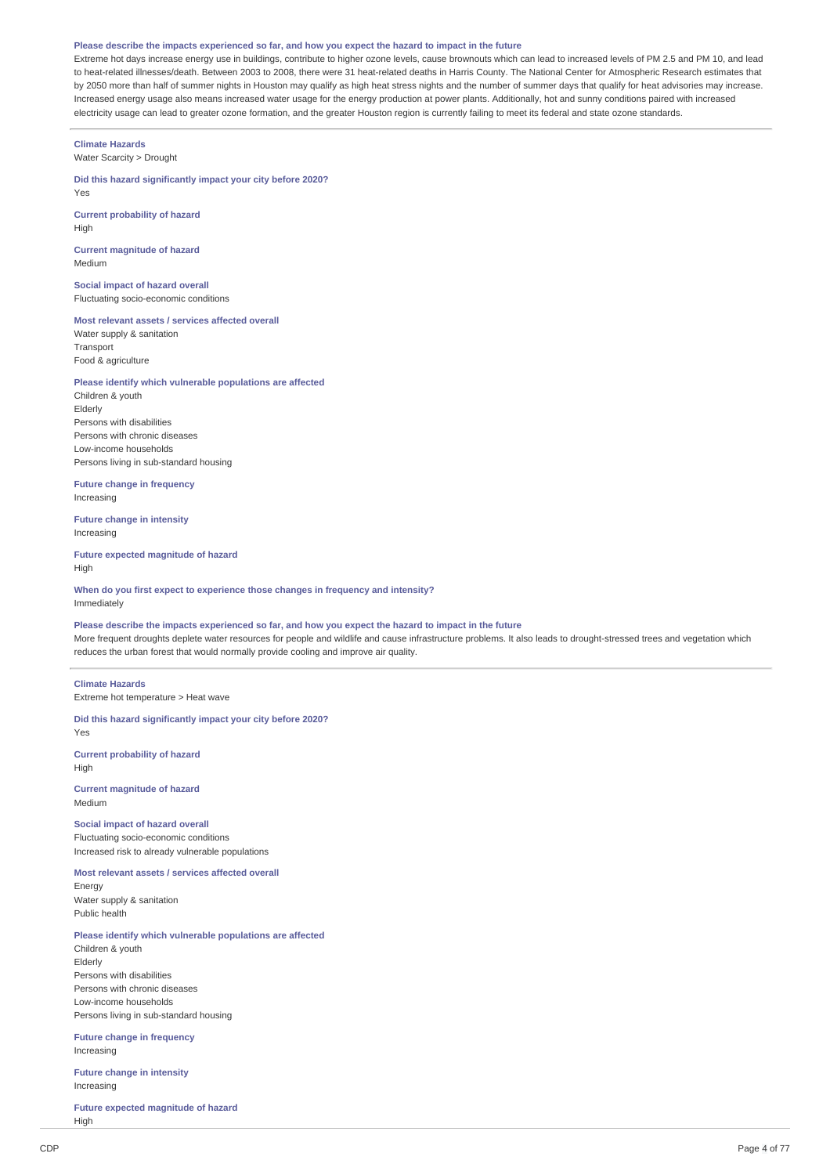#### Please describe the impacts experienced so far, and how you expect the hazard to impact in the future

Extreme hot days increase energy use in buildings, contribute to higher ozone levels, cause brownouts which can lead to increased levels of PM 2.5 and PM 10, and lead to heat-related illnesses/death. Between 2003 to 2008, there were 31 heat-related deaths in Harris County. The National Center for Atmospheric Research estimates that by 2050 more than half of summer nights in Houston may qualify as high heat stress nights and the number of summer days that qualify for heat advisories may increase. Increased energy usage also means increased water usage for the energy production at power plants. Additionally, hot and sunny conditions paired with increased electricity usage can lead to greater ozone formation, and the greater Houston region is currently failing to meet its federal and state ozone standards.

# **Climate Hazards**

Water Scarcity > Drought

### **Did this hazard significantly impact your city before 2020?** Yes

**Current probability of hazard** High

**Current magnitude of hazard** Medium

**Social impact of hazard overall** Fluctuating socio-economic conditions

# **Most relevant assets / services affected overall**

Water supply & sanitation Transport Food & agriculture

### **Please identify which vulnerable populations are affected**

Children & youth Elderly Persons with disabilities Persons with chronic diseases Low-income households Persons living in sub-standard housing

**Future change in frequency** Increasing

**Future change in intensity** Increasing

**Future expected magnitude of hazard** High

**When do you first expect to experience those changes in frequency and intensity?** Immediately

Please describe the impacts experienced so far, and how you expect the hazard to impact in the future More frequent droughts deplete water resources for people and wildlife and cause infrastructure problems. It also leads to drought-stressed trees and vegetation which reduces the urban forest that would normally provide cooling and improve air quality.

### **Climate Hazards**

Extreme hot temperature > Heat wave

**Did this hazard significantly impact your city before 2020?** Yes

**Current probability of hazard** High

**Current magnitude of hazard** Medium

**Social impact of hazard overall** Fluctuating socio-economic conditions Increased risk to already vulnerable populations

**Most relevant assets / services affected overall** Energy

Water supply & sanitation Public health

### **Please identify which vulnerable populations are affected**

Children & youth Elderly Persons with disabilities Persons with chronic diseases Low-income households Persons living in sub-standard housing

**Future change in frequency** Increasing

**Future change in intensity** Increasing

**Future expected magnitude of hazard** High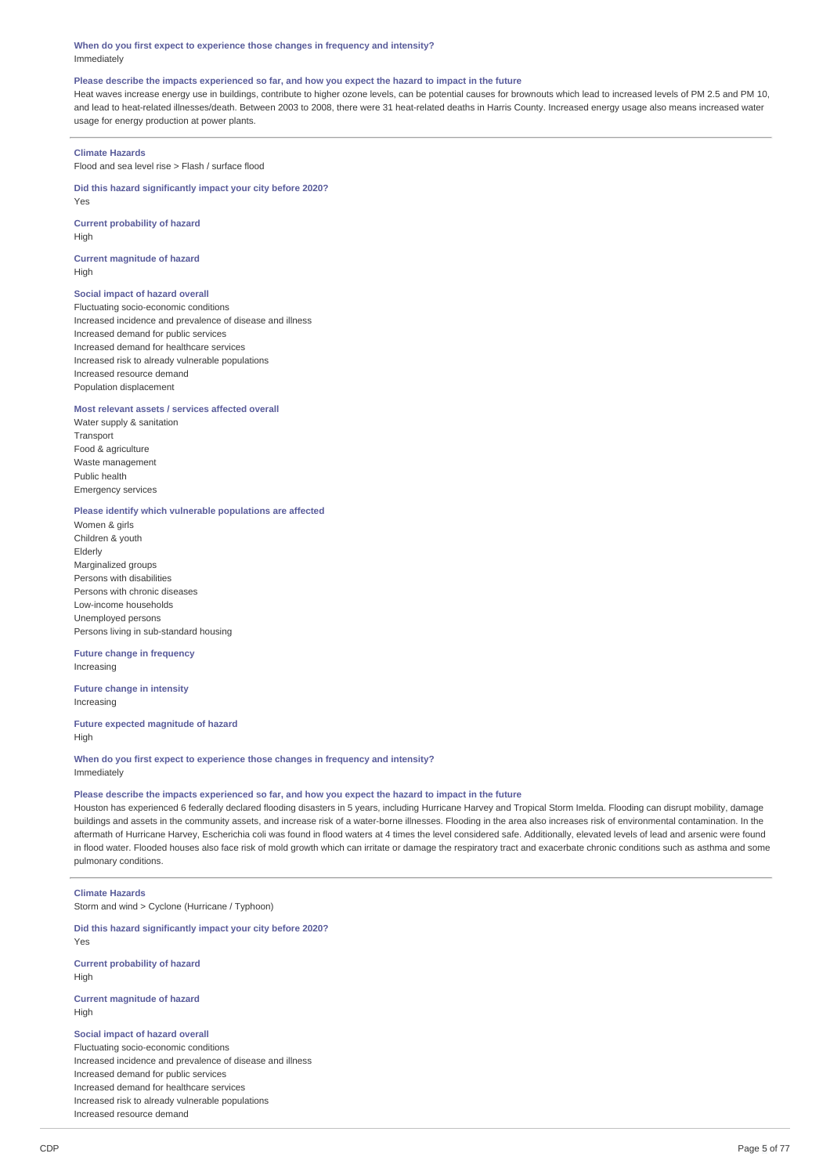### **When do you first expect to experience those changes in frequency and intensity?** Immediately

### Please describe the impacts experienced so far, and how you expect the hazard to impact in the future

Heat waves increase energy use in buildings, contribute to higher ozone levels, can be potential causes for brownouts which lead to increased levels of PM 2.5 and PM 10, and lead to heat-related illnesses/death. Between 2003 to 2008, there were 31 heat-related deaths in Harris County. Increased energy usage also means increased water usage for energy production at power plants.

# **Climate Hazards**

Flood and sea level rise > Flash / surface flood

### **Did this hazard significantly impact your city before 2020?**

Yes

**Current probability of hazard** High

# **Current magnitude of hazard** High

# **Social impact of hazard overall**

Fluctuating socio-economic conditions Increased incidence and prevalence of disease and illness Increased demand for public services Increased demand for healthcare services Increased risk to already vulnerable populations Increased resource demand Population displacement

# **Most relevant assets / services affected overall**

Water supply & sanitation Transport Food & agriculture Waste management Public health Emergency services

# **Please identify which vulnerable populations are affected**

Women & girls Children & youth Elderly Marginalized groups Persons with disabilities Persons with chronic diseases Low-income households Unemployed persons Persons living in sub-standard housing

# **Future change in frequency** Increasing

**Future change in intensity** Increasing

### **Future expected magnitude of hazard** High

**When do you first expect to experience those changes in frequency and intensity?** Immediately

### Please describe the impacts experienced so far, and how you expect the hazard to impact in the future

Houston has experienced 6 federally declared flooding disasters in 5 years, including Hurricane Harvey and Tropical Storm Imelda. Flooding can disrupt mobility, damage buildings and assets in the community assets, and increase risk of a water-borne illnesses. Flooding in the area also increases risk of environmental contamination. In the aftermath of Hurricane Harvey, Escherichia coli was found in flood waters at 4 times the level considered safe. Additionally, elevated levels of lead and arsenic were found in flood water. Flooded houses also face risk of mold growth which can irritate or damage the respiratory tract and exacerbate chronic conditions such as asthma and some pulmonary conditions.

### **Climate Hazards**

Yes

Storm and wind > Cyclone (Hurricane / Typhoon)

# **Did this hazard significantly impact your city before 2020?**

**Current probability of hazard** High

# **Current magnitude of hazard** High

# **Social impact of hazard overall**

Fluctuating socio-economic conditions Increased incidence and prevalence of disease and illness Increased demand for public services Increased demand for healthcare services Increased risk to already vulnerable populations Increased resource demand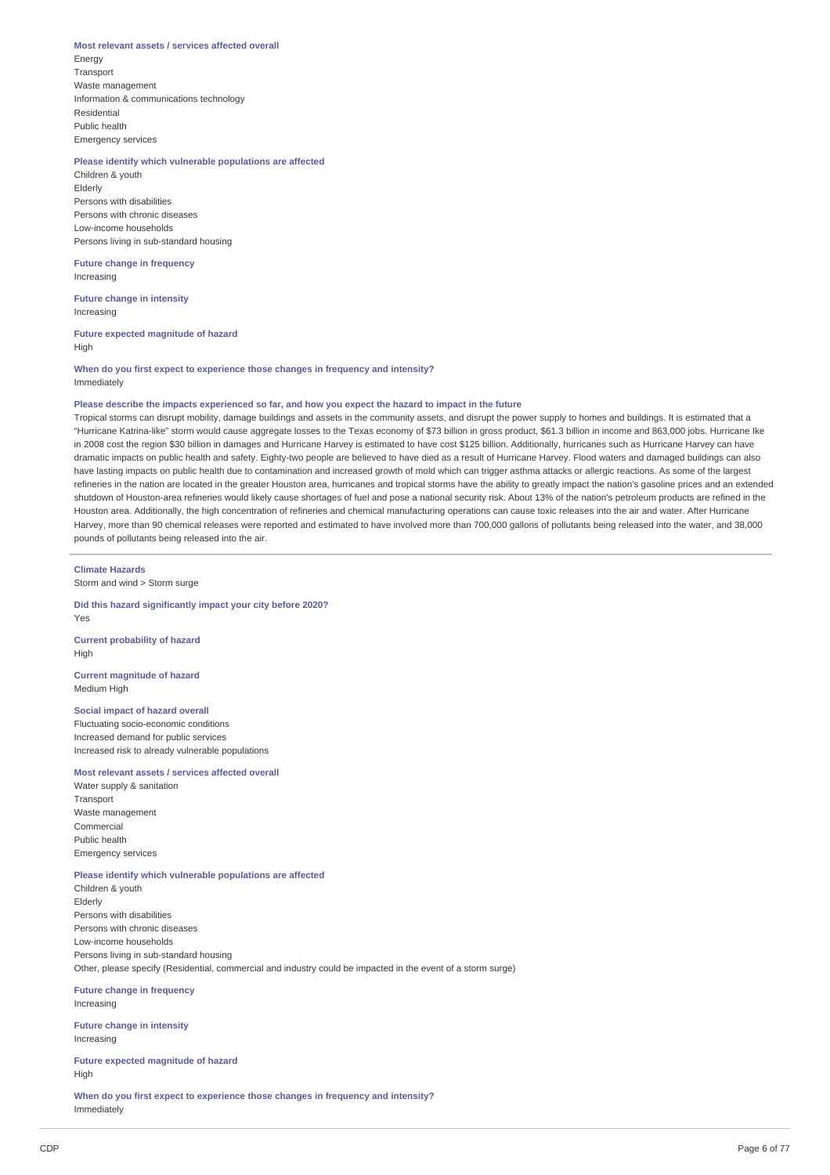### **Most relevant assets / services affected overall**

Energy **Transport** Waste management Information & communications technology Residential Public health Emergency services

# **Please identify which vulnerable populations are affected**

Children & youth Elderly Persons with disabilities Persons with chronic diseases Low-income households Persons living in sub-standard housing

# **Future change in frequency**

Increasing

**Future change in intensity** Increasing

# **Future expected magnitude of hazard** High

**When do you first expect to experience those changes in frequency and intensity?** Immediately

# Please describe the impacts experienced so far, and how you expect the hazard to impact in the future

Tropical storms can disrupt mobility, damage buildings and assets in the community assets, and disrupt the power supply to homes and buildings. It is estimated that a "Hurricane Katrina-like" storm would cause aggregate losses to the Texas economy of \$73 billion in gross product, \$61.3 billion in income and 863,000 jobs. Hurricane Ike in 2008 cost the region \$30 billion in damages and Hurricane Harvey is estimated to have cost \$125 billion. Additionally, hurricanes such as Hurricane Harvey can have dramatic impacts on public health and safety. Eighty-two people are believed to have died as a result of Hurricane Harvey. Flood waters and damaged buildings can also have lasting impacts on public health due to contamination and increased growth of mold which can trigger asthma attacks or allergic reactions. As some of the largest refineries in the nation are located in the greater Houston area, hurricanes and tropical storms have the ability to greatly impact the nation's gasoline prices and an extended shutdown of Houston-area refineries would likely cause shortages of fuel and pose a national security risk. About 13% of the nation's petroleum products are refined in the Houston area. Additionally, the high concentration of refineries and chemical manufacturing operations can cause toxic releases into the air and water. After Hurricane Harvey, more than 90 chemical releases were reported and estimated to have involved more than 700,000 gallons of pollutants being released into the water, and 38,000 pounds of pollutants being released into the air.

### **Climate Hazards**

Storm and wind > Storm surge

### **Did this hazard significantly impact your city before 2020?** Yes

**Current probability of hazard** High

### **Current magnitude of hazard** Medium High

### **Social impact of hazard overall**

Fluctuating socio-economic conditions Increased demand for public services Increased risk to already vulnerable populations

### **Most relevant assets / services affected overall**

Water supply & sanitation Transport Waste management Commercial Public health Emergency services

### **Please identify which vulnerable populations are affected**

Children & youth Elderly Persons with disabilities Persons with chronic diseases Low-income households Persons living in sub-standard housing Other, please specify (Residential, commercial and industry could be impacted in the event of a storm surge)

**Future change in frequency** Increasing

**Future change in intensity** Increasing

**Future expected magnitude of hazard** High

**When do you first expect to experience those changes in frequency and intensity?** Immediately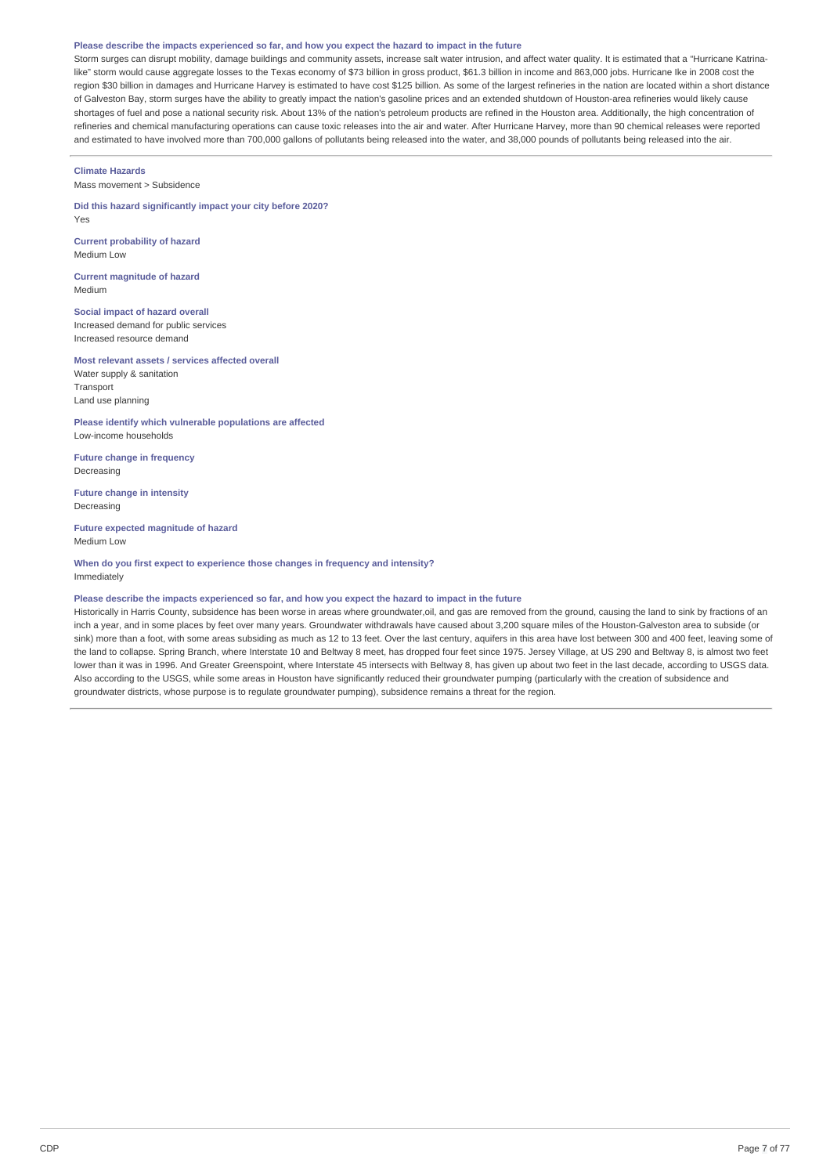### Please describe the impacts experienced so far, and how you expect the hazard to impact in the future

Storm surges can disrupt mobility, damage buildings and community assets, increase salt water intrusion, and affect water quality. It is estimated that a "Hurricane Katrinalike" storm would cause aggregate losses to the Texas economy of \$73 billion in gross product, \$61.3 billion in income and 863,000 jobs. Hurricane Ike in 2008 cost the region \$30 billion in damages and Hurricane Harvey is estimated to have cost \$125 billion. As some of the largest refineries in the nation are located within a short distance of Galveston Bay, storm surges have the ability to greatly impact the nation's gasoline prices and an extended shutdown of Houston-area refineries would likely cause shortages of fuel and pose a national security risk. About 13% of the nation's petroleum products are refined in the Houston area. Additionally, the high concentration of refineries and chemical manufacturing operations can cause toxic releases into the air and water. After Hurricane Harvey, more than 90 chemical releases were reported and estimated to have involved more than 700,000 gallons of pollutants being released into the water, and 38,000 pounds of pollutants being released into the air.

### **Climate Hazards**

Mass movement > Subsidence

**Did this hazard significantly impact your city before 2020?** Yes

**Current probability of hazard** Medium Low

**Current magnitude of hazard** Medium

**Social impact of hazard overall** Increased demand for public services Increased resource demand

**Most relevant assets / services affected overall** Water supply & sanitation Transport Land use planning

**Please identify which vulnerable populations are affected** Low-income households

**Future change in frequency** Decreasing

**Future change in intensity** Decreasing

**Future expected magnitude of hazard** Medium Low

**When do you first expect to experience those changes in frequency and intensity?** Immediately

### Please describe the impacts experienced so far, and how you expect the hazard to impact in the future

Historically in Harris County, subsidence has been worse in areas where groundwater,oil, and gas are removed from the ground, causing the land to sink by fractions of an inch a year, and in some places by feet over many years. Groundwater withdrawals have caused about 3,200 square miles of the Houston-Galveston area to subside (or sink) more than a foot, with some areas subsiding as much as 12 to 13 feet. Over the last century, aquifers in this area have lost between 300 and 400 feet, leaving some of the land to collapse. Spring Branch, where Interstate 10 and Beltway 8 meet, has dropped four feet since 1975. Jersey Village, at US 290 and Beltway 8, is almost two feet lower than it was in 1996. And Greater Greenspoint, where Interstate 45 intersects with Beltway 8, has given up about two feet in the last decade, according to USGS data. Also according to the USGS, while some areas in Houston have significantly reduced their groundwater pumping (particularly with the creation of subsidence and groundwater districts, whose purpose is to regulate groundwater pumping), subsidence remains a threat for the region.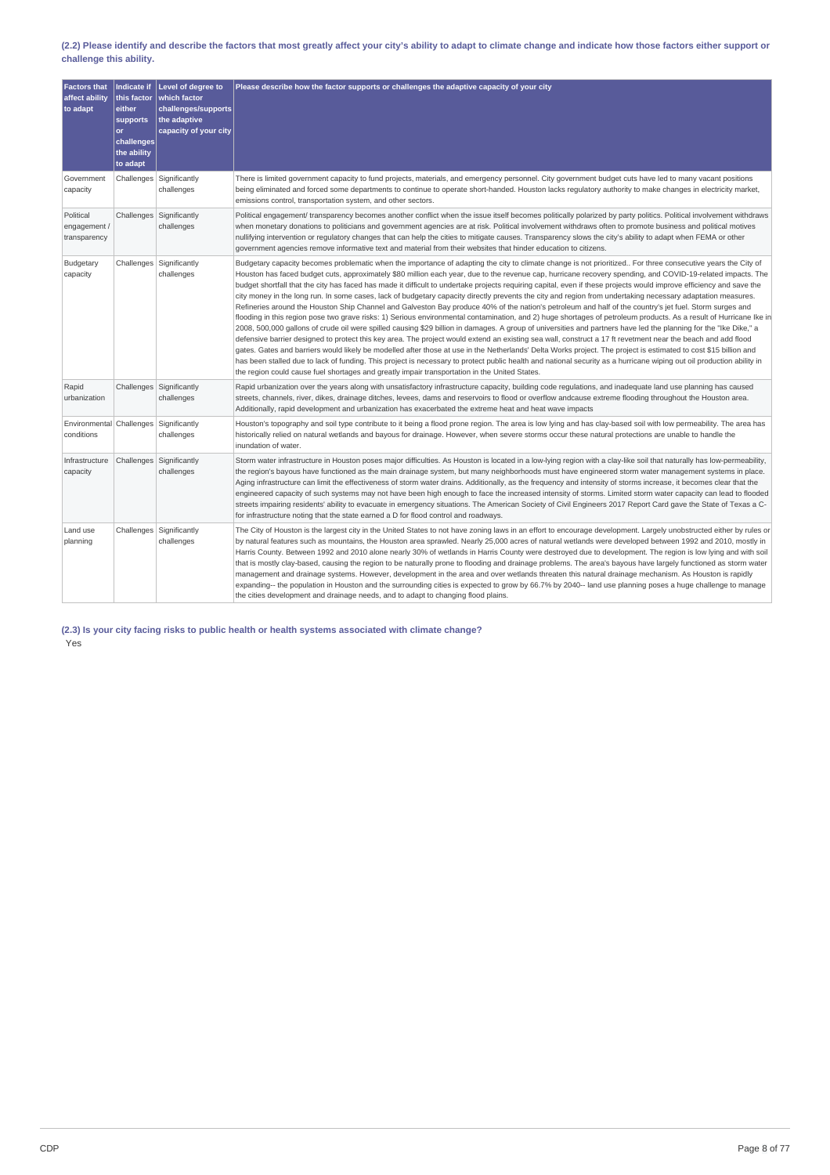# (2.2) Please identify and describe the factors that most greatly affect your city's ability to adapt to climate change and indicate how those factors either support or **challenge this ability.**

| <b>Factors that</b><br>affect ability<br>to adapt    | <b>Indicate if</b><br>this factor<br>either<br>supports<br>or<br>challenges<br>the ability<br>to adapt | Level of degree to<br>which factor<br>challenges/supports<br>the adaptive<br>capacity of your city | Please describe how the factor supports or challenges the adaptive capacity of your city                                                                                                                                                                                                                                                                                                                                                                                                                                                                                                                                                                                                                                                                                                                                                                                                                                                                                                                                                                                                                                                                                                                                                                                                                                                                                                                                                                                                                                                                                                                                                                                                                                                                                               |
|------------------------------------------------------|--------------------------------------------------------------------------------------------------------|----------------------------------------------------------------------------------------------------|----------------------------------------------------------------------------------------------------------------------------------------------------------------------------------------------------------------------------------------------------------------------------------------------------------------------------------------------------------------------------------------------------------------------------------------------------------------------------------------------------------------------------------------------------------------------------------------------------------------------------------------------------------------------------------------------------------------------------------------------------------------------------------------------------------------------------------------------------------------------------------------------------------------------------------------------------------------------------------------------------------------------------------------------------------------------------------------------------------------------------------------------------------------------------------------------------------------------------------------------------------------------------------------------------------------------------------------------------------------------------------------------------------------------------------------------------------------------------------------------------------------------------------------------------------------------------------------------------------------------------------------------------------------------------------------------------------------------------------------------------------------------------------------|
| Government<br>capacity                               |                                                                                                        | Challenges Significantly<br>challenges                                                             | There is limited government capacity to fund projects, materials, and emergency personnel. City government budget cuts have led to many vacant positions<br>being eliminated and forced some departments to continue to operate short-handed. Houston lacks regulatory authority to make changes in electricity market,<br>emissions control, transportation system, and other sectors.                                                                                                                                                                                                                                                                                                                                                                                                                                                                                                                                                                                                                                                                                                                                                                                                                                                                                                                                                                                                                                                                                                                                                                                                                                                                                                                                                                                                |
| Political<br>engagement /<br>transparency            |                                                                                                        | Challenges   Significantly<br>challenges                                                           | Political engagement/ transparency becomes another conflict when the issue itself becomes politically polarized by party politics. Political involvement withdraws<br>when monetary donations to politicians and government agencies are at risk. Political involvement withdraws often to promote business and political motives<br>nullifying intervention or regulatory changes that can help the cities to mitigate causes. Transparency slows the city's ability to adapt when FEMA or other<br>government agencies remove informative text and material from their websites that hinder education to citizens.                                                                                                                                                                                                                                                                                                                                                                                                                                                                                                                                                                                                                                                                                                                                                                                                                                                                                                                                                                                                                                                                                                                                                                   |
| Budgetary<br>capacity                                |                                                                                                        | Challenges Significantly<br>challenges                                                             | Budgetary capacity becomes problematic when the importance of adapting the city to climate change is not prioritized For three consecutive years the City of<br>Houston has faced budget cuts, approximately \$80 million each year, due to the revenue cap, hurricane recovery spending, and COVID-19-related impacts. The<br>budget shortfall that the city has faced has made it difficult to undertake projects requiring capital, even if these projects would improve efficiency and save the<br>city money in the long run. In some cases, lack of budgetary capacity directly prevents the city and region from undertaking necessary adaptation measures.<br>Refineries around the Houston Ship Channel and Galveston Bay produce 40% of the nation's petroleum and half of the country's jet fuel. Storm surges and<br>flooding in this region pose two grave risks: 1) Serious environmental contamination, and 2) huge shortages of petroleum products. As a result of Hurricane Ike in<br>2008, 500,000 gallons of crude oil were spilled causing \$29 billion in damages. A group of universities and partners have led the planning for the "Ike Dike," a<br>defensive barrier designed to protect this key area. The project would extend an existing sea wall, construct a 17 ft revetment near the beach and add flood<br>gates. Gates and barriers would likely be modelled after those at use in the Netherlands' Delta Works project. The project is estimated to cost \$15 billion and<br>has been stalled due to lack of funding. This project is necessary to protect public health and national security as a hurricane wiping out oil production ability in<br>the region could cause fuel shortages and greatly impair transportation in the United States. |
| Rapid<br>urbanization                                |                                                                                                        | Challenges Significantly<br>challenges                                                             | Rapid urbanization over the years along with unsatisfactory infrastructure capacity, building code regulations, and inadequate land use planning has caused<br>streets, channels, river, dikes, drainage ditches, levees, dams and reservoirs to flood or overflow andcause extreme flooding throughout the Houston area.<br>Additionally, rapid development and urbanization has exacerbated the extreme heat and heat wave impacts                                                                                                                                                                                                                                                                                                                                                                                                                                                                                                                                                                                                                                                                                                                                                                                                                                                                                                                                                                                                                                                                                                                                                                                                                                                                                                                                                   |
| Environmental Challenges Significantly<br>conditions |                                                                                                        | challenges                                                                                         | Houston's topography and soil type contribute to it being a flood prone region. The area is low lying and has clay-based soil with low permeability. The area has<br>historically relied on natural wetlands and bayous for drainage. However, when severe storms occur these natural protections are unable to handle the<br>inundation of water.                                                                                                                                                                                                                                                                                                                                                                                                                                                                                                                                                                                                                                                                                                                                                                                                                                                                                                                                                                                                                                                                                                                                                                                                                                                                                                                                                                                                                                     |
| Infrastructure<br>capacity                           |                                                                                                        | Challenges Significantly<br>challenges                                                             | Storm water infrastructure in Houston poses major difficulties. As Houston is located in a low-lying region with a clay-like soil that naturally has low-permeability,<br>the region's bayous have functioned as the main drainage system, but many neighborhoods must have engineered storm water management systems in place.<br>Aging infrastructure can limit the effectiveness of storm water drains. Additionally, as the frequency and intensity of storms increase, it becomes clear that the<br>engineered capacity of such systems may not have been high enough to face the increased intensity of storms. Limited storm water capacity can lead to flooded<br>streets impairing residents' ability to evacuate in emergency situations. The American Society of Civil Engineers 2017 Report Card gave the State of Texas a C-<br>for infrastructure noting that the state earned a D for flood control and roadways.                                                                                                                                                                                                                                                                                                                                                                                                                                                                                                                                                                                                                                                                                                                                                                                                                                                       |
| Land use<br>planning                                 |                                                                                                        | Challenges   Significantly<br>challenges                                                           | The City of Houston is the largest city in the United States to not have zoning laws in an effort to encourage development. Largely unobstructed either by rules or<br>by natural features such as mountains, the Houston area sprawled. Nearly 25,000 acres of natural wetlands were developed between 1992 and 2010, mostly in<br>Harris County. Between 1992 and 2010 alone nearly 30% of wetlands in Harris County were destroyed due to development. The region is low lying and with soil<br>that is mostly clay-based, causing the region to be naturally prone to flooding and drainage problems. The area's bayous have largely functioned as storm water<br>management and drainage systems. However, development in the area and over wetlands threaten this natural drainage mechanism. As Houston is rapidly<br>expanding-- the population in Houston and the surrounding cities is expected to grow by 66.7% by 2040-- land use planning poses a huge challenge to manage<br>the cities development and drainage needs, and to adapt to changing flood plains.                                                                                                                                                                                                                                                                                                                                                                                                                                                                                                                                                                                                                                                                                                           |

**(2.3) Is your city facing risks to public health or health systems associated with climate change?** Yes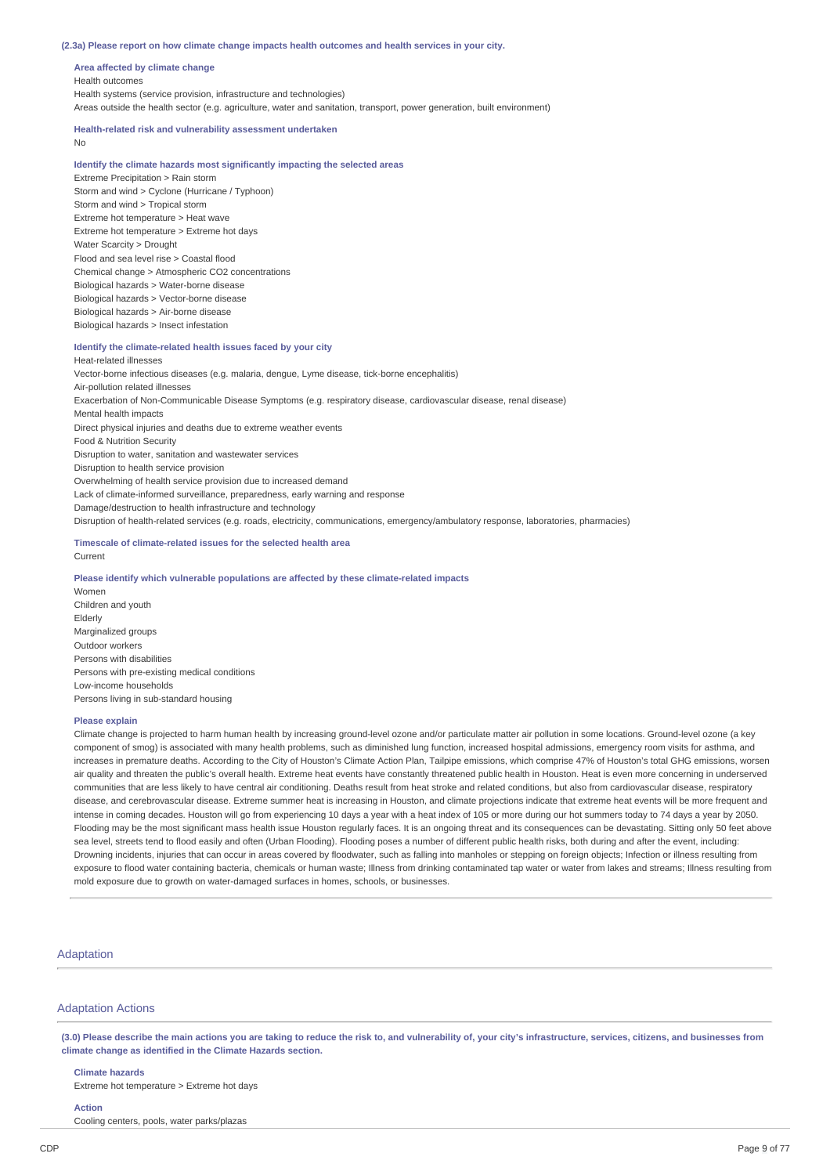#### **(2.3a) Please report on how climate change impacts health outcomes and health services in your city.**

**Area affected by climate change** Health outcomes Health systems (service provision, infrastructure and technologies) Areas outside the health sector (e.g. agriculture, water and sanitation, transport, power generation, built environment)

# **Health-related risk and vulnerability assessment undertaken**

No

# **Identify the climate hazards most significantly impacting the selected areas**

Extreme Precipitation > Rain storm Storm and wind > Cyclone (Hurricane / Typhoon) Storm and wind > Tropical storm Extreme hot temperature > Heat wave Extreme hot temperature > Extreme hot days Water Scarcity > Drought Flood and sea level rise > Coastal flood Chemical change > Atmospheric CO2 concentrations Biological hazards > Water-borne disease Biological hazards > Vector-borne disease Biological hazards > Air-borne disease Biological hazards > Insect infestation

### **Identify the climate-related health issues faced by your city**

Heat-related illnesses Vector-borne infectious diseases (e.g. malaria, dengue, Lyme disease, tick-borne encephalitis) Air-pollution related illnesses Exacerbation of Non-Communicable Disease Symptoms (e.g. respiratory disease, cardiovascular disease, renal disease) Mental health impacts Direct physical injuries and deaths due to extreme weather events Food & Nutrition Security Disruption to water, sanitation and wastewater services Disruption to health service provision Overwhelming of health service provision due to increased demand Lack of climate-informed surveillance, preparedness, early warning and response Damage/destruction to health infrastructure and technology Disruption of health-related services (e.g. roads, electricity, communications, emergency/ambulatory response, laboratories, pharmacies)

# **Timescale of climate-related issues for the selected health area**

### Current

#### **Please identify which vulnerable populations are affected by these climate-related impacts**

Women Children and youth Elderly Marginalized groups Outdoor workers Persons with disabilities Persons with pre-existing medical conditions Low-income households Persons living in sub-standard housing

### **Please explain**

Climate change is projected to harm human health by increasing ground-level ozone and/or particulate matter air pollution in some locations. Ground-level ozone (a key component of smog) is associated with many health problems, such as diminished lung function, increased hospital admissions, emergency room visits for asthma, and increases in premature deaths. According to the City of Houston's Climate Action Plan, Tailpipe emissions, which comprise 47% of Houston's total GHG emissions, worsen air quality and threaten the public's overall health. Extreme heat events have constantly threatened public health in Houston. Heat is even more concerning in underserved communities that are less likely to have central air conditioning. Deaths result from heat stroke and related conditions, but also from cardiovascular disease, respiratory disease, and cerebrovascular disease. Extreme summer heat is increasing in Houston, and climate projections indicate that extreme heat events will be more frequent and intense in coming decades. Houston will go from experiencing 10 days a year with a heat index of 105 or more during our hot summers today to 74 days a year by 2050. Flooding may be the most significant mass health issue Houston regularly faces. It is an ongoing threat and its consequences can be devastating. Sitting only 50 feet above sea level, streets tend to flood easily and often (Urban Flooding). Flooding poses a number of different public health risks, both during and after the event, including: Drowning incidents, injuries that can occur in areas covered by floodwater, such as falling into manholes or stepping on foreign objects; Infection or illness resulting from exposure to flood water containing bacteria, chemicals or human waste; Illness from drinking contaminated tap water or water from lakes and streams; Illness resulting from mold exposure due to growth on water-damaged surfaces in homes, schools, or businesses.

# Adaptation

### Adaptation Actions

(3.0) Please describe the main actions you are taking to reduce the risk to, and vulnerability of, your city's infrastructure, services, citizens, and businesses from **climate change as identified in the Climate Hazards section.**

### **Climate hazards**

Extreme hot temperature > Extreme hot days

### **Action**

Cooling centers, pools, water parks/plazas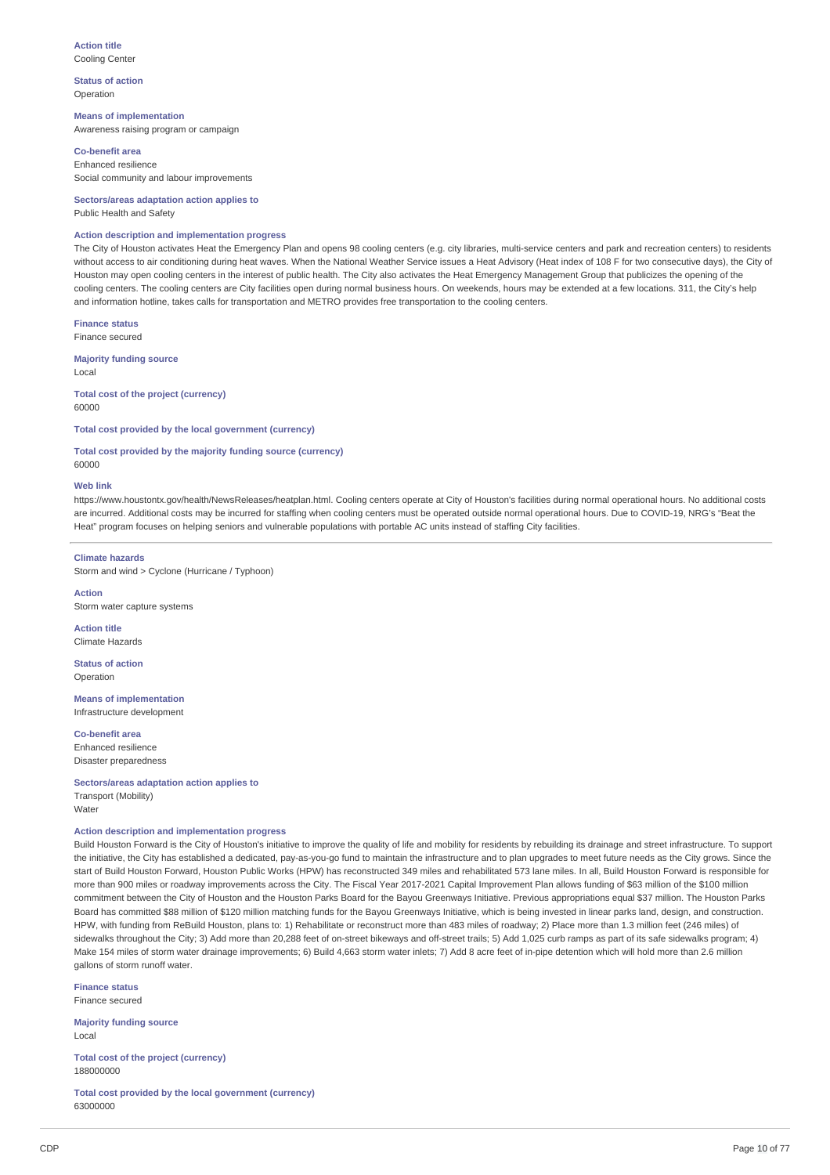### **Action title** Cooling Center

**Status of action** Operation

**Means of implementation** Awareness raising program or campaign

**Co-benefit area** Enhanced resilience Social community and labour improvements

**Sectors/areas adaptation action applies to** Public Health and Safety

# **Action description and implementation progress**

The City of Houston activates Heat the Emergency Plan and opens 98 cooling centers (e.g. city libraries, multi-service centers and park and recreation centers) to residents without access to air conditioning during heat waves. When the National Weather Service issues a Heat Advisory (Heat index of 108 F for two consecutive days), the City of Houston may open cooling centers in the interest of public health. The City also activates the Heat Emergency Management Group that publicizes the opening of the cooling centers. The cooling centers are City facilities open during normal business hours. On weekends, hours may be extended at a few locations. 311, the City's help and information hotline, takes calls for transportation and METRO provides free transportation to the cooling centers.

**Finance status** Finance secured

**Majority funding source** Local

**Total cost of the project (currency)** 60000

**Total cost provided by the local government (currency)**

**Total cost provided by the majority funding source (currency)** 60000

### **Web link**

https://www.houstontx.gov/health/NewsReleases/heatplan.html. Cooling centers operate at City of Houston's facilities during normal operational hours. No additional costs are incurred. Additional costs may be incurred for staffing when cooling centers must be operated outside normal operational hours. Due to COVID-19, NRG's "Beat the Heat" program focuses on helping seniors and vulnerable populations with portable AC units instead of staffing City facilities.

#### **Climate hazards**

Storm and wind > Cyclone (Hurricane / Typhoon)

**Action** Storm water capture systems

**Action title** Climate Hazards

**Status of action** Operation

**Means of implementation** Infrastructure development

**Co-benefit area** Enhanced resilience

Disaster preparedness

**Sectors/areas adaptation action applies to** Transport (Mobility)

Water

# **Action description and implementation progress**

Build Houston Forward is the City of Houston's initiative to improve the quality of life and mobility for residents by rebuilding its drainage and street infrastructure. To support the initiative, the City has established a dedicated, pay-as-you-go fund to maintain the infrastructure and to plan upgrades to meet future needs as the City grows. Since the start of Build Houston Forward, Houston Public Works (HPW) has reconstructed 349 miles and rehabilitated 573 lane miles. In all, Build Houston Forward is responsible for more than 900 miles or roadway improvements across the City. The Fiscal Year 2017-2021 Capital Improvement Plan allows funding of \$63 million of the \$100 million commitment between the City of Houston and the Houston Parks Board for the Bayou Greenways Initiative. Previous appropriations equal \$37 million. The Houston Parks Board has committed \$88 million of \$120 million matching funds for the Bayou Greenways Initiative, which is being invested in linear parks land, design, and construction. HPW, with funding from ReBuild Houston, plans to: 1) Rehabilitate or reconstruct more than 483 miles of roadway; 2) Place more than 1.3 million feet (246 miles) of sidewalks throughout the City; 3) Add more than 20,288 feet of on-street bikeways and off-street trails; 5) Add 1,025 curb ramps as part of its safe sidewalks program; 4) Make 154 miles of storm water drainage improvements; 6) Build 4,663 storm water inlets; 7) Add 8 acre feet of in-pipe detention which will hold more than 2.6 million gallons of storm runoff water.

**Finance status** Finance secured

**Majority funding source** Local

**Total cost of the project (currency)** 188000000

**Total cost provided by the local government (currency)** 63000000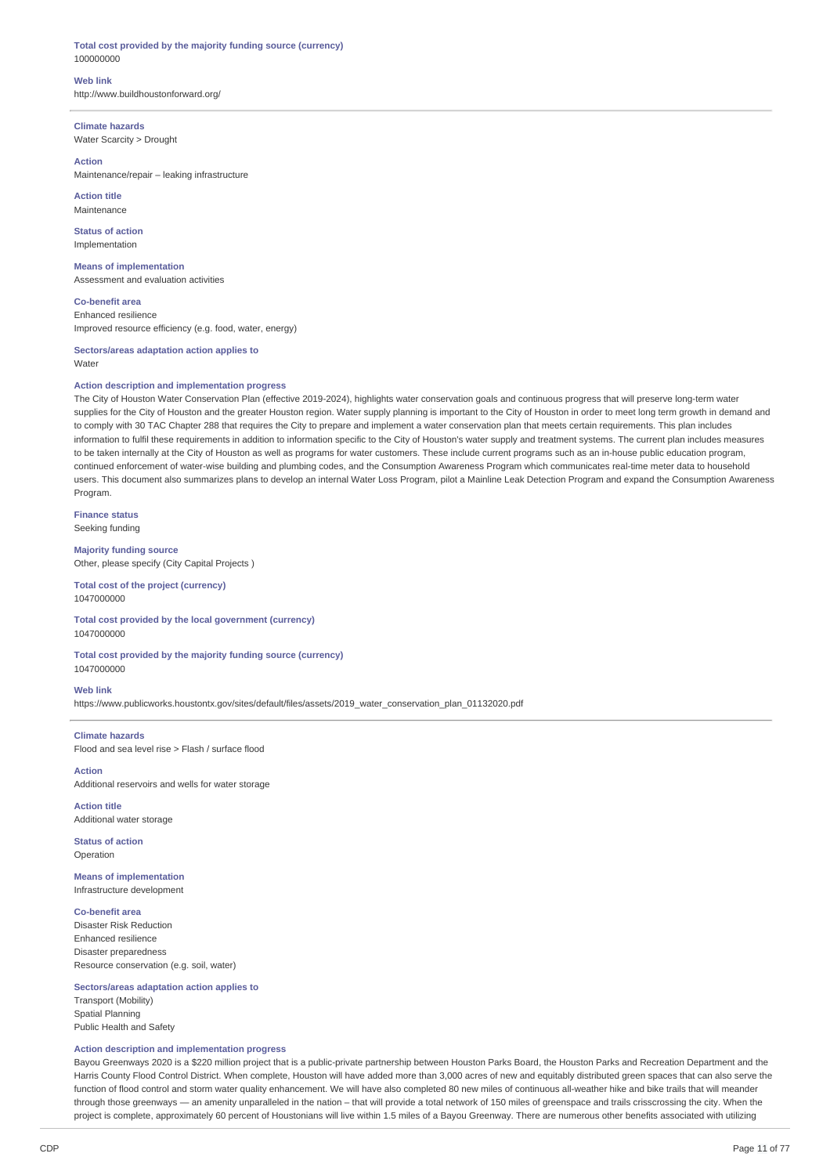### **Total cost provided by the majority funding source (currency)** 100000000

**Web link** http://www.buildhoustonforward.org/

**Climate hazards** Water Scarcity > Drought

# **Action**

Maintenance/repair – leaking infrastructure

**Action title** Maintenance

**Status of action** Implementation

**Means of implementation** Assessment and evaluation activities

**Co-benefit area** Enhanced resilience Improved resource efficiency (e.g. food, water, energy)

**Sectors/areas adaptation action applies to** Water

### **Action description and implementation progress**

The City of Houston Water Conservation Plan (effective 2019-2024), highlights water conservation goals and continuous progress that will preserve long-term water supplies for the City of Houston and the greater Houston region. Water supply planning is important to the City of Houston in order to meet long term growth in demand and to comply with 30 TAC Chapter 288 that requires the City to prepare and implement a water conservation plan that meets certain requirements. This plan includes information to fulfil these requirements in addition to information specific to the City of Houston's water supply and treatment systems. The current plan includes measures to be taken internally at the City of Houston as well as programs for water customers. These include current programs such as an in-house public education program, continued enforcement of water-wise building and plumbing codes, and the Consumption Awareness Program which communicates real-time meter data to household users. This document also summarizes plans to develop an internal Water Loss Program, pilot a Mainline Leak Detection Program and expand the Consumption Awareness Program.

**Finance status** Seeking funding

**Majority funding source** Other, please specify (City Capital Projects )

**Total cost of the project (currency)** 1047000000

**Total cost provided by the local government (currency)** 1047000000

**Total cost provided by the majority funding source (currency)** 1047000000

### **Web link**

https://www.publicworks.houstontx.gov/sites/default/files/assets/2019\_water\_conservation\_plan\_01132020.pdf

**Climate hazards** Flood and sea level rise > Flash / surface flood

**Action** Additional reservoirs and wells for water storage

**Action title** Additional water storage

**Status of action** Operation

**Means of implementation** Infrastructure development

**Co-benefit area**

Disaster Risk Reduction Enhanced resilience Disaster preparedness Resource conservation (e.g. soil, water)

# **Sectors/areas adaptation action applies to**

Transport (Mobility) Spatial Planning Public Health and Safety

# **Action description and implementation progress**

Bayou Greenways 2020 is a \$220 million project that is a public-private partnership between Houston Parks Board, the Houston Parks and Recreation Department and the Harris County Flood Control District. When complete, Houston will have added more than 3,000 acres of new and equitably distributed green spaces that can also serve the function of flood control and storm water quality enhancement. We will have also completed 80 new miles of continuous all-weather hike and bike trails that will meander through those greenways — an amenity unparalleled in the nation – that will provide a total network of 150 miles of greenspace and trails crisscrossing the city. When the project is complete, approximately 60 percent of Houstonians will live within 1.5 miles of a Bayou Greenway. There are numerous other benefits associated with utilizing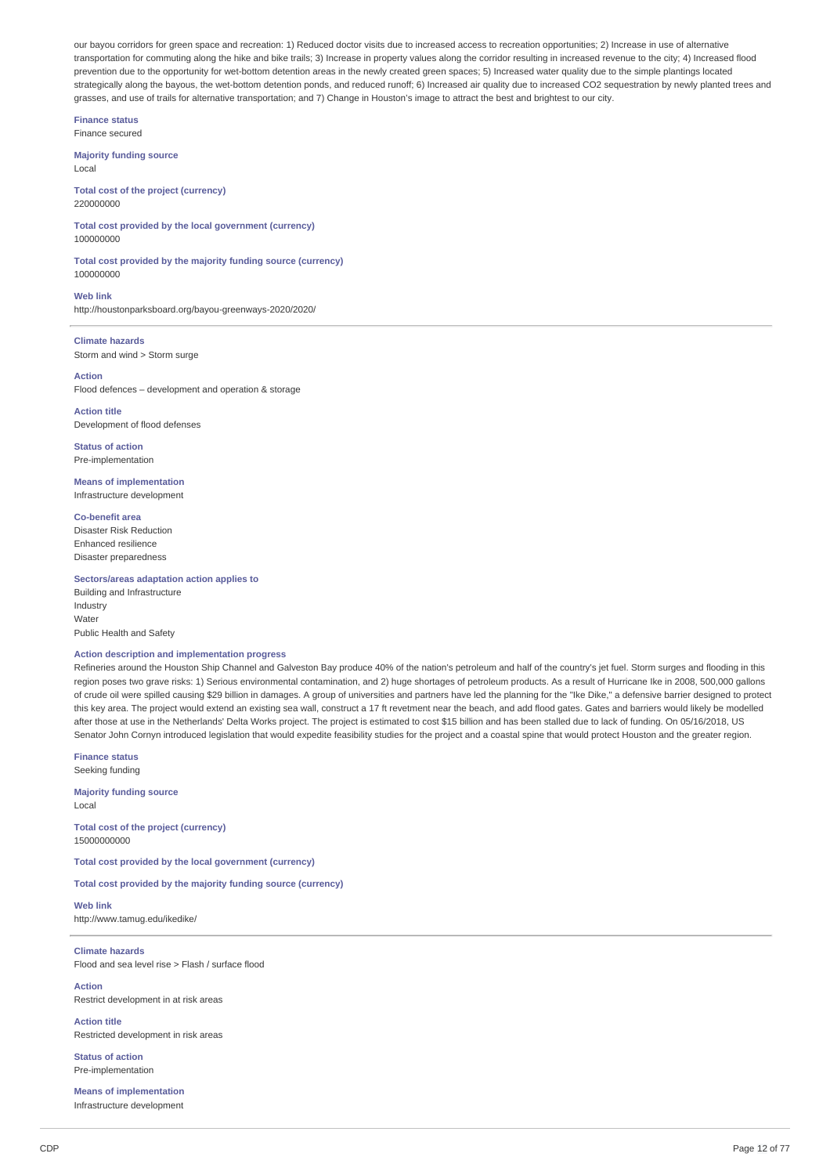our bayou corridors for green space and recreation: 1) Reduced doctor visits due to increased access to recreation opportunities; 2) Increase in use of alternative transportation for commuting along the hike and bike trails; 3) Increase in property values along the corridor resulting in increased revenue to the city; 4) Increased flood prevention due to the opportunity for wet-bottom detention areas in the newly created green spaces; 5) Increased water quality due to the simple plantings located strategically along the bayous, the wet-bottom detention ponds, and reduced runoff; 6) Increased air quality due to increased CO2 sequestration by newly planted trees and grasses, and use of trails for alternative transportation; and 7) Change in Houston's image to attract the best and brightest to our city.

**Finance status** Finance secured

**Majority funding source** Local

**Total cost of the project (currency)** 220000000

**Total cost provided by the local government (currency)** 100000000

**Total cost provided by the majority funding source (currency)** 100000000

**Web link** http://houstonparksboard.org/bayou-greenways-2020/2020/

**Climate hazards** Storm and wind > Storm surge

**Action** Flood defences – development and operation & storage

**Action title** Development of flood defenses

**Status of action** Pre-implementation

**Means of implementation** Infrastructure development

**Co-benefit area** Disaster Risk Reduction Enhanced resilience Disaster preparedness

**Sectors/areas adaptation action applies to**

Building and Infrastructure Industry Water Public Health and Safety

# **Action description and implementation progress**

Refineries around the Houston Ship Channel and Galveston Bay produce 40% of the nation's petroleum and half of the country's jet fuel. Storm surges and flooding in this region poses two grave risks: 1) Serious environmental contamination, and 2) huge shortages of petroleum products. As a result of Hurricane Ike in 2008, 500,000 gallons of crude oil were spilled causing \$29 billion in damages. A group of universities and partners have led the planning for the "Ike Dike," a defensive barrier designed to protect this key area. The project would extend an existing sea wall, construct a 17 ft revetment near the beach, and add flood gates. Gates and barriers would likely be modelled after those at use in the Netherlands' Delta Works project. The project is estimated to cost \$15 billion and has been stalled due to lack of funding. On 05/16/2018, US Senator John Cornyn introduced legislation that would expedite feasibility studies for the project and a coastal spine that would protect Houston and the greater region.

**Finance status** Seeking funding

**Majority funding source** Local

**Total cost of the project (currency)** 15000000000

**Total cost provided by the local government (currency)**

**Total cost provided by the majority funding source (currency)**

**Web link** http://www.tamug.edu/ikedike/

**Climate hazards** Flood and sea level rise > Flash / surface flood

**Action** Restrict development in at risk areas

**Action title** Restricted development in risk areas

**Status of action** Pre-implementation

**Means of implementation** Infrastructure development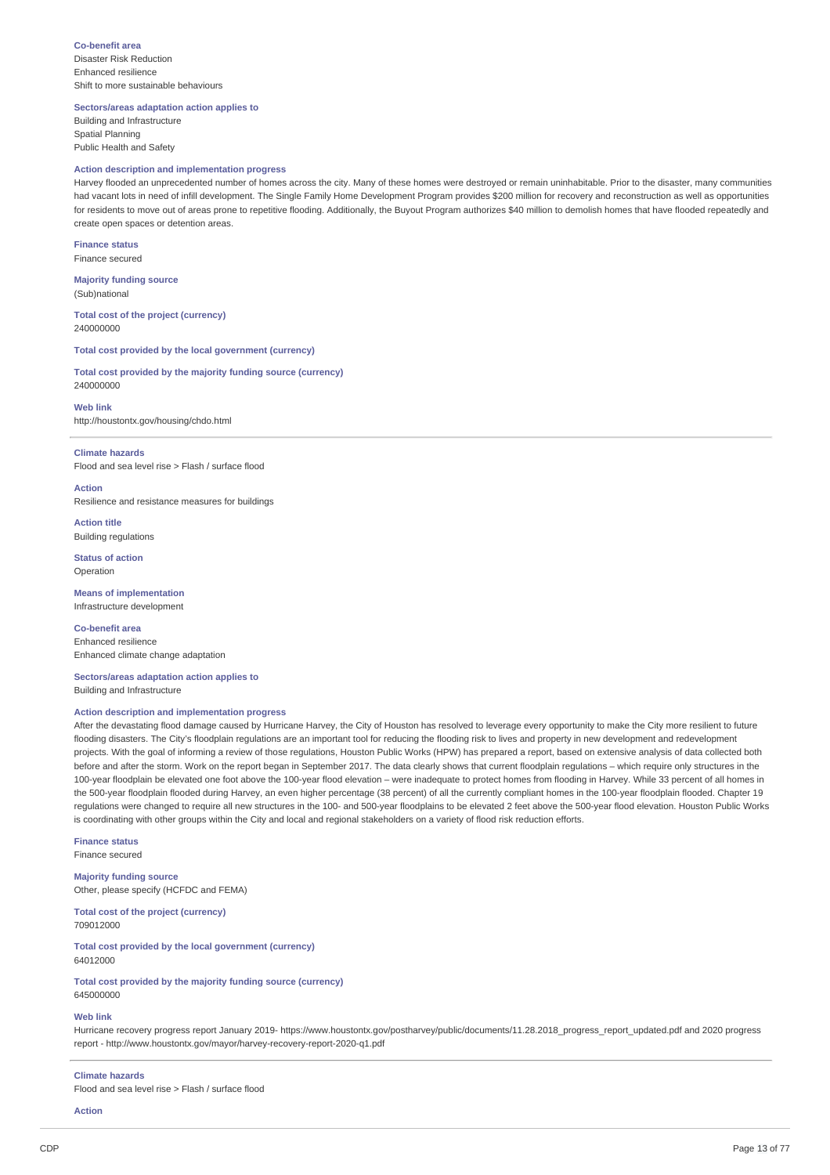**Co-benefit area** Disaster Risk Reduction Enhanced resilience Shift to more sustainable behaviours

**Sectors/areas adaptation action applies to**

Building and Infrastructure Spatial Planning Public Health and Safety

# **Action description and implementation progress**

Harvey flooded an unprecedented number of homes across the city. Many of these homes were destroyed or remain uninhabitable. Prior to the disaster, many communities had vacant lots in need of infill development. The Single Family Home Development Program provides \$200 million for recovery and reconstruction as well as opportunities for residents to move out of areas prone to repetitive flooding. Additionally, the Buyout Program authorizes \$40 million to demolish homes that have flooded repeatedly and create open spaces or detention areas.

**Finance status** Finance secured

**Majority funding source** (Sub)national

**Total cost of the project (currency)** 240000000

**Total cost provided by the local government (currency)**

**Total cost provided by the majority funding source (currency)** 240000000

**Web link** http://houstontx.gov/housing/chdo.html

#### **Climate hazards**

Flood and sea level rise > Flash / surface flood

**Action** Resilience and resistance measures for buildings

**Action title** Building regulations

**Status of action** Operation

**Means of implementation** Infrastructure development

**Co-benefit area** Enhanced resilience Enhanced climate change adaptation

**Sectors/areas adaptation action applies to** Building and Infrastructure

# **Action description and implementation progress**

After the devastating flood damage caused by Hurricane Harvey, the City of Houston has resolved to leverage every opportunity to make the City more resilient to future flooding disasters. The City's floodplain regulations are an important tool for reducing the flooding risk to lives and property in new development and redevelopment projects. With the goal of informing a review of those regulations, Houston Public Works (HPW) has prepared a report, based on extensive analysis of data collected both before and after the storm. Work on the report began in September 2017. The data clearly shows that current floodplain regulations – which require only structures in the 100-year floodplain be elevated one foot above the 100-year flood elevation – were inadequate to protect homes from flooding in Harvey. While 33 percent of all homes in the 500-year floodplain flooded during Harvey, an even higher percentage (38 percent) of all the currently compliant homes in the 100-year floodplain flooded. Chapter 19 regulations were changed to require all new structures in the 100- and 500-year floodplains to be elevated 2 feet above the 500-year flood elevation. Houston Public Works is coordinating with other groups within the City and local and regional stakeholders on a variety of flood risk reduction efforts.

**Finance status** Finance secured

**Majority funding source** Other, please specify (HCFDC and FEMA)

**Total cost of the project (currency)** 709012000

**Total cost provided by the local government (currency)** 64012000

**Total cost provided by the majority funding source (currency)** 645000000

### **Web link**

Hurricane recovery progress report January 2019- https://www.houstontx.gov/postharvey/public/documents/11.28.2018\_progress\_report\_updated.pdf and 2020 progress report - http://www.houstontx.gov/mayor/harvey-recovery-report-2020-q1.pdf

#### **Climate hazards**

Flood and sea level rise > Flash / surface flood

**Action**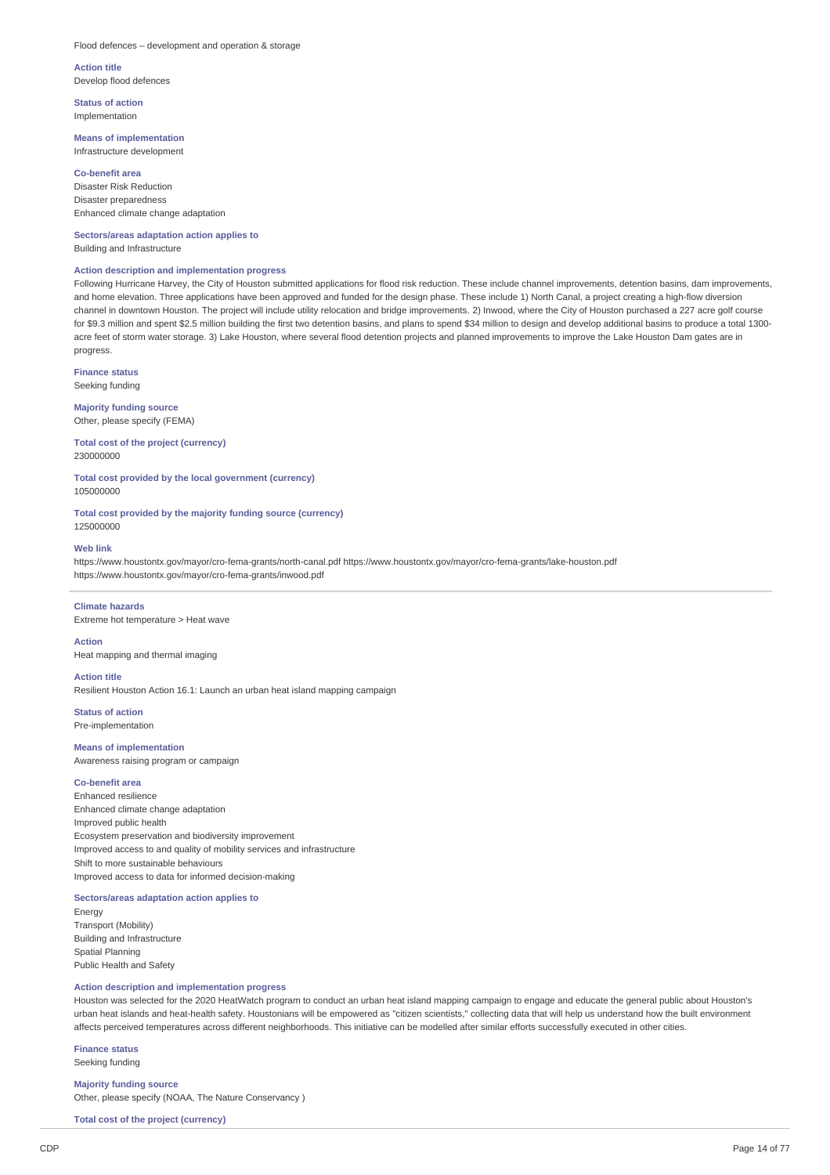#### Flood defences – development and operation & storage

**Action title** Develop flood defences

**Status of action** Implementation

# **Means of implementation** Infrastructure development

**Co-benefit area** Disaster Risk Reduction Disaster preparedness Enhanced climate change adaptation

**Sectors/areas adaptation action applies to** Building and Infrastructure

### **Action description and implementation progress**

Following Hurricane Harvey, the City of Houston submitted applications for flood risk reduction. These include channel improvements, detention basins, dam improvements, and home elevation. Three applications have been approved and funded for the design phase. These include 1) North Canal, a project creating a high-flow diversion channel in downtown Houston. The project will include utility relocation and bridge improvements. 2) Inwood, where the City of Houston purchased a 227 acre golf course for \$9.3 million and spent \$2.5 million building the first two detention basins, and plans to spend \$34 million to design and develop additional basins to produce a total 1300 acre feet of storm water storage. 3) Lake Houston, where several flood detention projects and planned improvements to improve the Lake Houston Dam gates are in progress.

**Finance status** Seeking funding

**Majority funding source** Other, please specify (FEMA)

**Total cost of the project (currency)** 230000000

**Total cost provided by the local government (currency)** 105000000

**Total cost provided by the majority funding source (currency)** 125000000

### **Web link**

https://www.houstontx.gov/mayor/cro-fema-grants/north-canal.pdf https://www.houstontx.gov/mayor/cro-fema-grants/lake-houston.pdf https://www.houstontx.gov/mayor/cro-fema-grants/inwood.pdf

# **Climate hazards**

Extreme hot temperature > Heat wave

# **Action**

Heat mapping and thermal imaging

# **Action title**

Resilient Houston Action 16.1: Launch an urban heat island mapping campaign

**Status of action** Pre-implementation

# **Means of implementation**

Awareness raising program or campaign

# **Co-benefit area**

Enhanced resilience Enhanced climate change adaptation Improved public health Ecosystem preservation and biodiversity improvement Improved access to and quality of mobility services and infrastructure Shift to more sustainable behaviours Improved access to data for informed decision-making

# **Sectors/areas adaptation action applies to**

Energy Transport (Mobility) Building and Infrastructure Spatial Planning Public Health and Safety

# **Action description and implementation progress**

Houston was selected for the 2020 HeatWatch program to conduct an urban heat island mapping campaign to engage and educate the general public about Houston's urban heat islands and heat-health safety. Houstonians will be empowered as "citizen scientists," collecting data that will help us understand how the built environment affects perceived temperatures across different neighborhoods. This initiative can be modelled after similar efforts successfully executed in other cities.

**Finance status** Seeking funding

# **Majority funding source**

Other, please specify (NOAA, The Nature Conservancy )

**Total cost of the project (currency)**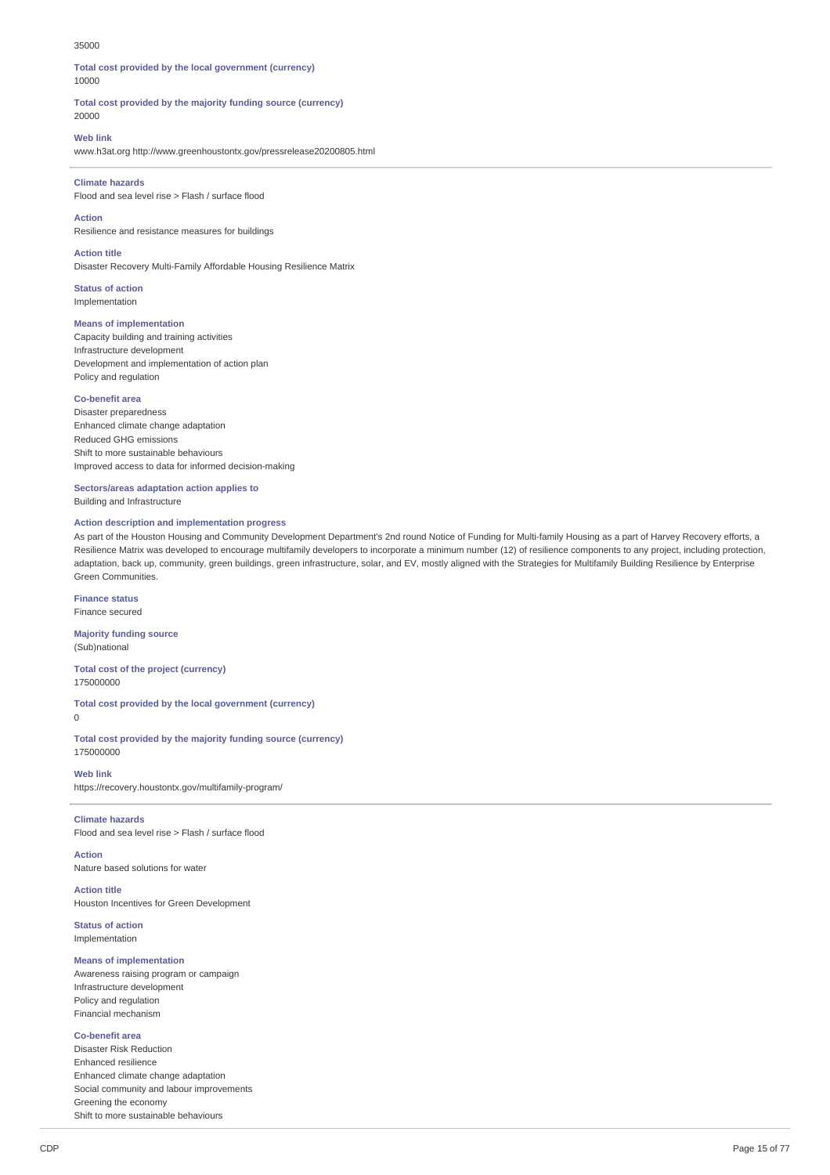#### 35000

**Total cost provided by the local government (currency)** 10000

**Total cost provided by the majority funding source (currency)** 20000

### **Web link**

www.h3at.org http://www.greenhoustontx.gov/pressrelease20200805.html

### **Climate hazards**

Flood and sea level rise > Flash / surface flood

**Action**

Resilience and resistance measures for buildings

# **Action title**

Disaster Recovery Multi-Family Affordable Housing Resilience Matrix

**Status of action** Implementation

### **Means of implementation**

Capacity building and training activities Infrastructure development Development and implementation of action plan Policy and regulation

### **Co-benefit area**

Disaster preparedness Enhanced climate change adaptation Reduced GHG emissions Shift to more sustainable behaviours Improved access to data for informed decision-making

**Sectors/areas adaptation action applies to** Building and Infrastructure

### **Action description and implementation progress**

As part of the Houston Housing and Community Development Department's 2nd round Notice of Funding for Multi-family Housing as a part of Harvey Recovery efforts, a Resilience Matrix was developed to encourage multifamily developers to incorporate a minimum number (12) of resilience components to any project, including protection, adaptation, back up, community, green buildings, green infrastructure, solar, and EV, mostly aligned with the Strategies for Multifamily Building Resilience by Enterprise Green Communities.

**Finance status** Finance secured

**Majority funding source** (Sub)national

**Total cost of the project (currency)** 175000000

**Total cost provided by the local government (currency)**  $\theta$ 

**Total cost provided by the majority funding source (currency)** 175000000

**Web link** https://recovery.houstontx.gov/multifamily-program/

# **Climate hazards**

Flood and sea level rise > Flash / surface flood

**Action** Nature based solutions for water

**Action title** Houston Incentives for Green Development

**Status of action** Implementation

### **Means of implementation**

Awareness raising program or campaign Infrastructure development Policy and regulation Financial mechanism

# **Co-benefit area**

Disaster Risk Reduction Enhanced resilience Enhanced climate change adaptation Social community and labour improvements Greening the economy Shift to more sustainable behaviours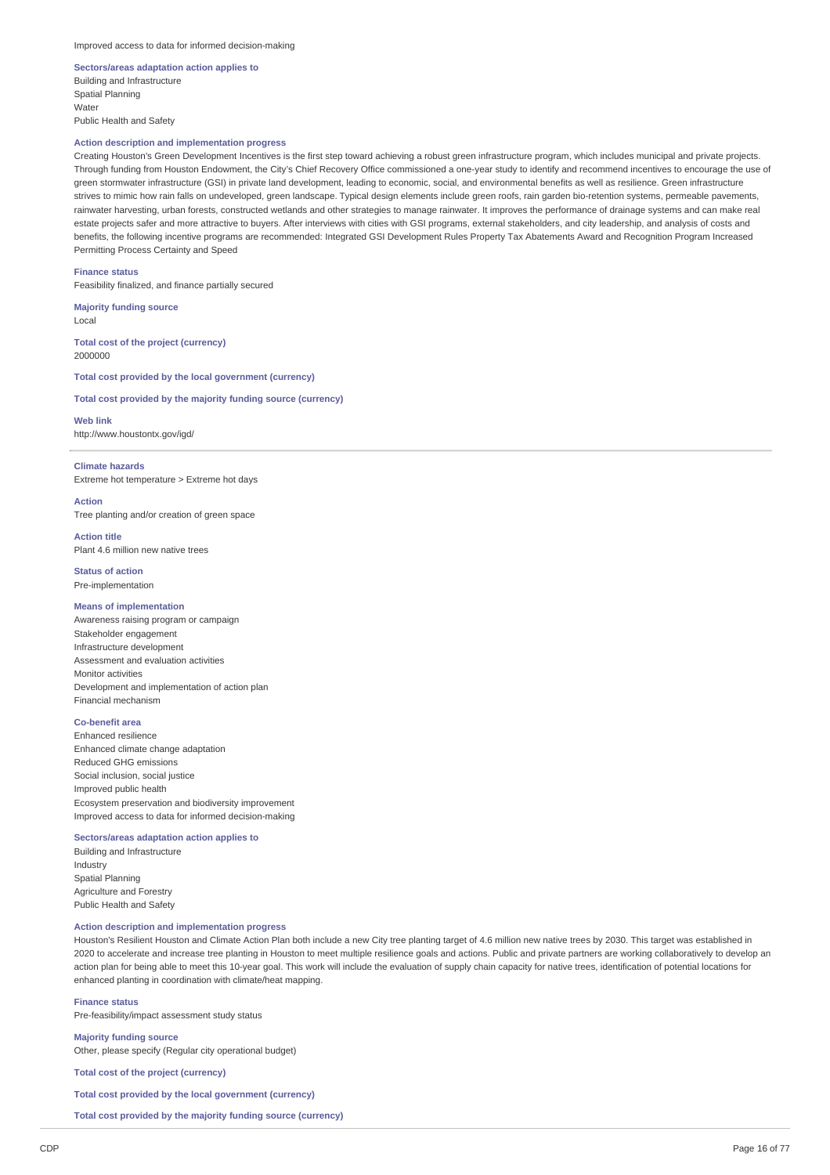### **Sectors/areas adaptation action applies to** Building and Infrastructure Spatial Planning **Water** Public Health and Safety

# **Action description and implementation progress**

Creating Houston's Green Development Incentives is the first step toward achieving a robust green infrastructure program, which includes municipal and private projects. Through funding from Houston Endowment, the City's Chief Recovery Office commissioned a one-year study to identify and recommend incentives to encourage the use of green stormwater infrastructure (GSI) in private land development, leading to economic, social, and environmental benefits as well as resilience. Green infrastructure strives to mimic how rain falls on undeveloped, green landscape. Typical design elements include green roofs, rain garden bio-retention systems, permeable pavements, rainwater harvesting, urban forests, constructed wetlands and other strategies to manage rainwater. It improves the performance of drainage systems and can make real estate projects safer and more attractive to buyers. After interviews with cities with GSI programs, external stakeholders, and city leadership, and analysis of costs and benefits, the following incentive programs are recommended: Integrated GSI Development Rules Property Tax Abatements Award and Recognition Program Increased Permitting Process Certainty and Speed

**Finance status**

Feasibility finalized, and finance partially secured

**Majority funding source** Local

**Total cost of the project (currency)** 2000000

**Total cost provided by the local government (currency)**

**Total cost provided by the majority funding source (currency)**

**Web link** http://www.houstontx.gov/igd/

### **Climate hazards**

Extreme hot temperature > Extreme hot days

**Action**

Tree planting and/or creation of green space

**Action title** Plant 4.6 million new native trees

**Status of action** Pre-implementation

### **Means of implementation**

Awareness raising program or campaign Stakeholder engagement Infrastructure development Assessment and evaluation activities Monitor activities Development and implementation of action plan Financial mechanism

# **Co-benefit area**

Enhanced resilience Enhanced climate change adaptation Reduced GHG emissions Social inclusion, social justice Improved public health Ecosystem preservation and biodiversity improvement Improved access to data for informed decision-making

### **Sectors/areas adaptation action applies to**

Building and Infrastructure Industry Spatial Planning Agriculture and Forestry Public Health and Safety

### **Action description and implementation progress**

Houston's Resilient Houston and Climate Action Plan both include a new City tree planting target of 4.6 million new native trees by 2030. This target was established in 2020 to accelerate and increase tree planting in Houston to meet multiple resilience goals and actions. Public and private partners are working collaboratively to develop an action plan for being able to meet this 10-year goal. This work will include the evaluation of supply chain capacity for native trees, identification of potential locations for enhanced planting in coordination with climate/heat mapping.

**Finance status** Pre-feasibility/impact assessment study status

**Majority funding source** Other, please specify (Regular city operational budget)

**Total cost of the project (currency)**

**Total cost provided by the local government (currency)**

**Total cost provided by the majority funding source (currency)**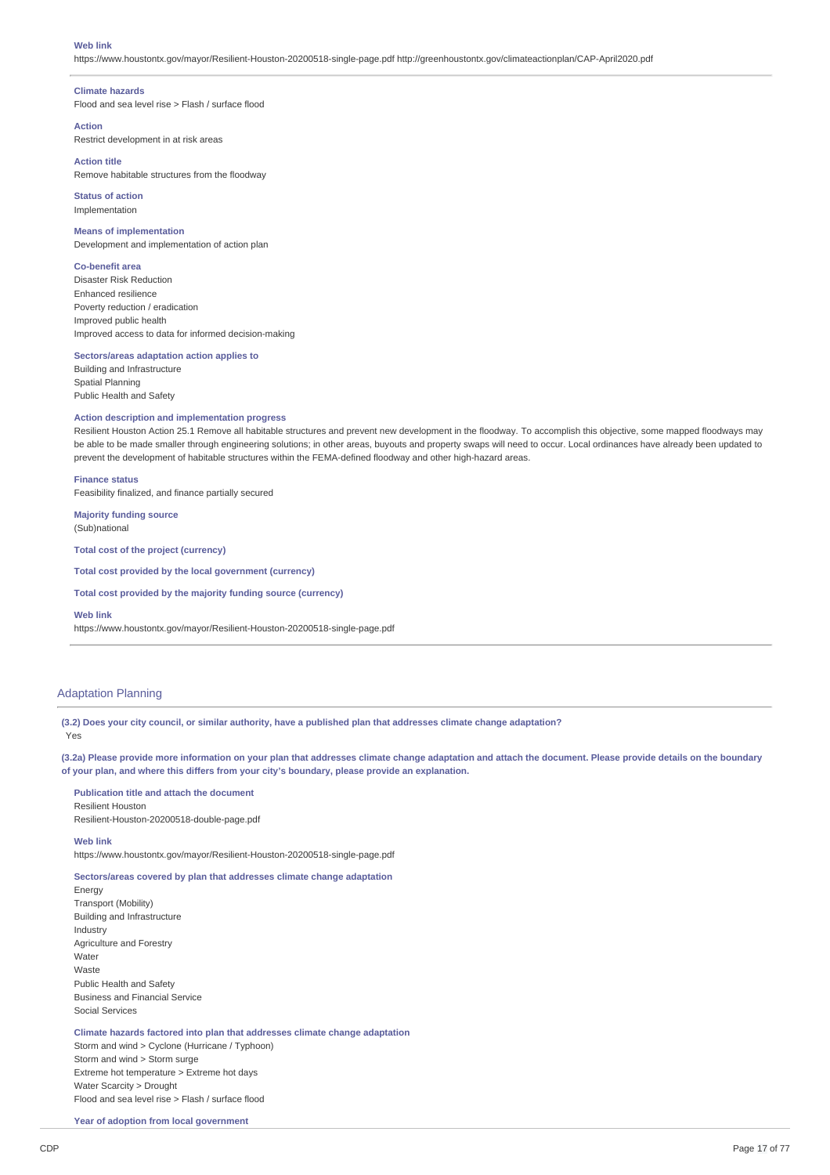#### **Web link**

https://www.houstontx.gov/mayor/Resilient-Houston-20200518-single-page.pdf http://greenhoustontx.gov/climateactionplan/CAP-April2020.pdf

### **Climate hazards**

Flood and sea level rise > Flash / surface flood

### **Action**

Restrict development in at risk areas

# **Action title**

Remove habitable structures from the floodway

**Status of action** Implementation

### **Means of implementation**

Development and implementation of action plan

### **Co-benefit area**

Disaster Risk Reduction Enhanced resilience Poverty reduction / eradication Improved public health Improved access to data for informed decision-making

### **Sectors/areas adaptation action applies to**

Building and Infrastructure Spatial Planning Public Health and Safety

### **Action description and implementation progress**

Resilient Houston Action 25.1 Remove all habitable structures and prevent new development in the floodway. To accomplish this objective, some mapped floodways may be able to be made smaller through engineering solutions; in other areas, buyouts and property swaps will need to occur. Local ordinances have already been updated to prevent the development of habitable structures within the FEMA-defined floodway and other high-hazard areas.

### **Finance status**

Feasibility finalized, and finance partially secured

**Majority funding source** (Sub)national

**Total cost of the project (currency)**

**Total cost provided by the local government (currency)**

**Total cost provided by the majority funding source (currency)**

#### **Web link**

https://www.houstontx.gov/mayor/Resilient-Houston-20200518-single-page.pdf

# Adaptation Planning

(3.2) Does your city council, or similar authority, have a published plan that addresses climate change adaptation?

#### Yes

(3.2a) Please provide more information on your plan that addresses climate change adaptation and attach the document. Please provide details on the boundary **of your plan, and where this differs from your city's boundary, please provide an explanation.**

### **Publication title and attach the document** Resilient Houston

Resilient-Houston-20200518-double-page.pdf

### **Web link**

https://www.houstontx.gov/mayor/Resilient-Houston-20200518-single-page.pdf

# **Sectors/areas covered by plan that addresses climate change adaptation**

Energy Transport (Mobility) Building and Infrastructure Industry Agriculture and Forestry Water Waste Public Health and Safety Business and Financial Service Social Services

# **Climate hazards factored into plan that addresses climate change adaptation**

Storm and wind > Cyclone (Hurricane / Typhoon) Storm and wind > Storm surge Extreme hot temperature > Extreme hot days Water Scarcity > Drought Flood and sea level rise > Flash / surface flood

**Year of adoption from local government**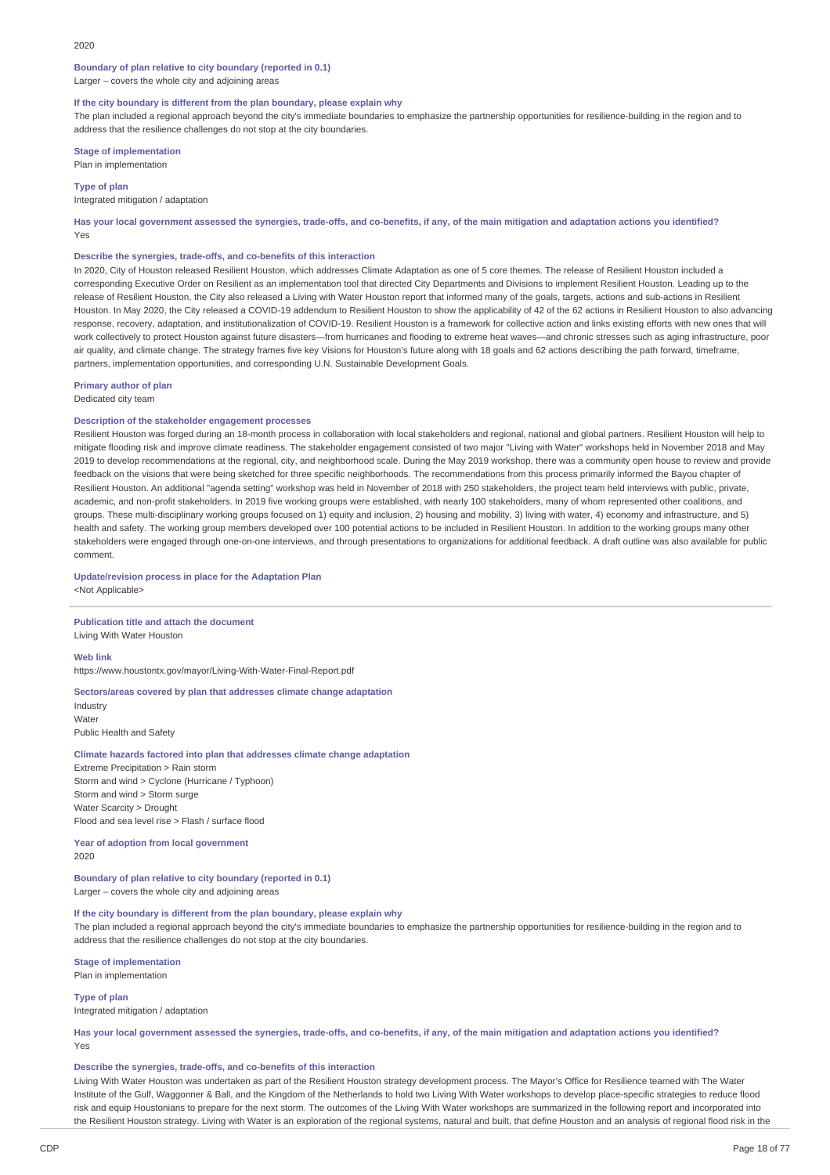# **Boundary of plan relative to city boundary (reported in 0.1)**

Larger – covers the whole city and adjoining areas

### **If the city boundary is different from the plan boundary, please explain why**

The plan included a regional approach beyond the city's immediate boundaries to emphasize the partnership opportunities for resilience-building in the region and to address that the resilience challenges do not stop at the city boundaries.

**Stage of implementation** Plan in implementation

**Type of plan**

### Integrated mitigation / adaptation

Has your local government assessed the synergies, trade-offs, and co-benefits, if any, of the main mitigation and adaptation actions you identified? Yes

### **Describe the synergies, trade-offs, and co-benefits of this interaction**

In 2020, City of Houston released Resilient Houston, which addresses Climate Adaptation as one of 5 core themes. The release of Resilient Houston included a corresponding Executive Order on Resilient as an implementation tool that directed City Departments and Divisions to implement Resilient Houston. Leading up to the release of Resilient Houston, the City also released a Living with Water Houston report that informed many of the goals, targets, actions and sub-actions in Resilient Houston. In May 2020, the City released a COVID-19 addendum to Resilient Houston to show the applicability of 42 of the 62 actions in Resilient Houston to also advancing response, recovery, adaptation, and institutionalization of COVID-19. Resilient Houston is a framework for collective action and links existing efforts with new ones that will work collectively to protect Houston against future disasters—from hurricanes and flooding to extreme heat waves—and chronic stresses such as aging infrastructure, poor air quality, and climate change. The strategy frames five key Visions for Houston's future along with 18 goals and 62 actions describing the path forward, timeframe, partners, implementation opportunities, and corresponding U.N. Sustainable Development Goals.

### **Primary author of plan**

Dedicated city team

# **Description of the stakeholder engagement processes**

Resilient Houston was forged during an 18-month process in collaboration with local stakeholders and regional, national and global partners. Resilient Houston will help to mitigate flooding risk and improve climate readiness. The stakeholder engagement consisted of two major "Living with Water" workshops held in November 2018 and May 2019 to develop recommendations at the regional, city, and neighborhood scale. During the May 2019 workshop, there was a community open house to review and provide feedback on the visions that were being sketched for three specific neighborhoods. The recommendations from this process primarily informed the Bayou chapter of Resilient Houston. An additional "agenda setting" workshop was held in November of 2018 with 250 stakeholders, the project team held interviews with public, private, academic, and non-profit stakeholders. In 2019 five working groups were established, with nearly 100 stakeholders, many of whom represented other coalitions, and groups. These multi-disciplinary working groups focused on 1) equity and inclusion, 2) housing and mobility, 3) living with water, 4) economy and infrastructure, and 5) health and safety. The working group members developed over 100 potential actions to be included in Resilient Houston. In addition to the working groups many other stakeholders were engaged through one-on-one interviews, and through presentations to organizations for additional feedback. A draft outline was also available for public comment.

# **Update/revision process in place for the Adaptation Plan** <Not Applicable>

### **Publication title and attach the document** Living With Water Houston

**Web link**

https://www.houstontx.gov/mayor/Living-With-Water-Final-Report.pdf

### **Sectors/areas covered by plan that addresses climate change adaptation** Industry Water Public Health and Safety

### **Climate hazards factored into plan that addresses climate change adaptation**

Extreme Precipitation > Rain storm Storm and wind > Cyclone (Hurricane / Typhoon) Storm and wind > Storm surge Water Scarcity > Drought Flood and sea level rise > Flash / surface flood

**Year of adoption from local government** 2020

**Boundary of plan relative to city boundary (reported in 0.1)** Larger – covers the whole city and adjoining areas

# **If the city boundary is different from the plan boundary, please explain why**

The plan included a regional approach beyond the city's immediate boundaries to emphasize the partnership opportunities for resilience-building in the region and to address that the resilience challenges do not stop at the city boundaries.

**Stage of implementation** Plan in implementation

**Type of plan** Integrated mitigation / adaptation

Has your local government assessed the synergies, trade-offs, and co-benefits, if any, of the main mitigation and adaptation actions you identified? Yes

### **Describe the synergies, trade-offs, and co-benefits of this interaction**

Living With Water Houston was undertaken as part of the Resilient Houston strategy development process. The Mayor's Office for Resilience teamed with The Water Institute of the Gulf, Waggonner & Ball, and the Kingdom of the Netherlands to hold two Living With Water workshops to develop place-specific strategies to reduce flood risk and equip Houstonians to prepare for the next storm. The outcomes of the Living With Water workshops are summarized in the following report and incorporated into the Resilient Houston strategy. Living with Water is an exploration of the regional systems, natural and built, that define Houston and an analysis of regional flood risk in the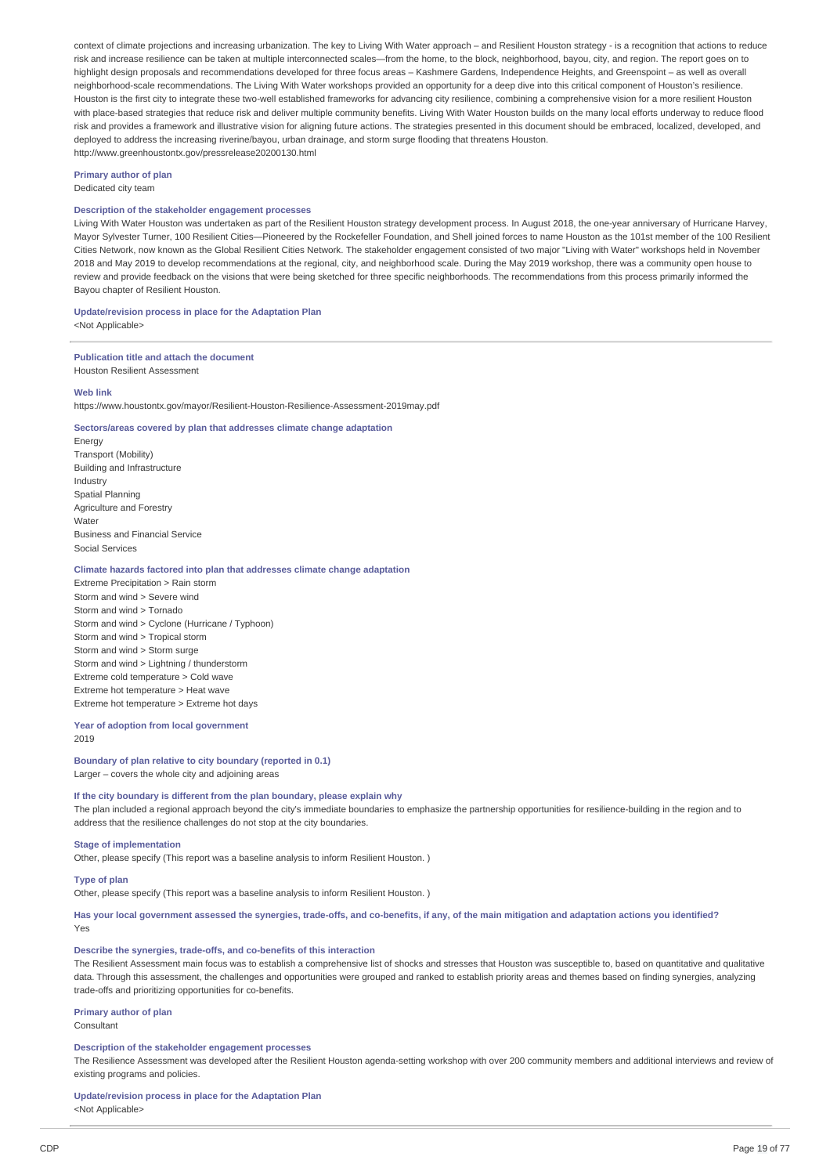context of climate projections and increasing urbanization. The key to Living With Water approach – and Resilient Houston strategy - is a recognition that actions to reduce risk and increase resilience can be taken at multiple interconnected scales—from the home, to the block, neighborhood, bayou, city, and region. The report goes on to highlight design proposals and recommendations developed for three focus areas – Kashmere Gardens, Independence Heights, and Greenspoint – as well as overall neighborhood-scale recommendations. The Living With Water workshops provided an opportunity for a deep dive into this critical component of Houston's resilience. Houston is the first city to integrate these two-well established frameworks for advancing city resilience, combining a comprehensive vision for a more resilient Houston with place-based strategies that reduce risk and deliver multiple community benefits. Living With Water Houston builds on the many local efforts underway to reduce flood risk and provides a framework and illustrative vision for aligning future actions. The strategies presented in this document should be embraced, localized, developed, and deployed to address the increasing riverine/bayou, urban drainage, and storm surge flooding that threatens Houston. http://www.greenhoustontx.gov/pressrelease20200130.html

**Primary author of plan** Dedicated city team

### **Description of the stakeholder engagement processes**

Living With Water Houston was undertaken as part of the Resilient Houston strategy development process. In August 2018, the one-year anniversary of Hurricane Harvey, Mayor Sylvester Turner, 100 Resilient Cities—Pioneered by the Rockefeller Foundation, and Shell joined forces to name Houston as the 101st member of the 100 Resilient Cities Network, now known as the Global Resilient Cities Network. The stakeholder engagement consisted of two major "Living with Water" workshops held in November 2018 and May 2019 to develop recommendations at the regional, city, and neighborhood scale. During the May 2019 workshop, there was a community open house to review and provide feedback on the visions that were being sketched for three specific neighborhoods. The recommendations from this process primarily informed the Bayou chapter of Resilient Houston.

**Update/revision process in place for the Adaptation Plan**

<Not Applicable>

# **Publication title and attach the document**

Houston Resilient Assessment

# **Web link**

https://www.houstontx.gov/mayor/Resilient-Houston-Resilience-Assessment-2019may.pdf

### **Sectors/areas covered by plan that addresses climate change adaptation**

Energy Transport (Mobility) Building and Infrastructure Industry Spatial Planning Agriculture and Forestry Water Business and Financial Service Social Services

# **Climate hazards factored into plan that addresses climate change adaptation**

Extreme Precipitation > Rain storm Storm and wind > Severe wind Storm and wind > Tornado Storm and wind > Cyclone (Hurricane / Typhoon) Storm and wind > Tropical storm Storm and wind > Storm surge Storm and wind > Lightning / thunderstorm Extreme cold temperature > Cold wave Extreme hot temperature > Heat wave Extreme hot temperature > Extreme hot days

**Year of adoption from local government** 2019

# **Boundary of plan relative to city boundary (reported in 0.1)** Larger – covers the whole city and adjoining areas

# **If the city boundary is different from the plan boundary, please explain why**

The plan included a regional approach beyond the city's immediate boundaries to emphasize the partnership opportunities for resilience-building in the region and to address that the resilience challenges do not stop at the city boundaries.

### **Stage of implementation**

Other, please specify (This report was a baseline analysis to inform Resilient Houston. )

### **Type of plan**

Other, please specify (This report was a baseline analysis to inform Resilient Houston. )

Has your local government assessed the synergies, trade-offs, and co-benefits, if any, of the main mitigation and adaptation actions you identified? Yes

#### **Describe the synergies, trade-offs, and co-benefits of this interaction**

The Resilient Assessment main focus was to establish a comprehensive list of shocks and stresses that Houston was susceptible to, based on quantitative and qualitative data. Through this assessment, the challenges and opportunities were grouped and ranked to establish priority areas and themes based on finding synergies, analyzing trade-offs and prioritizing opportunities for co-benefits.

# **Primary author of plan**

Consultant

### **Description of the stakeholder engagement processes**

The Resilience Assessment was developed after the Resilient Houston agenda-setting workshop with over 200 community members and additional interviews and review of existing programs and policies.

# **Update/revision process in place for the Adaptation Plan**

<Not Applicable>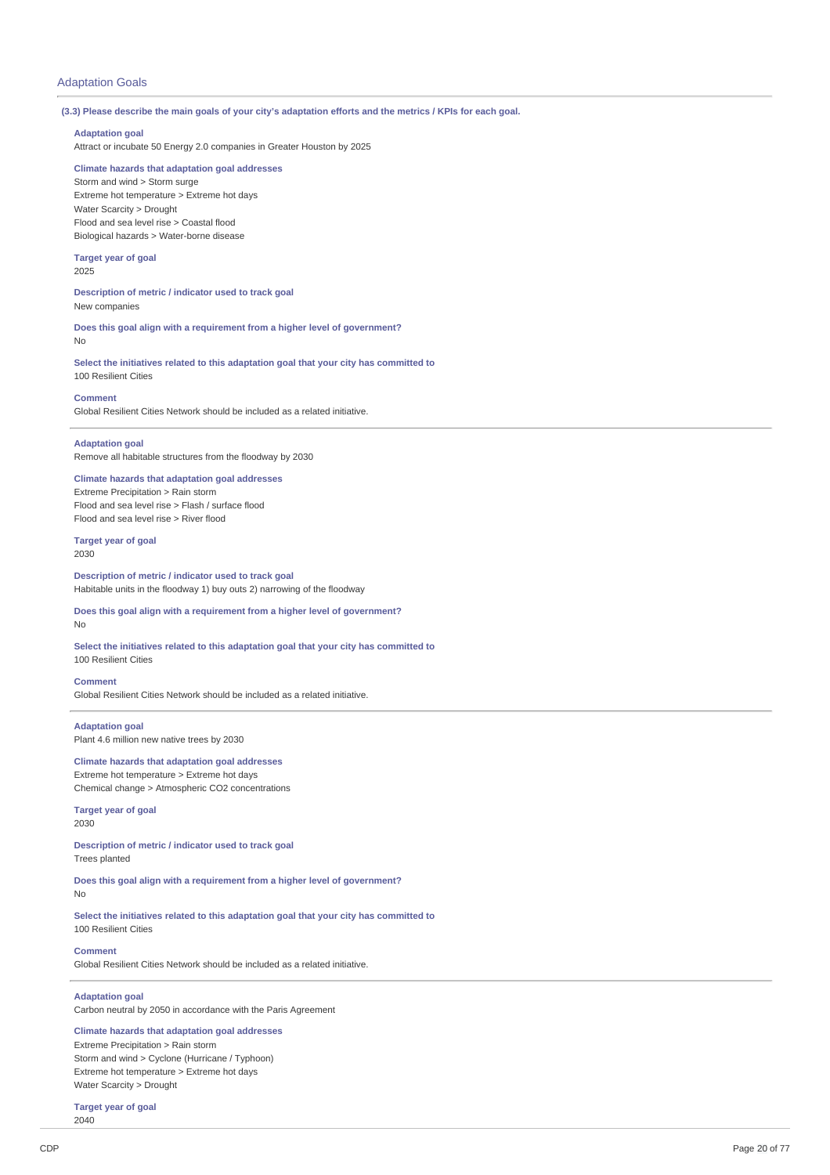# Adaptation Goals

### (3.3) Please describe the main goals of your city's adaptation efforts and the metrics / KPIs for each goal.

# **Adaptation goal**

Attract or incubate 50 Energy 2.0 companies in Greater Houston by 2025

# **Climate hazards that adaptation goal addresses**

Storm and wind > Storm surge Extreme hot temperature > Extreme hot days Water Scarcity > Drought Flood and sea level rise > Coastal flood Biological hazards > Water-borne disease

### **Target year of goal**

2025

**Description of metric / indicator used to track goal** New companies

**Does this goal align with a requirement from a higher level of government?** No

**Select the initiatives related to this adaptation goal that your city has committed to** 100 Resilient Cities

### **Comment**

Global Resilient Cities Network should be included as a related initiative.

### **Adaptation goal**

Remove all habitable structures from the floodway by 2030

# **Climate hazards that adaptation goal addresses**

Extreme Precipitation > Rain storm Flood and sea level rise > Flash / surface flood Flood and sea level rise > River flood

# **Target year of goal**

2030

**Description of metric / indicator used to track goal** Habitable units in the floodway 1) buy outs 2) narrowing of the floodway

#### **Does this goal align with a requirement from a higher level of government?** No

**Select the initiatives related to this adaptation goal that your city has committed to** 100 Resilient Cities

### **Comment**

Global Resilient Cities Network should be included as a related initiative.

# **Adaptation goal** Plant 4.6 million new native trees by 2030

**Climate hazards that adaptation goal addresses**

Extreme hot temperature > Extreme hot days Chemical change > Atmospheric CO2 concentrations

#### **Target year of goal** 2030

**Description of metric / indicator used to track goal** Trees planted

**Does this goal align with a requirement from a higher level of government?**

No

**Select the initiatives related to this adaptation goal that your city has committed to** 100 Resilient Cities

### **Comment**

Global Resilient Cities Network should be included as a related initiative.

# **Adaptation goal**

Carbon neutral by 2050 in accordance with the Paris Agreement

# **Climate hazards that adaptation goal addresses**

Extreme Precipitation > Rain storm Storm and wind > Cyclone (Hurricane / Typhoon) Extreme hot temperature > Extreme hot days Water Scarcity > Drought

**Target year of goal** 2040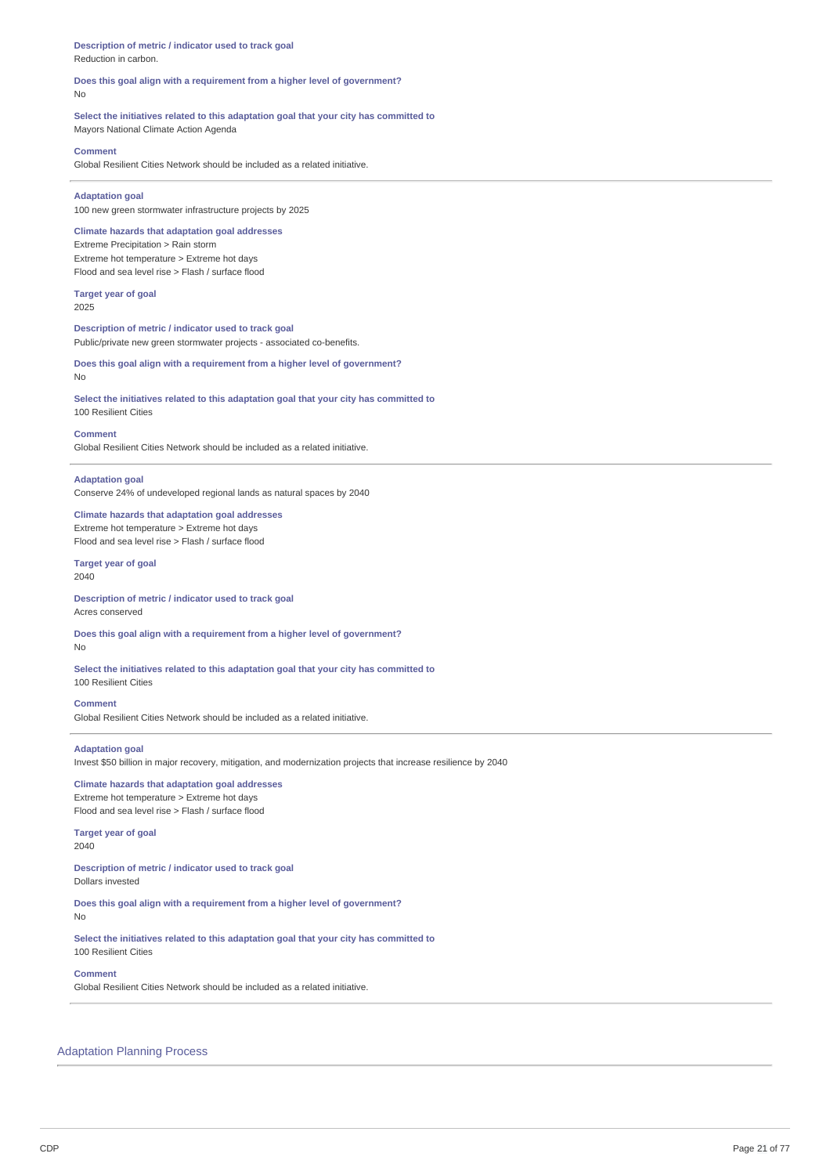**Description of metric / indicator used to track goal** Reduction in carbon.

**Does this goal align with a requirement from a higher level of government?** No

**Select the initiatives related to this adaptation goal that your city has committed to**

Mayors National Climate Action Agenda

### **Comment**

Global Resilient Cities Network should be included as a related initiative.

# **Adaptation goal**

100 new green stormwater infrastructure projects by 2025

### **Climate hazards that adaptation goal addresses** Extreme Precipitation > Rain storm

Extreme hot temperature > Extreme hot days Flood and sea level rise > Flash / surface flood

# **Target year of goal**

2025

**Description of metric / indicator used to track goal** Public/private new green stormwater projects - associated co-benefits.

### **Does this goal align with a requirement from a higher level of government?** No

**Select the initiatives related to this adaptation goal that your city has committed to** 100 Resilient Cities

### **Comment**

Global Resilient Cities Network should be included as a related initiative.

### **Adaptation goal**

Conserve 24% of undeveloped regional lands as natural spaces by 2040

# **Climate hazards that adaptation goal addresses**

Extreme hot temperature > Extreme hot days Flood and sea level rise > Flash / surface flood

### **Target year of goal** 2040

**Description of metric / indicator used to track goal** Acres conserved

**Does this goal align with a requirement from a higher level of government?** No

**Select the initiatives related to this adaptation goal that your city has committed to** 100 Resilient Cities

### **Comment**

Global Resilient Cities Network should be included as a related initiative.

### **Adaptation goal**

Invest \$50 billion in major recovery, mitigation, and modernization projects that increase resilience by 2040

# **Climate hazards that adaptation goal addresses** Extreme hot temperature > Extreme hot days

Flood and sea level rise > Flash / surface flood

#### **Target year of goal** 2040

**Description of metric / indicator used to track goal** Dollars invested

**Does this goal align with a requirement from a higher level of government?** No

# **Select the initiatives related to this adaptation goal that your city has committed to** 100 Resilient Cities

### **Comment**

Global Resilient Cities Network should be included as a related initiative.

# Adaptation Planning Process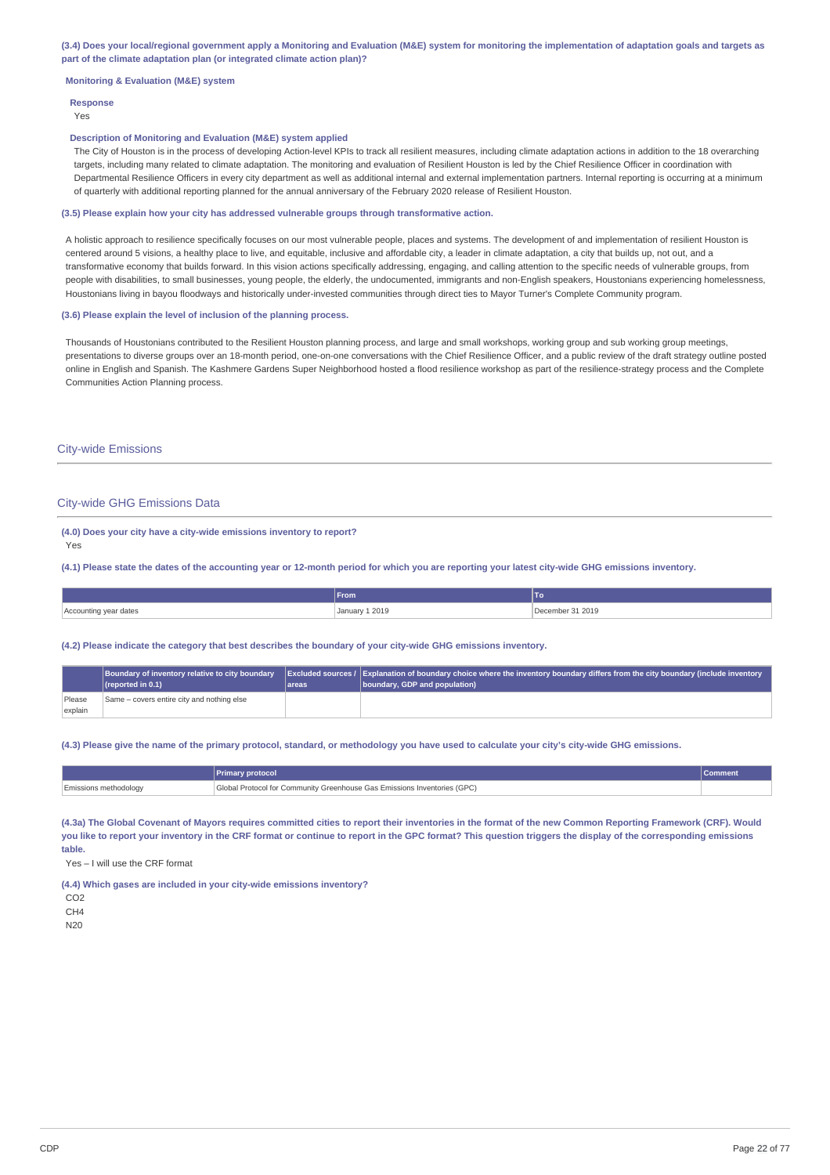(3.4) Does your local/regional government apply a Monitoring and Evaluation (M&E) system for monitoring the implementation of adaptation goals and targets as **part of the climate adaptation plan (or integrated climate action plan)?**

### **Monitoring & Evaluation (M&E) system**

# **Response**

Yes

### **Description of Monitoring and Evaluation (M&E) system applied**

The City of Houston is in the process of developing Action-level KPIs to track all resilient measures, including climate adaptation actions in addition to the 18 overarching targets, including many related to climate adaptation. The monitoring and evaluation of Resilient Houston is led by the Chief Resilience Officer in coordination with Departmental Resilience Officers in every city department as well as additional internal and external implementation partners. Internal reporting is occurring at a minimum of quarterly with additional reporting planned for the annual anniversary of the February 2020 release of Resilient Houston.

#### **(3.5) Please explain how your city has addressed vulnerable groups through transformative action.**

A holistic approach to resilience specifically focuses on our most vulnerable people, places and systems. The development of and implementation of resilient Houston is centered around 5 visions, a healthy place to live, and equitable, inclusive and affordable city, a leader in climate adaptation, a city that builds up, not out, and a transformative economy that builds forward. In this vision actions specifically addressing, engaging, and calling attention to the specific needs of vulnerable groups, from people with disabilities, to small businesses, young people, the elderly, the undocumented, immigrants and non-English speakers, Houstonians experiencing homelessness, Houstonians living in bayou floodways and historically under-invested communities through direct ties to Mayor Turner's Complete Community program.

### **(3.6) Please explain the level of inclusion of the planning process.**

Thousands of Houstonians contributed to the Resilient Houston planning process, and large and small workshops, working group and sub working group meetings, presentations to diverse groups over an 18-month period, one-on-one conversations with the Chief Resilience Officer, and a public review of the draft strategy outline posted online in English and Spanish. The Kashmere Gardens Super Neighborhood hosted a flood resilience workshop as part of the resilience-strategy process and the Complete Communities Action Planning process.

### City-wide Emissions

### City-wide GHG Emissions Data

**(4.0) Does your city have a city-wide emissions inventory to report?** Yes

(4.1) Please state the dates of the accounting year or 12-month period for which you are reporting your latest city-wide GHG emissions inventory.

|                       | From           | 10               |
|-----------------------|----------------|------------------|
| Accounting year dates | January 1 2019 | December 31 2019 |

#### **(4.2) Please indicate the category that best describes the boundary of your city-wide GHG emissions inventory.**

|         | Boundary of inventory relative to city boundary<br>$\sqrt{\frac{1}{1}}$ (reported in 0.1) | areas | Excluded sources / Explanation of boundary choice where the inventory boundary differs from the city boundary (include inventory<br>boundary, GDP and population) |
|---------|-------------------------------------------------------------------------------------------|-------|-------------------------------------------------------------------------------------------------------------------------------------------------------------------|
| Please  | Same – covers entire city and nothing else                                                |       |                                                                                                                                                                   |
| explain |                                                                                           |       |                                                                                                                                                                   |

(4.3) Please give the name of the primary protocol, standard, or methodology you have used to calculate your city's city-wide GHG emissions.

|                              | <b>Primary protocol</b>                                                  | Commen |
|------------------------------|--------------------------------------------------------------------------|--------|
| <b>Emissions methodology</b> | Global Protocol for Community Greenhouse Gas Emissions Inventories (GPC) |        |

(4.3a) The Global Covenant of Mayors requires committed cities to report their inventories in the format of the new Common Reporting Framework (CRF). Would you like to report your inventory in the CRE format or continue to report in the GPC format? This question triggers the display of the corresponding emissions **table.**

Yes – I will use the CRF format

**(4.4) Which gases are included in your city-wide emissions inventory?**

C<sub>O2</sub>

 $CHA$ 

N20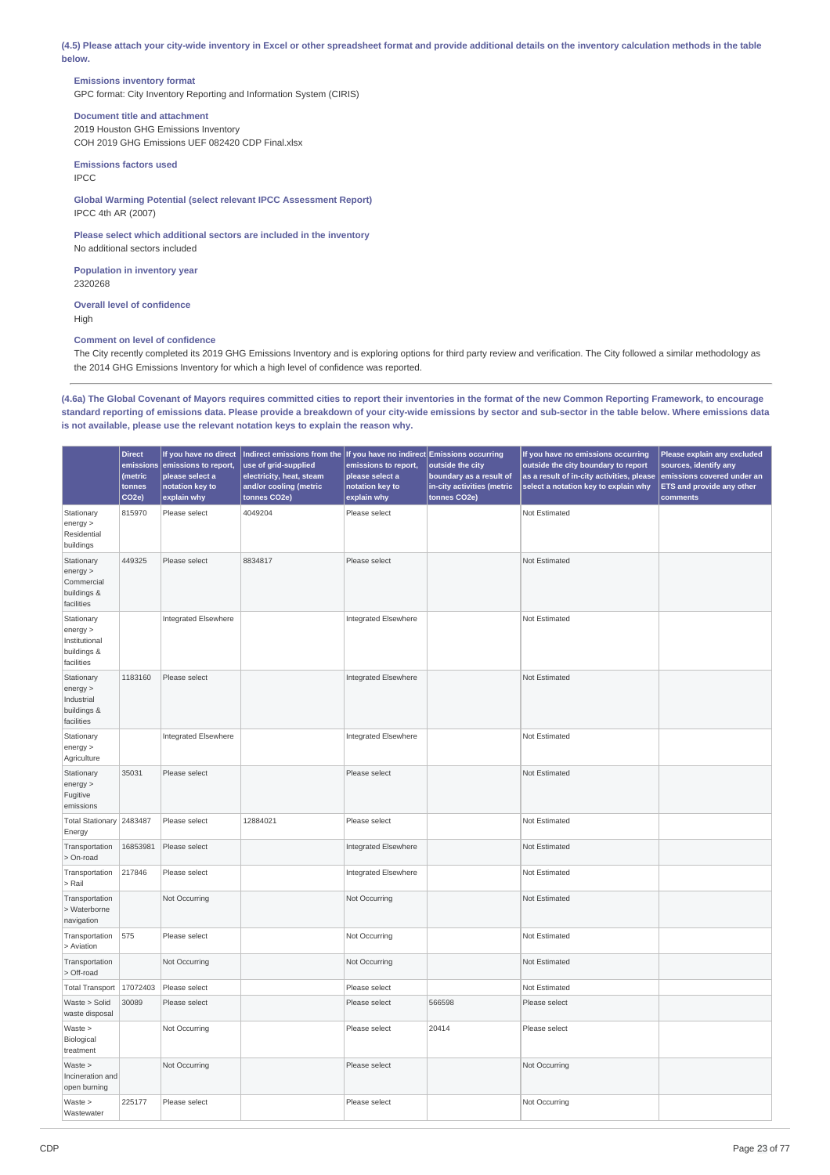(4.5) Please attach your city-wide inventory in Excel or other spreadsheet format and provide additional details on the inventory calculation methods in the table **below.**

# **Emissions inventory format**

GPC format: City Inventory Reporting and Information System (CIRIS)

# **Document title and attachment**

2019 Houston GHG Emissions Inventory COH 2019 GHG Emissions UEF 082420 CDP Final.xlsx

### **Emissions factors used** IPCC

**Global Warming Potential (select relevant IPCC Assessment Report)** IPCC 4th AR (2007)

### **Please select which additional sectors are included in the inventory** No additional sectors included

**Population in inventory year**

2320268

**Overall level of confidence** High

# **Comment on level of confidence**

The City recently completed its 2019 GHG Emissions Inventory and is exploring options for third party review and verification. The City followed a similar methodology as the 2014 GHG Emissions Inventory for which a high level of confidence was reported.

(4.6a) The Global Covenant of Mayors requires committed cities to report their inventories in the format of the new Common Reporting Framework, to encourage standard reporting of emissions data. Please provide a breakdown of your city-wide emissions by sector and sub-sector in the table below. Where emissions data **is not available, please use the relevant notation keys to explain the reason why.**

|                                                                      | <b>Direct</b><br>emissions<br>(metric<br>tonnes<br>CO <sub>2e</sub> ) | If you have no direct<br>emissions to report,<br>please select a<br>notation key to<br>explain why | Indirect emissions from the If you have no indirect Emissions occurring<br>use of grid-supplied<br>electricity, heat, steam<br>and/or cooling (metric<br>tonnes CO2e) | emissions to report,<br>please select a<br>notation key to<br>explain why | outside the city<br>boundary as a result of<br>in-city activities (metric<br>tonnes CO2e) | If you have no emissions occurring<br>outside the city boundary to report<br>as a result of in-city activities, please<br>select a notation key to explain why | Please explain any excluded<br>sources, identify any<br>emissions covered under an<br>ETS and provide any other<br>comments |
|----------------------------------------------------------------------|-----------------------------------------------------------------------|----------------------------------------------------------------------------------------------------|-----------------------------------------------------------------------------------------------------------------------------------------------------------------------|---------------------------------------------------------------------------|-------------------------------------------------------------------------------------------|----------------------------------------------------------------------------------------------------------------------------------------------------------------|-----------------------------------------------------------------------------------------------------------------------------|
| Stationary<br>energy ><br>Residential<br>buildings                   | 815970                                                                | Please select                                                                                      | 4049204                                                                                                                                                               | Please select                                                             |                                                                                           | Not Estimated                                                                                                                                                  |                                                                                                                             |
| Stationary<br>energy<br>Commercial<br>buildings &<br>facilities      | 449325                                                                | Please select                                                                                      | 8834817                                                                                                                                                               | Please select                                                             |                                                                                           | Not Estimated                                                                                                                                                  |                                                                                                                             |
| Stationary<br>energy ><br>Institutional<br>buildings &<br>facilities |                                                                       | Integrated Elsewhere                                                                               |                                                                                                                                                                       | Integrated Elsewhere                                                      |                                                                                           | Not Estimated                                                                                                                                                  |                                                                                                                             |
| Stationary<br>energy ><br>Industrial<br>buildings &<br>facilities    | 1183160                                                               | Please select                                                                                      |                                                                                                                                                                       | Integrated Elsewhere                                                      |                                                                                           | Not Estimated                                                                                                                                                  |                                                                                                                             |
| Stationary<br>energy ><br>Agriculture                                |                                                                       | Integrated Elsewhere                                                                               |                                                                                                                                                                       | Integrated Elsewhere                                                      |                                                                                           | Not Estimated                                                                                                                                                  |                                                                                                                             |
| Stationary<br>energy<br>Fugitive<br>emissions                        | 35031                                                                 | Please select                                                                                      |                                                                                                                                                                       | Please select                                                             |                                                                                           | Not Estimated                                                                                                                                                  |                                                                                                                             |
| Total Stationary 2483487<br>Energy                                   |                                                                       | Please select                                                                                      | 12884021                                                                                                                                                              | Please select                                                             |                                                                                           | Not Estimated                                                                                                                                                  |                                                                                                                             |
| Transportation<br>> On-road                                          | 16853981                                                              | Please select                                                                                      |                                                                                                                                                                       | Integrated Elsewhere                                                      |                                                                                           | Not Estimated                                                                                                                                                  |                                                                                                                             |
| Transportation<br>> Rail                                             | 217846                                                                | Please select                                                                                      |                                                                                                                                                                       | Integrated Elsewhere                                                      |                                                                                           | Not Estimated                                                                                                                                                  |                                                                                                                             |
| Transportation<br>> Waterborne<br>navigation                         |                                                                       | Not Occurring                                                                                      |                                                                                                                                                                       | Not Occurring                                                             |                                                                                           | Not Estimated                                                                                                                                                  |                                                                                                                             |
| Transportation<br>> Aviation                                         | 575                                                                   | Please select                                                                                      |                                                                                                                                                                       | Not Occurring                                                             |                                                                                           | Not Estimated                                                                                                                                                  |                                                                                                                             |
| Transportation<br>> Off-road                                         |                                                                       | Not Occurring                                                                                      |                                                                                                                                                                       | Not Occurring                                                             |                                                                                           | Not Estimated                                                                                                                                                  |                                                                                                                             |
| Total Transport                                                      | 17072403                                                              | Please select                                                                                      |                                                                                                                                                                       | Please select                                                             |                                                                                           | Not Estimated                                                                                                                                                  |                                                                                                                             |
| Waste > Solid<br>waste disposal                                      | 30089                                                                 | Please select                                                                                      |                                                                                                                                                                       | Please select                                                             | 566598                                                                                    | Please select                                                                                                                                                  |                                                                                                                             |
| Waste ><br>Biological<br>treatment                                   |                                                                       | Not Occurring                                                                                      |                                                                                                                                                                       | Please select                                                             | 20414                                                                                     | Please select                                                                                                                                                  |                                                                                                                             |
| Waste<br>Incineration and<br>open burning                            |                                                                       | Not Occurring                                                                                      |                                                                                                                                                                       | Please select                                                             |                                                                                           | Not Occurring                                                                                                                                                  |                                                                                                                             |
| Waste<br>Wastewater                                                  | 225177                                                                | Please select                                                                                      |                                                                                                                                                                       | Please select                                                             |                                                                                           | Not Occurring                                                                                                                                                  |                                                                                                                             |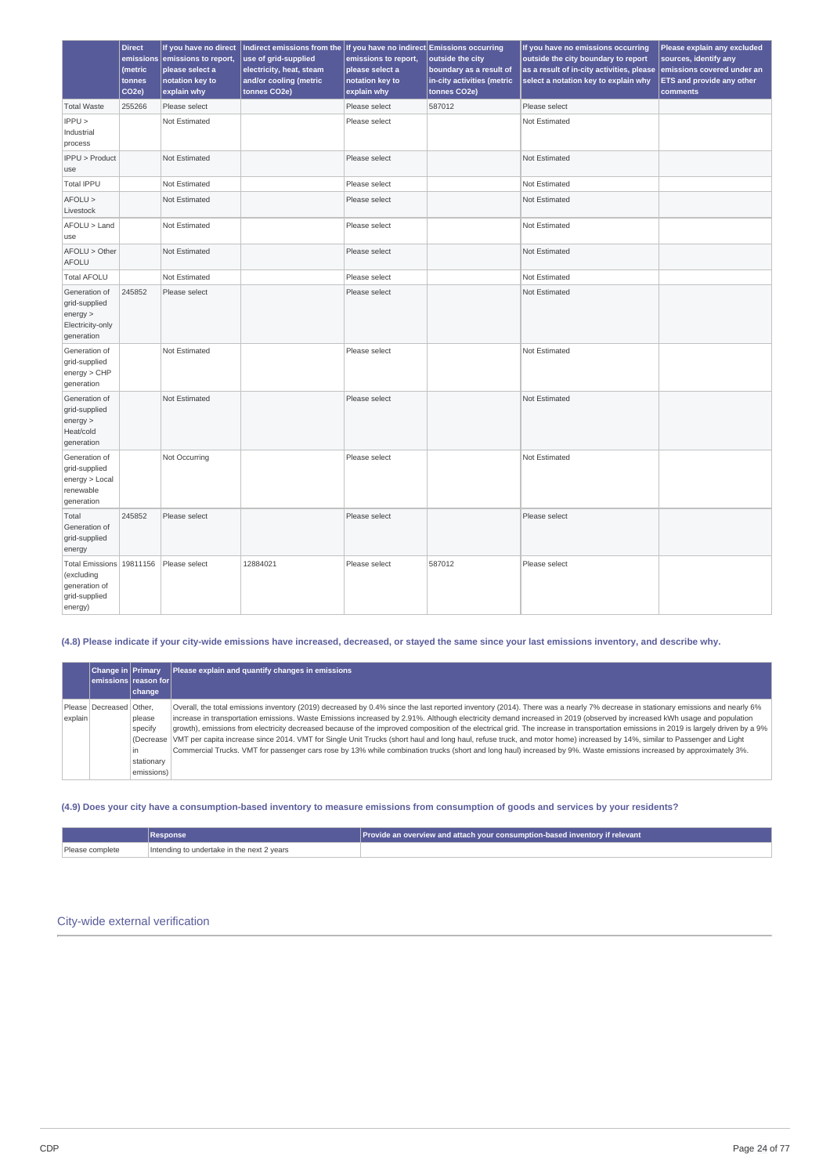|                                                                                     | <b>Direct</b><br>emissions<br>(metric<br>tonnes<br>CO <sub>2e</sub> ) | If you have no direct<br>emissions to report,<br>please select a<br>notation key to<br>explain why | Indirect emissions from the If you have no indirect Emissions occurring<br>use of grid-supplied<br>electricity, heat, steam<br>and/or cooling (metric<br>tonnes CO2e) | emissions to report,<br>please select a<br>notation key to<br>explain why | outside the city<br>boundary as a result of<br>in-city activities (metric<br>tonnes CO2e) | If you have no emissions occurring<br>outside the city boundary to report<br>as a result of in-city activities, please<br>select a notation key to explain why | Please explain any excluded<br>sources, identify any<br>emissions covered under an<br>ETS and provide any other<br>comments |
|-------------------------------------------------------------------------------------|-----------------------------------------------------------------------|----------------------------------------------------------------------------------------------------|-----------------------------------------------------------------------------------------------------------------------------------------------------------------------|---------------------------------------------------------------------------|-------------------------------------------------------------------------------------------|----------------------------------------------------------------------------------------------------------------------------------------------------------------|-----------------------------------------------------------------------------------------------------------------------------|
| <b>Total Waste</b>                                                                  | 255266                                                                | Please select                                                                                      |                                                                                                                                                                       | Please select                                                             | 587012                                                                                    | Please select                                                                                                                                                  |                                                                                                                             |
| IPPU<br>Industrial<br>process                                                       |                                                                       | Not Estimated                                                                                      |                                                                                                                                                                       | Please select                                                             |                                                                                           | Not Estimated                                                                                                                                                  |                                                                                                                             |
| IPPU > Product<br>use                                                               |                                                                       | Not Estimated                                                                                      |                                                                                                                                                                       | Please select                                                             |                                                                                           | Not Estimated                                                                                                                                                  |                                                                                                                             |
| <b>Total IPPU</b>                                                                   |                                                                       | Not Estimated                                                                                      |                                                                                                                                                                       | Please select                                                             |                                                                                           | Not Estimated                                                                                                                                                  |                                                                                                                             |
| $AFOLU$ ><br>Livestock                                                              |                                                                       | Not Estimated                                                                                      |                                                                                                                                                                       | Please select                                                             |                                                                                           | Not Estimated                                                                                                                                                  |                                                                                                                             |
| AFOLU > Land<br>use                                                                 |                                                                       | Not Estimated                                                                                      |                                                                                                                                                                       | Please select                                                             |                                                                                           | Not Estimated                                                                                                                                                  |                                                                                                                             |
| AFOLU > Other<br><b>AFOLU</b>                                                       |                                                                       | Not Estimated                                                                                      |                                                                                                                                                                       | Please select                                                             |                                                                                           | Not Estimated                                                                                                                                                  |                                                                                                                             |
| <b>Total AFOLU</b>                                                                  |                                                                       | Not Estimated                                                                                      |                                                                                                                                                                       | Please select                                                             |                                                                                           | Not Estimated                                                                                                                                                  |                                                                                                                             |
| Generation of<br>grid-supplied<br>energy<br>Electricity-only<br>generation          | 245852                                                                | Please select                                                                                      |                                                                                                                                                                       | Please select                                                             |                                                                                           | Not Estimated                                                                                                                                                  |                                                                                                                             |
| Generation of<br>grid-supplied<br>energy > CHP<br>generation                        |                                                                       | Not Estimated                                                                                      |                                                                                                                                                                       | Please select                                                             |                                                                                           | Not Estimated                                                                                                                                                  |                                                                                                                             |
| Generation of<br>grid-supplied<br>energy<br>Heat/cold<br>generation                 |                                                                       | Not Estimated                                                                                      |                                                                                                                                                                       | Please select                                                             |                                                                                           | Not Estimated                                                                                                                                                  |                                                                                                                             |
| Generation of<br>grid-supplied<br>energy > Local<br>renewable<br>generation         |                                                                       | Not Occurring                                                                                      |                                                                                                                                                                       | Please select                                                             |                                                                                           | Not Estimated                                                                                                                                                  |                                                                                                                             |
| Total<br>Generation of<br>grid-supplied<br>energy                                   | 245852                                                                | Please select                                                                                      |                                                                                                                                                                       | Please select                                                             |                                                                                           | Please select                                                                                                                                                  |                                                                                                                             |
| Total Emissions 19811156<br>(excluding<br>generation of<br>grid-supplied<br>energy) |                                                                       | Please select                                                                                      | 12884021                                                                                                                                                              | Please select                                                             | 587012                                                                                    | Please select                                                                                                                                                  |                                                                                                                             |

# (4.8) Please indicate if your city-wide emissions have increased, decreased, or stayed the same since your last emissions inventory, and describe why.

|         | <b>Change in Primary</b>    |                                                      | Please explain and quantify changes in emissions                                                                                                                                                                                                                                                                                                                                                                                                                                                                                                                                                                                                                                                                                                                                                                                                                                                                |
|---------|-----------------------------|------------------------------------------------------|-----------------------------------------------------------------------------------------------------------------------------------------------------------------------------------------------------------------------------------------------------------------------------------------------------------------------------------------------------------------------------------------------------------------------------------------------------------------------------------------------------------------------------------------------------------------------------------------------------------------------------------------------------------------------------------------------------------------------------------------------------------------------------------------------------------------------------------------------------------------------------------------------------------------|
|         | emissions reason for        |                                                      |                                                                                                                                                                                                                                                                                                                                                                                                                                                                                                                                                                                                                                                                                                                                                                                                                                                                                                                 |
|         |                             | change                                               |                                                                                                                                                                                                                                                                                                                                                                                                                                                                                                                                                                                                                                                                                                                                                                                                                                                                                                                 |
| explain | Please   Decreased   Other. | please<br>specify<br>in.<br>stationary<br>emissions) | Overall, the total emissions inventory (2019) decreased by 0.4% since the last reported inventory (2014). There was a nearly 7% decrease in stationary emissions and nearly 6%<br>increase in transportation emissions. Waste Emissions increased by 2.91%. Although electricity demand increased in 2019 (observed by increased kWh usage and population<br>growth), emissions from electricity decreased because of the improved composition of the electrical grid. The increase in transportation emissions in 2019 is largely driven by a 9%<br>(Decrease VMT per capita increase since 2014. VMT for Single Unit Trucks (short haul and long haul, refuse truck, and motor home) increased by 14%, similar to Passenger and Light<br>Commercial Trucks. VMT for passenger cars rose by 13% while combination trucks (short and long haul) increased by 9%. Waste emissions increased by approximately 3%. |

# (4.9) Does your city have a consumption-based inventory to measure emissions from consumption of goods and services by your residents?

|                 | Response                                   | Provide an overview and attach your consumption-based inventory if relevant |  |  |
|-----------------|--------------------------------------------|-----------------------------------------------------------------------------|--|--|
| Please complete | Intending to undertake in the next 2 years |                                                                             |  |  |

# City-wide external verification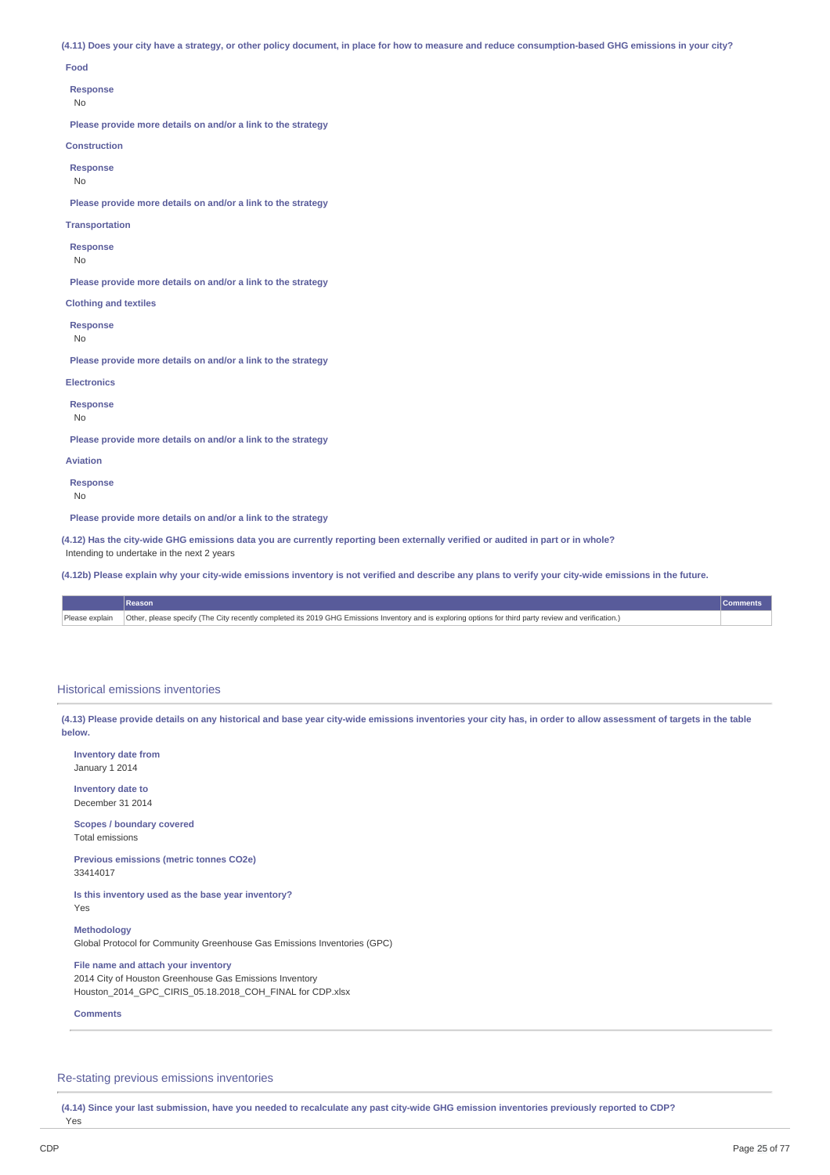(4.11) Does your city have a strategy, or other policy document, in place for how to measure and reduce consumption-based GHG emissions in your city?

#### **Food**

**Response**

No

**Please provide more details on and/or a link to the strategy**

### **Construction**

**Response**

No

**Please provide more details on and/or a link to the strategy**

**Transportation**

**Response**

No

**Please provide more details on and/or a link to the strategy**

**Clothing and textiles**

**Response**

No

**Please provide more details on and/or a link to the strategy**

**Electronics**

**Response**

No

**Please provide more details on and/or a link to the strategy**

**Aviation**

**Response**

No

**Please provide more details on and/or a link to the strategy**

(4.12) Has the city-wide GHG emissions data you are currently reporting been externally verified or audited in part or in whole?

Intending to undertake in the next 2 years

(4.12b) Please explain why your city-wide emissions inventory is not verified and describe any plans to verify your city-wide emissions in the future.

| <b>Reason</b>                                                                                                                                                           |  |
|-------------------------------------------------------------------------------------------------------------------------------------------------------------------------|--|
| Please explain   Other, please specify (The City recently completed its 2019 GHG Emissions Inventory and is exploring options for third party review and verification.) |  |

### Historical emissions inventories

(4.13) Please provide details on any historical and base year city-wide emissions inventories your city has, in order to allow assessment of targets in the table **below.**

**Inventory date from** January 1 2014

**Inventory date to** December 31 2014

**Scopes / boundary covered** Total emissions

**Previous emissions (metric tonnes CO2e)** 33414017

**Is this inventory used as the base year inventory?** Yes

**Methodology**

Global Protocol for Community Greenhouse Gas Emissions Inventories (GPC)

**File name and attach your inventory** 2014 City of Houston Greenhouse Gas Emissions Inventory Houston\_2014\_GPC\_CIRIS\_05.18.2018\_COH\_FINAL for CDP.xlsx

**Comments**

Re-stating previous emissions inventories

(4.14) Since your last submission, have you needed to recalculate any past city-wide GHG emission inventories previously reported to CDP?

Yes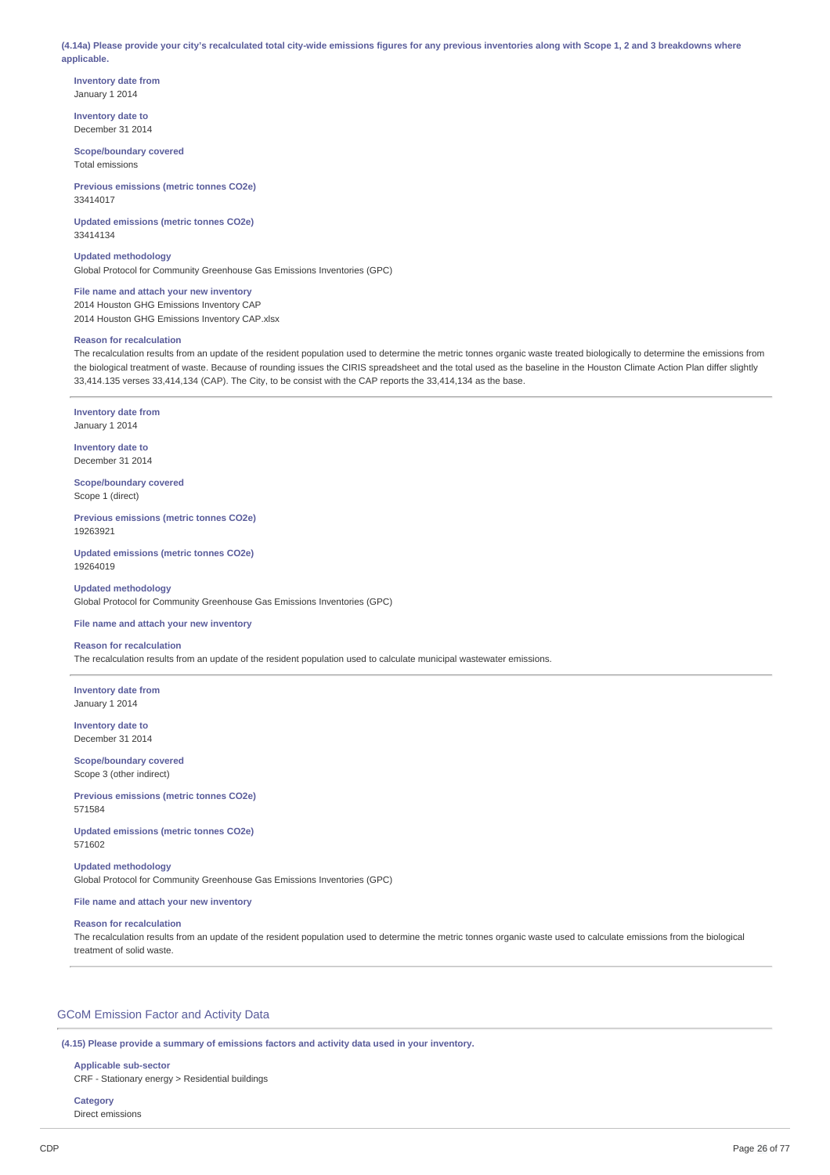(4.14a) Please provide your city's recalculated total city-wide emissions figures for any previous inventories along with Scope 1, 2 and 3 breakdowns where **applicable.**

**Inventory date from** January 1 2014

**Inventory date to** December 31 2014

**Scope/boundary covered** Total emissions

**Previous emissions (metric tonnes CO2e)** 33414017

**Updated emissions (metric tonnes CO2e)** 33414134

**Updated methodology** Global Protocol for Community Greenhouse Gas Emissions Inventories (GPC)

**File name and attach your new inventory** 2014 Houston GHG Emissions Inventory CAP 2014 Houston GHG Emissions Inventory CAP.xlsx

# **Reason for recalculation**

The recalculation results from an update of the resident population used to determine the metric tonnes organic waste treated biologically to determine the emissions from the biological treatment of waste. Because of rounding issues the CIRIS spreadsheet and the total used as the baseline in the Houston Climate Action Plan differ slightly 33,414.135 verses 33,414,134 (CAP). The City, to be consist with the CAP reports the 33,414,134 as the base.

**Inventory date from** January 1 2014

**Inventory date to** December 31 2014

**Scope/boundary covered** Scope 1 (direct)

**Previous emissions (metric tonnes CO2e)** 19263921

**Updated emissions (metric tonnes CO2e)** 19264019

**Updated methodology** Global Protocol for Community Greenhouse Gas Emissions Inventories (GPC)

**File name and attach your new inventory**

### **Reason for recalculation**

The recalculation results from an update of the resident population used to calculate municipal wastewater emissions.

**Inventory date from** January 1 2014

**Inventory date to** December 31 2014

**Scope/boundary covered** Scope 3 (other indirect)

**Previous emissions (metric tonnes CO2e)** 571584

**Updated emissions (metric tonnes CO2e)** 571602

**Updated methodology** Global Protocol for Community Greenhouse Gas Emissions Inventories (GPC)

# **File name and attach your new inventory**

### **Reason for recalculation**

The recalculation results from an update of the resident population used to determine the metric tonnes organic waste used to calculate emissions from the biological treatment of solid waste.

# GCoM Emission Factor and Activity Data

**(4.15) Please provide a summary of emissions factors and activity data used in your inventory.**

# **Applicable sub-sector**

CRF - Stationary energy > Residential buildings

```
Category
Direct emissions
```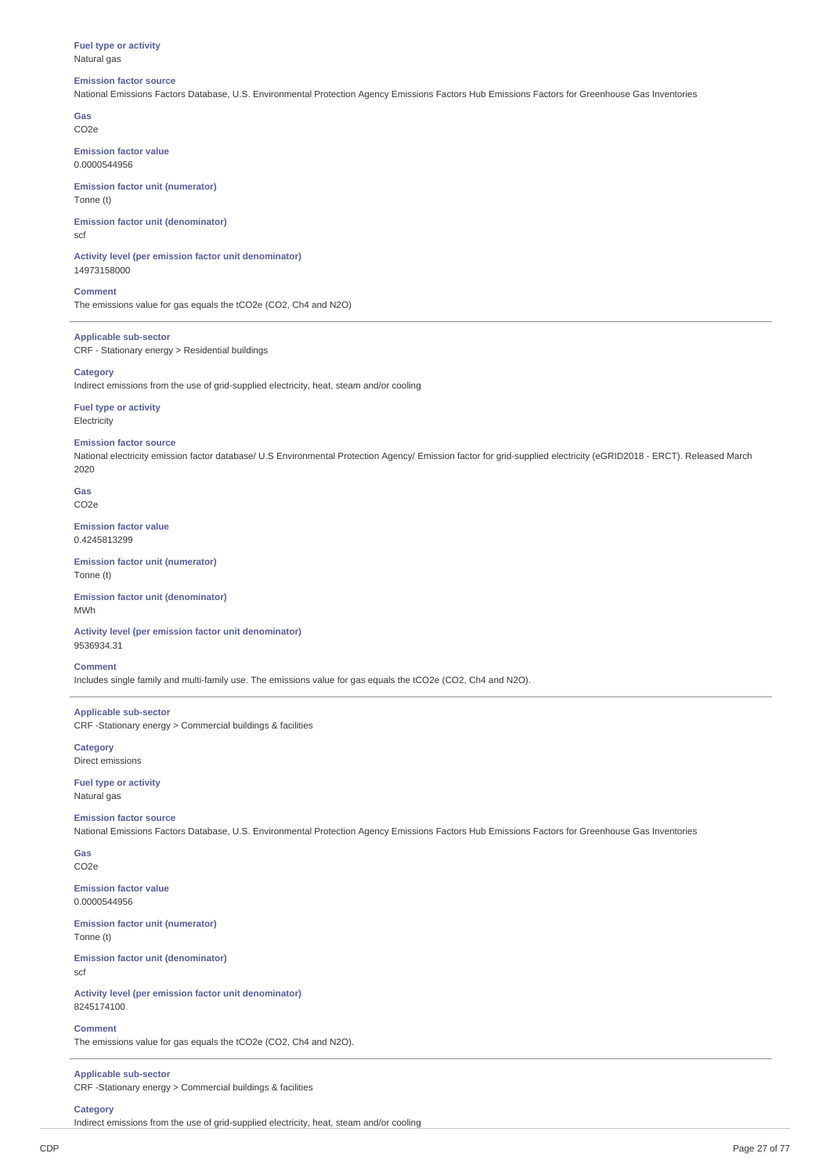### **Fuel type or activity** Natural gas

### **Emission factor source**

National Emissions Factors Database, U.S. Environmental Protection Agency Emissions Factors Hub Emissions Factors for Greenhouse Gas Inventories

**Gas** CO2e

**Emission factor value** 0.0000544956

**Emission factor unit (numerator)** Tonne (t)

**Emission factor unit (denominator)** scf

**Activity level (per emission factor unit denominator)** 14973158000

**Comment**

The emissions value for gas equals the tCO2e (CO2, Ch4 and N2O)

**Applicable sub-sector** CRF - Stationary energy > Residential buildings

# **Category**

Indirect emissions from the use of grid-supplied electricity, heat, steam and/or cooling

**Fuel type or activity** Electricity

### **Emission factor source**

National electricity emission factor database/ U.S Environmental Protection Agency/ Emission factor for grid-supplied electricity (eGRID2018 - ERCT). Released March 2020

**Gas** CO2e

**Emission factor value** 0.4245813299

**Emission factor unit (numerator)** Tonne (t)

**Emission factor unit (denominator)** M<sub>M</sub>

**Activity level (per emission factor unit denominator)** 9536934.31

### **Comment**

Includes single family and multi-family use. The emissions value for gas equals the tCO2e (CO2, Ch4 and N2O).

**Applicable sub-sector** CRF -Stationary energy > Commercial buildings & facilities

**Category** Direct emissions

**Fuel type or activity** Natural gas

### **Emission factor source**

National Emissions Factors Database, U.S. Environmental Protection Agency Emissions Factors Hub Emissions Factors for Greenhouse Gas Inventories

**Gas** CO2e

**Emission factor value** 0.0000544956

**Emission factor unit (numerator)** Tonne (t)

**Emission factor unit (denominator)** scf

**Activity level (per emission factor unit denominator)** 8245174100

### **Comment**

The emissions value for gas equals the tCO2e (CO2, Ch4 and N2O).

**Applicable sub-sector**

CRF -Stationary energy > Commercial buildings & facilities

# **Category**

Indirect emissions from the use of grid-supplied electricity, heat, steam and/or cooling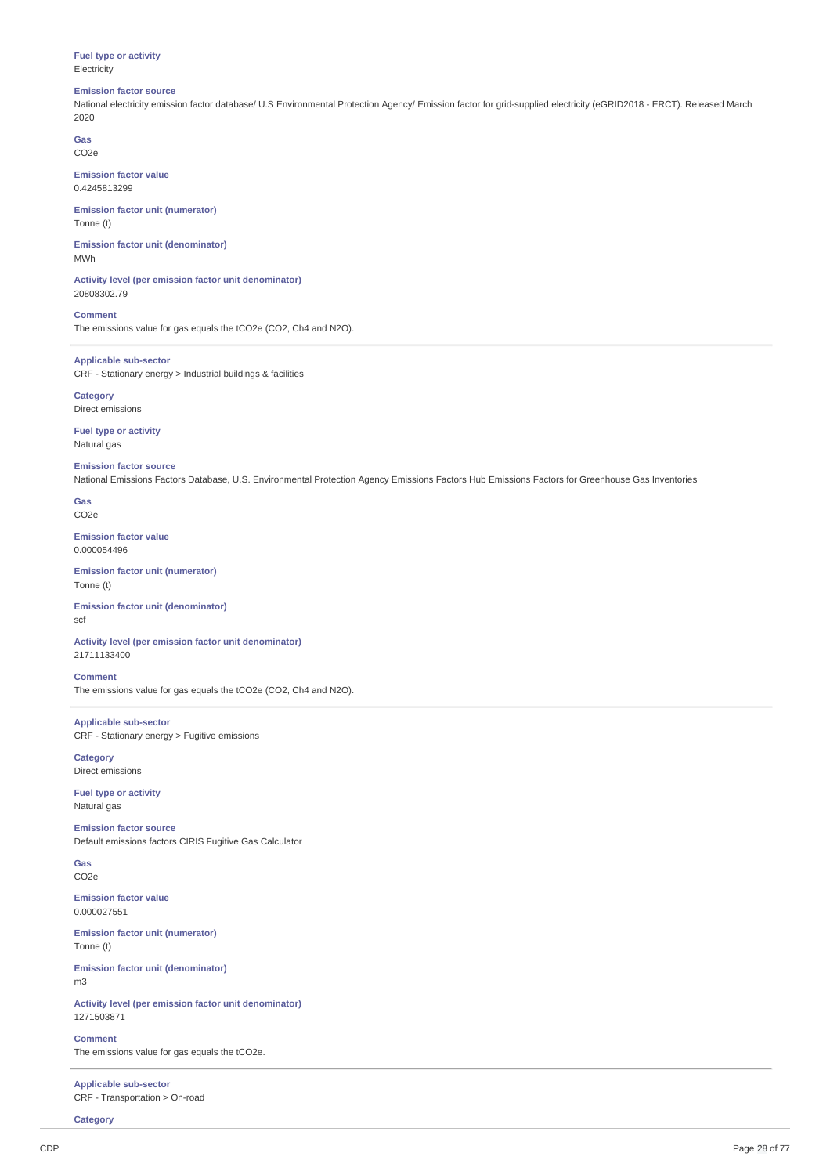# **Fuel type or activity Electricity**

### **Emission factor source**

National electricity emission factor database/ U.S Environmental Protection Agency/ Emission factor for grid-supplied electricity (eGRID2018 - ERCT). Released March 2020

**Gas** CO2e

**Emission factor value** 0.4245813299

**Emission factor unit (numerator)** Tonne (t)

**Emission factor unit (denominator)** MWh

**Activity level (per emission factor unit denominator)** 20808302.79

**Comment** The emissions value for gas equals the tCO2e (CO2, Ch4 and N2O).

**Applicable sub-sector** CRF - Stationary energy > Industrial buildings & facilities

**Category** Direct emissions

**Fuel type or activity** Natural gas

**Emission factor source**

National Emissions Factors Database, U.S. Environmental Protection Agency Emissions Factors Hub Emissions Factors for Greenhouse Gas Inventories

**Gas** CO2e

**Emission factor value** 0.000054496

**Emission factor unit (numerator)** Tonne (t)

**Emission factor unit (denominator)** scf

**Activity level (per emission factor unit denominator)** 21711133400

**Comment** The emissions value for gas equals the tCO2e (CO2, Ch4 and N2O).

**Applicable sub-sector** CRF - Stationary energy > Fugitive emissions

**Category** Direct emissions

**Fuel type or activity** Natural gas

**Emission factor source** Default emissions factors CIRIS Fugitive Gas Calculator

**Gas** CO2e

**Emission factor value** 0.000027551

**Emission factor unit (numerator)** Tonne (t)

**Emission factor unit (denominator)** m3

**Activity level (per emission factor unit denominator)** 1271503871

**Comment** The emissions value for gas equals the tCO2e.

**Applicable sub-sector** CRF - Transportation > On-road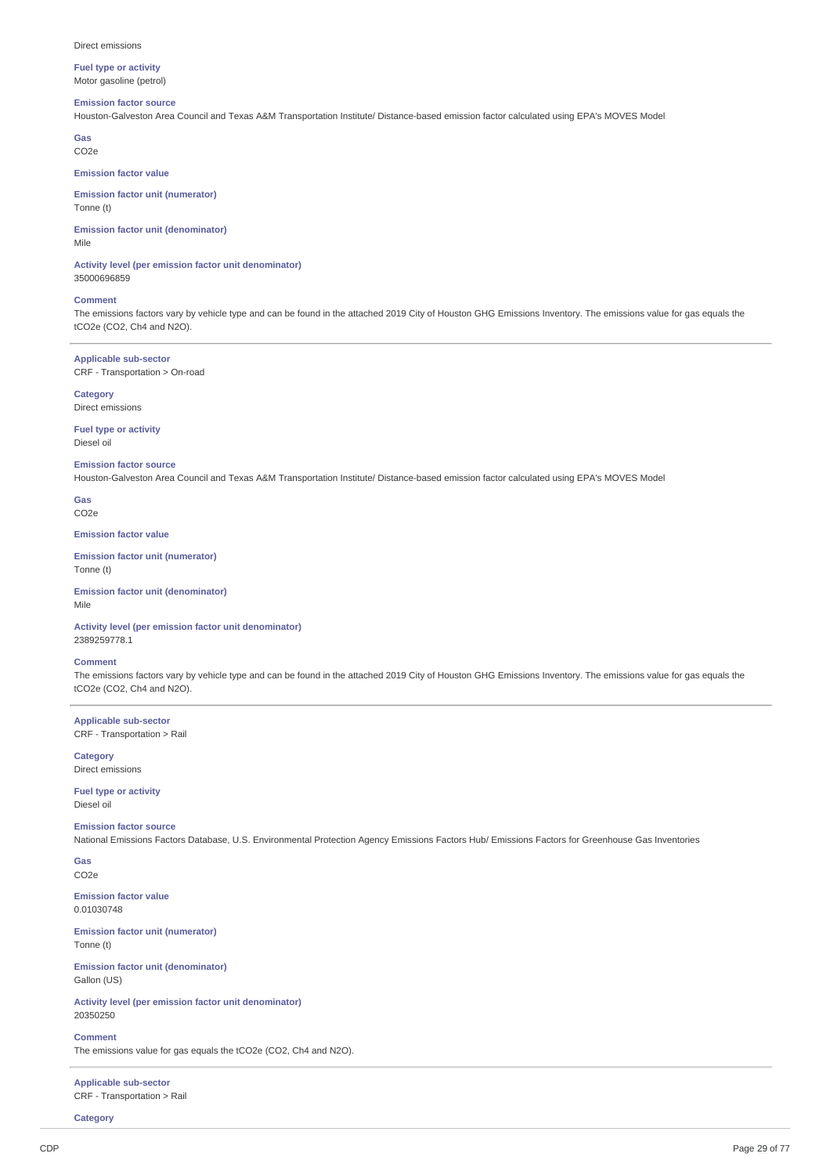# **Fuel type or activity** Motor gasoline (petrol)

# **Emission factor source**

Houston-Galveston Area Council and Texas A&M Transportation Institute/ Distance-based emission factor calculated using EPA's MOVES Model

**Gas** CO2e

# **Emission factor value**

**Emission factor unit (numerator)** Tonne (t)

**Emission factor unit (denominator)** Mile

**Activity level (per emission factor unit denominator)** 35000696859

### **Comment**

The emissions factors vary by vehicle type and can be found in the attached 2019 City of Houston GHG Emissions Inventory. The emissions value for gas equals the tCO2e (CO2, Ch4 and N2O).

**Applicable sub-sector** CRF - Transportation > On-road

### **Category** Direct emissions

**Fuel type or activity** Diesel oil

### **Emission factor source**

Houston-Galveston Area Council and Texas A&M Transportation Institute/ Distance-based emission factor calculated using EPA's MOVES Model

**Gas** CO2e

**Emission factor value**

**Emission factor unit (numerator)** Tonne (t)

**Emission factor unit (denominator)** Mile

**Activity level (per emission factor unit denominator)** 2389259778.1

### **Comment**

The emissions factors vary by vehicle type and can be found in the attached 2019 City of Houston GHG Emissions Inventory. The emissions value for gas equals the tCO2e (CO2, Ch4 and N2O).

**Applicable sub-sector** CRF - Transportation > Rail

**Category** Direct emissions

**Fuel type or activity** Diesel oil

# **Emission factor source**

National Emissions Factors Database, U.S. Environmental Protection Agency Emissions Factors Hub/ Emissions Factors for Greenhouse Gas Inventories

**Gas** CO2e

**Emission factor value** 0.01030748

**Emission factor unit (numerator)** Tonne (t)

**Emission factor unit (denominator)** Gallon (US)

**Activity level (per emission factor unit denominator)** 20350250

**Comment** The emissions value for gas equals the tCO2e (CO2, Ch4 and N2O).

**Applicable sub-sector** CRF - Transportation > Rail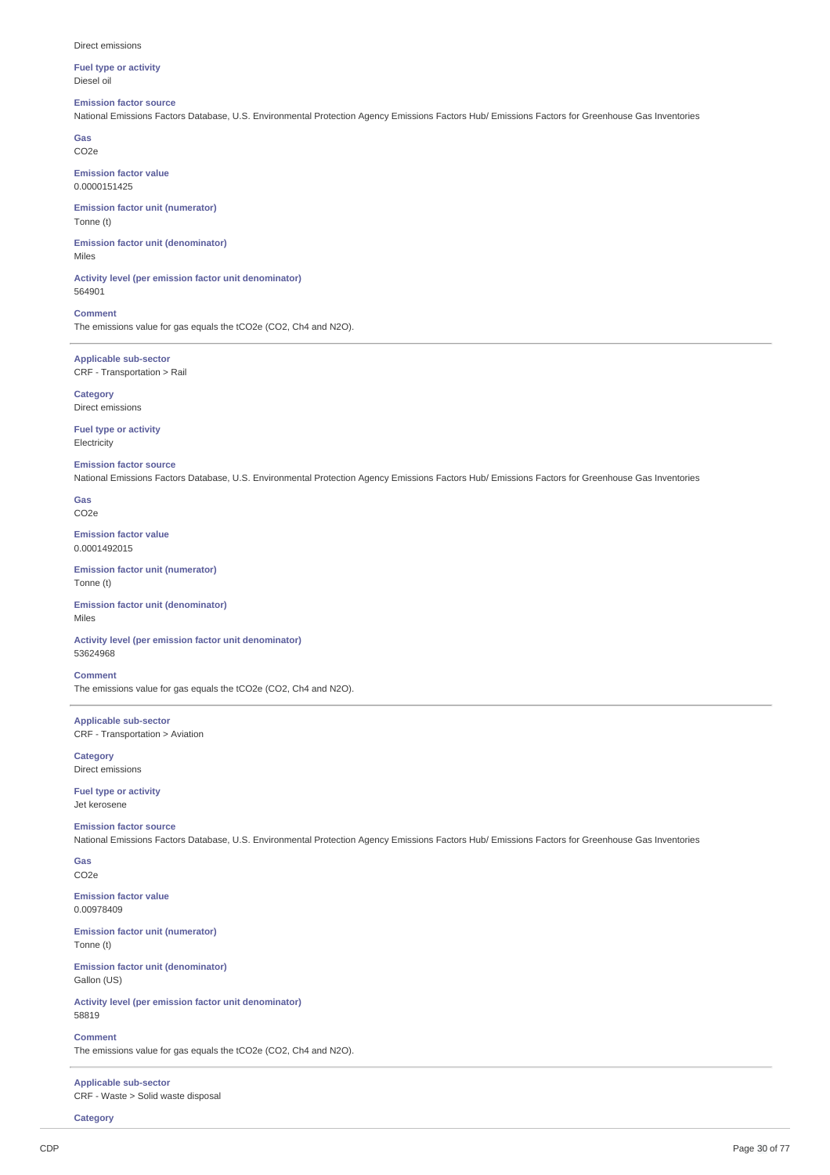**Fuel type or activity** Diesel oil

# **Emission factor source**

National Emissions Factors Database, U.S. Environmental Protection Agency Emissions Factors Hub/ Emissions Factors for Greenhouse Gas Inventories

**Gas** CO2e

**Emission factor value** 0.0000151425

**Emission factor unit (numerator)** Tonne (t)

**Emission factor unit (denominator)** Miles

**Activity level (per emission factor unit denominator)** 564901

**Comment** The emissions value for gas equals the tCO2e (CO2, Ch4 and N2O).

**Applicable sub-sector** CRF - Transportation > Rail

**Category** Direct emissions

**Fuel type or activity** Electricity

### **Emission factor source**

National Emissions Factors Database, U.S. Environmental Protection Agency Emissions Factors Hub/ Emissions Factors for Greenhouse Gas Inventories

**Gas** CO2e

**Emission factor value** 0.0001492015

**Emission factor unit (numerator)** Tonne (t)

**Emission factor unit (denominator)** Miles

**Activity level (per emission factor unit denominator)** 53624968

**Comment** The emissions value for gas equals the tCO2e (CO2, Ch4 and N2O).

**Applicable sub-sector** CRF - Transportation > Aviation

**Category** Direct emissions

**Fuel type or activity** Jet kerosene

# **Emission factor source**

National Emissions Factors Database, U.S. Environmental Protection Agency Emissions Factors Hub/ Emissions Factors for Greenhouse Gas Inventories

**Gas** CO2e

**Emission factor value** 0.00978409

**Emission factor unit (numerator)** Tonne (t)

**Emission factor unit (denominator)** Gallon (US)

**Activity level (per emission factor unit denominator)** 58819

**Comment** The emissions value for gas equals the tCO2e (CO2, Ch4 and N2O).

**Applicable sub-sector** CRF - Waste > Solid waste disposal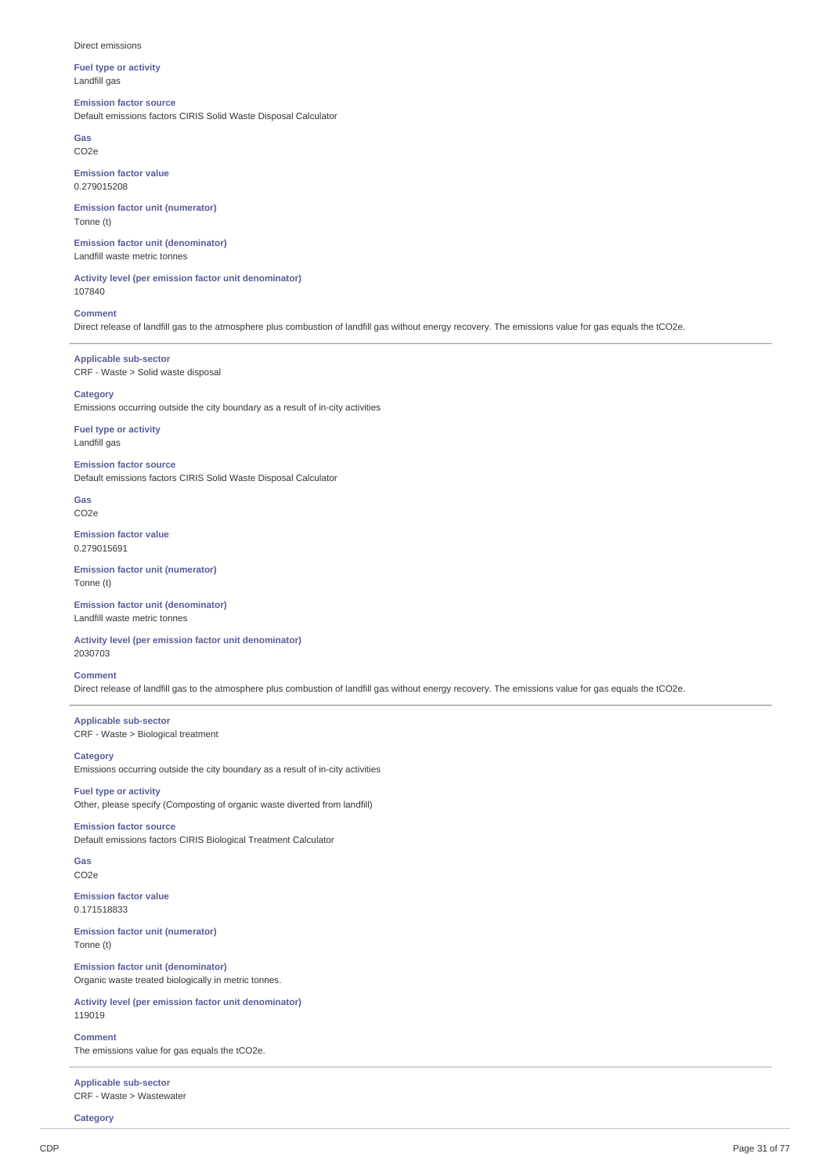**Fuel type or activity** Landfill gas

# **Emission factor source**

Default emissions factors CIRIS Solid Waste Disposal Calculator

**Gas** CO2e

**Emission factor value** 0.279015208

**Emission factor unit (numerator)** Tonne (t)

**Emission factor unit (denominator)** Landfill waste metric tonnes

**Activity level (per emission factor unit denominator)** 107840

**Comment** Direct release of landfill gas to the atmosphere plus combustion of landfill gas without energy recovery. The emissions value for gas equals the tCO2e.

**Applicable sub-sector** CRF - Waste > Solid waste disposal

# **Category**

Emissions occurring outside the city boundary as a result of in-city activities

**Fuel type or activity** Landfill gas

**Emission factor source**

Default emissions factors CIRIS Solid Waste Disposal Calculator

**Gas** CO2e

**Emission factor value** 0.279015691

**Emission factor unit (numerator)** Tonne (t)

**Emission factor unit (denominator)** Landfill waste metric tonnes

**Activity level (per emission factor unit denominator)** 2030703

**Comment**

Direct release of landfill gas to the atmosphere plus combustion of landfill gas without energy recovery. The emissions value for gas equals the tCO2e.

**Applicable sub-sector** CRF - Waste > Biological treatment

**Category** Emissions occurring outside the city boundary as a result of in-city activities

**Fuel type or activity** Other, please specify (Composting of organic waste diverted from landfill)

**Emission factor source** Default emissions factors CIRIS Biological Treatment Calculator

**Gas** CO2e

**Emission factor value** 0.171518833

**Emission factor unit (numerator)** Tonne (t)

**Emission factor unit (denominator)** Organic waste treated biologically in metric tonnes.

**Activity level (per emission factor unit denominator)** 119019

**Comment** The emissions value for gas equals the tCO2e.

**Applicable sub-sector** CRF - Waste > Wastewater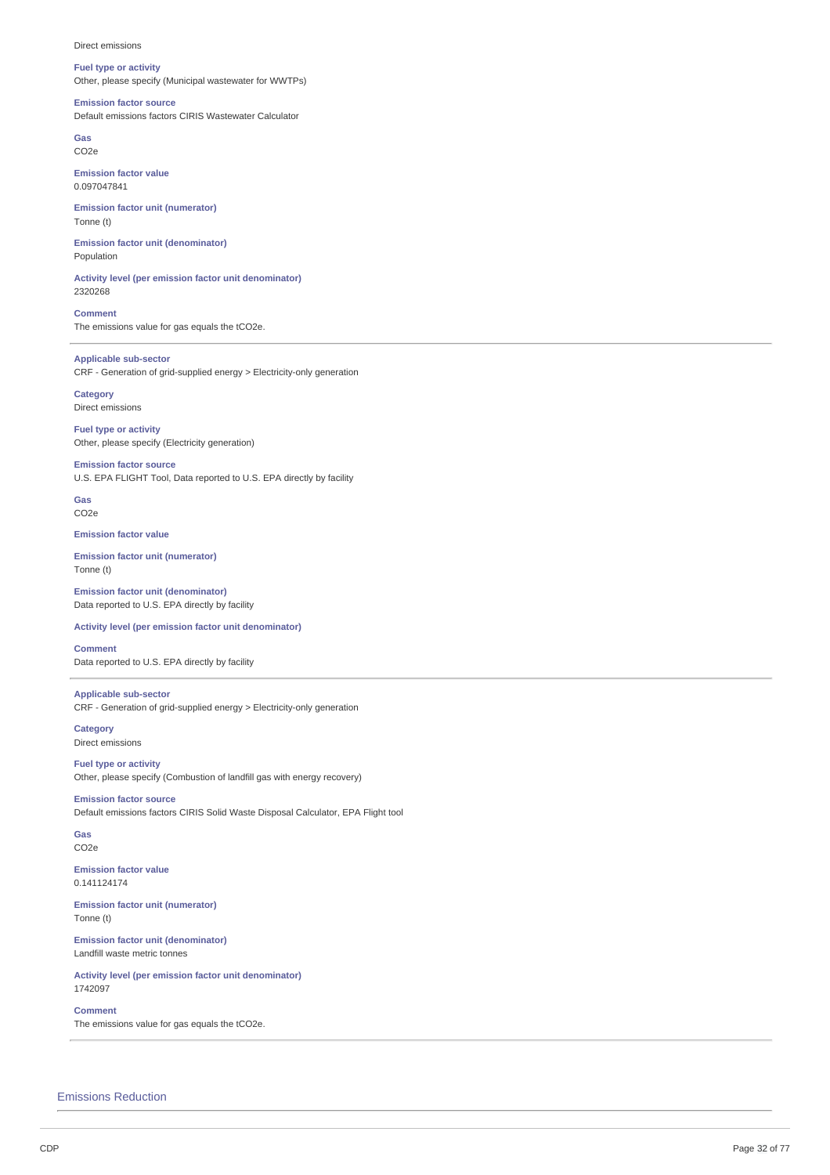**Fuel type or activity** Other, please specify (Municipal wastewater for WWTPs)

### **Emission factor source**

Default emissions factors CIRIS Wastewater Calculator

**Gas** CO2e

**Emission factor value** 0.097047841

**Emission factor unit (numerator)** Tonne (t)

**Emission factor unit (denominator)** Population

**Activity level (per emission factor unit denominator)** 2320268

**Comment** The emissions value for gas equals the tCO2e.

**Applicable sub-sector** CRF - Generation of grid-supplied energy > Electricity-only generation

**Category** Direct emissions

**Fuel type or activity** Other, please specify (Electricity generation)

**Emission factor source** U.S. EPA FLIGHT Tool, Data reported to U.S. EPA directly by facility

**Gas** CO2e

**Emission factor value**

**Emission factor unit (numerator)** Tonne (t)

**Emission factor unit (denominator)** Data reported to U.S. EPA directly by facility

**Activity level (per emission factor unit denominator)**

**Comment** Data reported to U.S. EPA directly by facility

**Applicable sub-sector** CRF - Generation of grid-supplied energy > Electricity-only generation

**Category** Direct emissions

**Fuel type or activity** Other, please specify (Combustion of landfill gas with energy recovery)

**Emission factor source** Default emissions factors CIRIS Solid Waste Disposal Calculator, EPA Flight tool

**Gas** CO2e

**Emission factor value** 0.141124174

**Emission factor unit (numerator)** Tonne (t)

**Emission factor unit (denominator)** Landfill waste metric tonnes

**Activity level (per emission factor unit denominator)** 1742097

**Comment** The emissions value for gas equals the tCO2e.

Emissions Reduction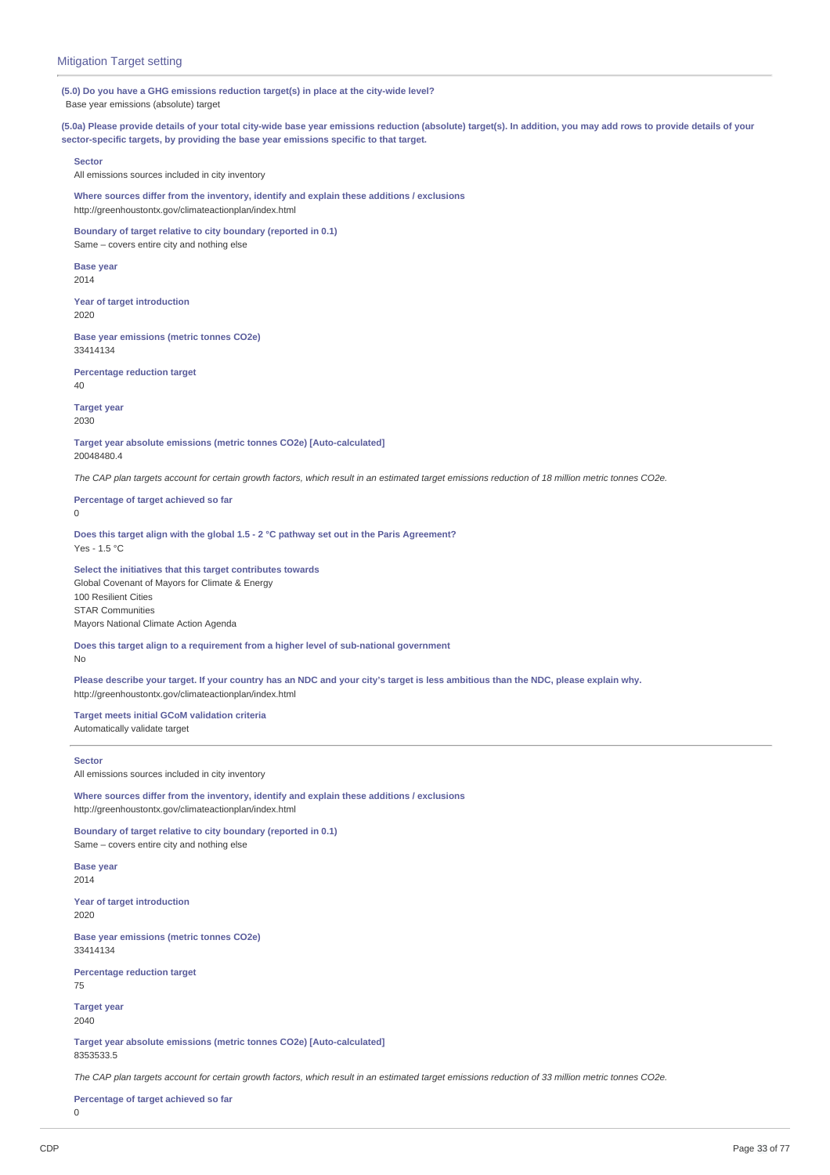**(5.0) Do you have a GHG emissions reduction target(s) in place at the city-wide level?** Base year emissions (absolute) target

(5.0a) Please provide details of your total city-wide base year emissions reduction (absolute) target(s). In addition, you may add rows to provide details of your **sector-specific targets, by providing the base year emissions specific to that target.**

**Sector**

All emissions sources included in city inventory

**Where sources differ from the inventory, identify and explain these additions / exclusions** http://greenhoustontx.gov/climateactionplan/index.html

**Boundary of target relative to city boundary (reported in 0.1)** Same – covers entire city and nothing else

**Base year** 2014

**Year of target introduction** 2020

**Base year emissions (metric tonnes CO2e)** 33414134

**Percentage reduction target** 40

**Target year** 2030

**Target year absolute emissions (metric tonnes CO2e) [Auto-calculated]** 20048480.4

The CAP plan targets account for certain growth factors, which result in an estimated target emissions reduction of 18 million metric tonnes CO2e.

**Percentage of target achieved so far**  $\Omega$ 

**Does this target align with the global 1.5 - 2 °C pathway set out in the Paris Agreement?** Yes - 1.5 °C

**Select the initiatives that this target contributes towards** Global Covenant of Mayors for Climate & Energy 100 Resilient Cities STAR Communities Mayors National Climate Action Agenda

**Does this target align to a requirement from a higher level of sub-national government** No

Please describe your target. If your country has an NDC and your city's target is less ambitious than the NDC, please explain why. http://greenhoustontx.gov/climateactionplan/index.html

**Target meets initial GCoM validation criteria** Automatically validate target

### **Sector**

All emissions sources included in city inventory

**Where sources differ from the inventory, identify and explain these additions / exclusions** http://greenhoustontx.gov/climateactionplan/index.html

**Boundary of target relative to city boundary (reported in 0.1)** Same – covers entire city and nothing else

**Base year** 2014

**Year of target introduction** 2020

**Base year emissions (metric tonnes CO2e)** 33414134

**Percentage reduction target** 75

**Target year** 2040

**Target year absolute emissions (metric tonnes CO2e) [Auto-calculated]** 8353533.5

The CAP plan targets account for certain growth factors, which result in an estimated target emissions reduction of 33 million metric tonnes CO2e.

**Percentage of target achieved so far**

```
\Omega
```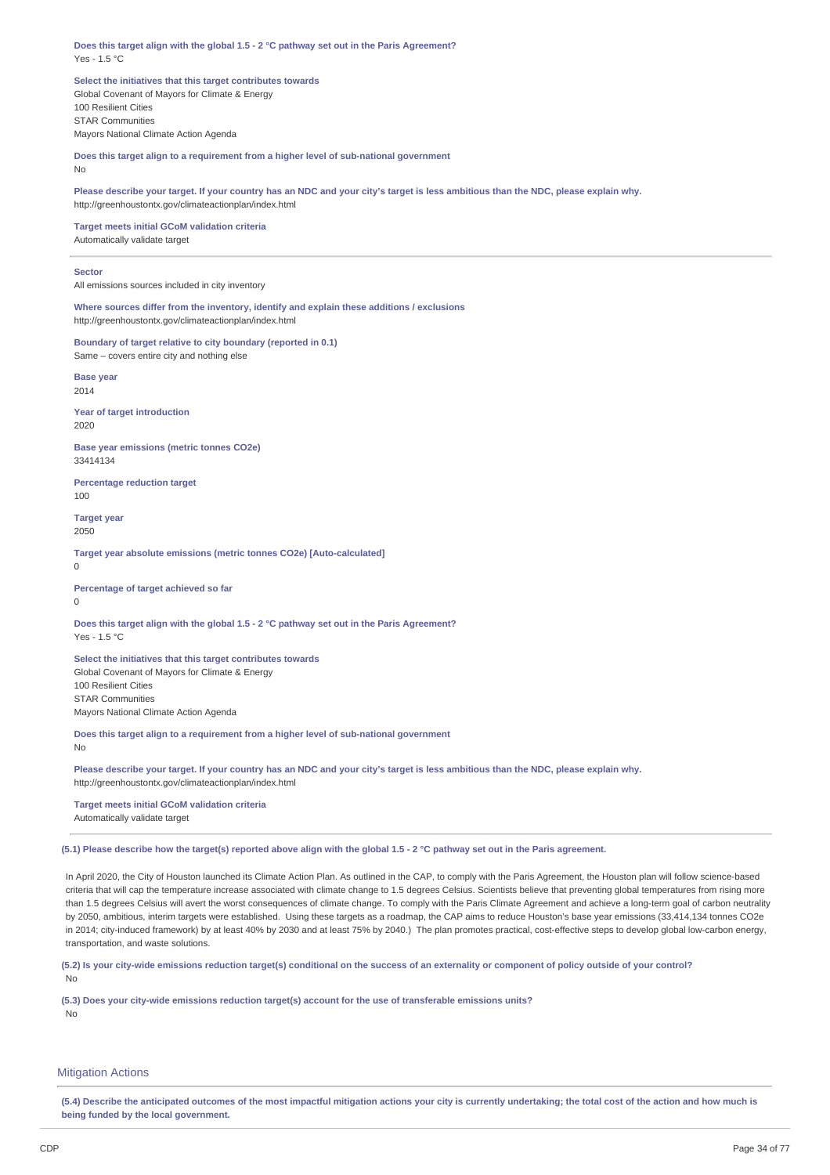**Does this target align with the global 1.5 - 2 °C pathway set out in the Paris Agreement?** Yes - 1.5 °C

**Select the initiatives that this target contributes towards** Global Covenant of Mayors for Climate & Energy 100 Resilient Cities STAR Communities Mayors National Climate Action Agenda

**Does this target align to a requirement from a higher level of sub-national government** No

Please describe your target. If your country has an NDC and your city's target is less ambitious than the NDC, please explain why. http://greenhoustontx.gov/climateactionplan/index.html

**Target meets initial GCoM validation criteria** Automatically validate target

### **Sector**

All emissions sources included in city inventory

**Where sources differ from the inventory, identify and explain these additions / exclusions** http://greenhoustontx.gov/climateactionplan/index.html

**Boundary of target relative to city boundary (reported in 0.1)** Same – covers entire city and nothing else

**Base year** 2014

**Year of target introduction** 2020

**Base year emissions (metric tonnes CO2e)** 33414134

**Percentage reduction target** 100

**Target year** 2050

**Target year absolute emissions (metric tonnes CO2e) [Auto-calculated]** 0

**Percentage of target achieved so far**  $\Omega$ 

**Does this target align with the global 1.5 - 2 °C pathway set out in the Paris Agreement?** Yes - 1.5 °C

**Select the initiatives that this target contributes towards** Global Covenant of Mayors for Climate & Energy 100 Resilient Cities STAR Communities Mayors National Climate Action Agenda

**Does this target align to a requirement from a higher level of sub-national government**

No

Please describe your target. If your country has an NDC and your city's target is less ambitious than the NDC, please explain why. http://greenhoustontx.gov/climateactionplan/index.html

**Target meets initial GCoM validation criteria** Automatically validate target

(5.1) Please describe how the target(s) reported above align with the global 1.5 - 2 °C pathway set out in the Paris agreement.

In April 2020, the City of Houston launched its Climate Action Plan. As outlined in the CAP, to comply with the Paris Agreement, the Houston plan will follow science-based criteria that will cap the temperature increase associated with climate change to 1.5 degrees Celsius. Scientists believe that preventing global temperatures from rising more than 1.5 degrees Celsius will avert the worst consequences of climate change. To comply with the Paris Climate Agreement and achieve a long-term goal of carbon neutrality by 2050, ambitious, interim targets were established. Using these targets as a roadmap, the CAP aims to reduce Houston's base year emissions (33,414,134 tonnes CO2e in 2014; city-induced framework) by at least 40% by 2030 and at least 75% by 2040.) The plan promotes practical, cost-effective steps to develop global low-carbon energy, transportation, and waste solutions.

(5.2) Is your city-wide emissions reduction target(s) conditional on the success of an externality or component of policy outside of your control? No

**(5.3) Does your city-wide emissions reduction target(s) account for the use of transferable emissions units?** No

### **Mitigation Actions**

(5.4) Describe the anticipated outcomes of the most impactful mitigation actions your city is currently undertaking: the total cost of the action and how much is **being funded by the local government.**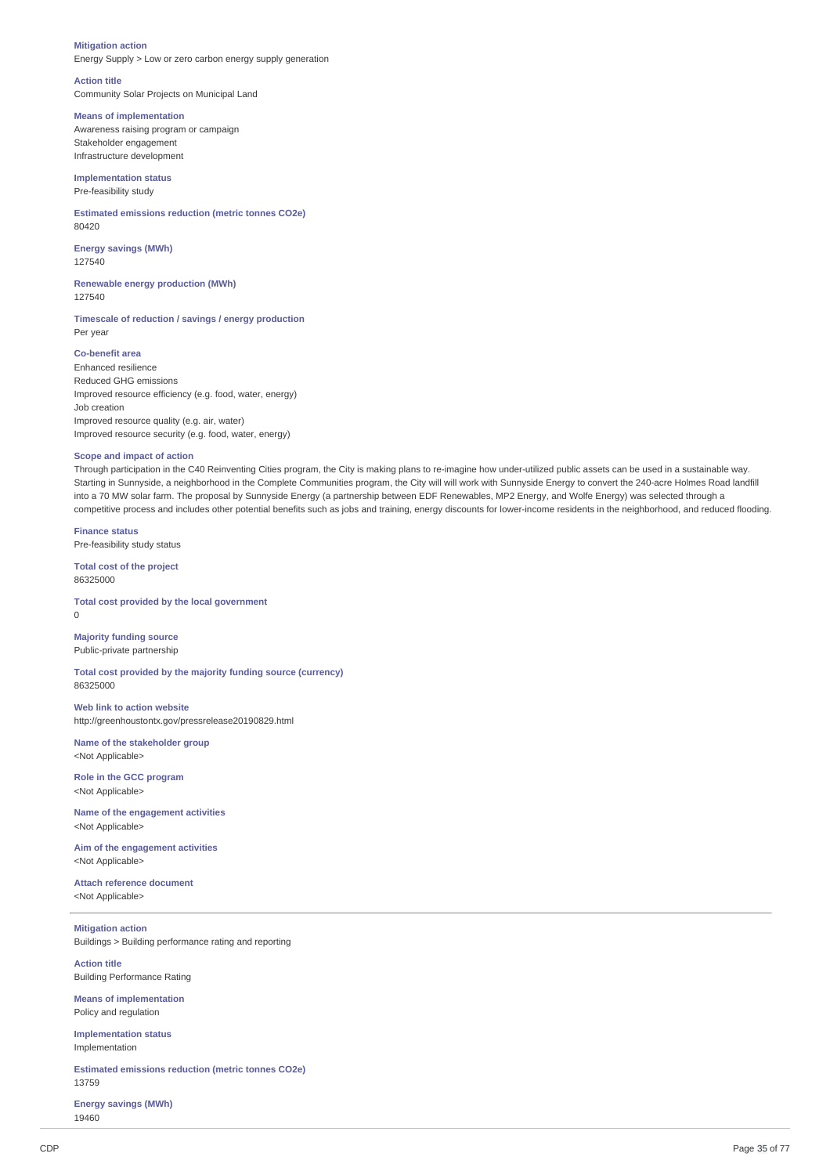### **Mitigation action**

Energy Supply > Low or zero carbon energy supply generation

**Action title**

Community Solar Projects on Municipal Land

# **Means of implementation**

Awareness raising program or campaign Stakeholder engagement Infrastructure development

# **Implementation status** Pre-feasibility study

**Estimated emissions reduction (metric tonnes CO2e)** 80420

**Energy savings (MWh)** 127540

**Renewable energy production (MWh)** 127540

**Timescale of reduction / savings / energy production** Per year

### **Co-benefit area**

Enhanced resilience Reduced GHG emissions Improved resource efficiency (e.g. food, water, energy) Job creation Improved resource quality (e.g. air, water) Improved resource security (e.g. food, water, energy)

### **Scope and impact of action**

Through participation in the C40 Reinventing Cities program, the City is making plans to re-imagine how under-utilized public assets can be used in a sustainable way. Starting in Sunnyside, a neighborhood in the Complete Communities program, the City will will work with Sunnyside Energy to convert the 240-acre Holmes Road landfill into a 70 MW solar farm. The proposal by Sunnyside Energy (a partnership between EDF Renewables, MP2 Energy, and Wolfe Energy) was selected through a competitive process and includes other potential benefits such as jobs and training, energy discounts for lower-income residents in the neighborhood, and reduced flooding.

**Finance status** Pre-feasibility study status

**Total cost of the project** 86325000

**Total cost provided by the local government**  $\theta$ 

# **Majority funding source** Public-private partnership

**Total cost provided by the majority funding source (currency)** 86325000

**Web link to action website** http://greenhoustontx.gov/pressrelease20190829.html

**Name of the stakeholder group** <Not Applicable>

**Role in the GCC program** <Not Applicable>

**Name of the engagement activities** <Not Applicable>

**Aim of the engagement activities** <Not Applicable>

**Attach reference document** <Not Applicable>

**Mitigation action** Buildings > Building performance rating and reporting

**Action title** Building Performance Rating

**Means of implementation** Policy and regulation

**Implementation status** Implementation

**Estimated emissions reduction (metric tonnes CO2e)** 13759

**Energy savings (MWh)** 19460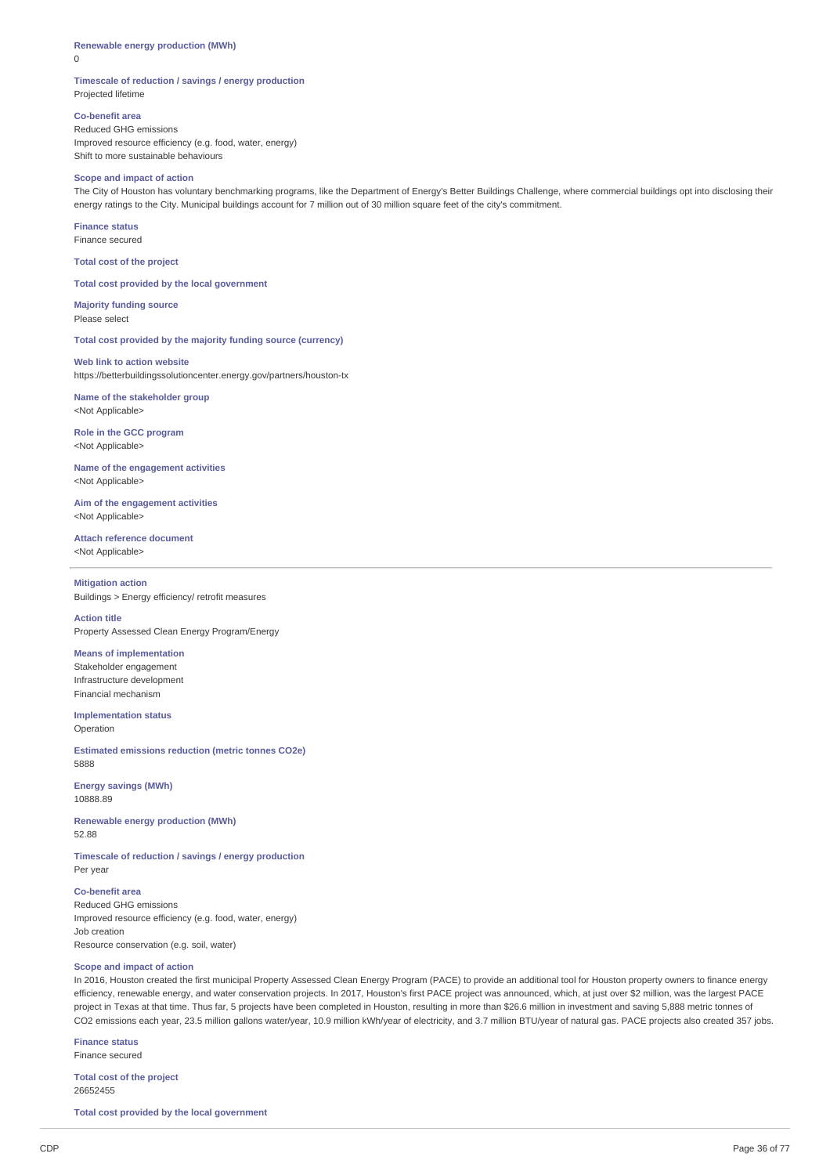# **Renewable energy production (MWh)**

0

### **Timescale of reduction / savings / energy production** Projected lifetime

**Co-benefit area** Reduced GHG emissions Improved resource efficiency (e.g. food, water, energy) Shift to more sustainable behaviours

# **Scope and impact of action**

The City of Houston has voluntary benchmarking programs, like the Department of Energy's Better Buildings Challenge, where commercial buildings opt into disclosing their energy ratings to the City. Municipal buildings account for 7 million out of 30 million square feet of the city's commitment.

**Finance status** Finance secured

**Total cost of the project**

**Total cost provided by the local government**

**Majority funding source** Please select

**Total cost provided by the majority funding source (currency)**

# **Web link to action website**

https://betterbuildingssolutioncenter.energy.gov/partners/houston-tx

**Name of the stakeholder group** <Not Applicable>

**Role in the GCC program** <Not Applicable>

**Name of the engagement activities** <Not Applicable>

**Aim of the engagement activities** <Not Applicable>

**Attach reference document** <Not Applicable>

# **Mitigation action**

Buildings > Energy efficiency/ retrofit measures

# **Action title**

Property Assessed Clean Energy Program/Energy

# **Means of implementation**

Stakeholder engagement Infrastructure development Financial mechanism

**Implementation status** Operation

**Estimated emissions reduction (metric tonnes CO2e)** 5888

**Energy savings (MWh)** 10888.89

**Renewable energy production (MWh)** 52.88

**Timescale of reduction / savings / energy production** Per year

# **Co-benefit area**

Reduced GHG emissions Improved resource efficiency (e.g. food, water, energy) Job creation Resource conservation (e.g. soil, water)

### **Scope and impact of action**

In 2016, Houston created the first municipal Property Assessed Clean Energy Program (PACE) to provide an additional tool for Houston property owners to finance energy efficiency, renewable energy, and water conservation projects. In 2017, Houston's first PACE project was announced, which, at just over \$2 million, was the largest PACE project in Texas at that time. Thus far, 5 projects have been completed in Houston, resulting in more than \$26.6 million in investment and saving 5,888 metric tonnes of CO2 emissions each year, 23.5 million gallons water/year, 10.9 million kWh/year of electricity, and 3.7 million BTU/year of natural gas. PACE projects also created 357 jobs.

**Finance status**

Finance secured

**Total cost of the project** 26652455

**Total cost provided by the local government**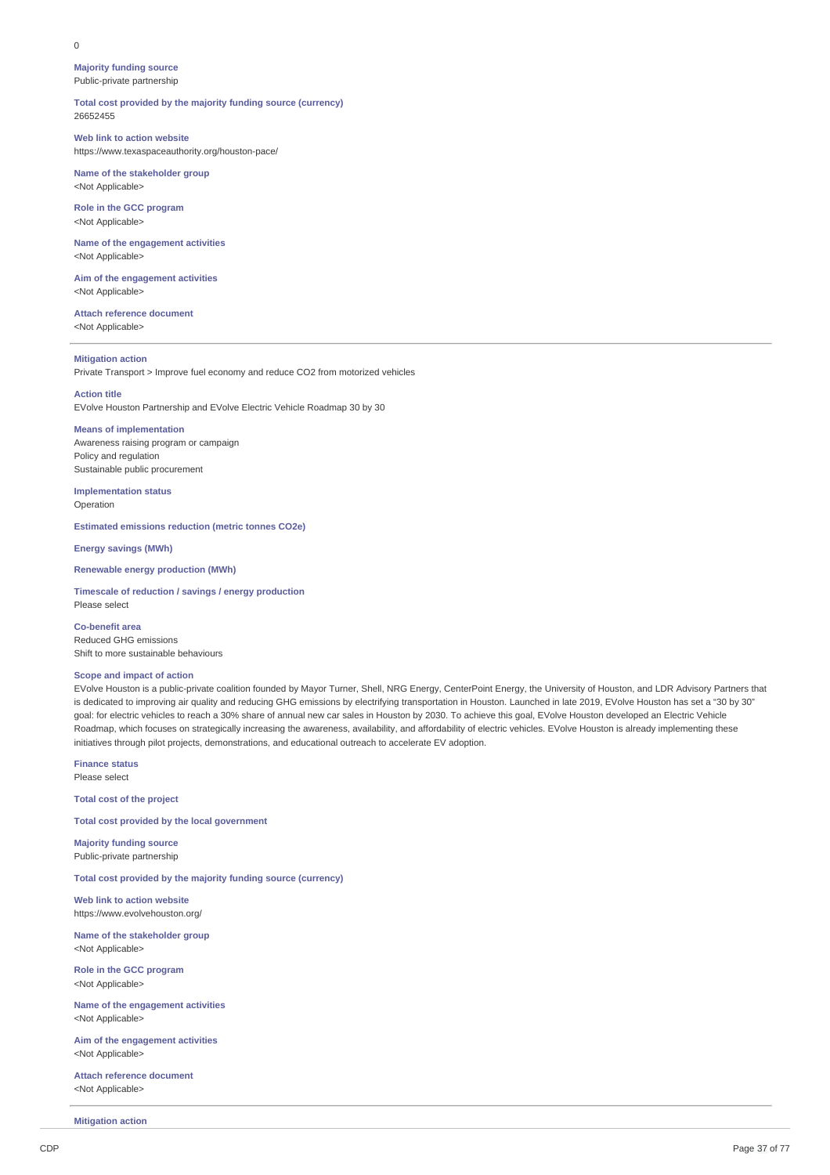#### $\Omega$

**Majority funding source** Public-private partnership

**Total cost provided by the majority funding source (currency)** 26652455

**Web link to action website** https://www.texaspaceauthority.org/houston-pace/

**Name of the stakeholder group** <Not Applicable>

**Role in the GCC program** <Not Applicable>

**Name of the engagement activities** <Not Applicable>

**Aim of the engagement activities** <Not Applicable>

**Attach reference document** <Not Applicable>

## **Mitigation action**

Private Transport > Improve fuel economy and reduce CO2 from motorized vehicles

**Action title**

EVolve Houston Partnership and EVolve Electric Vehicle Roadmap 30 by 30

#### **Means of implementation**

Awareness raising program or campaign Policy and regulation Sustainable public procurement

**Implementation status** Operation

**Estimated emissions reduction (metric tonnes CO2e)**

**Energy savings (MWh)**

## **Renewable energy production (MWh)**

**Timescale of reduction / savings / energy production** Please select

**Co-benefit area** Reduced GHG emissions Shift to more sustainable behaviours

## **Scope and impact of action**

EVolve Houston is a public-private coalition founded by Mayor Turner, Shell, NRG Energy, CenterPoint Energy, the University of Houston, and LDR Advisory Partners that is dedicated to improving air quality and reducing GHG emissions by electrifying transportation in Houston. Launched in late 2019, EVolve Houston has set a "30 by 30" goal: for electric vehicles to reach a 30% share of annual new car sales in Houston by 2030. To achieve this goal, EVolve Houston developed an Electric Vehicle Roadmap, which focuses on strategically increasing the awareness, availability, and affordability of electric vehicles. EVolve Houston is already implementing these initiatives through pilot projects, demonstrations, and educational outreach to accelerate EV adoption.

**Finance status** Please select

**Total cost of the project**

**Total cost provided by the local government**

**Majority funding source** Public-private partnership

**Total cost provided by the majority funding source (currency)**

**Web link to action website** https://www.evolvehouston.org/

**Name of the stakeholder group** <Not Applicable>

**Role in the GCC program** <Not Applicable>

**Name of the engagement activities** <Not Applicable>

**Aim of the engagement activities** <Not Applicable>

**Attach reference document** <Not Applicable>

**Mitigation action**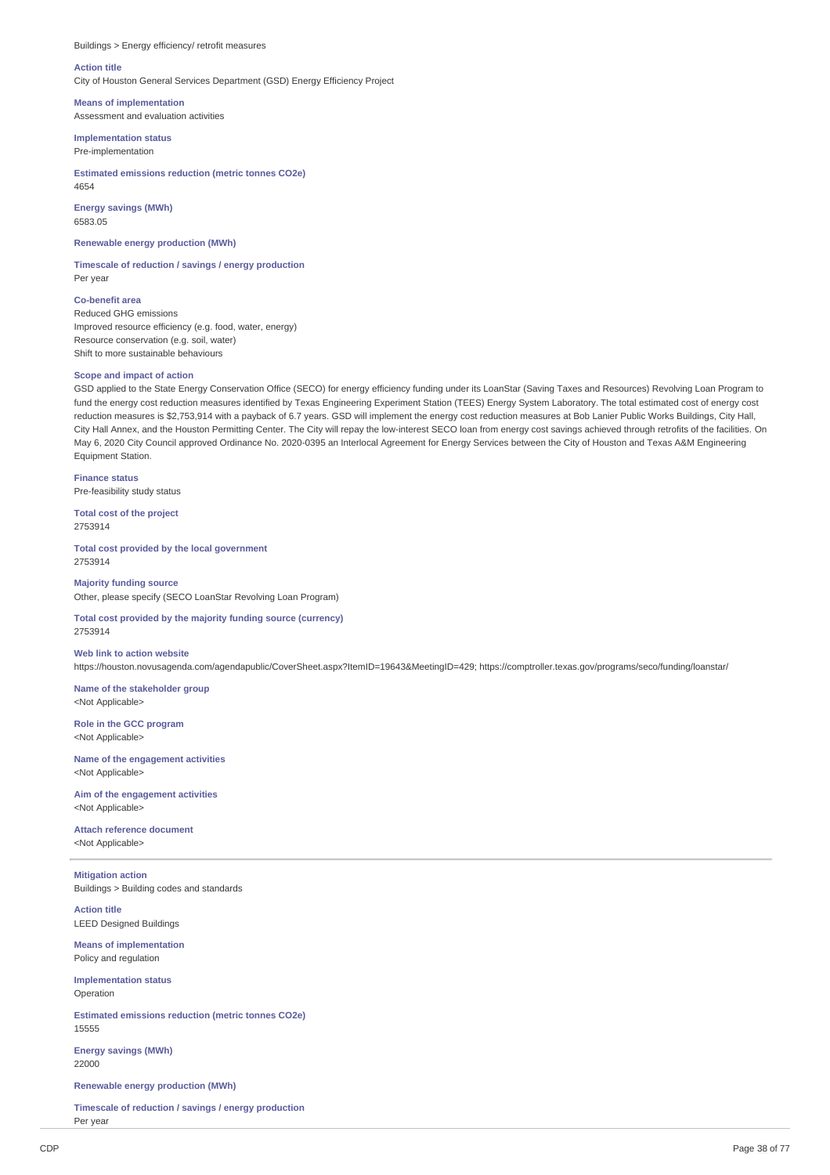Buildings > Energy efficiency/ retrofit measures

## **Action title**

City of Houston General Services Department (GSD) Energy Efficiency Project

**Means of implementation** Assessment and evaluation activities

#### **Implementation status** Pre-implementation

**Estimated emissions reduction (metric tonnes CO2e)** 4654

**Energy savings (MWh)** 6583.05

**Renewable energy production (MWh)**

**Timescale of reduction / savings / energy production** Per year

**Co-benefit area** Reduced GHG emissions Improved resource efficiency (e.g. food, water, energy) Resource conservation (e.g. soil, water) Shift to more sustainable behaviours

## **Scope and impact of action**

GSD applied to the State Energy Conservation Office (SECO) for energy efficiency funding under its LoanStar (Saving Taxes and Resources) Revolving Loan Program to fund the energy cost reduction measures identified by Texas Engineering Experiment Station (TEES) Energy System Laboratory. The total estimated cost of energy cost reduction measures is \$2,753,914 with a payback of 6.7 years. GSD will implement the energy cost reduction measures at Bob Lanier Public Works Buildings, City Hall, City Hall Annex, and the Houston Permitting Center. The City will repay the low-interest SECO loan from energy cost savings achieved through retrofits of the facilities. On May 6, 2020 City Council approved Ordinance No. 2020-0395 an Interlocal Agreement for Energy Services between the City of Houston and Texas A&M Engineering Equipment Station.

**Finance status** Pre-feasibility study status

**Total cost of the project** 2753914

**Total cost provided by the local government** 2753914

**Majority funding source** Other, please specify (SECO LoanStar Revolving Loan Program)

**Total cost provided by the majority funding source (currency)** 2753914

# **Web link to action website**

https://houston.novusagenda.com/agendapublic/CoverSheet.aspx?ItemID=19643&MeetingID=429; https://comptroller.texas.gov/programs/seco/funding/loanstar/

**Name of the stakeholder group** <Not Applicable>

**Role in the GCC program** <Not Applicable>

**Name of the engagement activities** <Not Applicable>

**Aim of the engagement activities** <Not Applicable>

**Attach reference document** <Not Applicable>

**Mitigation action** Buildings > Building codes and standards

**Action title** LEED Designed Buildings

**Means of implementation** Policy and regulation

**Implementation status** Operation

**Estimated emissions reduction (metric tonnes CO2e)** 15555

**Energy savings (MWh)** 22000

**Renewable energy production (MWh)**

**Timescale of reduction / savings / energy production** Per year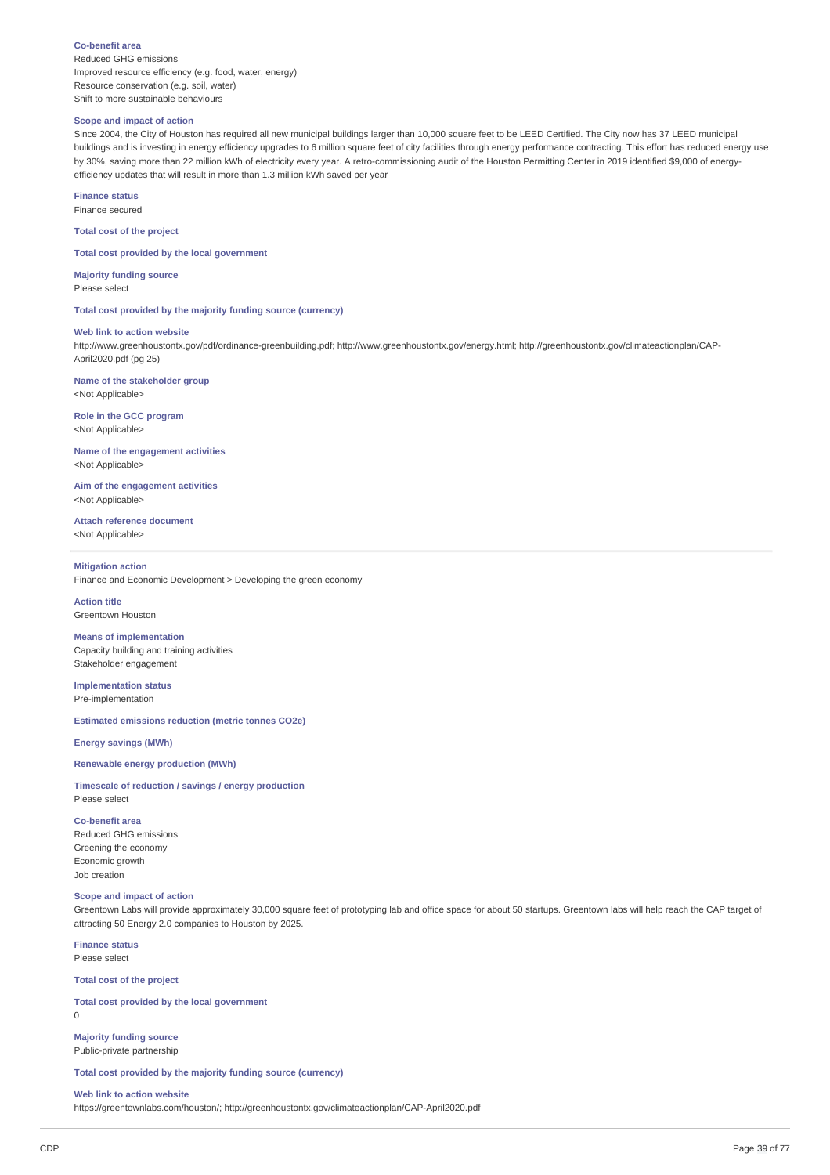#### **Co-benefit area**

Reduced GHG emissions Improved resource efficiency (e.g. food, water, energy) Resource conservation (e.g. soil, water) Shift to more sustainable behaviours

## **Scope and impact of action**

Since 2004, the City of Houston has required all new municipal buildings larger than 10,000 square feet to be LEED Certified. The City now has 37 LEED municipal buildings and is investing in energy efficiency upgrades to 6 million square feet of city facilities through energy performance contracting. This effort has reduced energy use by 30%, saving more than 22 million kWh of electricity every year. A retro-commissioning audit of the Houston Permitting Center in 2019 identified \$9,000 of energyefficiency updates that will result in more than 1.3 million kWh saved per year

**Finance status**

Finance secured

**Total cost of the project**

**Total cost provided by the local government**

**Majority funding source** Please select

**Total cost provided by the majority funding source (currency)**

## **Web link to action website**

http://www.greenhoustontx.gov/pdf/ordinance-greenbuilding.pdf; http://www.greenhoustontx.gov/energy.html; http://greenhoustontx.gov/climateactionplan/CAP-April2020.pdf (pg 25)

**Name of the stakeholder group** <Not Applicable>

**Role in the GCC program** <Not Applicable>

**Name of the engagement activities** <Not Applicable>

**Aim of the engagement activities** <Not Applicable>

**Attach reference document** <Not Applicable>

#### **Mitigation action**

Finance and Economic Development > Developing the green economy

**Action title** Greentown Houston

**Means of implementation** Capacity building and training activities Stakeholder engagement

**Implementation status** Pre-implementation

**Estimated emissions reduction (metric tonnes CO2e)**

**Energy savings (MWh)**

## **Renewable energy production (MWh)**

**Timescale of reduction / savings / energy production** Please select

#### **Co-benefit area**

Reduced GHG emissions Greening the economy Economic growth Job creation

## **Scope and impact of action**

Greentown Labs will provide approximately 30,000 square feet of prototyping lab and office space for about 50 startups. Greentown labs will help reach the CAP target of attracting 50 Energy 2.0 companies to Houston by 2025.

#### **Finance status** Please select

**Total cost of the project**

**Total cost provided by the local government**  $\Omega$ 

**Majority funding source** Public-private partnership

**Total cost provided by the majority funding source (currency)**

#### **Web link to action website**

https://greentownlabs.com/houston/; http://greenhoustontx.gov/climateactionplan/CAP-April2020.pdf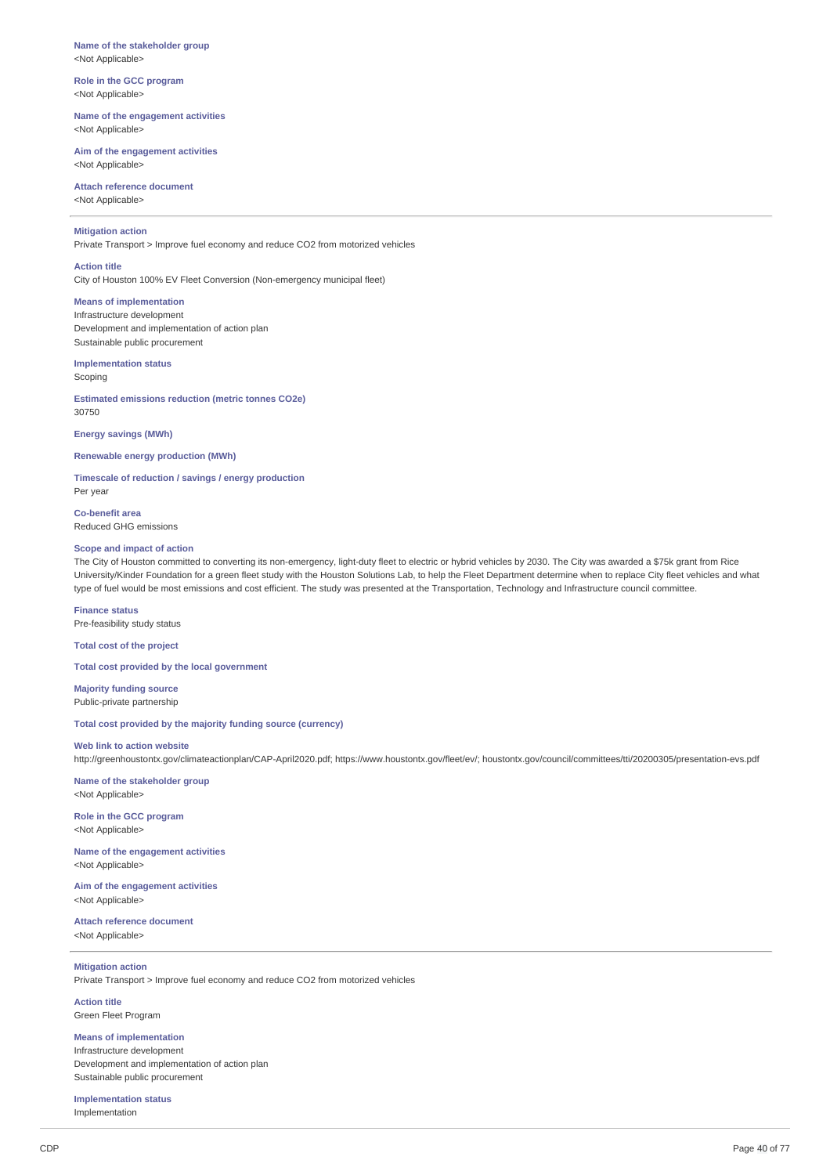#### **Name of the stakeholder group** <Not Applicable>

**Role in the GCC program** <Not Applicable>

**Name of the engagement activities** <Not Applicable>

**Aim of the engagement activities** <Not Applicable>

**Attach reference document** <Not Applicable>

## **Mitigation action**

Private Transport > Improve fuel economy and reduce CO2 from motorized vehicles

## **Action title**

City of Houston 100% EV Fleet Conversion (Non-emergency municipal fleet)

**Means of implementation**

Infrastructure development Development and implementation of action plan Sustainable public procurement

# **Implementation status**

**Scoping** 

**Estimated emissions reduction (metric tonnes CO2e)** 30750

**Energy savings (MWh)**

**Renewable energy production (MWh)**

**Timescale of reduction / savings / energy production** Per year

**Co-benefit area** Reduced GHG emissions

## **Scope and impact of action**

The City of Houston committed to converting its non-emergency, light-duty fleet to electric or hybrid vehicles by 2030. The City was awarded a \$75k grant from Rice University/Kinder Foundation for a green fleet study with the Houston Solutions Lab, to help the Fleet Department determine when to replace City fleet vehicles and what type of fuel would be most emissions and cost efficient. The study was presented at the Transportation, Technology and Infrastructure council committee.

**Finance status** Pre-feasibility study status

**Total cost of the project**

**Total cost provided by the local government**

**Majority funding source** Public-private partnership

**Total cost provided by the majority funding source (currency)**

### **Web link to action website**

http://greenhoustontx.gov/climateactionplan/CAP-April2020.pdf; https://www.houstontx.gov/fleet/ev/; houstontx.gov/council/committees/tti/20200305/presentation-evs.pdf

**Name of the stakeholder group** <Not Applicable>

**Role in the GCC program** <Not Applicable>

**Name of the engagement activities** <Not Applicable>

**Aim of the engagement activities** <Not Applicable>

**Attach reference document** <Not Applicable>

## **Mitigation action**

Private Transport > Improve fuel economy and reduce CO2 from motorized vehicles

**Action title** Green Fleet Program

**Means of implementation**

Infrastructure development Development and implementation of action plan Sustainable public procurement

**Implementation status** Implementation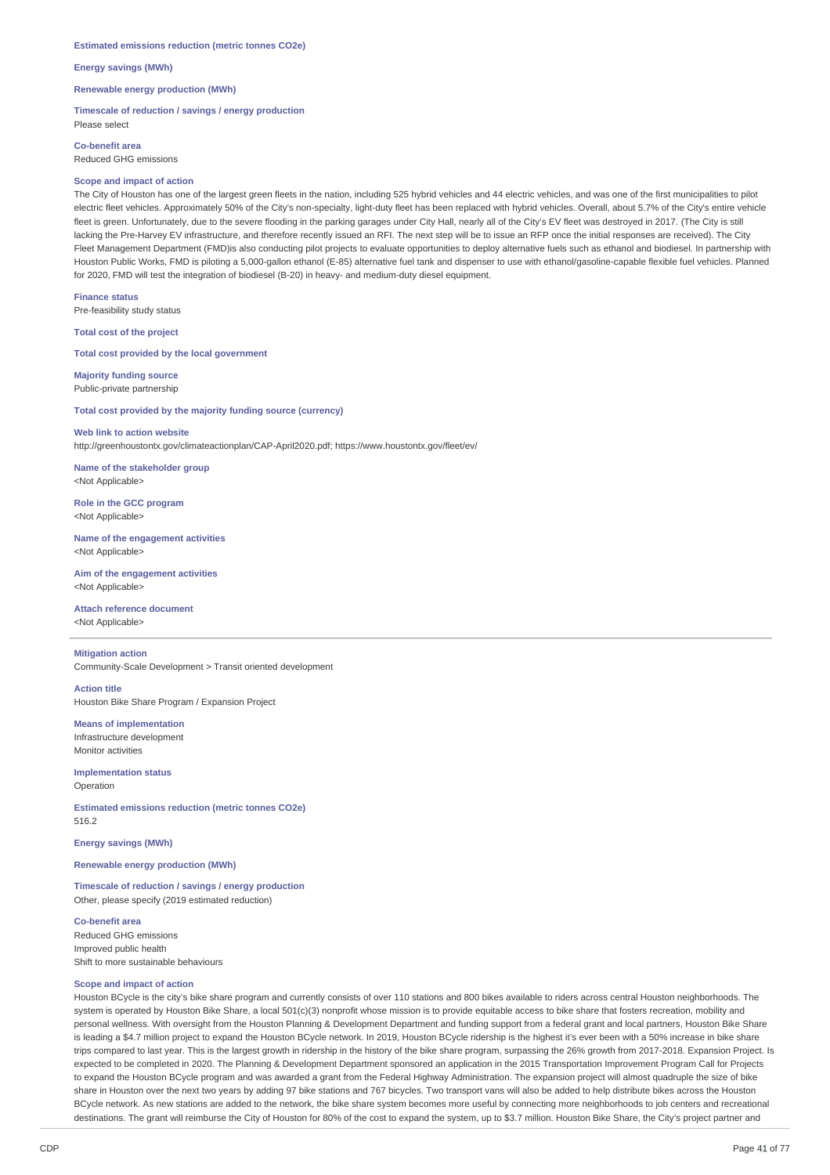#### **Estimated emissions reduction (metric tonnes CO2e)**

**Energy savings (MWh)**

**Renewable energy production (MWh)**

**Timescale of reduction / savings / energy production** Please select

**Co-benefit area** Reduced GHG emissions

#### **Scope and impact of action**

The City of Houston has one of the largest green fleets in the nation, including 525 hybrid vehicles and 44 electric vehicles, and was one of the first municipalities to pilot electric fleet vehicles. Approximately 50% of the City's non-specialty, light-duty fleet has been replaced with hybrid vehicles. Overall, about 5.7% of the City's entire vehicle fleet is green. Unfortunately, due to the severe flooding in the parking garages under City Hall, nearly all of the City's EV fleet was destroyed in 2017. (The City is still lacking the Pre-Harvey EV infrastructure, and therefore recently issued an RFI. The next step will be to issue an RFP once the initial responses are received). The City Fleet Management Department (FMD)is also conducting pilot projects to evaluate opportunities to deploy alternative fuels such as ethanol and biodiesel. In partnership with Houston Public Works, FMD is piloting a 5,000-gallon ethanol (E-85) alternative fuel tank and dispenser to use with ethanol/gasoline-capable flexible fuel vehicles. Planned for 2020, FMD will test the integration of biodiesel (B-20) in heavy- and medium-duty diesel equipment.

**Finance status**

Pre-feasibility study status

**Total cost of the project**

**Total cost provided by the local government**

**Majority funding source** Public-private partnership

**Total cost provided by the majority funding source (currency)**

**Web link to action website** http://greenhoustontx.gov/climateactionplan/CAP-April2020.pdf; https://www.houstontx.gov/fleet/ev/

**Name of the stakeholder group** <Not Applicable>

**Role in the GCC program** <Not Applicable>

**Name of the engagement activities** <Not Applicable>

**Aim of the engagement activities** <Not Applicable>

**Attach reference document** <Not Applicable>

**Mitigation action**

Community-Scale Development > Transit oriented development

**Action title**

Houston Bike Share Program / Expansion Project

**Means of implementation** Infrastructure development

Monitor activities

**Implementation status** Operation

**Estimated emissions reduction (metric tonnes CO2e)** 516.2

**Energy savings (MWh)**

**Renewable energy production (MWh)**

**Timescale of reduction / savings / energy production** Other, please specify (2019 estimated reduction)

**Co-benefit area** Reduced GHG emissions Improved public health Shift to more sustainable behaviours

## **Scope and impact of action**

Houston BCycle is the city's bike share program and currently consists of over 110 stations and 800 bikes available to riders across central Houston neighborhoods. The system is operated by Houston Bike Share, a local 501(c)(3) nonprofit whose mission is to provide equitable access to bike share that fosters recreation, mobility and personal wellness. With oversight from the Houston Planning & Development Department and funding support from a federal grant and local partners, Houston Bike Share is leading a \$4.7 million project to expand the Houston BCycle network. In 2019, Houston BCycle ridership is the highest it's ever been with a 50% increase in bike share trips compared to last year. This is the largest growth in ridership in the history of the bike share program, surpassing the 26% growth from 2017-2018. Expansion Project. Is expected to be completed in 2020. The Planning & Development Department sponsored an application in the 2015 Transportation Improvement Program Call for Projects to expand the Houston BCycle program and was awarded a grant from the Federal Highway Administration. The expansion project will almost quadruple the size of bike share in Houston over the next two years by adding 97 bike stations and 767 bicycles. Two transport vans will also be added to help distribute bikes across the Houston BCycle network. As new stations are added to the network, the bike share system becomes more useful by connecting more neighborhoods to job centers and recreational destinations. The grant will reimburse the City of Houston for 80% of the cost to expand the system, up to \$3.7 million. Houston Bike Share, the City's project partner and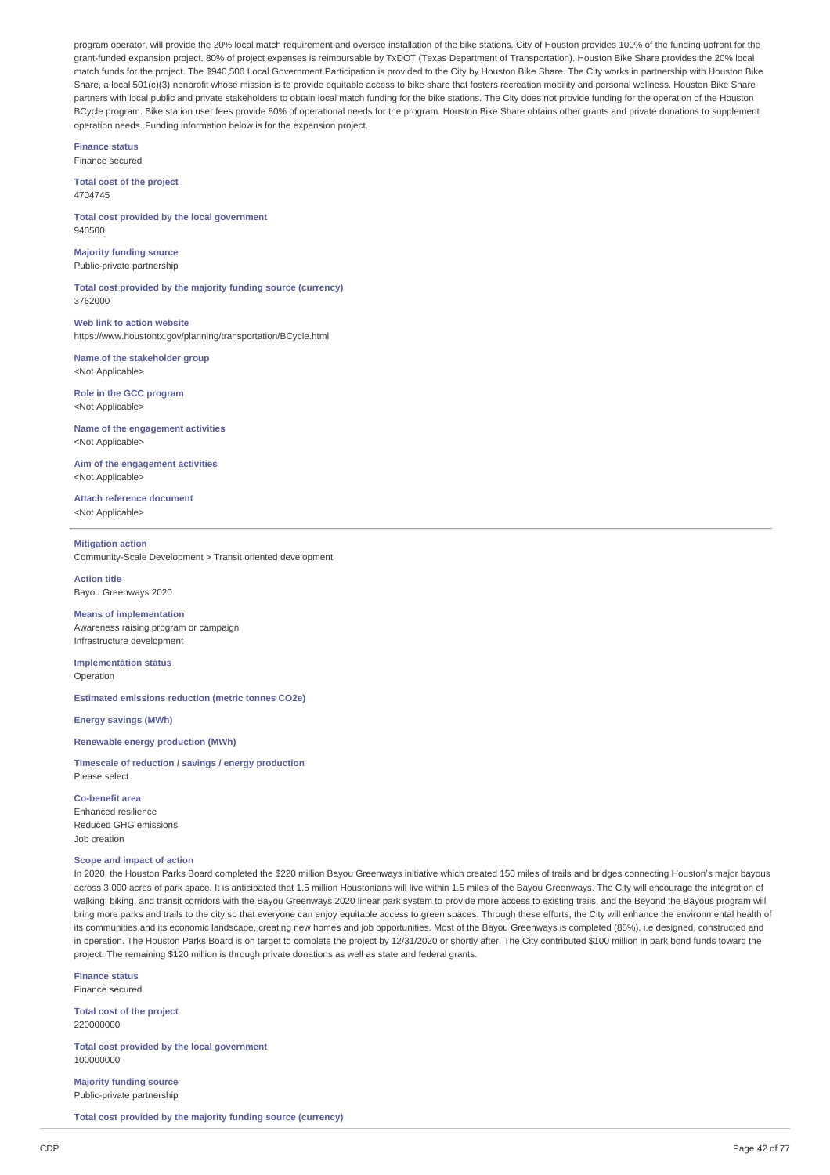program operator, will provide the 20% local match requirement and oversee installation of the bike stations. City of Houston provides 100% of the funding upfront for the grant-funded expansion project. 80% of project expenses is reimbursable by TxDOT (Texas Department of Transportation). Houston Bike Share provides the 20% local match funds for the project. The \$940,500 Local Government Participation is provided to the City by Houston Bike Share. The City works in partnership with Houston Bike Share, a local 501(c)(3) nonprofit whose mission is to provide equitable access to bike share that fosters recreation mobility and personal wellness. Houston Bike Share partners with local public and private stakeholders to obtain local match funding for the bike stations. The City does not provide funding for the operation of the Houston BCycle program. Bike station user fees provide 80% of operational needs for the program. Houston Bike Share obtains other grants and private donations to supplement operation needs. Funding information below is for the expansion project.

**Finance status** Finance secured

**Total cost of the project** 4704745

**Total cost provided by the local government** 940500

**Majority funding source** Public-private partnership

**Total cost provided by the majority funding source (currency)** 3762000

**Web link to action website** https://www.houstontx.gov/planning/transportation/BCycle.html

**Name of the stakeholder group** <Not Applicable>

**Role in the GCC program** <Not Applicable>

**Name of the engagement activities** <Not Applicable>

**Aim of the engagement activities** <Not Applicable>

**Attach reference document** <Not Applicable>

## **Mitigation action**

Bayou Greenways 2020

Community-Scale Development > Transit oriented development

## **Action title**

**Means of implementation** Awareness raising program or campaign

Infrastructure development **Implementation status**

Operation

**Estimated emissions reduction (metric tonnes CO2e)**

**Energy savings (MWh)**

## **Renewable energy production (MWh)**

**Timescale of reduction / savings / energy production** Please select

**Co-benefit area** Enhanced resilience Reduced GHG emissions Job creation

## **Scope and impact of action**

In 2020, the Houston Parks Board completed the \$220 million Bayou Greenways initiative which created 150 miles of trails and bridges connecting Houston's major bayous across 3,000 acres of park space. It is anticipated that 1.5 million Houstonians will live within 1.5 miles of the Bayou Greenways. The City will encourage the integration of walking, biking, and transit corridors with the Bayou Greenways 2020 linear park system to provide more access to existing trails, and the Beyond the Bayous program will bring more parks and trails to the city so that everyone can enjoy equitable access to green spaces. Through these efforts, the City will enhance the environmental health of its communities and its economic landscape, creating new homes and job opportunities. Most of the Bayou Greenways is completed (85%), i.e designed, constructed and in operation. The Houston Parks Board is on target to complete the project by 12/31/2020 or shortly after. The City contributed \$100 million in park bond funds toward the project. The remaining \$120 million is through private donations as well as state and federal grants.

**Finance status**

Finance secured

**Total cost of the project** 220000000

**Total cost provided by the local government** 100000000

**Majority funding source** Public-private partnership

**Total cost provided by the majority funding source (currency)**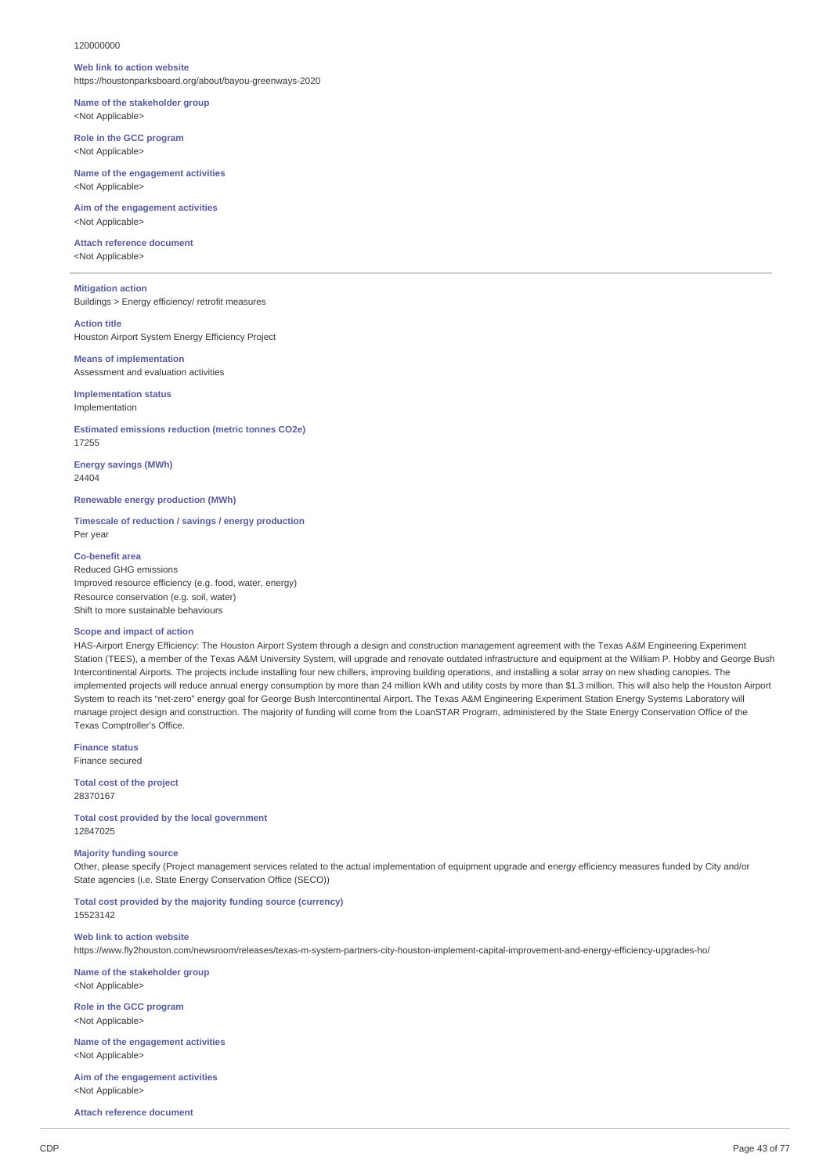#### 120000000

#### **Web link to action website**

https://houstonparksboard.org/about/bayou-greenways-2020

## **Name of the stakeholder group** <Not Applicable>

**Role in the GCC program** <Not Applicable>

#### **Name of the engagement activities** <Not Applicable>

**Aim of the engagement activities** <Not Applicable>

#### **Attach reference document** <Not Applicable>

**Mitigation action** Buildings > Energy efficiency/ retrofit measures

## **Action title**

Houston Airport System Energy Efficiency Project

## **Means of implementation** Assessment and evaluation activities

**Implementation status** Implementation

**Estimated emissions reduction (metric tonnes CO2e)** 17255

**Energy savings (MWh)** 24404

**Renewable energy production (MWh)**

**Timescale of reduction / savings / energy production** Per year

## **Co-benefit area**

Reduced GHG emissions Improved resource efficiency (e.g. food, water, energy) Resource conservation (e.g. soil, water) Shift to more sustainable behaviours

## **Scope and impact of action**

HAS-Airport Energy Efficiency: The Houston Airport System through a design and construction management agreement with the Texas A&M Engineering Experiment Station (TEES), a member of the Texas A&M University System, will upgrade and renovate outdated infrastructure and equipment at the William P. Hobby and George Bush Intercontinental Airports. The projects include installing four new chillers, improving building operations, and installing a solar array on new shading canopies. The implemented projects will reduce annual energy consumption by more than 24 million kWh and utility costs by more than \$1.3 million. This will also help the Houston Airport System to reach its "net-zero" energy goal for George Bush Intercontinental Airport. The Texas A&M Engineering Experiment Station Energy Systems Laboratory will manage project design and construction. The majority of funding will come from the LoanSTAR Program, administered by the State Energy Conservation Office of the Texas Comptroller's Office.

**Finance status** Finance secured

**Total cost of the project** 28370167

**Total cost provided by the local government** 12847025

## **Majority funding source**

Other, please specify (Project management services related to the actual implementation of equipment upgrade and energy efficiency measures funded by City and/or State agencies (i.e. State Energy Conservation Office (SECO))

**Total cost provided by the majority funding source (currency)** 15523142

**Web link to action website** https://www.fly2houston.com/newsroom/releases/texas-m-system-partners-city-houston-implement-capital-improvement-and-energy-efficiency-upgrades-ho/

**Name of the stakeholder group** <Not Applicable>

**Role in the GCC program** <Not Applicable>

**Name of the engagement activities** <Not Applicable>

**Aim of the engagement activities** <Not Applicable>

**Attach reference document**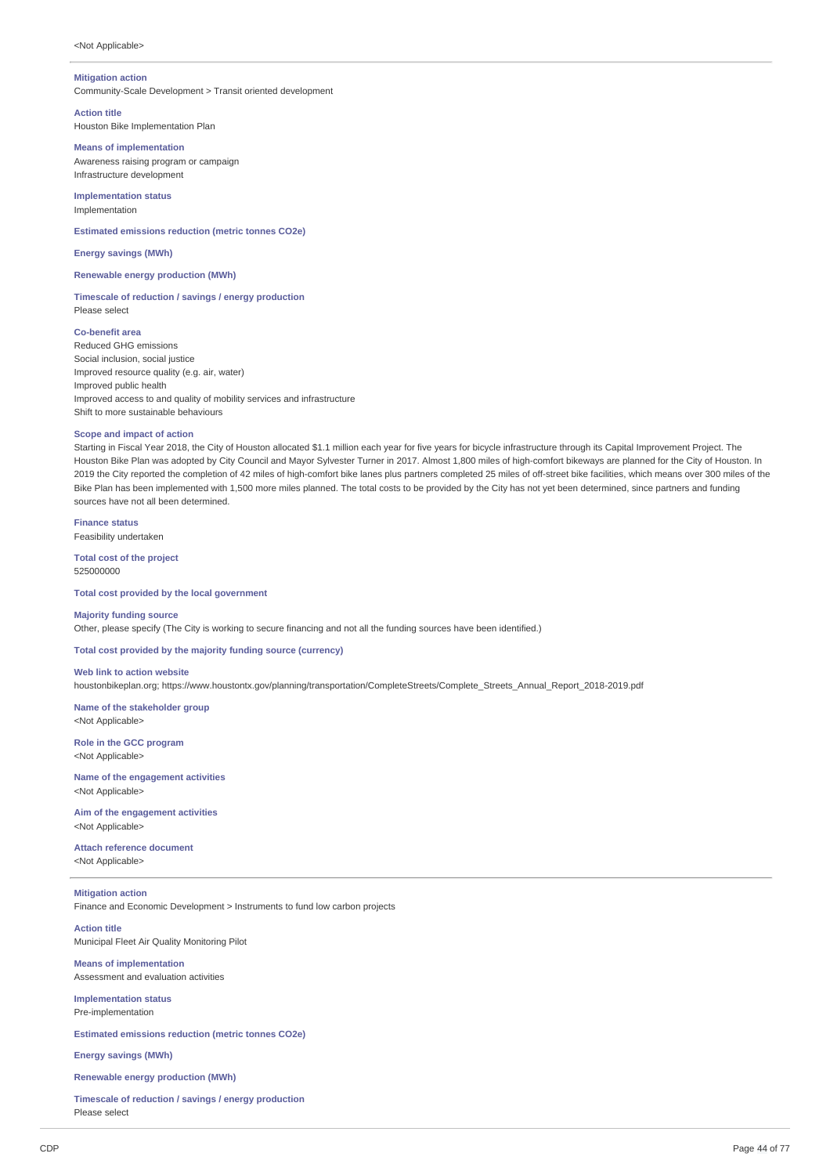## **Mitigation action**

Community-Scale Development > Transit oriented development

## **Action title**

Houston Bike Implementation Plan

#### **Means of implementation**

Awareness raising program or campaign Infrastructure development

**Implementation status** Implementation

**Estimated emissions reduction (metric tonnes CO2e)**

**Energy savings (MWh)**

**Renewable energy production (MWh)**

#### **Timescale of reduction / savings / energy production** Please select

**Co-benefit area** Reduced GHG emissions Social inclusion, social justice Improved resource quality (e.g. air, water)

Improved public health Improved access to and quality of mobility services and infrastructure Shift to more sustainable behaviours

## **Scope and impact of action**

Starting in Fiscal Year 2018, the City of Houston allocated \$1.1 million each year for five years for bicycle infrastructure through its Capital Improvement Project. The Houston Bike Plan was adopted by City Council and Mayor Sylvester Turner in 2017. Almost 1,800 miles of high-comfort bikeways are planned for the City of Houston. In 2019 the City reported the completion of 42 miles of high-comfort bike lanes plus partners completed 25 miles of off-street bike facilities, which means over 300 miles of the Bike Plan has been implemented with 1,500 more miles planned. The total costs to be provided by the City has not yet been determined, since partners and funding sources have not all been determined.

**Finance status** Feasibility undertaken

**Total cost of the project** 525000000

**Total cost provided by the local government**

## **Majority funding source**

Other, please specify (The City is working to secure financing and not all the funding sources have been identified.)

**Total cost provided by the majority funding source (currency)**

**Web link to action website** houstonbikeplan.org; https://www.houstontx.gov/planning/transportation/CompleteStreets/Complete\_Streets\_Annual\_Report\_2018-2019.pdf

**Name of the stakeholder group** <Not Applicable>

**Role in the GCC program** <Not Applicable>

<Not Applicable>

**Name of the engagement activities**

**Aim of the engagement activities** <Not Applicable>

**Attach reference document** <Not Applicable>

**Mitigation action** Finance and Economic Development > Instruments to fund low carbon projects

**Action title** Municipal Fleet Air Quality Monitoring Pilot

**Means of implementation** Assessment and evaluation activities

**Implementation status** Pre-implementation

**Estimated emissions reduction (metric tonnes CO2e)**

**Energy savings (MWh)**

## **Renewable energy production (MWh)**

**Timescale of reduction / savings / energy production** Please select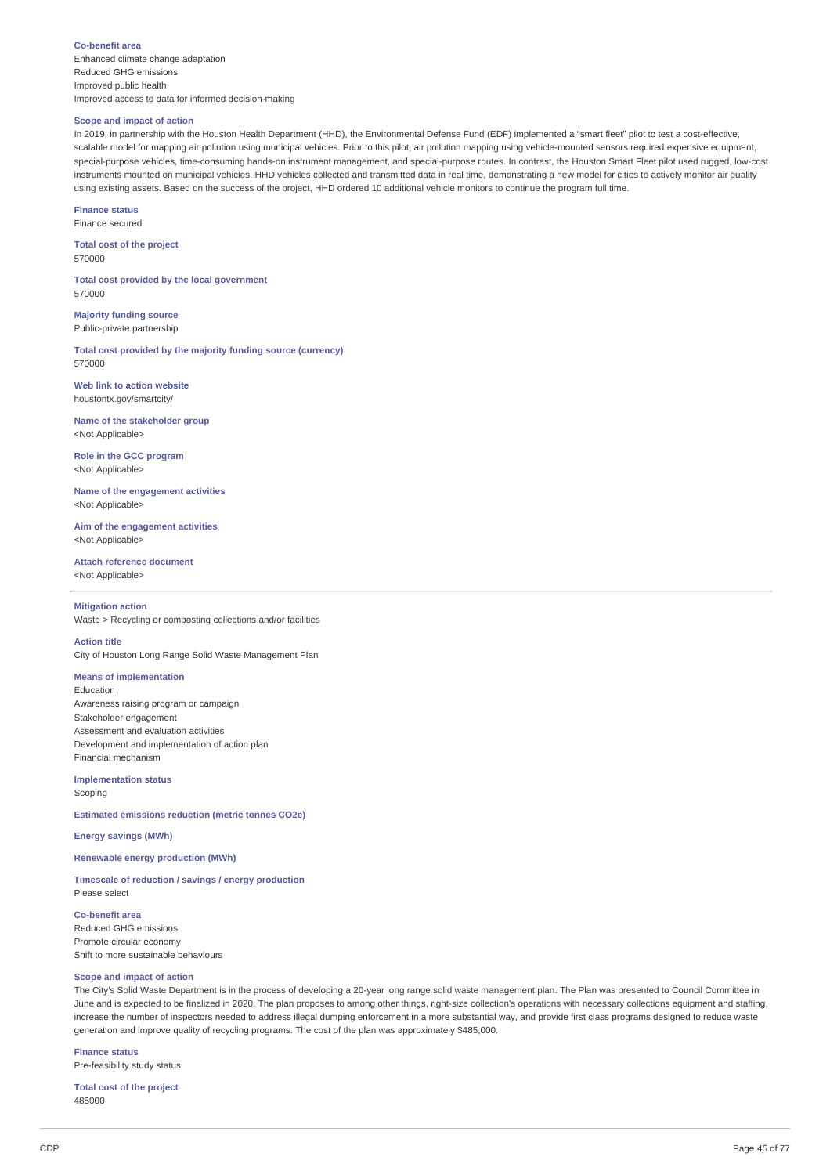#### **Co-benefit area**

Enhanced climate change adaptation Reduced GHG emissions Improved public health Improved access to data for informed decision-making

## **Scope and impact of action**

In 2019, in partnership with the Houston Health Department (HHD), the Environmental Defense Fund (EDF) implemented a "smart fleet" pilot to test a cost-effective, scalable model for mapping air pollution using municipal vehicles. Prior to this pilot, air pollution mapping using vehicle-mounted sensors required expensive equipment, special-purpose vehicles, time-consuming hands-on instrument management, and special-purpose routes. In contrast, the Houston Smart Fleet pilot used rugged, low-cost instruments mounted on municipal vehicles. HHD vehicles collected and transmitted data in real time, demonstrating a new model for cities to actively monitor air quality using existing assets. Based on the success of the project, HHD ordered 10 additional vehicle monitors to continue the program full time.

**Finance status**

Finance secured

**Total cost of the project** 570000

**Total cost provided by the local government** 570000

**Majority funding source** Public-private partnership

**Total cost provided by the majority funding source (currency)** 570000

**Web link to action website** houstontx.gov/smartcity/

**Name of the stakeholder group** <Not Applicable>

**Role in the GCC program** <Not Applicable>

**Name of the engagement activities** <Not Applicable>

**Aim of the engagement activities** <Not Applicable>

**Attach reference document** <Not Applicable>

## **Mitigation action**

Waste > Recycling or composting collections and/or facilities

## **Action title**

City of Houston Long Range Solid Waste Management Plan

# **Means of implementation**

Education Awareness raising program or campaign Stakeholder engagement Assessment and evaluation activities Development and implementation of action plan Financial mechanism

**Implementation status**

Scoping

**Estimated emissions reduction (metric tonnes CO2e)**

**Energy savings (MWh)**

## **Renewable energy production (MWh)**

**Timescale of reduction / savings / energy production** Please select

**Co-benefit area** Reduced GHG emissions Promote circular economy Shift to more sustainable behaviours

## **Scope and impact of action**

The City's Solid Waste Department is in the process of developing a 20-year long range solid waste management plan. The Plan was presented to Council Committee in June and is expected to be finalized in 2020. The plan proposes to among other things, right-size collection's operations with necessary collections equipment and staffing. increase the number of inspectors needed to address illegal dumping enforcement in a more substantial way, and provide first class programs designed to reduce waste generation and improve quality of recycling programs. The cost of the plan was approximately \$485,000.

**Finance status** Pre-feasibility study status

**Total cost of the project** 485000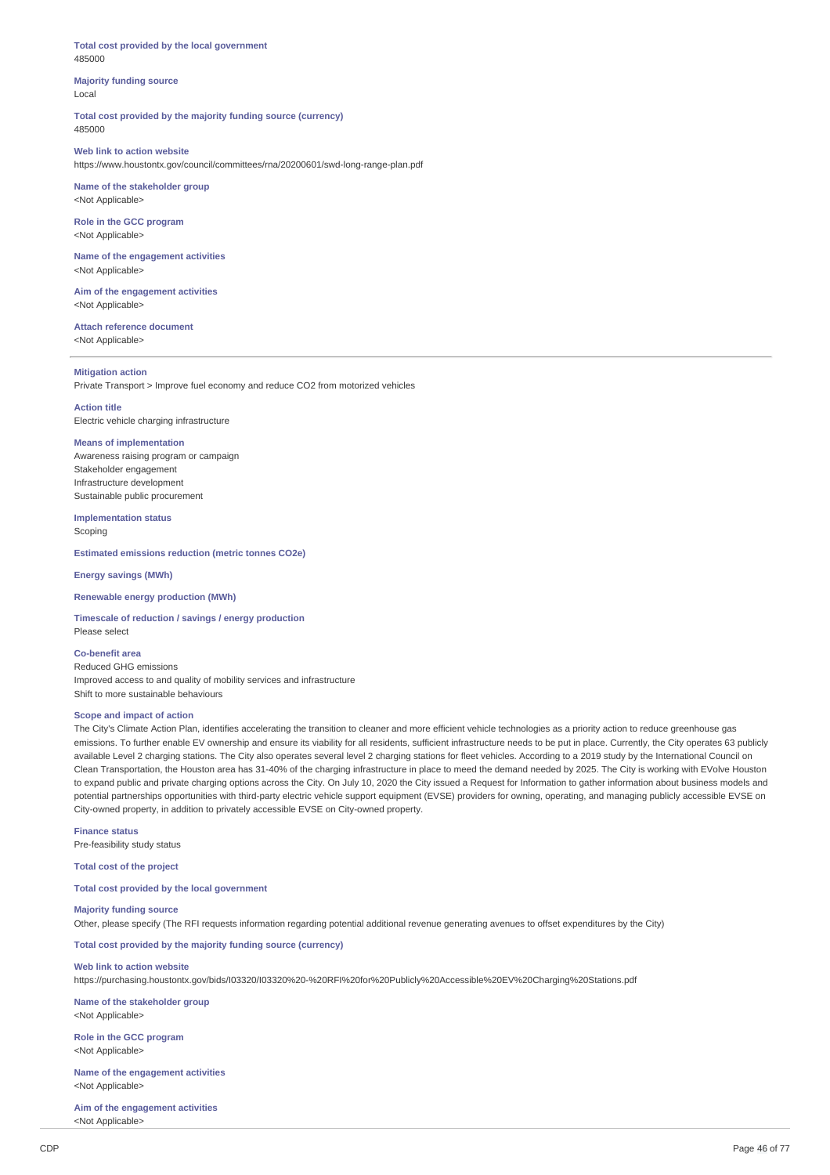**Total cost provided by the local government** 485000

### **Majority funding source** Local

**Total cost provided by the majority funding source (currency)** 485000

#### **Web link to action website** https://www.houstontx.gov/council/committees/rna/20200601/swd-long-range-plan.pdf

**Name of the stakeholder group** <Not Applicable>

**Role in the GCC program** <Not Applicable>

**Name of the engagement activities** <Not Applicable>

**Aim of the engagement activities** <Not Applicable>

**Attach reference document** <Not Applicable>

## **Mitigation action**

Private Transport > Improve fuel economy and reduce CO2 from motorized vehicles

**Action title** Electric vehicle charging infrastructure

## **Means of implementation**

Awareness raising program or campaign Stakeholder engagement Infrastructure development Sustainable public procurement

**Implementation status**

Scoping

**Estimated emissions reduction (metric tonnes CO2e)**

## **Energy savings (MWh)**

#### **Renewable energy production (MWh)**

**Timescale of reduction / savings / energy production** Please select

## **Co-benefit area**

Reduced GHG emissions Improved access to and quality of mobility services and infrastructure Shift to more sustainable behaviours

#### **Scope and impact of action**

The City's Climate Action Plan, identifies accelerating the transition to cleaner and more efficient vehicle technologies as a priority action to reduce greenhouse gas emissions. To further enable EV ownership and ensure its viability for all residents, sufficient infrastructure needs to be put in place. Currently, the City operates 63 publicly available Level 2 charging stations. The City also operates several level 2 charging stations for fleet vehicles. According to a 2019 study by the International Council on Clean Transportation, the Houston area has 31-40% of the charging infrastructure in place to meed the demand needed by 2025. The City is working with EVolve Houston to expand public and private charging options across the City. On July 10, 2020 the City issued a Request for Information to gather information about business models and potential partnerships opportunities with third-party electric vehicle support equipment (EVSE) providers for owning, operating, and managing publicly accessible EVSE on City-owned property, in addition to privately accessible EVSE on City-owned property.

**Finance status** Pre-feasibility study status

**Total cost of the project**

#### **Total cost provided by the local government**

#### **Majority funding source**

Other, please specify (The RFI requests information regarding potential additional revenue generating avenues to offset expenditures by the City)

**Total cost provided by the majority funding source (currency)**

## **Web link to action website**

https://purchasing.houstontx.gov/bids/I03320/I03320%20-%20RFI%20for%20Publicly%20Accessible%20EV%20Charging%20Stations.pdf

**Name of the stakeholder group** <Not Applicable>

**Role in the GCC program** <Not Applicable>

**Name of the engagement activities** <Not Applicable>

**Aim of the engagement activities** <Not Applicable>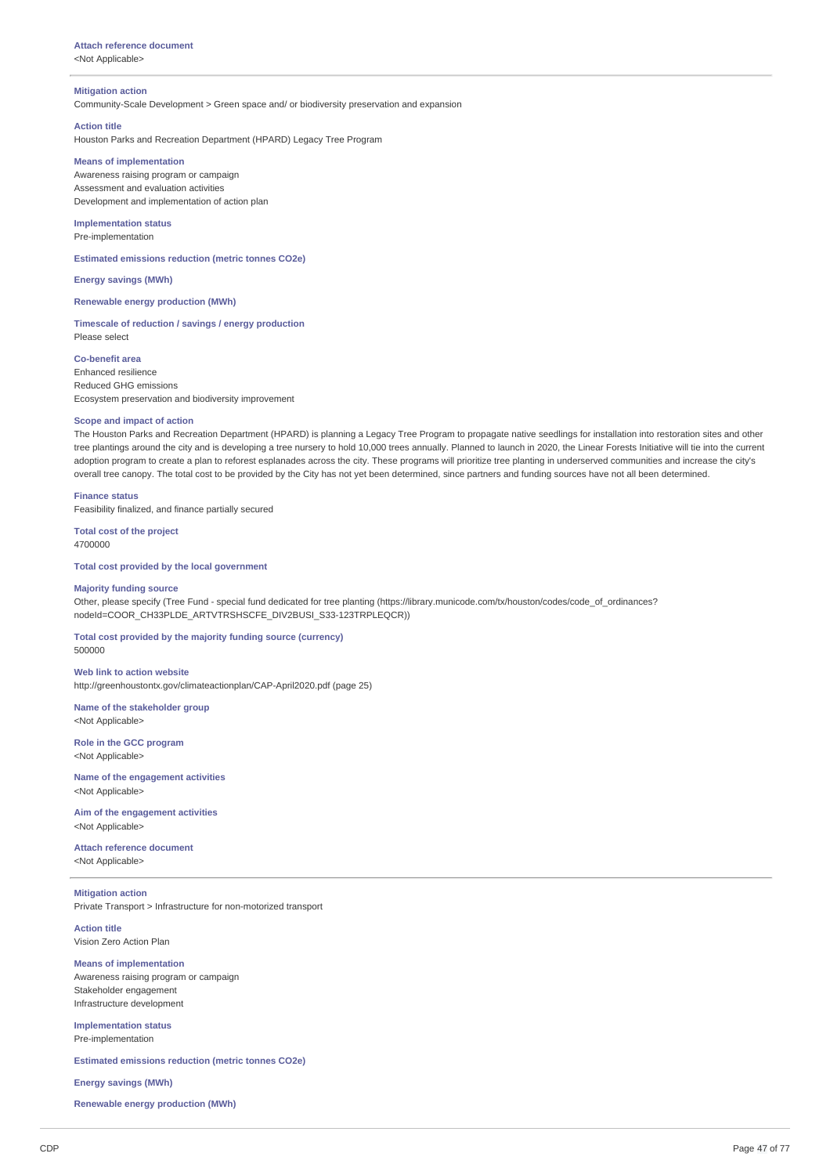# **Attach reference document**

<Not Applicable>

#### **Mitigation action**

Community-Scale Development > Green space and/ or biodiversity preservation and expansion

#### **Action title**

Houston Parks and Recreation Department (HPARD) Legacy Tree Program

## **Means of implementation**

Awareness raising program or campaign Assessment and evaluation activities Development and implementation of action plan

#### **Implementation status** Pre-implementation

**Estimated emissions reduction (metric tonnes CO2e)**

## **Energy savings (MWh)**

**Renewable energy production (MWh)**

**Timescale of reduction / savings / energy production** Please select

**Co-benefit area** Enhanced resilience Reduced GHG emissions Ecosystem preservation and biodiversity improvement

## **Scope and impact of action**

The Houston Parks and Recreation Department (HPARD) is planning a Legacy Tree Program to propagate native seedlings for installation into restoration sites and other tree plantings around the city and is developing a tree nursery to hold 10,000 trees annually. Planned to launch in 2020, the Linear Forests Initiative will tie into the current adoption program to create a plan to reforest esplanades across the city. These programs will prioritize tree planting in underserved communities and increase the city's overall tree canopy. The total cost to be provided by the City has not yet been determined, since partners and funding sources have not all been determined.

## **Finance status**

Feasibility finalized, and finance partially secured

#### **Total cost of the project** 4700000

**Total cost provided by the local government**

#### **Majority funding source**

Other, please specify (Tree Fund - special fund dedicated for tree planting (https://library.municode.com/tx/houston/codes/code\_of\_ordinances? nodeId=COOR\_CH33PLDE\_ARTVTRSHSCFE\_DIV2BUSI\_S33-123TRPLEQCR))

**Total cost provided by the majority funding source (currency)** 500000

**Web link to action website** http://greenhoustontx.gov/climateactionplan/CAP-April2020.pdf (page 25)

**Name of the stakeholder group** <Not Applicable>

**Role in the GCC program** <Not Applicable>

**Name of the engagement activities** <Not Applicable>

**Aim of the engagement activities** <Not Applicable>

#### **Attach reference document** <Not Applicable>

**Mitigation action** Private Transport > Infrastructure for non-motorized transport

**Action title** Vision Zero Action Plan

#### **Means of implementation** Awareness raising program or campaign

Stakeholder engagement Infrastructure development

**Implementation status** Pre-implementation

**Estimated emissions reduction (metric tonnes CO2e)**

#### **Energy savings (MWh)**

**Renewable energy production (MWh)**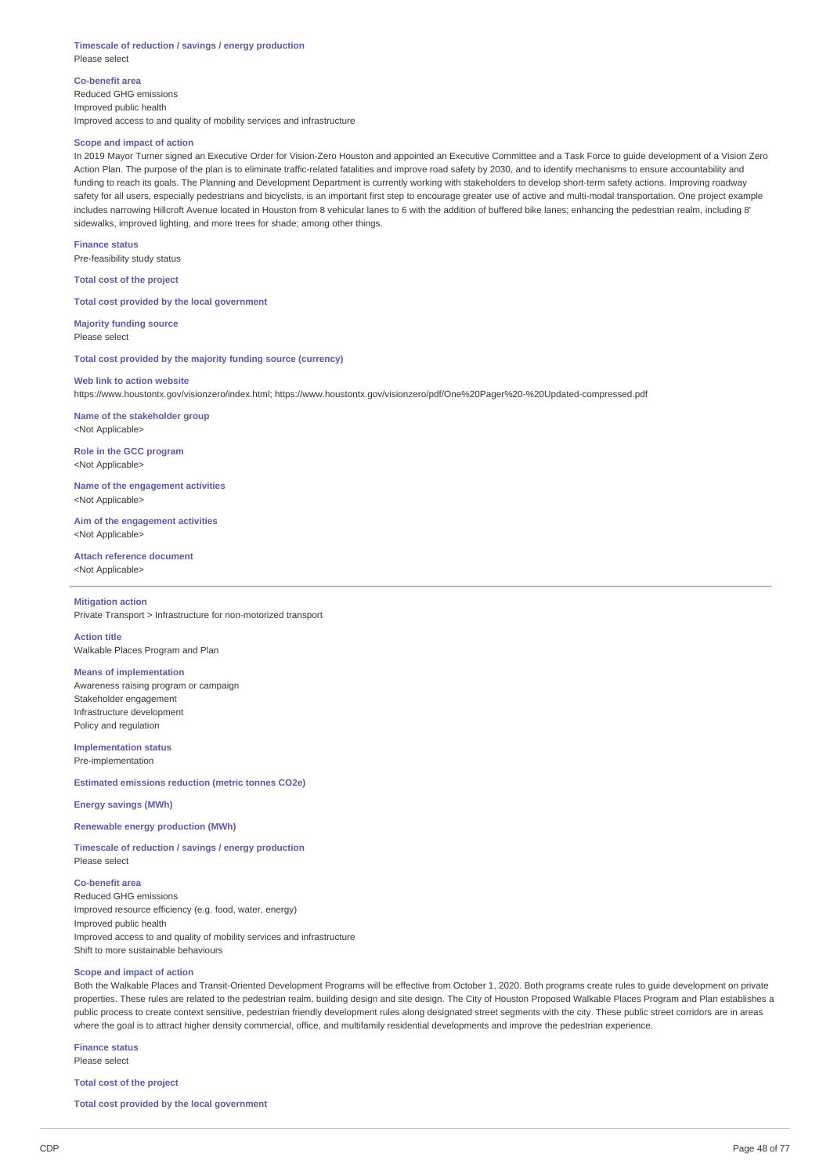#### **Timescale of reduction / savings / energy production** Please select

**Co-benefit area** Reduced GHG emissions Improved public health Improved access to and quality of mobility services and infrastructure

## **Scope and impact of action**

In 2019 Mayor Turner signed an Executive Order for Vision-Zero Houston and appointed an Executive Committee and a Task Force to guide development of a Vision Zero Action Plan. The purpose of the plan is to eliminate traffic-related fatalities and improve road safety by 2030, and to identify mechanisms to ensure accountability and funding to reach its goals. The Planning and Development Department is currently working with stakeholders to develop short-term safety actions. Improving roadway safety for all users, especially pedestrians and bicyclists, is an important first step to encourage greater use of active and multi-modal transportation. One project example includes narrowing Hillcroft Avenue located in Houston from 8 vehicular lanes to 6 with the addition of buffered bike lanes; enhancing the pedestrian realm, including 8' sidewalks, improved lighting, and more trees for shade; among other things.

**Finance status** Pre-feasibility study status

**Total cost of the project**

**Total cost provided by the local government**

**Majority funding source** Please select

**Total cost provided by the majority funding source (currency)**

## **Web link to action website**

https://www.houstontx.gov/visionzero/index.html; https://www.houstontx.gov/visionzero/pdf/One%20Pager%20-%20Updated-compressed.pdf

**Name of the stakeholder group** <Not Applicable>

**Role in the GCC program** <Not Applicable>

**Name of the engagement activities** <Not Applicable>

**Aim of the engagement activities** <Not Annlicable>

**Attach reference document** <Not Applicable>

#### **Mitigation action**

Private Transport > Infrastructure for non-motorized transport

**Action title** Walkable Places Program and Plan

#### **Means of implementation**

Awareness raising program or campaign Stakeholder engagement Infrastructure development Policy and regulation

**Implementation status**

Pre-implementation

**Estimated emissions reduction (metric tonnes CO2e)**

## **Energy savings (MWh)**

**Renewable energy production (MWh)**

**Timescale of reduction / savings / energy production** Please select

## **Co-benefit area**

Reduced GHG emissions Improved resource efficiency (e.g. food, water, energy) Improved public health Improved access to and quality of mobility services and infrastructure Shift to more sustainable behaviours

## **Scope and impact of action**

Both the Walkable Places and Transit-Oriented Development Programs will be effective from October 1, 2020. Both programs create rules to guide development on private properties. These rules are related to the pedestrian realm, building design and site design. The City of Houston Proposed Walkable Places Program and Plan establishes a public process to create context sensitive, pedestrian friendly development rules along designated street segments with the city. These public street corridors are in areas where the goal is to attract higher density commercial, office, and multifamily residential developments and improve the pedestrian experience.

**Finance status** Please select

**Total cost of the project**

**Total cost provided by the local government**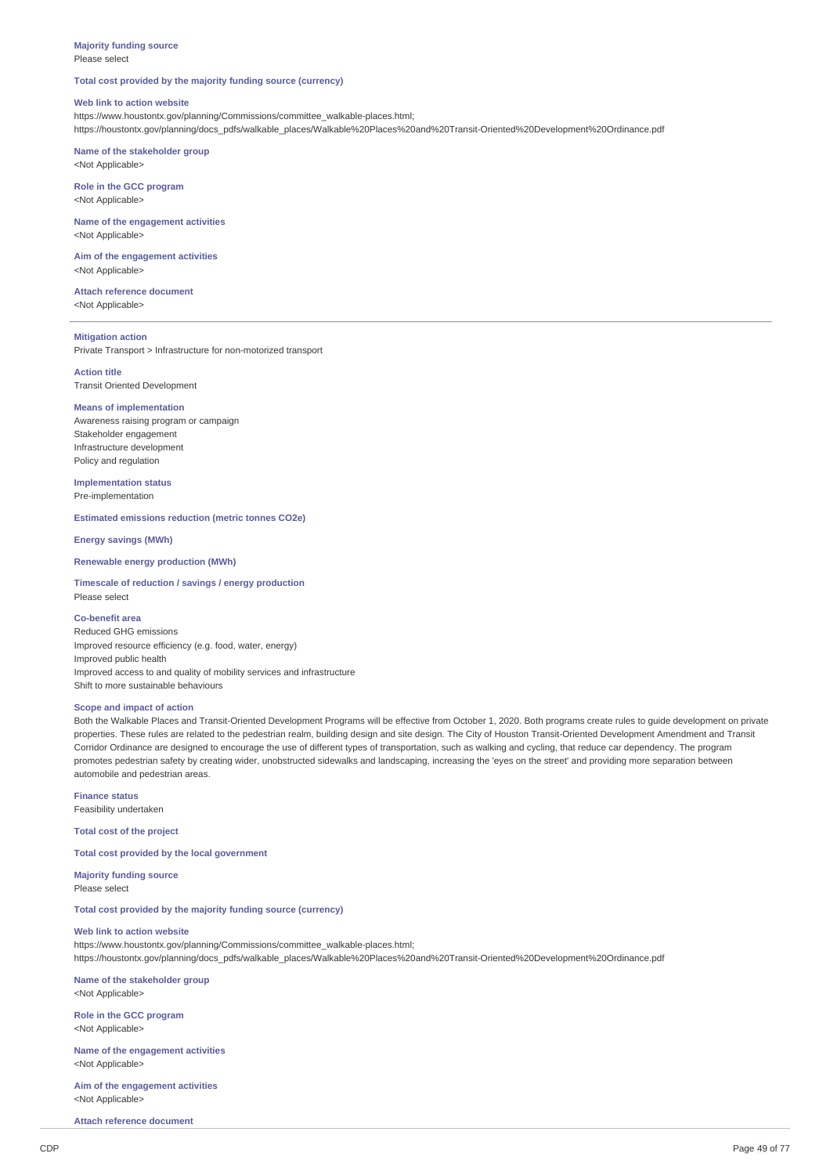### **Majority funding source** Please select

## **Total cost provided by the majority funding source (currency)**

## **Web link to action website**

https://www.houstontx.gov/planning/Commissions/committee\_walkable-places.html; https://houstontx.gov/planning/docs\_pdfs/walkable\_places/Walkable%20Places%20and%20Transit-Oriented%20Development%20Ordinance.pdf

**Name of the stakeholder group** <Not Applicable>

**Role in the GCC program** <Not Applicable>

**Name of the engagement activities** <Not Applicable>

**Aim of the engagement activities** <Not Applicable>

**Attach reference document** <Not Applicable>

#### **Mitigation action**

Private Transport > Infrastructure for non-motorized transport

**Action title** Transit Oriented Development

#### **Means of implementation**

Awareness raising program or campaign Stakeholder engagement Infrastructure development Policy and regulation

**Implementation status** Pre-implementation

**Estimated emissions reduction (metric tonnes CO2e)**

**Energy savings (MWh)**

## **Renewable energy production (MWh)**

**Timescale of reduction / savings / energy production** Please select

## **Co-benefit area**

Reduced GHG emissions Improved resource efficiency (e.g. food, water, energy) Improved public health Improved access to and quality of mobility services and infrastructure Shift to more sustainable behaviours

## **Scope and impact of action**

Both the Walkable Places and Transit-Oriented Development Programs will be effective from October 1, 2020. Both programs create rules to guide development on private properties. These rules are related to the pedestrian realm, building design and site design. The City of Houston Transit-Oriented Development Amendment and Transit Corridor Ordinance are designed to encourage the use of different types of transportation, such as walking and cycling, that reduce car dependency. The program promotes pedestrian safety by creating wider, unobstructed sidewalks and landscaping, increasing the 'eyes on the street' and providing more separation between automobile and pedestrian areas.

**Finance status**

Feasibility undertaken

**Total cost of the project**

**Total cost provided by the local government**

**Majority funding source** Please select

**Total cost provided by the majority funding source (currency)**

#### **Web link to action website**

https://www.houstontx.gov/planning/Commissions/committee\_walkable-places.html; https://houstontx.gov/planning/docs\_pdfs/walkable\_places/Walkable%20Places%20and%20Transit-Oriented%20Development%20Ordinance.pdf

**Name of the stakeholder group** <Not Applicable>

**Role in the GCC program** <Not Applicable>

**Name of the engagement activities** <Not Applicable>

**Aim of the engagement activities** <Not Applicable>

**Attach reference document**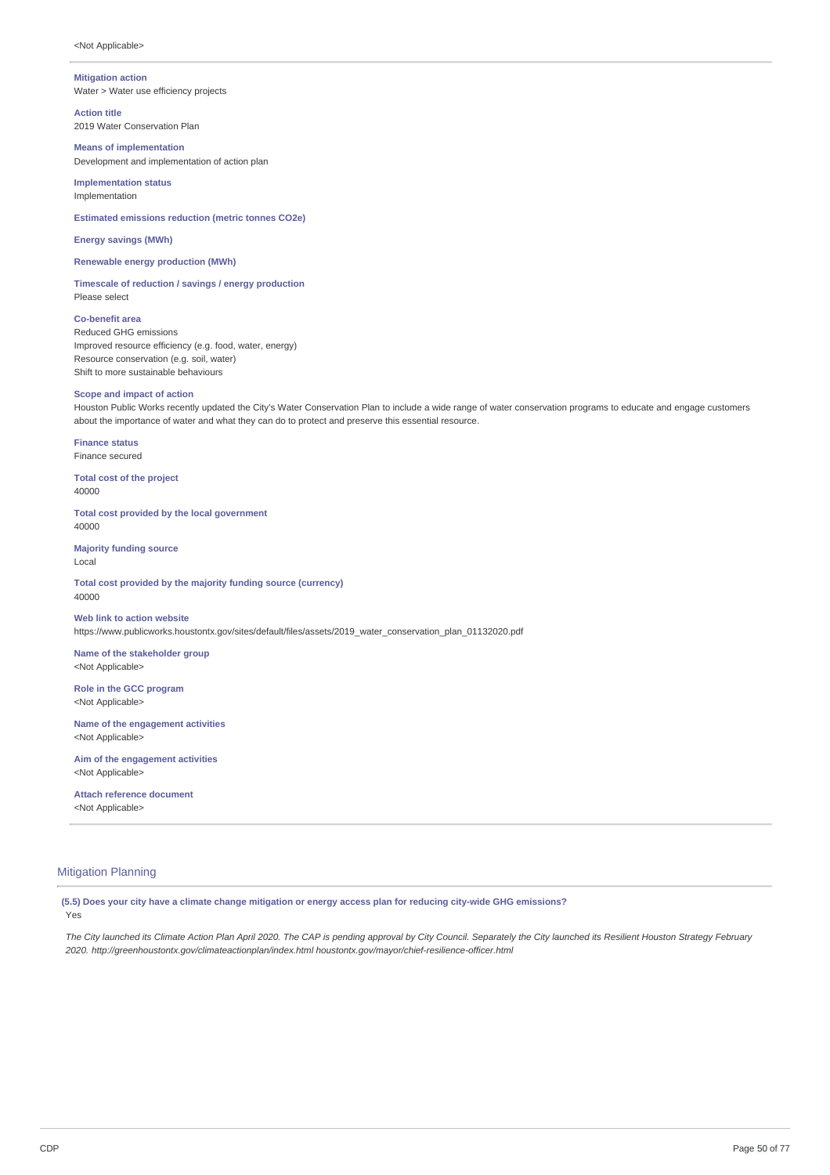#### **Mitigation action**

Water > Water use efficiency projects

**Action title** 2019 Water Conservation Plan

**Means of implementation** Development and implementation of action plan

**Implementation status** Implementation

**Estimated emissions reduction (metric tonnes CO2e)**

**Energy savings (MWh)**

**Renewable energy production (MWh)**

**Timescale of reduction / savings / energy production** Please select

**Co-benefit area** Reduced GHG emissions Improved resource efficiency (e.g. food, water, energy) Resource conservation (e.g. soil, water) Shift to more sustainable behaviours

## **Scope and impact of action**

Houston Public Works recently updated the City's Water Conservation Plan to include a wide range of water conservation programs to educate and engage customers about the importance of water and what they can do to protect and preserve this essential resource.

**Finance status** Finance secured

**Total cost of the project** 40000

**Total cost provided by the local government** 40000

**Majority funding source** Local

**Total cost provided by the majority funding source (currency)** 40000

**Web link to action website** https://www.publicworks.houstontx.gov/sites/default/files/assets/2019\_water\_conservation\_plan\_01132020.pdf

**Name of the stakeholder group** <Not Applicable>

**Role in the GCC program** <Not Applicable>

**Name of the engagement activities** <Not Applicable>

**Aim of the engagement activities** <Not Applicable>

**Attach reference document** <Not Applicable>

## Mitigation Planning

(5.5) Does your city have a climate change mitigation or energy access plan for reducing city-wide GHG emissions?

Yes

The City launched its Climate Action Plan April 2020. The CAP is pending approval by City Council. Separately the City launched its Resilient Houston Strategy February *2020. http://greenhoustontx.gov/climateactionplan/index.html houstontx.gov/mayor/chief-resilience-officer.html*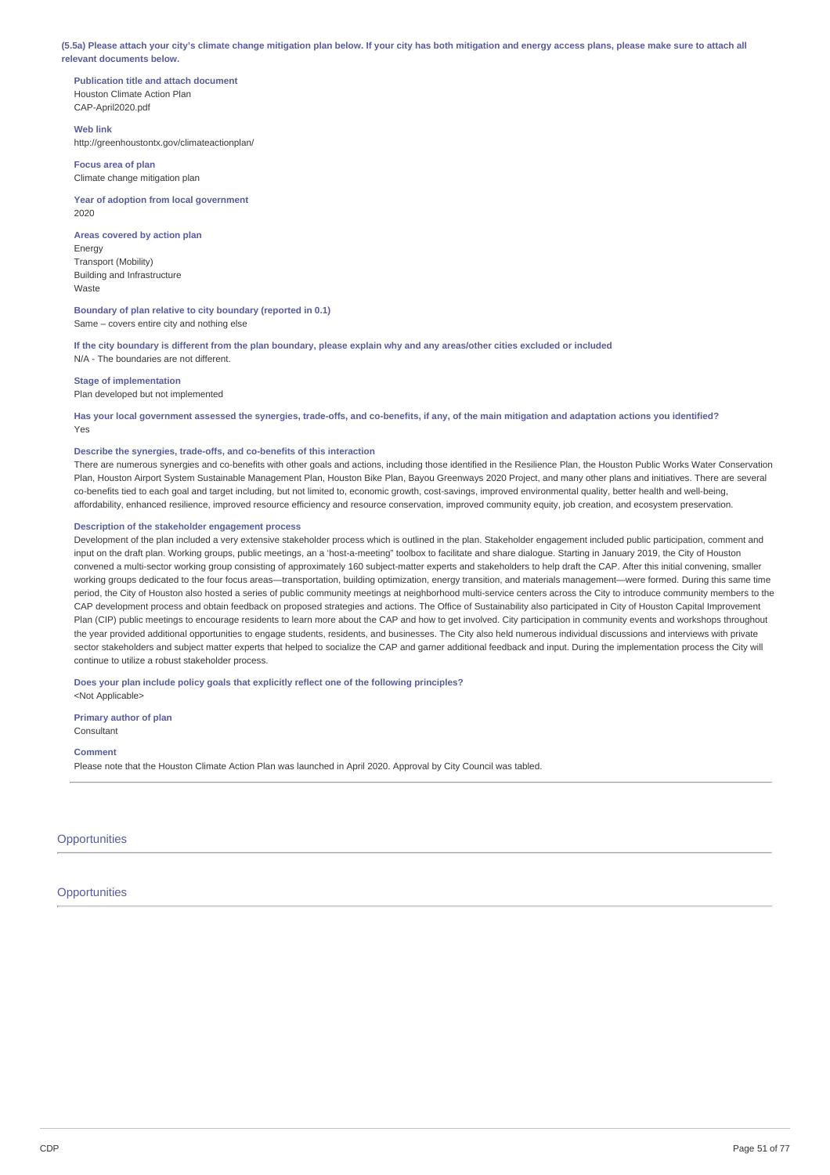(5.5a) Please attach your city's climate change mitigation plan below. If your city has both mitigation and energy access plans, please make sure to attach all **relevant documents below.**

**Publication title and attach document** Houston Climate Action Plan CAP-April2020.pdf

## **Web link**

http://greenhoustontx.gov/climateactionplan/

**Focus area of plan** Climate change mitigation plan

**Year of adoption from local government** 2020

**Areas covered by action plan**

Energy Transport (Mobility) Building and Infrastructure Waste

## **Boundary of plan relative to city boundary (reported in 0.1)** Same – covers entire city and nothing else

If the city boundary is different from the plan boundary, please explain why and any areas/other cities excluded or included N/A - The boundaries are not different.

**Stage of implementation**

Plan developed but not implemented

Has your local government assessed the synergies, trade-offs, and co-benefits, if any, of the main mitigation and adaptation actions you identified? Yes

## **Describe the synergies, trade-offs, and co-benefits of this interaction**

There are numerous synergies and co-benefits with other goals and actions, including those identified in the Resilience Plan, the Houston Public Works Water Conservation Plan, Houston Airport System Sustainable Management Plan, Houston Bike Plan, Bayou Greenways 2020 Project, and many other plans and initiatives. There are several co-benefits tied to each goal and target including, but not limited to, economic growth, cost-savings, improved environmental quality, better health and well-being, affordability, enhanced resilience, improved resource efficiency and resource conservation, improved community equity, job creation, and ecosystem preservation.

### **Description of the stakeholder engagement process**

Development of the plan included a very extensive stakeholder process which is outlined in the plan. Stakeholder engagement included public participation, comment and input on the draft plan. Working groups, public meetings, an a 'host-a-meeting" toolbox to facilitate and share dialogue. Starting in January 2019, the City of Houston convened a multi-sector working group consisting of approximately 160 subject-matter experts and stakeholders to help draft the CAP. After this initial convening, smaller working groups dedicated to the four focus areas—transportation, building optimization, energy transition, and materials management—were formed. During this same time period, the City of Houston also hosted a series of public community meetings at neighborhood multi-service centers across the City to introduce community members to the CAP development process and obtain feedback on proposed strategies and actions. The Office of Sustainability also participated in City of Houston Capital Improvement Plan (CIP) public meetings to encourage residents to learn more about the CAP and how to get involved. City participation in community events and workshops throughout the year provided additional opportunities to engage students, residents, and businesses. The City also held numerous individual discussions and interviews with private sector stakeholders and subject matter experts that helped to socialize the CAP and garner additional feedback and input. During the implementation process the City will continue to utilize a robust stakeholder process.

## **Does your plan include policy goals that explicitly reflect one of the following principles?**

<Not Applicable>

**Primary author of plan** Consultant

**Comment**

Please note that the Houston Climate Action Plan was launched in April 2020. Approval by City Council was tabled.

**Opportunities** 

**Opportunities**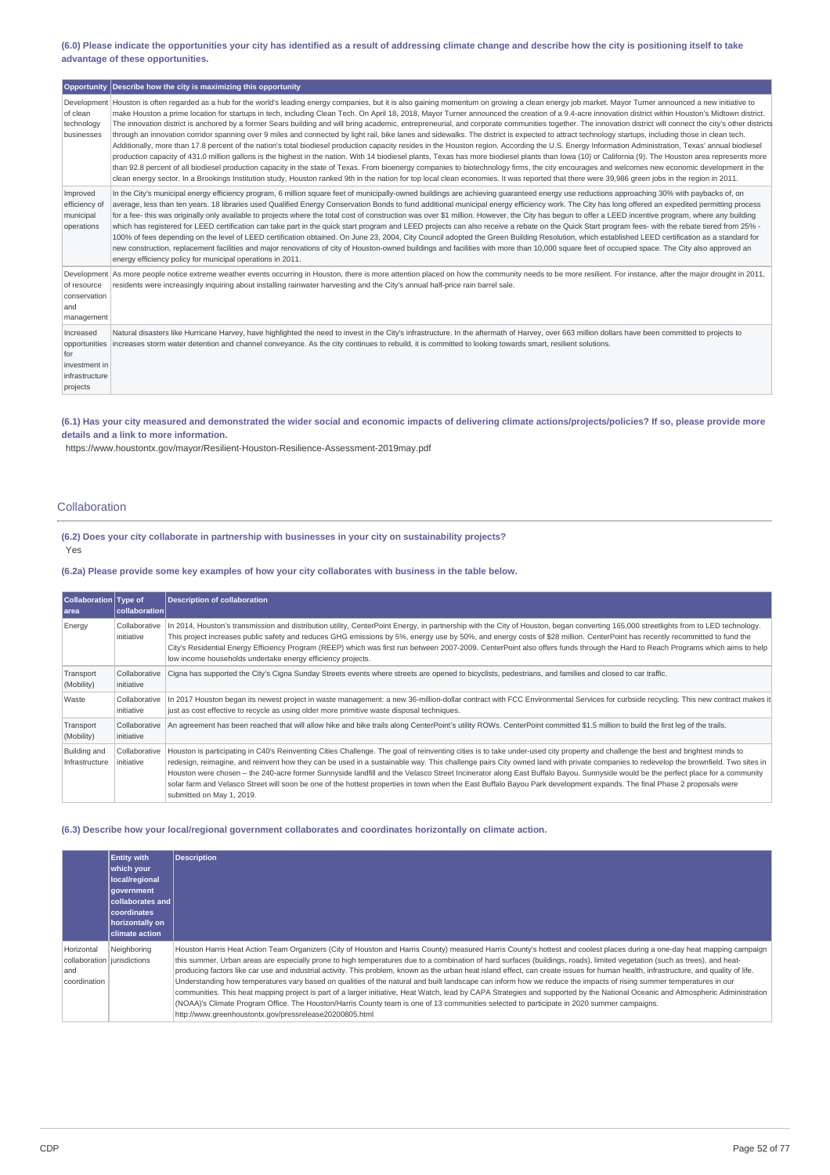(6.0) Please indicate the opportunities your city has identified as a result of addressing climate change and describe how the city is positioning itself to take **advantage of these opportunities.**

|                                                                 | Opportunity Describe how the city is maximizing this opportunity                                                                                                                                                                                                                                                                                                                                                                                                                                                                                                                                                                                                                                                                                                                                                                                                                                                                                                                                                                                                                                                                                                                                                                                                                                                                                                                                                                                                                                                                                                                                                                                                    |
|-----------------------------------------------------------------|---------------------------------------------------------------------------------------------------------------------------------------------------------------------------------------------------------------------------------------------------------------------------------------------------------------------------------------------------------------------------------------------------------------------------------------------------------------------------------------------------------------------------------------------------------------------------------------------------------------------------------------------------------------------------------------------------------------------------------------------------------------------------------------------------------------------------------------------------------------------------------------------------------------------------------------------------------------------------------------------------------------------------------------------------------------------------------------------------------------------------------------------------------------------------------------------------------------------------------------------------------------------------------------------------------------------------------------------------------------------------------------------------------------------------------------------------------------------------------------------------------------------------------------------------------------------------------------------------------------------------------------------------------------------|
| of clean<br>technology<br>businesses                            | Development Houston is often regarded as a hub for the world's leading energy companies, but it is also gaining momentum on growing a clean energy job market. Mayor Turner announced a new initiative to<br>make Houston a prime location for startups in tech, including Clean Tech. On April 18, 2018, Mayor Turner announced the creation of a 9.4-acre innovation district within Houston's Midtown district.<br>The innovation district is anchored by a former Sears building and will bring academic, entrepreneurial, and corporate communities together. The innovation district will connect the city's other districts<br>through an innovation corridor spanning over 9 miles and connected by light rail, bike lanes and sidewalks. The district is expected to attract technology startups, including those in clean tech.<br>Additionally, more than 17.8 percent of the nation's total biodiesel production capacity resides in the Houston region. According the U.S. Energy Information Administration, Texas' annual biodiesel<br>production capacity of 431.0 million gallons is the highest in the nation. With 14 biodiesel plants, Texas has more biodiesel plants than lowa (10) or California (9). The Houston area represents more<br>than 92.8 percent of all biodiesel production capacity in the state of Texas. From bioenergy companies to biotechnology firms, the city encourages and welcomes new economic development in the<br>clean energy sector. In a Brookings Institution study, Houston ranked 9th in the nation for top local clean economies. It was reported that there were 39,986 green jobs in the region in 2011. |
| Improved<br>efficiency of<br>municipal<br>operations            | In the City's municipal energy efficiency program, 6 million square feet of municipally-owned buildings are achieving quaranteed energy use reductions approaching 30% with paybacks of, on<br>average, less than ten years. 18 libraries used Qualified Energy Conservation Bonds to fund additional municipal energy efficiency work. The City has long offered an expedited permitting process<br>for a fee- this was originally only available to projects where the total cost of construction was over \$1 million. However, the City has begun to offer a LEED incentive program, where any building<br>which has registered for LEED certification can take part in the quick start program and LEED projects can also receive a rebate on the Quick Start program fees- with the rebate tiered from 25% -<br>100% of fees depending on the level of LEED certification obtained. On June 23, 2004, City Council adopted the Green Building Resolution, which established LEED certification as a standard for<br>new construction, replacement facilities and major renovations of city of Houston-owned buildings and facilities with more than 10,000 square feet of occupied space. The City also approved an<br>energy efficiency policy for municipal operations in 2011.                                                                                                                                                                                                                                                                                                                                                                             |
| of resource<br>conservation<br>and<br>management                | Development As more people notice extreme weather events occurring in Houston, there is more attention placed on how the community needs to be more resilient. For instance, after the major drought in 2011,<br>residents were increasingly inquiring about installing rainwater harvesting and the City's annual half-price rain barrel sale.                                                                                                                                                                                                                                                                                                                                                                                                                                                                                                                                                                                                                                                                                                                                                                                                                                                                                                                                                                                                                                                                                                                                                                                                                                                                                                                     |
| Increased<br>for<br>investment in<br>infrastructure<br>projects | Natural disasters like Hurricane Harvey, have highlighted the need to invest in the City's infrastructure. In the aftermath of Harvey, over 663 million dollars have been committed to projects to<br>opportunities increases storm water detention and channel conveyance. As the city continues to rebuild, it is committed to looking towards smart, resilient solutions.                                                                                                                                                                                                                                                                                                                                                                                                                                                                                                                                                                                                                                                                                                                                                                                                                                                                                                                                                                                                                                                                                                                                                                                                                                                                                        |

(6.1) Has your city measured and demonstrated the wider social and economic impacts of delivering climate actions/projects/policies? If so, please provide more **details and a link to more information.**

https://www.houstontx.gov/mayor/Resilient-Houston-Resilience-Assessment-2019may.pdf

## Collaboration

**(6.2) Does your city collaborate in partnership with businesses in your city on sustainability projects?** Yes

**(6.2a) Please provide some key examples of how your city collaborates with business in the table below.**

| Collaboration Type of<br>  area | collaboration               | <b>Description of collaboration</b>                                                                                                                                                                                                                                                                                                                                                                                                                                                                                                                                                                                                                                                                                                                              |
|---------------------------------|-----------------------------|------------------------------------------------------------------------------------------------------------------------------------------------------------------------------------------------------------------------------------------------------------------------------------------------------------------------------------------------------------------------------------------------------------------------------------------------------------------------------------------------------------------------------------------------------------------------------------------------------------------------------------------------------------------------------------------------------------------------------------------------------------------|
| Energy                          | Collaborative<br>initiative | In 2014, Houston's transmission and distribution utility, CenterPoint Energy, in partnership with the City of Houston, began converting 165,000 streetlights from to LED technology.<br>This project increases public safety and reduces GHG emissions by 5%, energy use by 50%, and energy costs of \$28 million. CenterPoint has recently recommitted to fund the<br>City's Residential Energy Efficiency Program (REEP) which was first run between 2007-2009. CenterPoint also offers funds through the Hard to Reach Programs which aims to help<br>low income households undertake energy efficiency projects.                                                                                                                                             |
| Transport<br>(Mobility)         | Collaborative<br>initiative | Cigna has supported the City's Cigna Sunday Streets events where streets are opened to bicyclists, pedestrians, and families and closed to car traffic.                                                                                                                                                                                                                                                                                                                                                                                                                                                                                                                                                                                                          |
| Waste                           | Collaborative<br>initiative | In 2017 Houston began its newest project in waste management: a new 36-million-dollar contract with FCC Environmental Services for curbside recycling. This new contract makes it<br>just as cost effective to recycle as using older more primitive waste disposal techniques.                                                                                                                                                                                                                                                                                                                                                                                                                                                                                  |
| Transport<br>(Mobility)         | Collaborative<br>initiative | An agreement has been reached that will allow hike and bike trails along CenterPoint's utility ROWs. CenterPoint committed \$1.5 million to build the first leg of the trails.                                                                                                                                                                                                                                                                                                                                                                                                                                                                                                                                                                                   |
| Building and<br>Infrastructure  | Collaborative<br>initiative | Houston is participating in C40's Reinventing Cities Challenge. The goal of reinventing cities is to take under-used city property and challenge the best and brightest minds to<br>redesign, reimagine, and reinvent how they can be used in a sustainable way. This challenge pairs City owned land with private companies to redevelop the brownfield. Two sites in<br>Houston were chosen - the 240-acre former Sunnyside landfill and the Velasco Street Incinerator along East Buffalo Bayou. Sunnyside would be the perfect place for a community<br>solar farm and Velasco Street will soon be one of the hottest properties in town when the East Buffalo Bayou Park development expands. The final Phase 2 proposals were<br>submitted on May 1, 2019. |

## **(6.3) Describe how your local/regional government collaborates and coordinates horizontally on climate action.**

|                                                                  | <b>Entity with</b><br>which your<br>local/regional<br>government<br>$ $ collaborates and $ $<br>  coordinates<br>horizontally on<br><b>climate action</b> | <b>Description</b>                                                                                                                                                                                                                                                                                                                                                                                                                                                                                                                                                                                                                                                                                                                                                                                                                                                                                                                                                                                                                                                                                                  |
|------------------------------------------------------------------|-----------------------------------------------------------------------------------------------------------------------------------------------------------|---------------------------------------------------------------------------------------------------------------------------------------------------------------------------------------------------------------------------------------------------------------------------------------------------------------------------------------------------------------------------------------------------------------------------------------------------------------------------------------------------------------------------------------------------------------------------------------------------------------------------------------------------------------------------------------------------------------------------------------------------------------------------------------------------------------------------------------------------------------------------------------------------------------------------------------------------------------------------------------------------------------------------------------------------------------------------------------------------------------------|
| Horizontal<br>collaboration jurisdictions<br>and<br>coordination | Neighboring                                                                                                                                               | Houston Harris Heat Action Team Organizers (City of Houston and Harris County) measured Harris County's hottest and coolest places during a one-day heat mapping campaign<br>this summer. Urban areas are especially prone to high temperatures due to a combination of hard surfaces (buildings, roads), limited vegetation (such as trees), and heat-<br>producing factors like car use and industrial activity. This problem, known as the urban heat island effect, can create issues for human health, infrastructure, and quality of life.<br>Understanding how temperatures vary based on qualities of the natural and built landscape can inform how we reduce the impacts of rising summer temperatures in our<br>communities. This heat mapping project is part of a larger initiative, Heat Watch, lead by CAPA Strategies and supported by the National Oceanic and Atmospheric Administration<br>(NOAA)'s Climate Program Office. The Houston/Harris County team is one of 13 communities selected to participate in 2020 summer campaigns.<br>http://www.qreenhoustontx.qov/pressrelease20200805.html |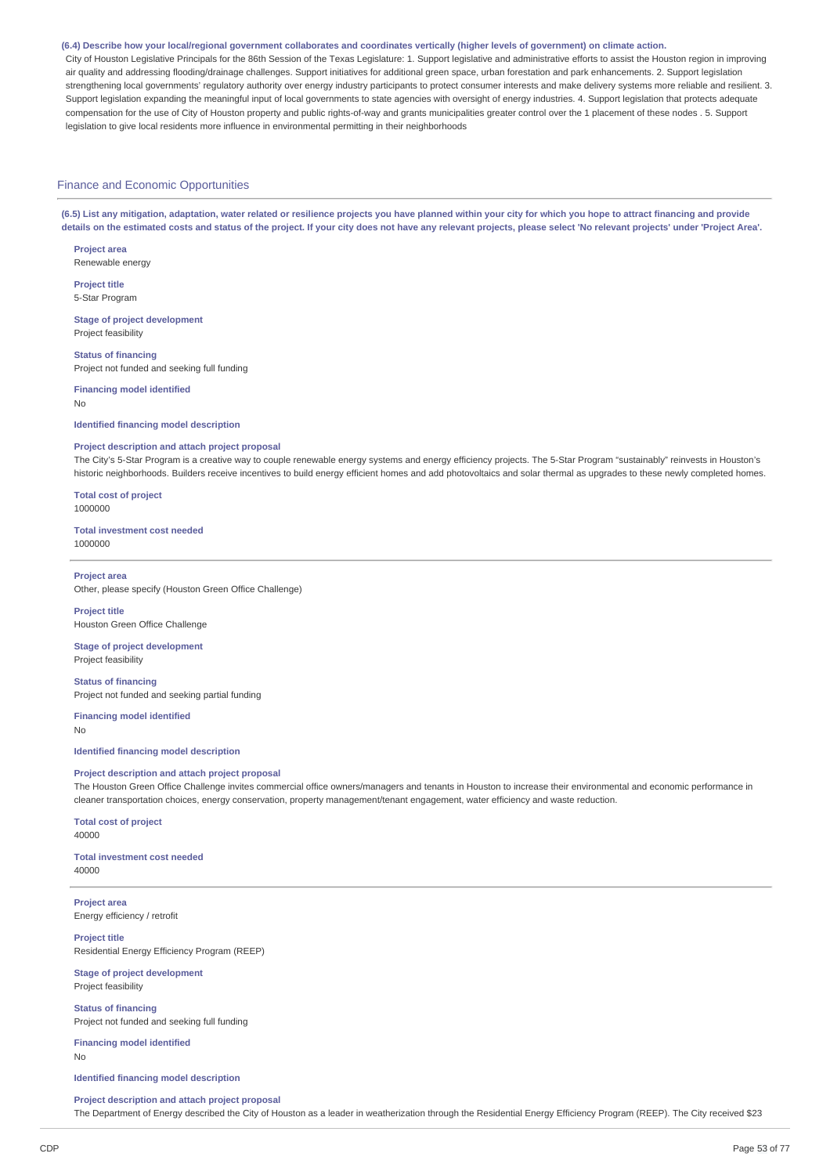#### (6.4) Describe how your local/regional government collaborates and coordinates vertically (higher levels of government) on climate action.

City of Houston Legislative Principals for the 86th Session of the Texas Legislature: 1. Support legislative and administrative efforts to assist the Houston region in improving air quality and addressing flooding/drainage challenges. Support initiatives for additional green space, urban forestation and park enhancements. 2. Support legislation strengthening local governments' regulatory authority over energy industry participants to protect consumer interests and make delivery systems more reliable and resilient. 3. Support legislation expanding the meaningful input of local governments to state agencies with oversight of energy industries. 4. Support legislation that protects adequate compensation for the use of City of Houston property and public rights-of-way and grants municipalities greater control over the 1 placement of these nodes . 5. Support legislation to give local residents more influence in environmental permitting in their neighborhoods

#### Finance and Economic Opportunities

(6.5) List any mitigation, adaptation, water related or resilience projects you have planned within your city for which you hope to attract financing and provide details on the estimated costs and status of the project. If your city does not have any relevant projects, please select 'No relevant projects' under 'Project Area'.

**Project area** Renewable energy

**Project title** 5-Star Program

**Stage of project development** Project feasibility

**Status of financing** Project not funded and seeking full funding

**Financing model identified** No

#### **Identified financing model description**

#### **Project description and attach project proposal**

The City's 5-Star Program is a creative way to couple renewable energy systems and energy efficiency projects. The 5-Star Program "sustainably" reinvests in Houston's historic neighborhoods. Builders receive incentives to build energy efficient homes and add photovoltaics and solar thermal as upgrades to these newly completed homes.

**Total cost of project** 1000000

#### **Total investment cost needed** 1000000

## **Project area**

Other, please specify (Houston Green Office Challenge)

#### **Project title** Houston Green Office Challenge

**Stage of project development** Project feasibility

**Status of financing** Project not funded and seeking partial funding

**Financing model identified** No

**Identified financing model description**

## **Project description and attach project proposal**

The Houston Green Office Challenge invites commercial office owners/managers and tenants in Houston to increase their environmental and economic performance in cleaner transportation choices, energy conservation, property management/tenant engagement, water efficiency and waste reduction.

#### **Total cost of project** 40000

**Total investment cost needed** 40000

**Project area** Energy efficiency / retrofit

**Project title** Residential Energy Efficiency Program (REEP)

**Stage of project development** Project feasibility

**Status of financing** Project not funded and seeking full funding

**Financing model identified** No

#### **Identified financing model description**

**Project description and attach project proposal** The Department of Energy described the City of Houston as a leader in weatherization through the Residential Energy Efficiency Program (REEP). The City received \$23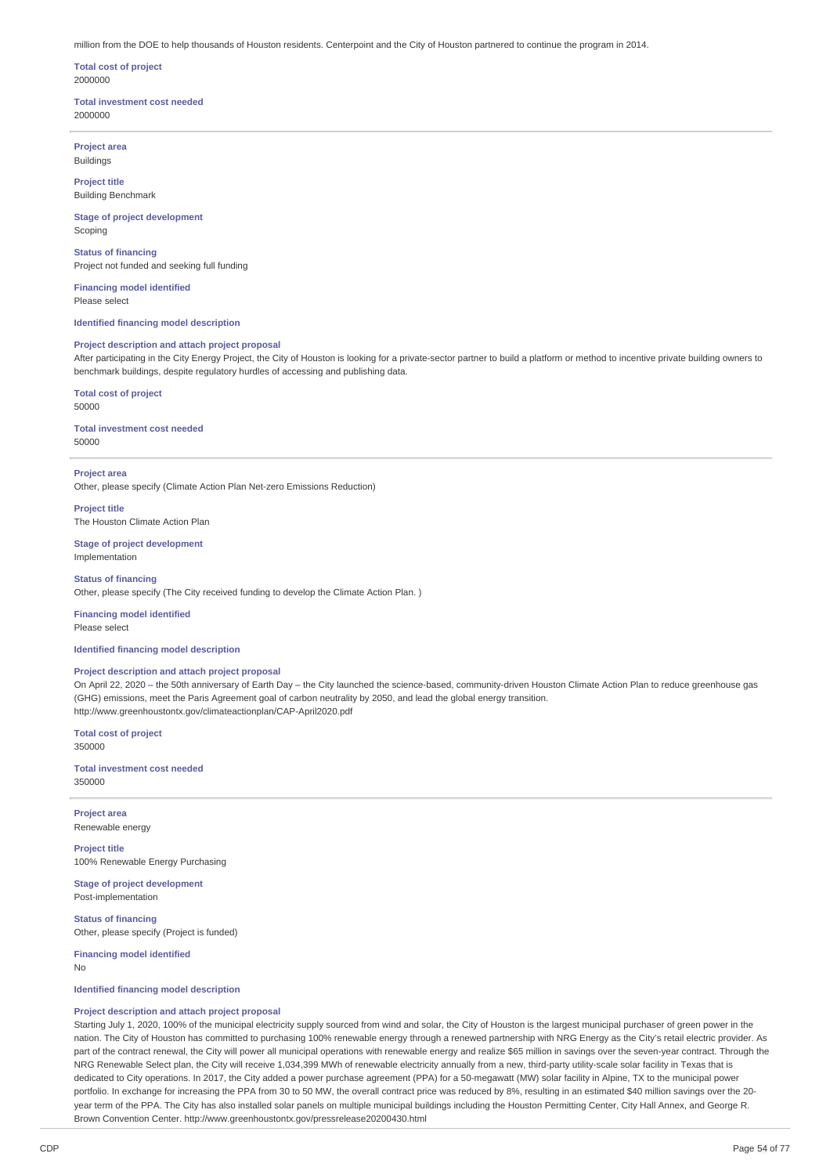million from the DOE to help thousands of Houston residents. Centerpoint and the City of Houston partnered to continue the program in 2014.

**Total cost of project** 2000000

## **Total investment cost needed** 2000000

**Project area** Buildings

**Project title** Building Benchmark

**Stage of project development** Scoping

**Status of financing** Project not funded and seeking full funding

**Financing model identified** Please select

**Identified financing model description**

## **Project description and attach project proposal**

After participating in the City Energy Project, the City of Houston is looking for a private-sector partner to build a platform or method to incentive private building owners to benchmark buildings, despite regulatory hurdles of accessing and publishing data.

#### **Total cost of project** 50000

**Total investment cost needed** 50000

**Project area**

Other, please specify (Climate Action Plan Net-zero Emissions Reduction)

**Project title** The Houston Climate Action Plan

**Stage of project development** Implementation

**Status of financing** Other, please specify (The City received funding to develop the Climate Action Plan. )

**Financing model identified** Please select

## **Identified financing model description**

#### **Project description and attach project proposal**

On April 22, 2020 – the 50th anniversary of Earth Day – the City launched the science-based, community-driven Houston Climate Action Plan to reduce greenhouse gas (GHG) emissions, meet the Paris Agreement goal of carbon neutrality by 2050, and lead the global energy transition. http://www.greenhoustontx.gov/climateactionplan/CAP-April2020.pdf

**Total cost of project** 350000

**Total investment cost needed** 350000

**Project area** Renewable energy

**Project title** 100% Renewable Energy Purchasing

**Stage of project development** Post-implementation

**Status of financing** Other, please specify (Project is funded)

**Financing model identified** No

**Identified financing model description**

## **Project description and attach project proposal**

Starting July 1, 2020, 100% of the municipal electricity supply sourced from wind and solar, the City of Houston is the largest municipal purchaser of green power in the nation. The City of Houston has committed to purchasing 100% renewable energy through a renewed partnership with NRG Energy as the City's retail electric provider. As part of the contract renewal, the City will power all municipal operations with renewable energy and realize \$65 million in savings over the seven-year contract. Through the NRG Renewable Select plan, the City will receive 1,034,399 MWh of renewable electricity annually from a new, third-party utility-scale solar facility in Texas that is dedicated to City operations. In 2017, the City added a power purchase agreement (PPA) for a 50-megawatt (MW) solar facility in Alpine, TX to the municipal power portfolio. In exchange for increasing the PPA from 30 to 50 MW, the overall contract price was reduced by 8%, resulting in an estimated \$40 million savings over the 20year term of the PPA. The City has also installed solar panels on multiple municipal buildings including the Houston Permitting Center, City Hall Annex, and George R. Brown Convention Center. http://www.greenhoustontx.gov/pressrelease20200430.html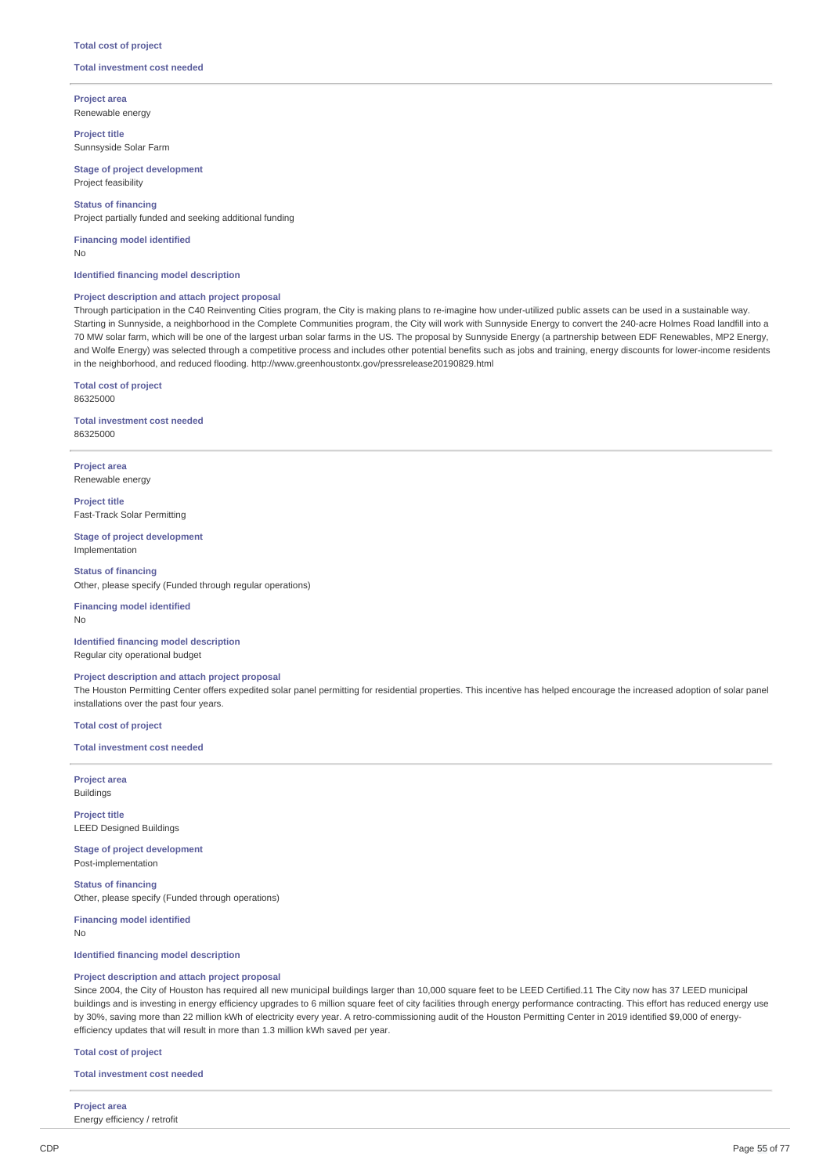#### **Total cost of project**

## **Total investment cost needed**

**Project area** Renewable energy

**Project title** Sunnsyside Solar Farm

**Stage of project development** Project feasibility

## **Status of financing**

Project partially funded and seeking additional funding

**Financing model identified** No

### **Identified financing model description**

## **Project description and attach project proposal**

Through participation in the C40 Reinventing Cities program, the City is making plans to re-imagine how under-utilized public assets can be used in a sustainable way. Starting in Sunnyside, a neighborhood in the Complete Communities program, the City will work with Sunnyside Energy to convert the 240-acre Holmes Road landfill into a 70 MW solar farm, which will be one of the largest urban solar farms in the US. The proposal by Sunnyside Energy (a partnership between EDF Renewables, MP2 Energy, and Wolfe Energy) was selected through a competitive process and includes other potential benefits such as jobs and training, energy discounts for lower-income residents in the neighborhood, and reduced flooding. http://www.greenhoustontx.gov/pressrelease20190829.html

**Total cost of project** 86325000

**Total investment cost needed** 86325000

**Project area** Renewable energy

**Project title** Fast-Track Solar Permitting

**Stage of project development** Implementation

**Status of financing** Other, please specify (Funded through regular operations)

**Financing model identified** No

**Identified financing model description** Regular city operational budget

## **Project description and attach project proposal**

The Houston Permitting Center offers expedited solar panel permitting for residential properties. This incentive has helped encourage the increased adoption of solar panel installations over the past four years.

**Total cost of project**

## **Total investment cost needed**

**Project area** Buildings

**Project title** LEED Designed Buildings

**Stage of project development** Post-implementation

**Status of financing** Other, please specify (Funded through operations)

**Financing model identified**

No

## **Identified financing model description**

#### **Project description and attach project proposal**

Since 2004, the City of Houston has required all new municipal buildings larger than 10,000 square feet to be LEED Certified.11 The City now has 37 LEED municipal buildings and is investing in energy efficiency upgrades to 6 million square feet of city facilities through energy performance contracting. This effort has reduced energy use by 30%, saving more than 22 million kWh of electricity every year. A retro-commissioning audit of the Houston Permitting Center in 2019 identified \$9,000 of energyefficiency updates that will result in more than 1.3 million kWh saved per year.

#### **Total cost of project**

**Total investment cost needed**

# **Project area**

Energy efficiency / retrofit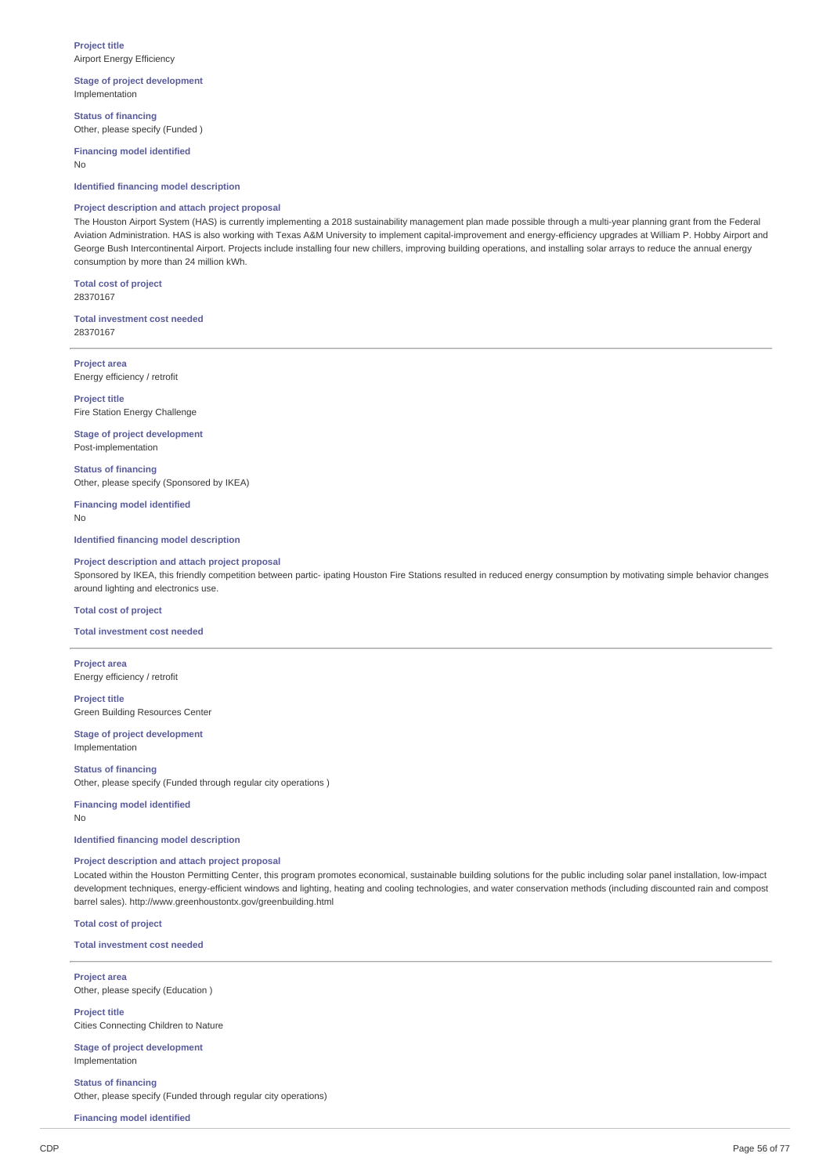**Stage of project development** Implementation

**Status of financing** Other, please specify (Funded )

**Financing model identified** No

**Identified financing model description**

## **Project description and attach project proposal**

The Houston Airport System (HAS) is currently implementing a 2018 sustainability management plan made possible through a multi-year planning grant from the Federal Aviation Administration. HAS is also working with Texas A&M University to implement capital-improvement and energy-efficiency upgrades at William P. Hobby Airport and George Bush Intercontinental Airport. Projects include installing four new chillers, improving building operations, and installing solar arrays to reduce the annual energy consumption by more than 24 million kWh.

**Total cost of project** 28370167

**Total investment cost needed** 28370167

**Project area** Energy efficiency / retrofit

**Project title** Fire Station Energy Challenge

**Stage of project development** Post-implementation

**Status of financing** Other, please specify (Sponsored by IKEA)

**Financing model identified** No

**Identified financing model description**

## **Project description and attach project proposal**

Sponsored by IKEA, this friendly competition between partic- ipating Houston Fire Stations resulted in reduced energy consumption by motivating simple behavior changes around lighting and electronics use.

## **Total cost of project**

**Total investment cost needed**

**Project area** Energy efficiency / retrofit

**Project title** Green Building Resources Center

**Stage of project development** Implementation

**Status of financing** Other, please specify (Funded through regular city operations )

**Financing model identified** No

## **Identified financing model description**

## **Project description and attach project proposal**

Located within the Houston Permitting Center, this program promotes economical, sustainable building solutions for the public including solar panel installation, low-impact development techniques, energy-efficient windows and lighting, heating and cooling technologies, and water conservation methods (including discounted rain and compost barrel sales). http://www.greenhoustontx.gov/greenbuilding.html

**Total cost of project**

**Total investment cost needed**

**Project area** Other, please specify (Education )

**Project title** Cities Connecting Children to Nature

**Stage of project development** Implementation

**Status of financing** Other, please specify (Funded through regular city operations)

**Financing model identified**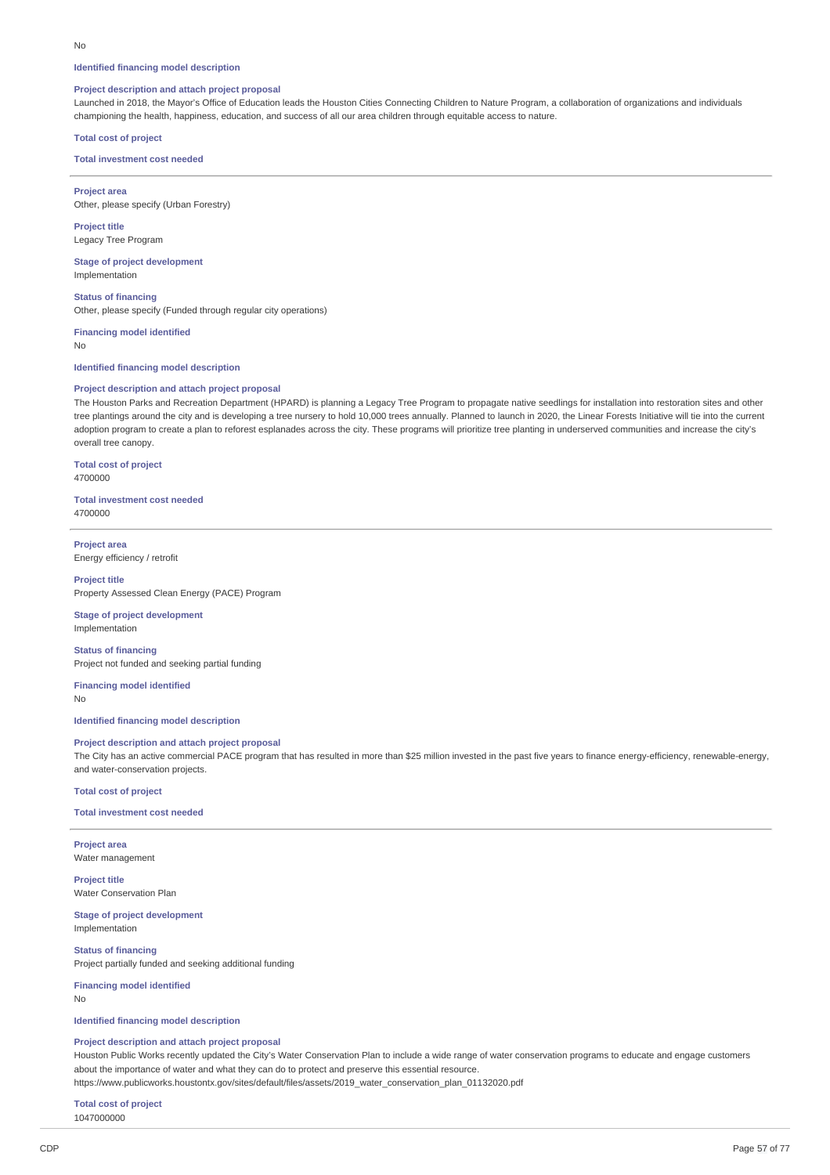#### **Identified financing model description**

#### **Project description and attach project proposal**

Launched in 2018, the Mayor's Office of Education leads the Houston Cities Connecting Children to Nature Program, a collaboration of organizations and individuals championing the health, happiness, education, and success of all our area children through equitable access to nature.

## **Total cost of project**

**Total investment cost needed**

**Project area** Other, please specify (Urban Forestry)

**Project title** Legacy Tree Program

**Stage of project development** Implementation

**Status of financing** Other, please specify (Funded through regular city operations)

**Financing model identified**

No

#### **Identified financing model description**

## **Project description and attach project proposal**

The Houston Parks and Recreation Department (HPARD) is planning a Legacy Tree Program to propagate native seedlings for installation into restoration sites and other tree plantings around the city and is developing a tree nursery to hold 10,000 trees annually. Planned to launch in 2020, the Linear Forests Initiative will tie into the current adoption program to create a plan to reforest esplanades across the city. These programs will prioritize tree planting in underserved communities and increase the city's overall tree canopy.

**Total cost of project** 4700000

**Total investment cost needed** 4700000

**Project area** Energy efficiency / retrofit

#### **Project title**

Property Assessed Clean Energy (PACE) Program

**Stage of project development** Implementation

**Status of financing** Project not funded and seeking partial funding

**Financing model identified** No

**Identified financing model description**

## **Project description and attach project proposal**

The City has an active commercial PACE program that has resulted in more than \$25 million invested in the past five years to finance energy-efficiency, renewable-energy, and water-conservation projects.

**Total cost of project**

**Total investment cost needed**

**Project area** Water management

**Project title** Water Conservation Plan

**Stage of project development** Implementation

**Status of financing** Project partially funded and seeking additional funding

**Financing model identified** No

**Identified financing model description**

#### **Project description and attach project proposal**

Houston Public Works recently updated the City's Water Conservation Plan to include a wide range of water conservation programs to educate and engage customers about the importance of water and what they can do to protect and preserve this essential resource.

https://www.publicworks.houstontx.gov/sites/default/files/assets/2019\_water\_conservation\_plan\_01132020.pdf

**Total cost of project** 1047000000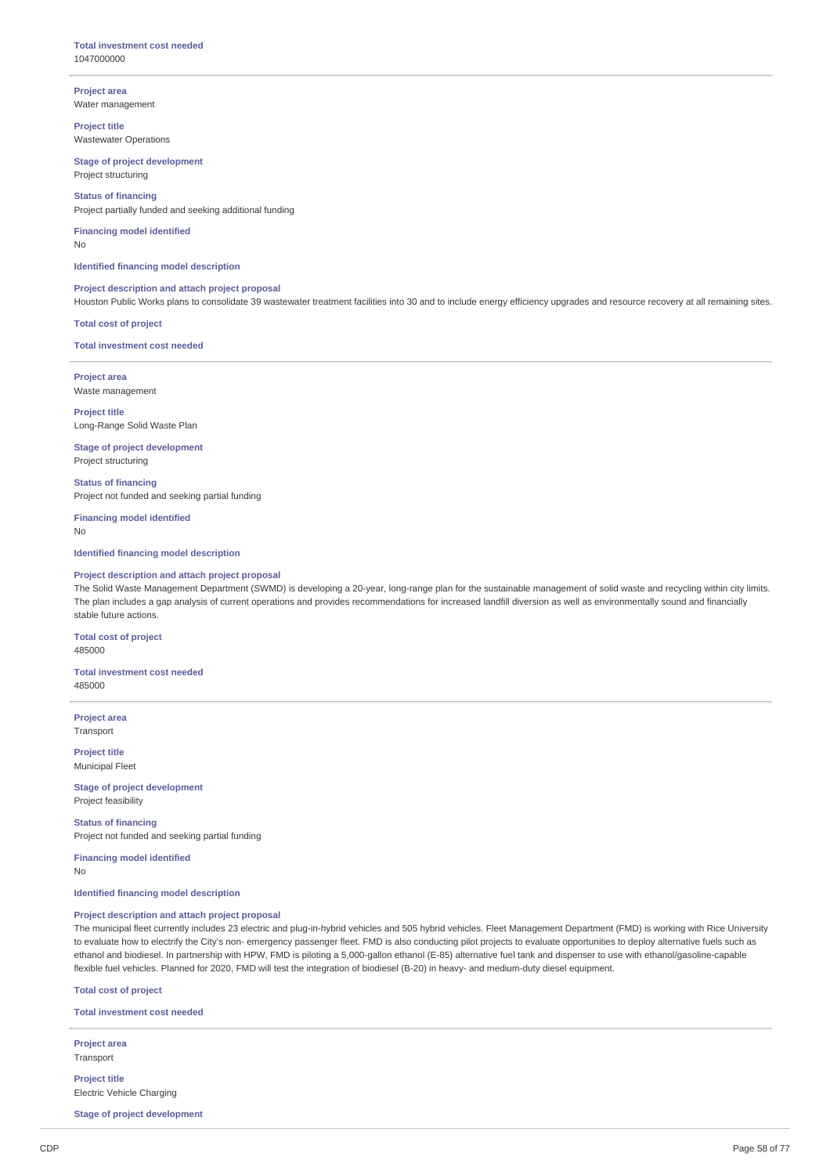**Project area** Water management

**Project title** Wastewater Operations

## **Stage of project development** Project structuring

**Status of financing** Project partially funded and seeking additional funding

#### **Financing model identified** No

**Identified financing model description**

## **Project description and attach project proposal**

Houston Public Works plans to consolidate 39 wastewater treatment facilities into 30 and to include energy efficiency upgrades and resource recovery at all remaining sites.

**Total cost of project**

**Total investment cost needed**

**Project area** Waste management

**Project title** Long-Range Solid Waste Plan

**Stage of project development** Project structuring

**Status of financing** Project not funded and seeking partial funding

**Financing model identified** No

**Identified financing model description**

## **Project description and attach project proposal**

The Solid Waste Management Department (SWMD) is developing a 20-year, long-range plan for the sustainable management of solid waste and recycling within city limits. The plan includes a gap analysis of current operations and provides recommendations for increased landfill diversion as well as environmentally sound and financially stable future actions.

**Total cost of project** 485000

**Total investment cost needed** 485000

**Project area** Transport

**Project title** Municipal Fleet

**Stage of project development** Project feasibility

**Status of financing** Project not funded and seeking partial funding

**Financing model identified** No

**Identified financing model description**

## **Project description and attach project proposal**

The municipal fleet currently includes 23 electric and plug-in-hybrid vehicles and 505 hybrid vehicles. Fleet Management Department (FMD) is working with Rice University to evaluate how to electrify the City's non- emergency passenger fleet. FMD is also conducting pilot projects to evaluate opportunities to deploy alternative fuels such as ethanol and biodiesel. In partnership with HPW, FMD is piloting a 5,000-gallon ethanol (E-85) alternative fuel tank and dispenser to use with ethanol/gasoline-capable flexible fuel vehicles. Planned for 2020, FMD will test the integration of biodiesel (B-20) in heavy- and medium-duty diesel equipment.

**Total cost of project**

**Total investment cost needed**

**Project area** Transport

**Project title** Electric Vehicle Charging

**Stage of project development**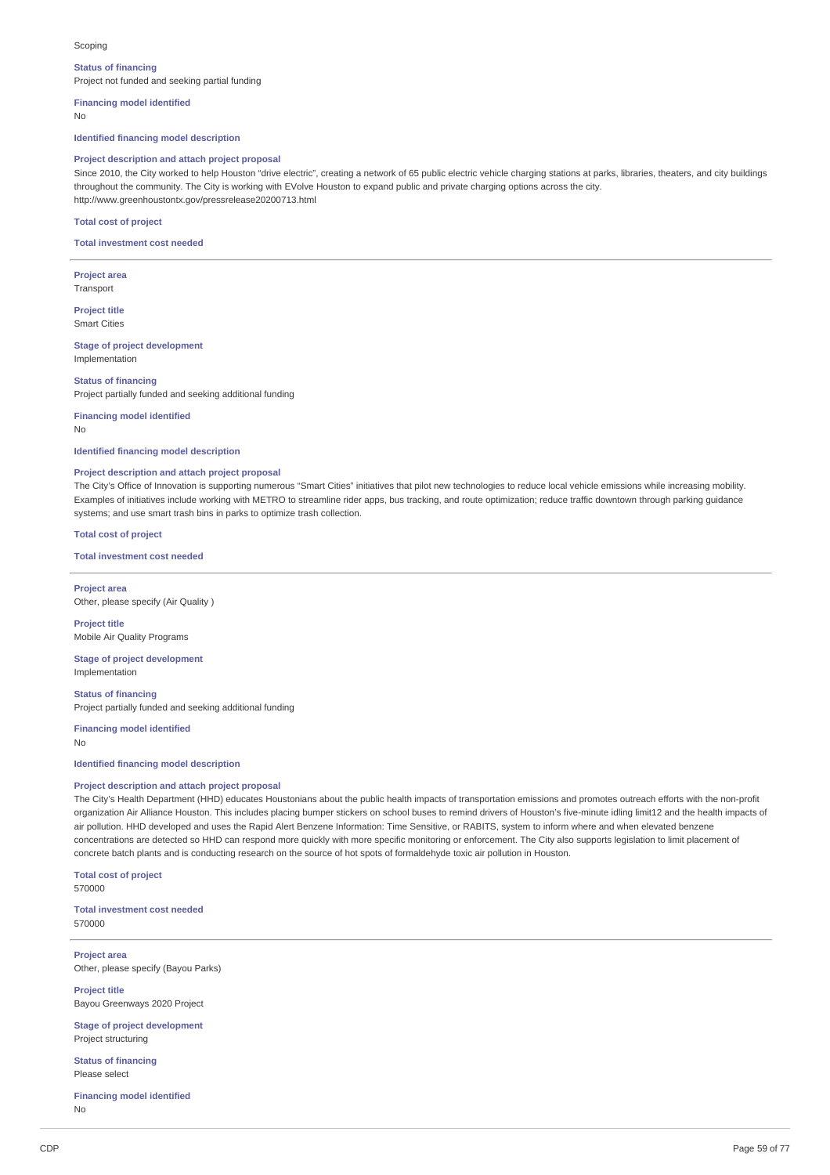#### Scoping

#### **Status of financing**

Project not funded and seeking partial funding

**Financing model identified**

No

**Identified financing model description**

## **Project description and attach project proposal**

Since 2010, the City worked to help Houston "drive electric", creating a network of 65 public electric vehicle charging stations at parks, libraries, theaters, and city buildings throughout the community. The City is working with EVolve Houston to expand public and private charging options across the city. http://www.greenhoustontx.gov/pressrelease20200713.html

## **Total cost of project**

**Total investment cost needed**

**Project area** Transport

**Project title** Smart Cities

**Stage of project development** Implementation

**Status of financing** Project partially funded and seeking additional funding

**Financing model identified** No

## **Identified financing model description**

#### **Project description and attach project proposal**

The City's Office of Innovation is supporting numerous "Smart Cities" initiatives that pilot new technologies to reduce local vehicle emissions while increasing mobility. Examples of initiatives include working with METRO to streamline rider apps, bus tracking, and route optimization; reduce traffic downtown through parking guidance systems; and use smart trash bins in parks to optimize trash collection.

**Total cost of project**

**Total investment cost needed**

**Project area** Other, please specify (Air Quality )

**Project title** Mobile Air Quality Programs

**Stage of project development** Implementation

**Status of financing** Project partially funded and seeking additional funding

**Financing model identified** No

#### **Identified financing model description**

## **Project description and attach project proposal**

The City's Health Department (HHD) educates Houstonians about the public health impacts of transportation emissions and promotes outreach efforts with the non-profit organization Air Alliance Houston. This includes placing bumper stickers on school buses to remind drivers of Houston's five-minute idling limit12 and the health impacts of air pollution. HHD developed and uses the Rapid Alert Benzene Information: Time Sensitive, or RABITS, system to inform where and when elevated benzene concentrations are detected so HHD can respond more quickly with more specific monitoring or enforcement. The City also supports legislation to limit placement of concrete batch plants and is conducting research on the source of hot spots of formaldehyde toxic air pollution in Houston.

**Total cost of project** 570000

**Total investment cost needed** 570000

**Project area** Other, please specify (Bayou Parks)

**Project title** Bayou Greenways 2020 Project

**Stage of project development** Project structuring

**Status of financing** Please select

**Financing model identified** No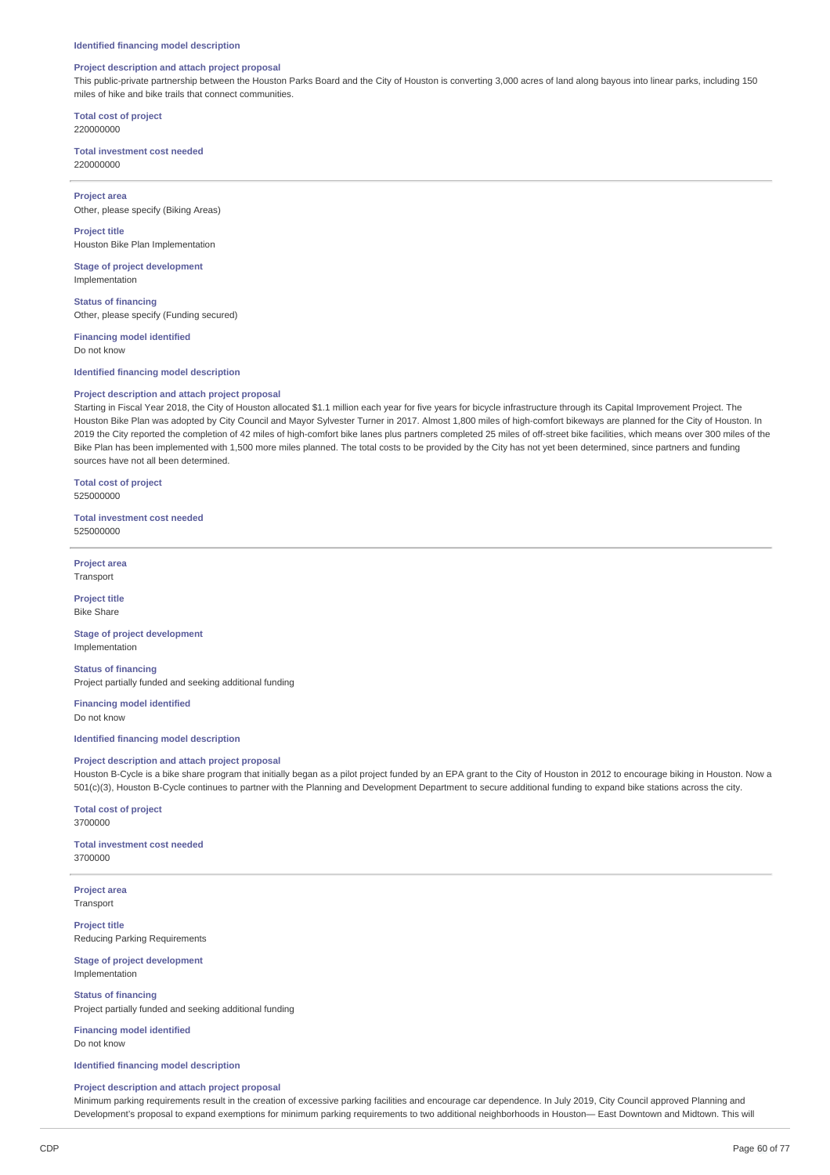## **Project description and attach project proposal**

This public-private partnership between the Houston Parks Board and the City of Houston is converting 3,000 acres of land along bayous into linear parks, including 150 miles of hike and bike trails that connect communities.

**Total cost of project** 220000000

**Total investment cost needed** 220000000

**Project area** Other, please specify (Biking Areas)

**Project title** Houston Bike Plan Implementation

**Stage of project development** Implementation

**Status of financing** Other, please specify (Funding secured)

**Financing model identified** Do not know

## **Identified financing model description**

#### **Project description and attach project proposal**

Starting in Fiscal Year 2018, the City of Houston allocated \$1.1 million each year for five years for bicycle infrastructure through its Capital Improvement Project. The Houston Bike Plan was adopted by City Council and Mayor Sylvester Turner in 2017. Almost 1,800 miles of high-comfort bikeways are planned for the City of Houston. In 2019 the City reported the completion of 42 miles of high-comfort bike lanes plus partners completed 25 miles of off-street bike facilities, which means over 300 miles of the Bike Plan has been implemented with 1,500 more miles planned. The total costs to be provided by the City has not yet been determined, since partners and funding sources have not all been determined.

**Total cost of project** 525000000

**Total investment cost needed** 525000000

**Project area** Transport

**Project title** Bike Share

**Stage of project development** Implementation

**Status of financing** Project partially funded and seeking additional funding

**Financing model identified** Do not know

## **Identified financing model description**

#### **Project description and attach project proposal**

Houston B-Cycle is a bike share program that initially began as a pilot project funded by an EPA grant to the City of Houston in 2012 to encourage biking in Houston. Now a 501(c)(3), Houston B-Cycle continues to partner with the Planning and Development Department to secure additional funding to expand bike stations across the city.

**Total cost of project** 3700000

**Total investment cost needed** 3700000

**Project area Transport** 

**Project title** Reducing Parking Requirements

**Stage of project development** Implementation

**Status of financing** Project partially funded and seeking additional funding

**Financing model identified** Do not know

**Identified financing model description**

## **Project description and attach project proposal**

Minimum parking requirements result in the creation of excessive parking facilities and encourage car dependence. In July 2019, City Council approved Planning and Development's proposal to expand exemptions for minimum parking requirements to two additional neighborhoods in Houston— East Downtown and Midtown. This will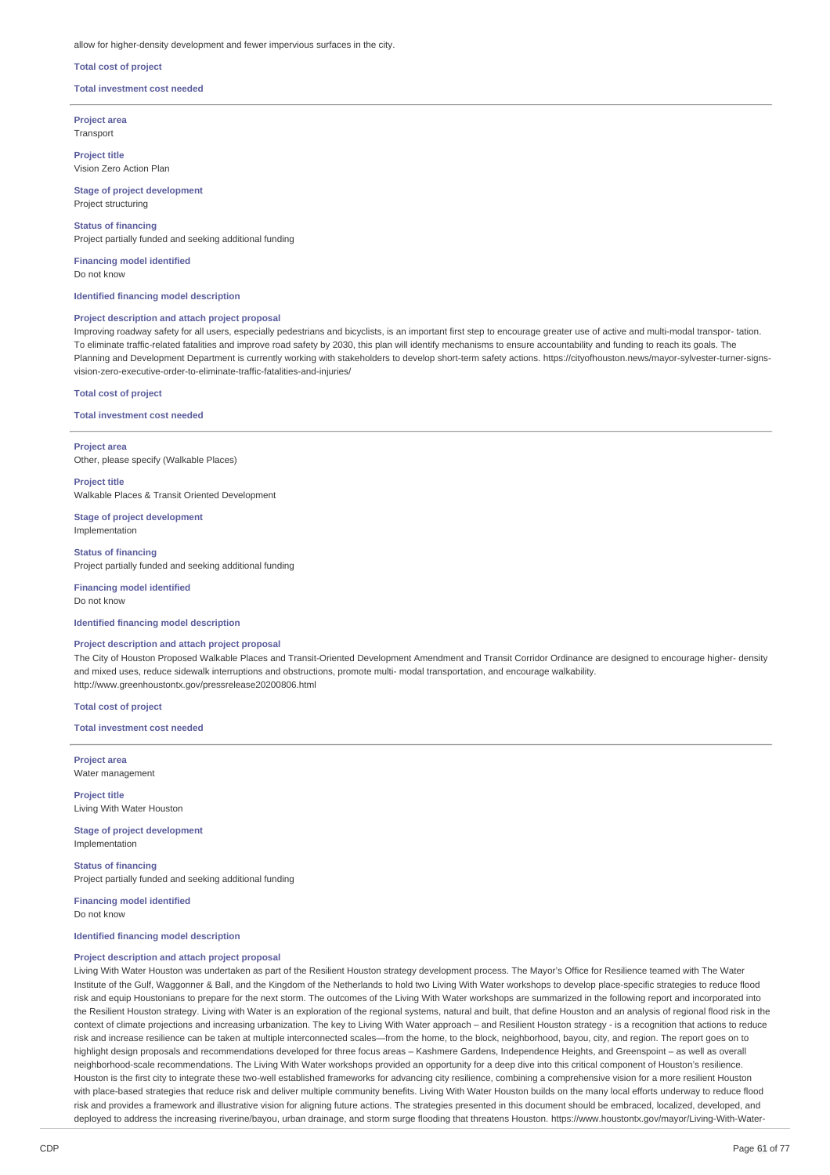#### allow for higher-density development and fewer impervious surfaces in the city.

## **Total cost of project**

#### **Total investment cost needed**

**Project area** Transport

**Project title** Vision Zero Action Plan

## **Stage of project development**

Project structuring

#### **Status of financing**

Project partially funded and seeking additional funding

**Financing model identified** Do not know

## **Identified financing model description**

## **Project description and attach project proposal**

Improving roadway safety for all users, especially pedestrians and bicyclists, is an important first step to encourage greater use of active and multi-modal transpor- tation. To eliminate traffic-related fatalities and improve road safety by 2030, this plan will identify mechanisms to ensure accountability and funding to reach its goals. The Planning and Development Department is currently working with stakeholders to develop short-term safety actions. https://cityofhouston.news/mayor-sylvester-turner-signsvision-zero-executive-order-to-eliminate-traffic-fatalities-and-injuries/

#### **Total cost of project**

**Total investment cost needed**

**Project area** Other, please specify (Walkable Places)

**Project title** Walkable Places & Transit Oriented Development

**Stage of project development** Implementation

**Status of financing** Project partially funded and seeking additional funding

**Financing model identified** Do not know

## **Identified financing model description**

## **Project description and attach project proposal**

The City of Houston Proposed Walkable Places and Transit-Oriented Development Amendment and Transit Corridor Ordinance are designed to encourage higher- density and mixed uses, reduce sidewalk interruptions and obstructions, promote multi- modal transportation, and encourage walkability. http://www.greenhoustontx.gov/pressrelease20200806.html

**Total cost of project**

**Total investment cost needed**

**Project area** Water management

**Project title** Living With Water Houston

**Stage of project development** Implementation

**Status of financing** Project partially funded and seeking additional funding

**Financing model identified** Do not know

## **Identified financing model description**

#### **Project description and attach project proposal**

Living With Water Houston was undertaken as part of the Resilient Houston strategy development process. The Mayor's Office for Resilience teamed with The Water Institute of the Gulf, Waggonner & Ball, and the Kingdom of the Netherlands to hold two Living With Water workshops to develop place-specific strategies to reduce flood risk and equip Houstonians to prepare for the next storm. The outcomes of the Living With Water workshops are summarized in the following report and incorporated into the Resilient Houston strategy. Living with Water is an exploration of the regional systems, natural and built, that define Houston and an analysis of regional flood risk in the context of climate projections and increasing urbanization. The key to Living With Water approach – and Resilient Houston strategy - is a recognition that actions to reduce risk and increase resilience can be taken at multiple interconnected scales—from the home, to the block, neighborhood, bayou, city, and region. The report goes on to highlight design proposals and recommendations developed for three focus areas – Kashmere Gardens, Independence Heights, and Greenspoint – as well as overall neighborhood-scale recommendations. The Living With Water workshops provided an opportunity for a deep dive into this critical component of Houston's resilience. Houston is the first city to integrate these two-well established frameworks for advancing city resilience, combining a comprehensive vision for a more resilient Houston with place-based strategies that reduce risk and deliver multiple community benefits. Living With Water Houston builds on the many local efforts underway to reduce flood risk and provides a framework and illustrative vision for aligning future actions. The strategies presented in this document should be embraced, localized, developed, and deployed to address the increasing riverine/bayou, urban drainage, and storm surge flooding that threatens Houston. https://www.houstontx.gov/mayor/Living-With-Water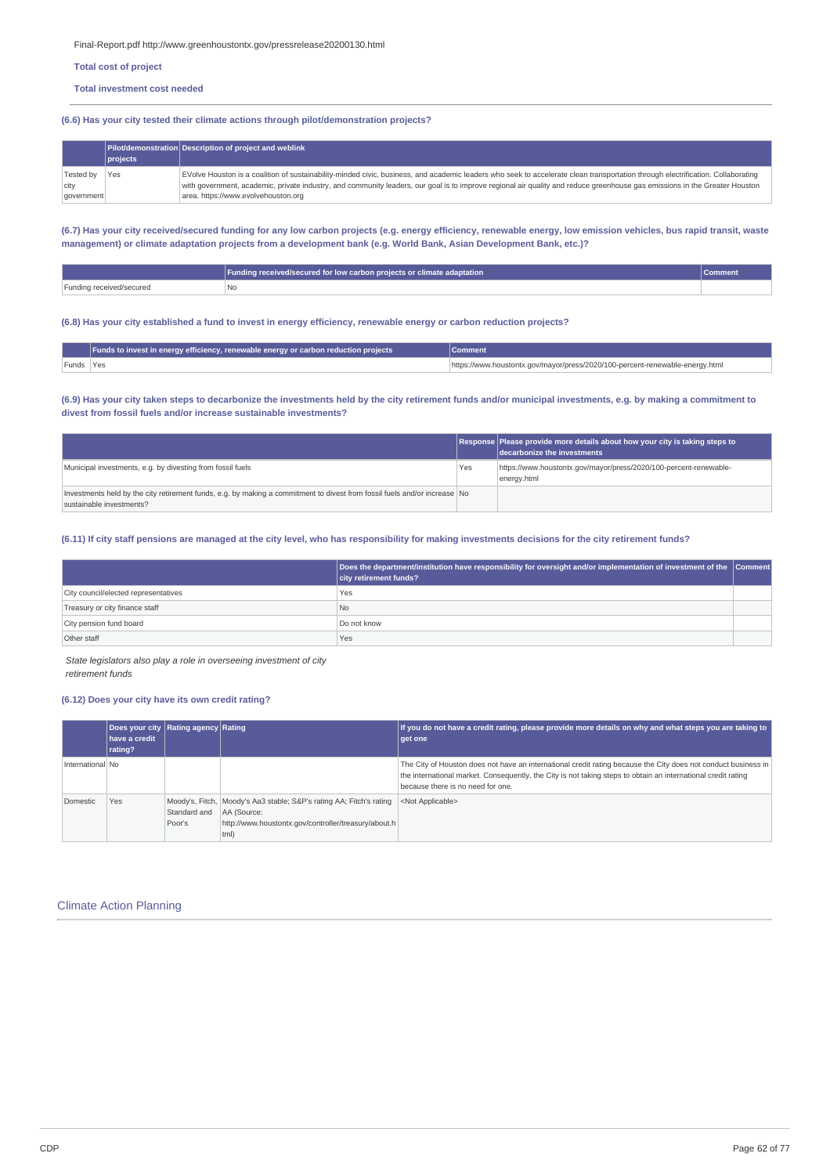Final-Report.pdf http://www.greenhoustontx.gov/pressrelease20200130.html

**Total cost of project**

#### **Total investment cost needed**

## **(6.6) Has your city tested their climate actions through pilot/demonstration projects?**

|            | $ p$ rojects | Pilot/demonstration Description of project and weblink                                                                                                                          |
|------------|--------------|---------------------------------------------------------------------------------------------------------------------------------------------------------------------------------|
| Tested by  | Yes          | EVolve Houston is a coalition of sustainability-minded civic, business, and academic leaders who seek to accelerate clean transportation through electrification. Collaborating |
| city       |              | with government, academic, private industry, and community leaders, our goal is to improve regional air quality and reduce greenhouse gas emissions in the Greater Houston      |
| government |              | area, https://www.evolvehouston.org                                                                                                                                             |

(6.7) Has your city received/secured funding for any low carbon projects (e.g. energy efficiency, renewable energy, low emission vehicles, bus rapid transit, waste management) or climate adaptation projects from a development bank (e.g. World Bank, Asian Development Bank, etc.)?

|                               | Funding received/secured for low carbon projects or climate adaptation |  |
|-------------------------------|------------------------------------------------------------------------|--|
| Funding received/secured<br>. | 'No                                                                    |  |

## (6.8) Has your city established a fund to invest in energy efficiency, renewable energy or carbon reduction projects?

|           | Funds to invest in energy efficiency, renewable energy or carbon reduction projects | <b>Comment</b>                                                               |  |  |
|-----------|-------------------------------------------------------------------------------------|------------------------------------------------------------------------------|--|--|
| Funds Yes |                                                                                     | https://www.houstontx.gov/mayor/press/2020/100-percent-renewable-energy.html |  |  |

## (6.9) Has your city taken steps to decarbonize the investments held by the city retirement funds and/or municipal investments, e.g. by making a commitment to **divest from fossil fuels and/or increase sustainable investments?**

|                                                                                                                                                       |     | Response Please provide more details about how your city is taking steps to<br>decarbonize the investments |
|-------------------------------------------------------------------------------------------------------------------------------------------------------|-----|------------------------------------------------------------------------------------------------------------|
| Municipal investments, e.g. by divesting from fossil fuels                                                                                            | Yes | https://www.houstontx.gov/mayor/press/2020/100-percent-renewable-<br>energy.html                           |
| Investments held by the city retirement funds, e.g. by making a commitment to divest from fossil fuels and/or increase No<br>sustainable investments? |     |                                                                                                            |

## (6.11) If city staff pensions are managed at the city level, who has responsibility for making investments decisions for the city retirement funds?

|                                      | Does the department/institution have responsibility for oversight and/or implementation of investment of the Comment<br>city retirement funds? |  |
|--------------------------------------|------------------------------------------------------------------------------------------------------------------------------------------------|--|
| City council/elected representatives | Yes                                                                                                                                            |  |
| Treasury or city finance staff       | N <sub>o</sub>                                                                                                                                 |  |
| City pension fund board              | Do not know                                                                                                                                    |  |
| Other staff                          | Yes                                                                                                                                            |  |

*State legislators also play a role in overseeing investment of city retirement funds*

# **(6.12) Does your city have its own credit rating?**

|                  | Does your city Rating agency Rating<br>have a credit<br>rating? |                        |                                                                                                                                                      | If you do not have a credit rating, please provide more details on why and what steps you are taking to<br>get one                                                                                                                                                   |
|------------------|-----------------------------------------------------------------|------------------------|------------------------------------------------------------------------------------------------------------------------------------------------------|----------------------------------------------------------------------------------------------------------------------------------------------------------------------------------------------------------------------------------------------------------------------|
| International No |                                                                 |                        |                                                                                                                                                      | The City of Houston does not have an international credit rating because the City does not conduct business in<br>the international market. Consequently, the City is not taking steps to obtain an international credit rating<br>because there is no need for one. |
| Domestic         | Yes                                                             | Standard and<br>Poor's | Moody's, Fitch,   Moody's Aa3 stable; S&P's rating AA; Fitch's rating<br>AA (Source:<br>http://www.houstontx.gov/controller/treasury/about.h<br>tml) | <not applicable=""></not>                                                                                                                                                                                                                                            |

## Climate Action Planning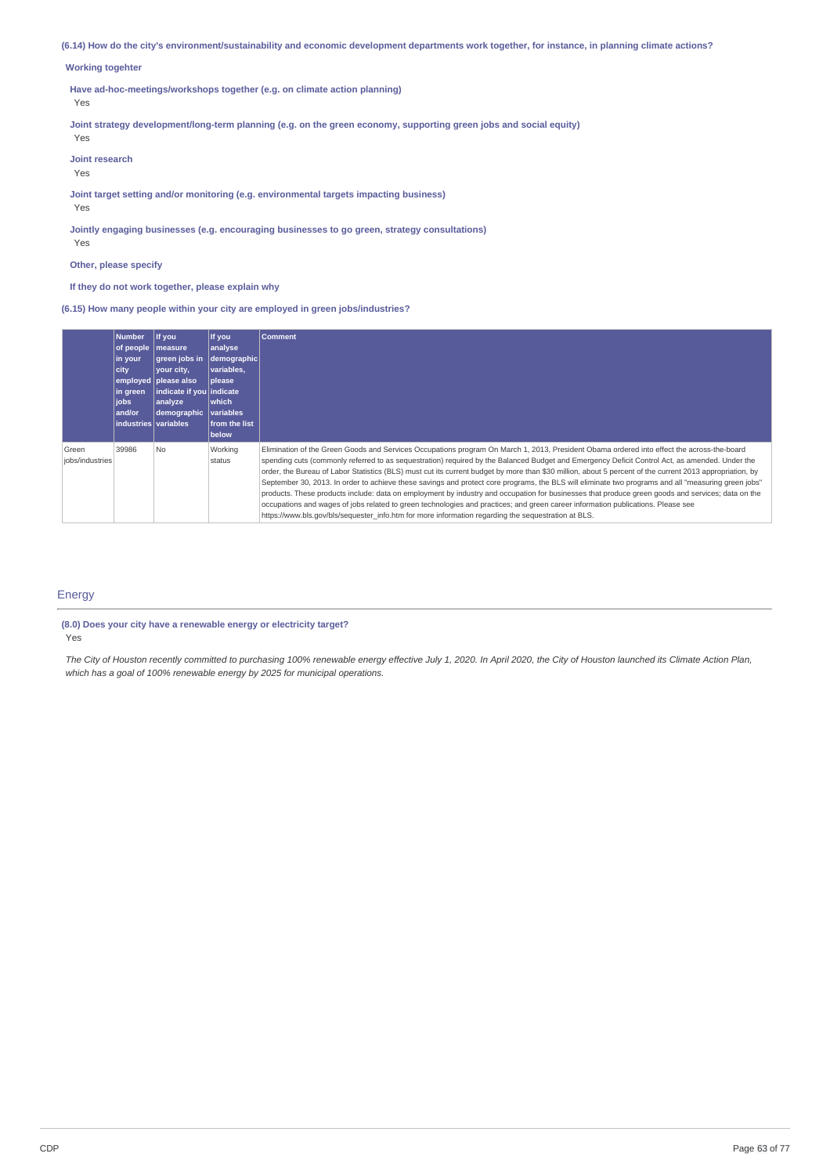(6.14) How do the city's environment/sustainability and economic development departments work together, for instance, in planning climate actions?

## **Working togehter**

**Have ad-hoc-meetings/workshops together (e.g. on climate action planning)**

Yes

**Joint strategy development/long-term planning (e.g. on the green economy, supporting green jobs and social equity)**

**Joint research**

Yes

Yes

**Joint target setting and/or monitoring (e.g. environmental targets impacting business)**

Yes

**Jointly engaging businesses (e.g. encouraging businesses to go green, strategy consultations)** Yes

**Other, please specify**

**If they do not work together, please explain why**

**(6.15) How many people within your city are employed in green jobs/industries?**

|                          | <b>Number</b><br>of people<br>in your<br>city<br>in green<br><b>jobs</b><br>and/or<br>industries variables | If you<br>measure<br>green jobs in<br>vour city,<br>employed please also<br>indicate if you indicate<br>analyze<br>demographic | If you<br>analyse<br>demographic<br>variables.<br><b>please</b><br><b>Iwhich</b><br>variables<br>from the list<br>below | <b>Comment</b>                                                                                                                                                                                                                                                                                                                                                                                                                                                                                                                                                                                                                                                                                                                                                                                                                                                                                                                                                                                                  |
|--------------------------|------------------------------------------------------------------------------------------------------------|--------------------------------------------------------------------------------------------------------------------------------|-------------------------------------------------------------------------------------------------------------------------|-----------------------------------------------------------------------------------------------------------------------------------------------------------------------------------------------------------------------------------------------------------------------------------------------------------------------------------------------------------------------------------------------------------------------------------------------------------------------------------------------------------------------------------------------------------------------------------------------------------------------------------------------------------------------------------------------------------------------------------------------------------------------------------------------------------------------------------------------------------------------------------------------------------------------------------------------------------------------------------------------------------------|
| Green<br>jobs/industries | 39986                                                                                                      | No                                                                                                                             | Working<br>status                                                                                                       | Elimination of the Green Goods and Services Occupations program On March 1, 2013, President Obama ordered into effect the across-the-board<br>spending cuts (commonly referred to as sequestration) required by the Balanced Budget and Emergency Deficit Control Act, as amended. Under the<br>order, the Bureau of Labor Statistics (BLS) must cut its current budget by more than \$30 million, about 5 percent of the current 2013 appropriation, by<br>September 30, 2013. In order to achieve these savings and protect core programs, the BLS will eliminate two programs and all "measuring green jobs"<br>products. These products include: data on employment by industry and occupation for businesses that produce green goods and services; data on the<br>occupations and wages of jobs related to green technologies and practices; and green career information publications. Please see<br>https://www.bls.gov/bls/sequester info.htm for more information regarding the sequestration at BLS. |

## Energy

# **(8.0) Does your city have a renewable energy or electricity target?**

Yes

The City of Houston recently committed to purchasing 100% renewable energy effective July 1, 2020. In April 2020, the City of Houston launched its Climate Action Plan, *which has a goal of 100% renewable energy by 2025 for municipal operations.*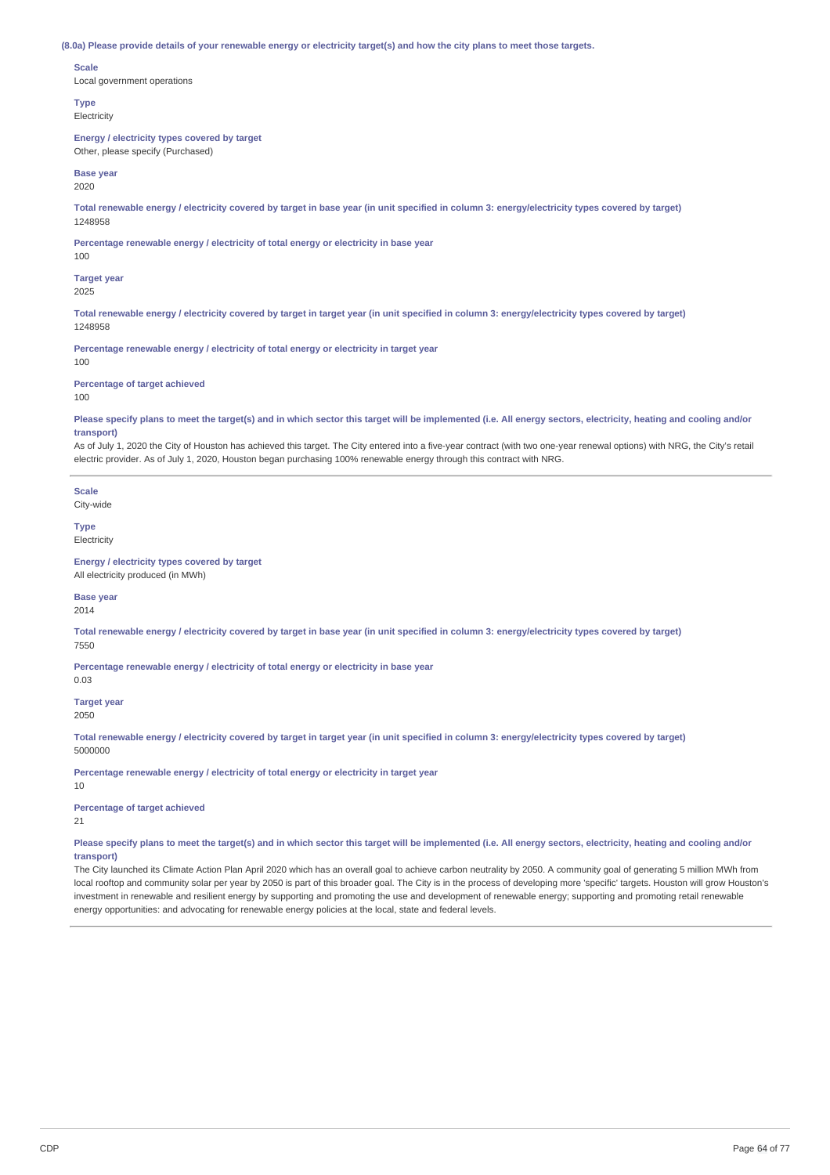#### (8.0a) Please provide details of your renewable energy or electricity target(s) and how the city plans to meet those targets.

#### **Scale**

Local government operations

**Type** Electricity

### **Energy / electricity types covered by target**

Other, please specify (Purchased)

#### **Base year** 2020

Total renewable energy / electricity covered by target in base year (in unit specified in column 3: energy/electricity types covered by target) 1248958

**Percentage renewable energy / electricity of total energy or electricity in base year**

## 100

**Target year**

## 2025

Total renewable energy / electricity covered by target in target year (in unit specified in column 3: energy/electricity types covered by target) 1248958

**Percentage renewable energy / electricity of total energy or electricity in target year** 100

## **Percentage of target achieved**

100

Please specify plans to meet the target(s) and in which sector this target will be implemented (i.e. All energy sectors, electricity, heating and cooling and/or **transport)**

As of July 1, 2020 the City of Houston has achieved this target. The City entered into a five-year contract (with two one-year renewal options) with NRG, the City's retail electric provider. As of July 1, 2020, Houston began purchasing 100% renewable energy through this contract with NRG.

**Scale** City-wide

**Type**

Electricity

## **Energy / electricity types covered by target**

All electricity produced (in MWh)

#### **Base year** 2014

Total renewable energy / electricity covered by target in base year (in unit specified in column 3: energy/electricity types covered by target) 7550

**Percentage renewable energy / electricity of total energy or electricity in base year**

## **Target year**

2050

0.03

Total renewable energy / electricity covered by target in target year (in unit specified in column 3: energy/electricity types covered by target) 5000000

**Percentage renewable energy / electricity of total energy or electricity in target year**

**Percentage of target achieved**

21

10

Please specify plans to meet the target(s) and in which sector this target will be implemented (i.e. All energy sectors, electricity, heating and cooling and/or **transport)**

The City launched its Climate Action Plan April 2020 which has an overall goal to achieve carbon neutrality by 2050. A community goal of generating 5 million MWh from local rooftop and community solar per year by 2050 is part of this broader goal. The City is in the process of developing more 'specific' targets. Houston will grow Houston's investment in renewable and resilient energy by supporting and promoting the use and development of renewable energy; supporting and promoting retail renewable energy opportunities: and advocating for renewable energy policies at the local, state and federal levels.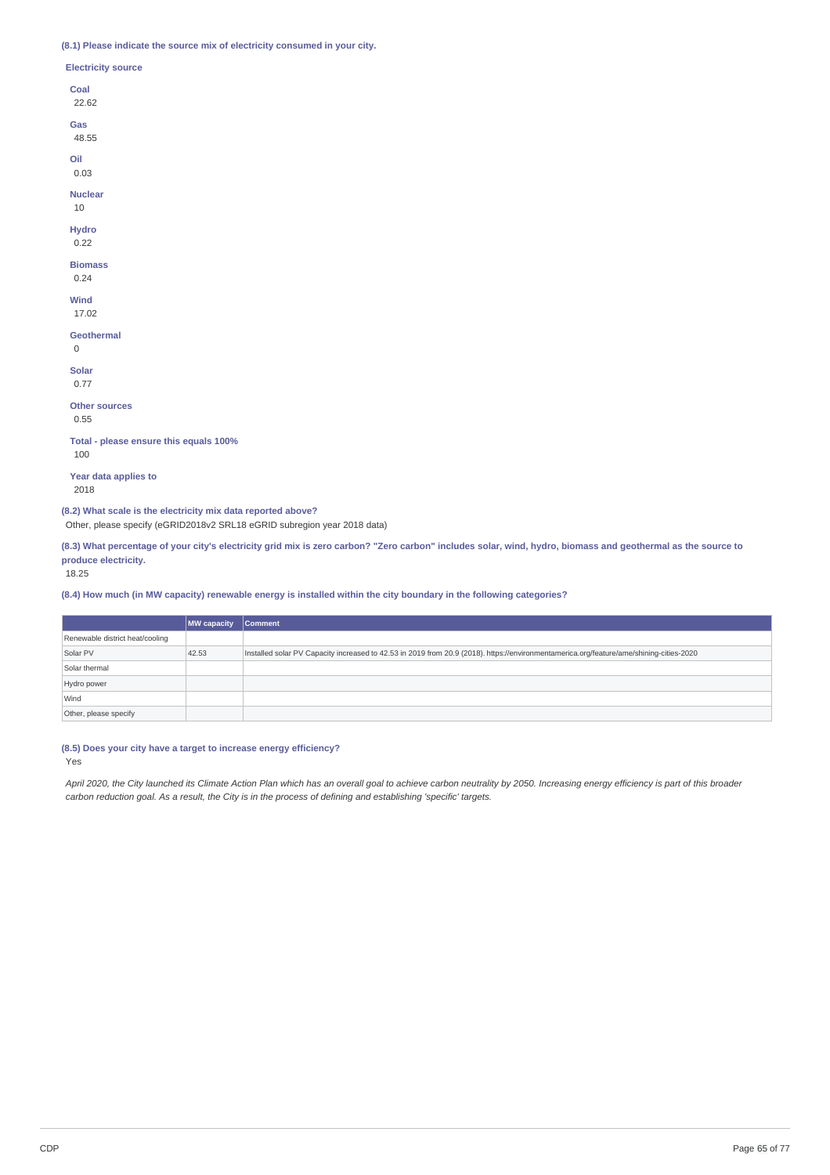## **(8.1) Please indicate the source mix of electricity consumed in your city.**

| (8.1) Please indicate the source mix of electricity consumed in y |
|-------------------------------------------------------------------|
| <b>Electricity source</b>                                         |
| Coal<br>22.62                                                     |
| Gas<br>48.55                                                      |
| Oil<br>0.03                                                       |
| <b>Nuclear</b><br>10                                              |
| <b>Hydro</b><br>0.22                                              |
| <b>Biomass</b><br>0.24                                            |
| Wind<br>17.02                                                     |
| <b>Geothermal</b><br>$\Omega$                                     |
| <b>Solar</b><br>0.77                                              |
| <b>Other sources</b><br>0.55                                      |
| Total - please ensure this equals 100%<br>100                     |
| Year data applies to<br>2018                                      |
|                                                                   |

**(8.2) What scale is the electricity mix data reported above?**

Other, please specify (eGRID2018v2 SRL18 eGRID subregion year 2018 data)

(8.3) What percentage of your city's electricity grid mix is zero carbon? "Zero carbon" includes solar, wind, hydro, biomass and geothermal as the source to **produce electricity.**

# 18.25

(8.4) How much (in MW capacity) renewable energy is installed within the city boundary in the following categories?

|                                 | <b>MW</b> capacity | <b>Comment</b>                                                                                                                          |
|---------------------------------|--------------------|-----------------------------------------------------------------------------------------------------------------------------------------|
| Renewable district heat/cooling |                    |                                                                                                                                         |
| Solar PV                        | 42.53              | Installed solar PV Capacity increased to 42.53 in 2019 from 20.9 (2018). https://environmentamerica.org/feature/ame/shining-cities-2020 |
| Solar thermal                   |                    |                                                                                                                                         |
| Hydro power                     |                    |                                                                                                                                         |
| Wind                            |                    |                                                                                                                                         |
| Other, please specify           |                    |                                                                                                                                         |

## **(8.5) Does your city have a target to increase energy efficiency?**

Yes

April 2020, the City launched its Climate Action Plan which has an overall goal to achieve carbon neutrality by 2050. Increasing energy efficiency is part of this broader carbon reduction goal. As a result, the City is in the process of defining and establishing 'specific' targets.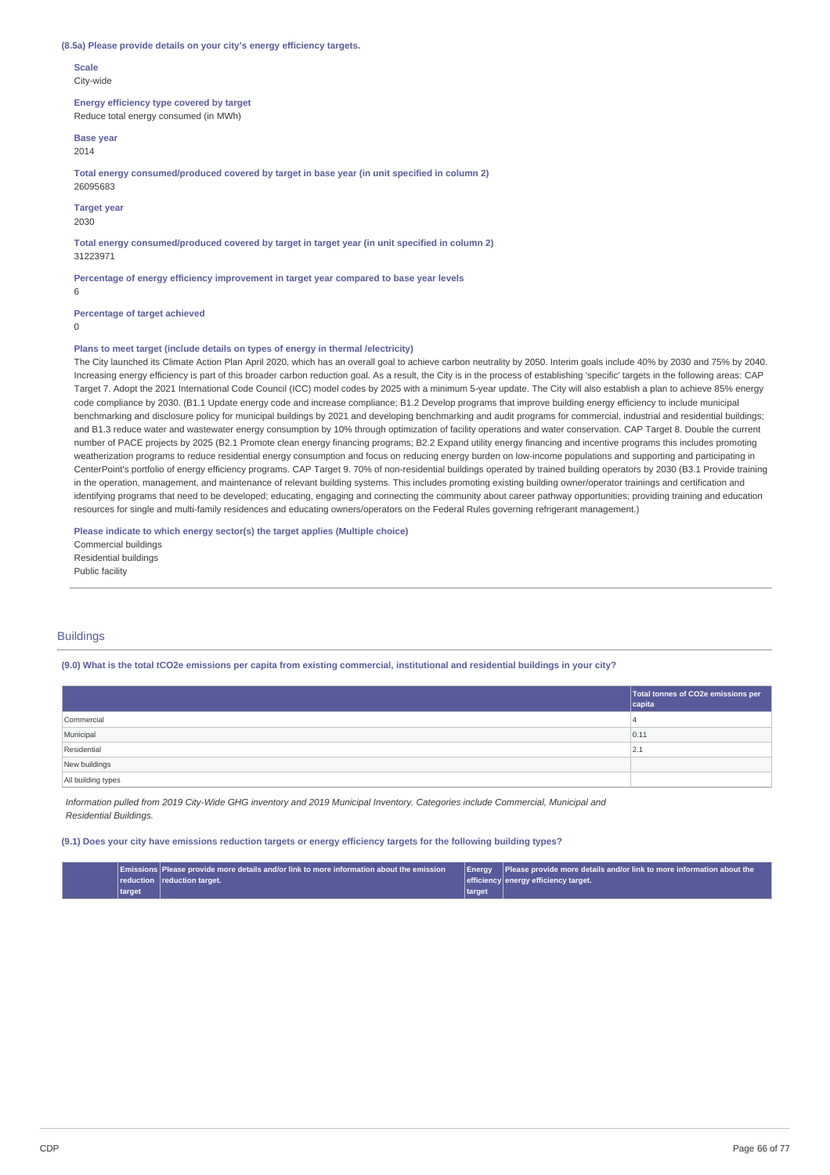#### **(8.5a) Please provide details on your city's energy efficiency targets.**

**Scale** City-wide

**Energy efficiency type covered by target** Reduce total energy consumed (in MWh)

**Base year**

2014

**Total energy consumed/produced covered by target in base year (in unit specified in column 2)** 26095683

**Target year**

2030

**Total energy consumed/produced covered by target in target year (in unit specified in column 2)** 31223971

**Percentage of energy efficiency improvement in target year compared to base year levels**

**Percentage of target achieved**

 $\Omega$ 

6

#### **Plans to meet target (include details on types of energy in thermal /electricity)**

The City launched its Climate Action Plan April 2020, which has an overall goal to achieve carbon neutrality by 2050. Interim goals include 40% by 2030 and 75% by 2040. Increasing energy efficiency is part of this broader carbon reduction goal. As a result, the City is in the process of establishing 'specific' targets in the following areas: CAP Target 7. Adopt the 2021 International Code Council (ICC) model codes by 2025 with a minimum 5-year update. The City will also establish a plan to achieve 85% energy code compliance by 2030. (B1.1 Update energy code and increase compliance; B1.2 Develop programs that improve building energy efficiency to include municipal benchmarking and disclosure policy for municipal buildings by 2021 and developing benchmarking and audit programs for commercial, industrial and residential buildings; and B1.3 reduce water and wastewater energy consumption by 10% through optimization of facility operations and water conservation. CAP Target 8. Double the current number of PACE projects by 2025 (B2.1 Promote clean energy financing programs; B2.2 Expand utility energy financing and incentive programs this includes promoting weatherization programs to reduce residential energy consumption and focus on reducing energy burden on low-income populations and supporting and participating in CenterPoint's portfolio of energy efficiency programs. CAP Target 9. 70% of non-residential buildings operated by trained building operators by 2030 (B3.1 Provide training in the operation, management, and maintenance of relevant building systems. This includes promoting existing building owner/operator trainings and certification and identifying programs that need to be developed; educating, engaging and connecting the community about career pathway opportunities; providing training and education resources for single and multi-family residences and educating owners/operators on the Federal Rules governing refrigerant management.)

**Please indicate to which energy sector(s) the target applies (Multiple choice)**

Commercial buildings Residential buildings Public facility

## **Buildings**

(9.0) What is the total tCO2e emissions per capita from existing commercial, institutional and residential buildings in your city?

|                    | Total tonnes of CO2e emissions per<br>$ $ capita |
|--------------------|--------------------------------------------------|
| Commercial         | 4                                                |
| Municipal          | 0.11                                             |
| Residential        | 2.1                                              |
| New buildings      |                                                  |
| All building types |                                                  |

Information pulled from 2019 City-Wide GHG inventory and 2019 Municipal Inventory. Categories include Commercial, Municipal and *Residential Buildings.*

#### (9.1) Does your city have emissions reduction targets or energy efficiency targets for the following building types?

|        | $\blacksquare$ $\blacksquare$ $\blacksquare$ $\blacksquare$ $\blacksquare$ $\blacksquare$ $\blacksquare$ $\blacksquare$ $\blacksquare$ $\blacksquare$ $\blacksquare$ $\blacksquare$ $\blacksquare$ $\blacksquare$ $\blacksquare$ $\blacksquare$ $\blacksquare$ $\blacksquare$ $\blacksquare$ $\blacksquare$ $\blacksquare$ $\blacksquare$ $\blacksquare$ $\blacksquare$ $\blacksquare$ $\blacksquare$ $\blacksquare$ $\blacksquare$ $\blacksquare$ $\blacksquare$ $\blacksquare$ $\blacks$ | Enerav | Please provide more details and/or link to more information about the |
|--------|--------------------------------------------------------------------------------------------------------------------------------------------------------------------------------------------------------------------------------------------------------------------------------------------------------------------------------------------------------------------------------------------------------------------------------------------------------------------------------------------|--------|-----------------------------------------------------------------------|
|        | reduction reduction target.                                                                                                                                                                                                                                                                                                                                                                                                                                                                |        | efficiency energy efficiency target.                                  |
| target |                                                                                                                                                                                                                                                                                                                                                                                                                                                                                            | target |                                                                       |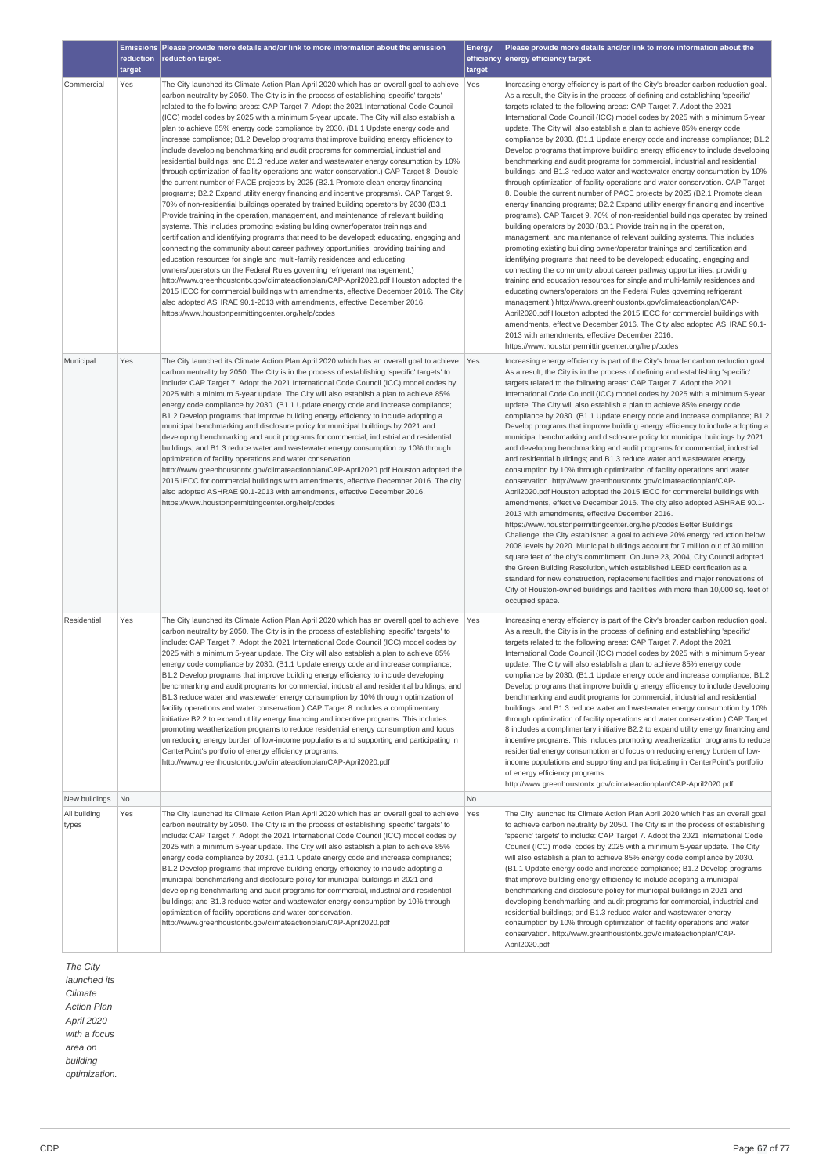|                               | reduction | Emissions   Please provide more details and/or link to more information about the emission<br>reduction target.                                                                                                                                                                                                                                                                                                                                                                                                                                                                                                                                                                                                                                                                                                                                                                                                                                                                                                                                                                                                                                                                                                                                                                                                                                                                                                                                                                                                                                                                                                                                                                                                                                                                                                                                                                                                                                    | <b>Energy</b> | Please provide more details and/or link to more information about the<br>efficiency energy efficiency target.                                                                                                                                                                                                                                                                                                                                                                                                                                                                                                                                                                                                                                                                                                                                                                                                                                                                                                                                                                                                                                                                                                                                                                                                                                                                                                                                                                                                                                                                                                                                                                                                                                                                                                                                                                                                                                      |
|-------------------------------|-----------|----------------------------------------------------------------------------------------------------------------------------------------------------------------------------------------------------------------------------------------------------------------------------------------------------------------------------------------------------------------------------------------------------------------------------------------------------------------------------------------------------------------------------------------------------------------------------------------------------------------------------------------------------------------------------------------------------------------------------------------------------------------------------------------------------------------------------------------------------------------------------------------------------------------------------------------------------------------------------------------------------------------------------------------------------------------------------------------------------------------------------------------------------------------------------------------------------------------------------------------------------------------------------------------------------------------------------------------------------------------------------------------------------------------------------------------------------------------------------------------------------------------------------------------------------------------------------------------------------------------------------------------------------------------------------------------------------------------------------------------------------------------------------------------------------------------------------------------------------------------------------------------------------------------------------------------------------|---------------|----------------------------------------------------------------------------------------------------------------------------------------------------------------------------------------------------------------------------------------------------------------------------------------------------------------------------------------------------------------------------------------------------------------------------------------------------------------------------------------------------------------------------------------------------------------------------------------------------------------------------------------------------------------------------------------------------------------------------------------------------------------------------------------------------------------------------------------------------------------------------------------------------------------------------------------------------------------------------------------------------------------------------------------------------------------------------------------------------------------------------------------------------------------------------------------------------------------------------------------------------------------------------------------------------------------------------------------------------------------------------------------------------------------------------------------------------------------------------------------------------------------------------------------------------------------------------------------------------------------------------------------------------------------------------------------------------------------------------------------------------------------------------------------------------------------------------------------------------------------------------------------------------------------------------------------------------|
|                               | target    |                                                                                                                                                                                                                                                                                                                                                                                                                                                                                                                                                                                                                                                                                                                                                                                                                                                                                                                                                                                                                                                                                                                                                                                                                                                                                                                                                                                                                                                                                                                                                                                                                                                                                                                                                                                                                                                                                                                                                    | target        |                                                                                                                                                                                                                                                                                                                                                                                                                                                                                                                                                                                                                                                                                                                                                                                                                                                                                                                                                                                                                                                                                                                                                                                                                                                                                                                                                                                                                                                                                                                                                                                                                                                                                                                                                                                                                                                                                                                                                    |
| Commercial                    | Yes       | The City launched its Climate Action Plan April 2020 which has an overall goal to achieve<br>carbon neutrality by 2050. The City is in the process of establishing 'specific' targets'<br>related to the following areas: CAP Target 7. Adopt the 2021 International Code Council<br>(ICC) model codes by 2025 with a minimum 5-year update. The City will also establish a<br>plan to achieve 85% energy code compliance by 2030. (B1.1 Update energy code and<br>increase compliance; B1.2 Develop programs that improve building energy efficiency to<br>include developing benchmarking and audit programs for commercial, industrial and<br>residential buildings; and B1.3 reduce water and wastewater energy consumption by 10%<br>through optimization of facility operations and water conservation.) CAP Target 8. Double<br>the current number of PACE projects by 2025 (B2.1 Promote clean energy financing<br>programs; B2.2 Expand utility energy financing and incentive programs). CAP Target 9.<br>70% of non-residential buildings operated by trained building operators by 2030 (B3.1<br>Provide training in the operation, management, and maintenance of relevant building<br>systems. This includes promoting existing building owner/operator trainings and<br>certification and identifying programs that need to be developed; educating, engaging and<br>connecting the community about career pathway opportunities; providing training and<br>education resources for single and multi-family residences and educating<br>owners/operators on the Federal Rules governing refrigerant management.)<br>http://www.greenhoustontx.gov/climateactionplan/CAP-April2020.pdf Houston adopted the<br>2015 IECC for commercial buildings with amendments, effective December 2016. The City<br>also adopted ASHRAE 90.1-2013 with amendments, effective December 2016.<br>https://www.houstonpermittingcenter.org/help/codes | Yes           | Increasing energy efficiency is part of the City's broader carbon reduction goal.<br>As a result, the City is in the process of defining and establishing 'specific'<br>targets related to the following areas: CAP Target 7. Adopt the 2021<br>International Code Council (ICC) model codes by 2025 with a minimum 5-year<br>update. The City will also establish a plan to achieve 85% energy code<br>compliance by 2030. (B1.1 Update energy code and increase compliance; B1.2<br>Develop programs that improve building energy efficiency to include developing<br>benchmarking and audit programs for commercial, industrial and residential<br>buildings; and B1.3 reduce water and wastewater energy consumption by 10%<br>through optimization of facility operations and water conservation. CAP Target<br>8. Double the current number of PACE projects by 2025 (B2.1 Promote clean<br>energy financing programs; B2.2 Expand utility energy financing and incentive<br>programs). CAP Target 9. 70% of non-residential buildings operated by trained<br>building operators by 2030 (B3.1 Provide training in the operation,<br>management, and maintenance of relevant building systems. This includes<br>promoting existing building owner/operator trainings and certification and<br>identifying programs that need to be developed; educating, engaging and<br>connecting the community about career pathway opportunities; providing<br>training and education resources for single and multi-family residences and<br>educating owners/operators on the Federal Rules governing refrigerant<br>management.) http://www.greenhoustontx.gov/climateactionplan/CAP-<br>April2020.pdf Houston adopted the 2015 IECC for commercial buildings with<br>amendments, effective December 2016. The City also adopted ASHRAE 90.1-<br>2013 with amendments, effective December 2016.<br>https://www.houstonpermittingcenter.org/help/codes |
| Municipal                     | Yes       | The City launched its Climate Action Plan April 2020 which has an overall goal to achieve<br>carbon neutrality by 2050. The City is in the process of establishing 'specific' targets' to<br>include: CAP Target 7. Adopt the 2021 International Code Council (ICC) model codes by<br>2025 with a minimum 5-year update. The City will also establish a plan to achieve 85%<br>energy code compliance by 2030. (B1.1 Update energy code and increase compliance;<br>B1.2 Develop programs that improve building energy efficiency to include adopting a<br>municipal benchmarking and disclosure policy for municipal buildings by 2021 and<br>developing benchmarking and audit programs for commercial, industrial and residential<br>buildings; and B1.3 reduce water and wastewater energy consumption by 10% through<br>optimization of facility operations and water conservation.<br>http://www.greenhoustontx.gov/climateactionplan/CAP-April2020.pdf Houston adopted the<br>2015 IECC for commercial buildings with amendments, effective December 2016. The city<br>also adopted ASHRAE 90.1-2013 with amendments, effective December 2016.<br>https://www.houstonpermittingcenter.org/help/codes                                                                                                                                                                                                                                                                                                                                                                                                                                                                                                                                                                                                                                                                                                                                        | Yes           | Increasing energy efficiency is part of the City's broader carbon reduction goal.<br>As a result, the City is in the process of defining and establishing 'specific'<br>targets related to the following areas: CAP Target 7. Adopt the 2021<br>International Code Council (ICC) model codes by 2025 with a minimum 5-year<br>update. The City will also establish a plan to achieve 85% energy code<br>compliance by 2030. (B1.1 Update energy code and increase compliance; B1.2<br>Develop programs that improve building energy efficiency to include adopting a<br>municipal benchmarking and disclosure policy for municipal buildings by 2021<br>and developing benchmarking and audit programs for commercial, industrial<br>and residential buildings; and B1.3 reduce water and wastewater energy<br>consumption by 10% through optimization of facility operations and water<br>conservation. http://www.greenhoustontx.gov/climateactionplan/CAP-<br>April2020.pdf Houston adopted the 2015 IECC for commercial buildings with<br>amendments, effective December 2016. The city also adopted ASHRAE 90.1-<br>2013 with amendments, effective December 2016.<br>https://www.houstonpermittingcenter.org/help/codes Better Buildings<br>Challenge: the City established a goal to achieve 20% energy reduction below<br>2008 levels by 2020. Municipal buildings account for 7 million out of 30 million<br>square feet of the city's commitment. On June 23, 2004, City Council adopted<br>the Green Building Resolution, which established LEED certification as a<br>standard for new construction, replacement facilities and major renovations of<br>City of Houston-owned buildings and facilities with more than 10,000 sq. feet of<br>occupied space.                                                                                                                                                                            |
| Residential                   | Yes       | The City launched its Climate Action Plan April 2020 which has an overall goal to achieve<br>carbon neutrality by 2050. The City is in the process of establishing 'specific' targets' to<br>include: CAP Target 7. Adopt the 2021 International Code Council (ICC) model codes by<br>2025 with a minimum 5-year update. The City will also establish a plan to achieve 85%<br>energy code compliance by 2030. (B1.1 Update energy code and increase compliance;<br>B1.2 Develop programs that improve building energy efficiency to include developing<br>benchmarking and audit programs for commercial, industrial and residential buildings; and<br>B1.3 reduce water and wastewater energy consumption by 10% through optimization of<br>facility operations and water conservation.) CAP Target 8 includes a complimentary<br>initiative B2.2 to expand utility energy financing and incentive programs. This includes<br>promoting weatherization programs to reduce residential energy consumption and focus<br>on reducing energy burden of low-income populations and supporting and participating in<br>CenterPoint's portfolio of energy efficiency programs.<br>http://www.greenhoustontx.gov/climateactionplan/CAP-April2020.pdf                                                                                                                                                                                                                                                                                                                                                                                                                                                                                                                                                                                                                                                                                                     | Yes           | Increasing energy efficiency is part of the City's broader carbon reduction goal.<br>As a result, the City is in the process of defining and establishing 'specific'<br>targets related to the following areas: CAP Target 7. Adopt the 2021<br>International Code Council (ICC) model codes by 2025 with a minimum 5-year<br>update. The City will also establish a plan to achieve 85% energy code<br>compliance by 2030. (B1.1 Update energy code and increase compliance; B1.2<br>Develop programs that improve building energy efficiency to include developing<br>benchmarking and audit programs for commercial, industrial and residential<br>buildings; and B1.3 reduce water and wastewater energy consumption by 10%<br>through optimization of facility operations and water conservation.) CAP Target<br>8 includes a complimentary initiative B2.2 to expand utility energy financing and<br>incentive programs. This includes promoting weatherization programs to reduce<br>residential energy consumption and focus on reducing energy burden of low-<br>income populations and supporting and participating in CenterPoint's portfolio<br>of energy efficiency programs.<br>http://www.greenhoustontx.gov/climateactionplan/CAP-April2020.pdf                                                                                                                                                                                                                                                                                                                                                                                                                                                                                                                                                                                                                                                                                    |
| New buildings<br>All building | No        | The City launched its Climate Action Plan April 2020 which has an overall goal to achieve                                                                                                                                                                                                                                                                                                                                                                                                                                                                                                                                                                                                                                                                                                                                                                                                                                                                                                                                                                                                                                                                                                                                                                                                                                                                                                                                                                                                                                                                                                                                                                                                                                                                                                                                                                                                                                                          | No<br>Yes     | The City launched its Climate Action Plan April 2020 which has an overall goal                                                                                                                                                                                                                                                                                                                                                                                                                                                                                                                                                                                                                                                                                                                                                                                                                                                                                                                                                                                                                                                                                                                                                                                                                                                                                                                                                                                                                                                                                                                                                                                                                                                                                                                                                                                                                                                                     |
| types                         | Yes       | carbon neutrality by 2050. The City is in the process of establishing 'specific' targets' to<br>include: CAP Target 7. Adopt the 2021 International Code Council (ICC) model codes by<br>2025 with a minimum 5-year update. The City will also establish a plan to achieve 85%<br>energy code compliance by 2030. (B1.1 Update energy code and increase compliance;<br>B1.2 Develop programs that improve building energy efficiency to include adopting a<br>municipal benchmarking and disclosure policy for municipal buildings in 2021 and<br>developing benchmarking and audit programs for commercial, industrial and residential<br>buildings; and B1.3 reduce water and wastewater energy consumption by 10% through<br>optimization of facility operations and water conservation.<br>http://www.greenhoustontx.gov/climateactionplan/CAP-April2020.pdf                                                                                                                                                                                                                                                                                                                                                                                                                                                                                                                                                                                                                                                                                                                                                                                                                                                                                                                                                                                                                                                                                   |               | to achieve carbon neutrality by 2050. The City is in the process of establishing<br>'specific' targets' to include: CAP Target 7. Adopt the 2021 International Code<br>Council (ICC) model codes by 2025 with a minimum 5-year update. The City<br>will also establish a plan to achieve 85% energy code compliance by 2030.<br>(B1.1 Update energy code and increase compliance; B1.2 Develop programs<br>that improve building energy efficiency to include adopting a municipal<br>benchmarking and disclosure policy for municipal buildings in 2021 and<br>developing benchmarking and audit programs for commercial, industrial and<br>residential buildings; and B1.3 reduce water and wastewater energy<br>consumption by 10% through optimization of facility operations and water<br>conservation. http://www.greenhoustontx.gov/climateactionplan/CAP-<br>April2020.pdf                                                                                                                                                                                                                                                                                                                                                                                                                                                                                                                                                                                                                                                                                                                                                                                                                                                                                                                                                                                                                                                                 |

*The City launched its Climate Action Plan April 2020 with a focus area on building optimization.*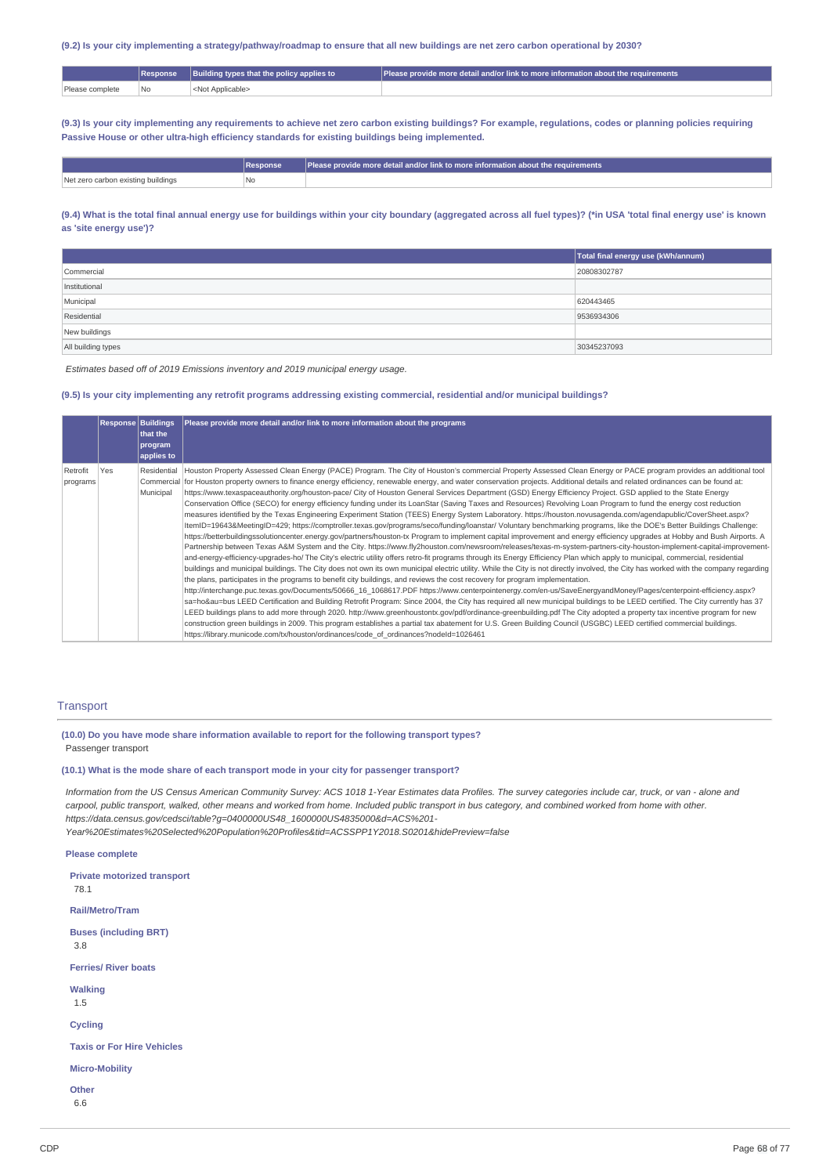# (9.2) Is your city implementing a strategy/pathway/roadmap to ensure that all new buildings are net zero carbon operational by 2030?

|                 |     | Building types that the policy applies to | l Please provide more detail and/or link to more information about the requirements " |
|-----------------|-----|-------------------------------------------|---------------------------------------------------------------------------------------|
| Please complete | 'No | Applicable>                               |                                                                                       |

(9.3) Is your city implementing any requirements to achieve net zero carbon existing buildings? For example, regulations, codes or planning policies requiring **Passive House or other ultra-high efficiency standards for existing buildings being implemented.**

|                                    | <b>Response</b> | $\mid$ Please provide more detail and/or link to more information about the requirements |
|------------------------------------|-----------------|------------------------------------------------------------------------------------------|
| Net zero carbon existing buildings | ' No            |                                                                                          |

## (9.4) What is the total final annual energy use for buildings within your city boundary (aggregated across all fuel types)? (\*in USA 'total final energy use' is known **as 'site energy use')?**

|                    | Total final energy use (kWh/annum) |
|--------------------|------------------------------------|
| Commercial         | 20808302787                        |
| Institutional      |                                    |
| Municipal          | 620443465                          |
| Residential        | 9536934306                         |
| New buildings      |                                    |
| All building types | 30345237093                        |

*Estimates based off of 2019 Emissions inventory and 2019 municipal energy usage.*

## (9.5) Is your city implementing any retrofit programs addressing existing commercial, residential and/or municipal buildings?

|                      | <b>Response Buildings</b> | that the<br>program<br>applies to | Please provide more detail and/or link to more information about the programs                                                                                                                                                                                                                                                                                                                                                                                                                                                                                                                                                                                                                                                                                                                                                                                                                                                                                                                                                                                                                                                                                                                                                                                                                                                                                                                                                                                                                                                                                                                                                                                                                                                                                                                                                                                                                                                                                                                                                                                                                                                                                                                                                                                                                                                                                                                                                                                                                                                                                                                                                                                                                                   |
|----------------------|---------------------------|-----------------------------------|-----------------------------------------------------------------------------------------------------------------------------------------------------------------------------------------------------------------------------------------------------------------------------------------------------------------------------------------------------------------------------------------------------------------------------------------------------------------------------------------------------------------------------------------------------------------------------------------------------------------------------------------------------------------------------------------------------------------------------------------------------------------------------------------------------------------------------------------------------------------------------------------------------------------------------------------------------------------------------------------------------------------------------------------------------------------------------------------------------------------------------------------------------------------------------------------------------------------------------------------------------------------------------------------------------------------------------------------------------------------------------------------------------------------------------------------------------------------------------------------------------------------------------------------------------------------------------------------------------------------------------------------------------------------------------------------------------------------------------------------------------------------------------------------------------------------------------------------------------------------------------------------------------------------------------------------------------------------------------------------------------------------------------------------------------------------------------------------------------------------------------------------------------------------------------------------------------------------------------------------------------------------------------------------------------------------------------------------------------------------------------------------------------------------------------------------------------------------------------------------------------------------------------------------------------------------------------------------------------------------------------------------------------------------------------------------------------------------|
| Retrofit<br>programs | Yes                       | Municipal                         | Residential  Houston Property Assessed Clean Energy (PACE) Program. The City of Houston's commercial Property Assessed Clean Energy or PACE program provides an additional tool<br>Commercial for Houston property owners to finance energy efficiency, renewable energy, and water conservation projects. Additional details and related ordinances can be found at:<br>https://www.texaspaceauthority.org/houston-pace/ City of Houston General Services Department (GSD) Energy Efficiency Project. GSD applied to the State Energy<br>Conservation Office (SECO) for energy efficiency funding under its LoanStar (Saving Taxes and Resources) Revolving Loan Program to fund the energy cost reduction<br>measures identified by the Texas Engineering Experiment Station (TEES) Energy System Laboratory. https://houston.novusagenda.com/agendapublic/CoverSheet.aspx?<br>ItemID=19643&MeetingID=429; https://comptroller.texas.gov/programs/seco/funding/loanstar/ Voluntary benchmarking programs, like the DOE's Better Buildings Challenge:<br>https://betterbuildingssolutioncenter.energy.gov/partners/houston-tx Program to implement capital improvement and energy efficiency upgrades at Hobby and Bush Airports. A<br>Partnership between Texas A&M System and the City. https://www.fly2houston.com/newsroom/releases/texas-m-system-partners-city-houston-implement-capital-improvement-<br>and-energy-efficiency-upgrades-ho/ The City's electric utility offers retro-fit programs through its Energy Efficiency Plan which apply to municipal, commercial, residential<br>buildings and municipal buildings. The City does not own its own municipal electric utility. While the City is not directly involved, the City has worked with the company regarding<br>the plans, participates in the programs to benefit city buildings, and reviews the cost recovery for program implementation.<br>http://interchange.puc.texas.gov/Documents/50666_16_1068617.PDF https://www.centerpointenergy.com/en-us/SaveEnergyandMoney/Pages/centerpoint-efficiency.aspx?<br>sa=ho&au=bus LEED Certification and Building Retrofit Program: Since 2004, the City has reguired all new municipal buildings to be LEED certified. The City currently has 37<br>LEED buildings plans to add more through 2020. http://www.greenhoustontx.gov/pdf/ordinance-greenbuilding.pdf The City adopted a property tax incentive program for new<br>construction green buildings in 2009. This program establishes a partial tax abatement for U.S. Green Building Council (USGBC) LEED certified commercial buildings.<br>https://library.municode.com/tx/houston/ordinances/code_of_ordinances?nodeId=1026461 |

#### **Transport**

**(10.0) Do you have mode share information available to report for the following transport types?** Passenger transport

**(10.1) What is the mode share of each transport mode in your city for passenger transport?**

Information from the US Census American Community Survey: ACS 1018 1-Year Estimates data Profiles. The survey categories include car, truck, or van - alone and carpool, public transport, walked, other means and worked from home. Included public transport in bus category, and combined worked from home with other. *https://data.census.gov/cedsci/table?g=0400000US48\_1600000US4835000&d=ACS%201- Year%20Estimates%20Selected%20Population%20Profiles&tid=ACSSPP1Y2018.S0201&hidePreview=false*

**Please complete**

**Private motorized transport**

78.1

**Rail/Metro/Tram**

**Buses (including BRT)**

3.8

**Ferries/ River boats**

**Walking**

1.5

**Cycling**

**Taxis or For Hire Vehicles**

**Micro-Mobility**

**Other** 6.6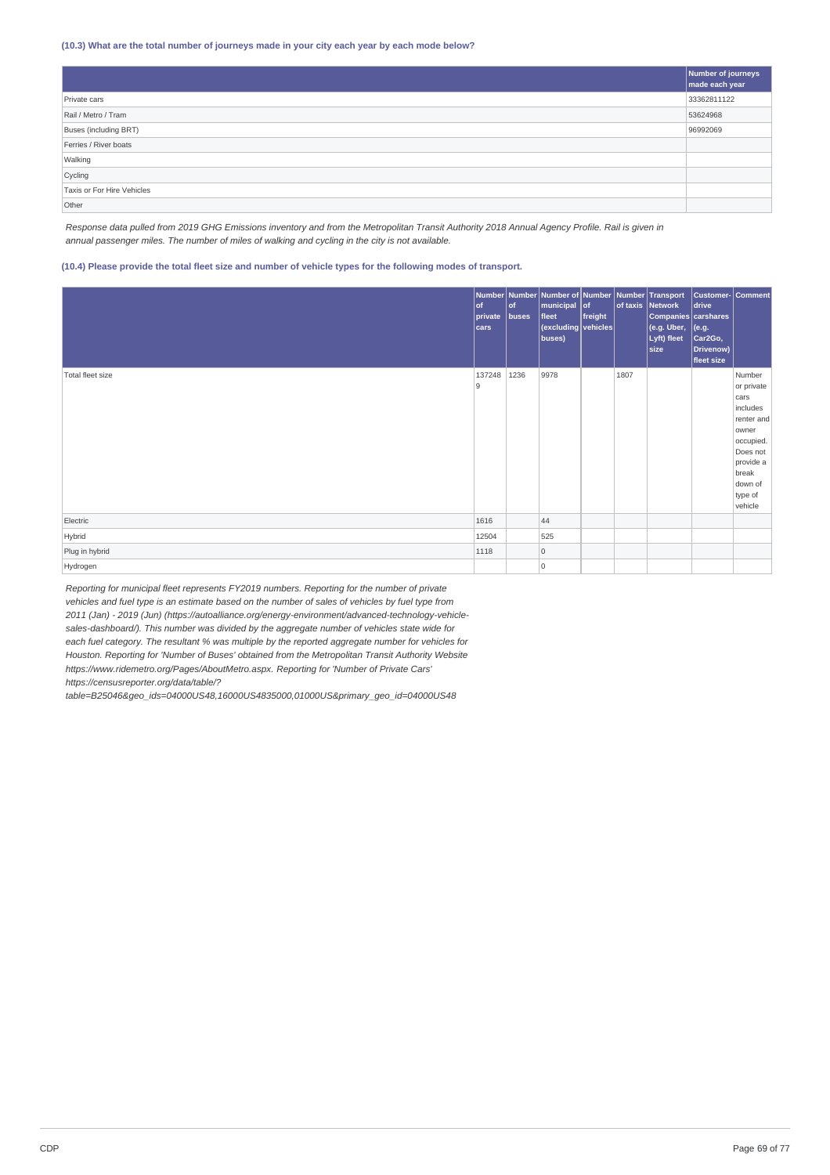## **(10.3) What are the total number of journeys made in your city each year by each mode below?**

|                            | Number of journeys<br>made each year |
|----------------------------|--------------------------------------|
| Private cars               | 33362811122                          |
| Rail / Metro / Tram        | 53624968                             |
| Buses (including BRT)      | 96992069                             |
| Ferries / River boats      |                                      |
| Walking                    |                                      |
| Cycling                    |                                      |
| Taxis or For Hire Vehicles |                                      |
| Other                      |                                      |

Response data pulled from 2019 GHG Emissions inventory and from the Metropolitan Transit Authority 2018 Annual Agency Profile. Rail is given in *annual passenger miles. The number of miles of walking and cycling in the city is not available.*

## (10.4) Please provide the total fleet size and number of vehicle types for the following modes of transport.

|                  | $ $ of<br>private buses<br>cars | $ $ of | Number Number Number of Number Number Transport<br>municipal of<br>fleet<br>(excluding vehicles<br>buses) | freight |      | of taxis Network<br>Companies carshares<br>(e.g. Uber,<br>Lyft) fleet<br>size | Customer- Comment<br>drive<br>$ $ (e.g.<br>Car2Go,<br>Drivenow)<br>fleet size |                                                                                                                                                 |
|------------------|---------------------------------|--------|-----------------------------------------------------------------------------------------------------------|---------|------|-------------------------------------------------------------------------------|-------------------------------------------------------------------------------|-------------------------------------------------------------------------------------------------------------------------------------------------|
| Total fleet size | 137248 1236<br>9                |        | 9978                                                                                                      |         | 1807 |                                                                               |                                                                               | Number<br>or private<br>cars<br>includes<br>renter and<br>owner<br>occupied.<br>Does not<br>provide a<br>break<br>down of<br>type of<br>vehicle |
| Electric         | 1616                            |        | 44                                                                                                        |         |      |                                                                               |                                                                               |                                                                                                                                                 |
| Hybrid           | 12504                           |        | 525                                                                                                       |         |      |                                                                               |                                                                               |                                                                                                                                                 |
| Plug in hybrid   | 1118                            |        | l O                                                                                                       |         |      |                                                                               |                                                                               |                                                                                                                                                 |
| Hydrogen         |                                 |        | 0                                                                                                         |         |      |                                                                               |                                                                               |                                                                                                                                                 |

*Reporting for municipal fleet represents FY2019 numbers. Reporting for the number of private* vehicles and fuel type is an estimate based on the number of sales of vehicles by fuel type from *2011 (Jan) - 2019 (Jun) (https://autoalliance.org/energy-environment/advanced-technology-vehiclesales-dashboard/). This number was divided by the aggregate number of vehicles state wide for each fuel category. The resultant % was multiple by the reported aggregate number for vehicles for Houston. Reporting for 'Number of Buses' obtained from the Metropolitan Transit Authority Website https://www.ridemetro.org/Pages/AboutMetro.aspx. Reporting for 'Number of Private Cars' https://censusreporter.org/data/table/?*

*table=B25046&geo\_ids=04000US48,16000US4835000,01000US&primary\_geo\_id=04000US48*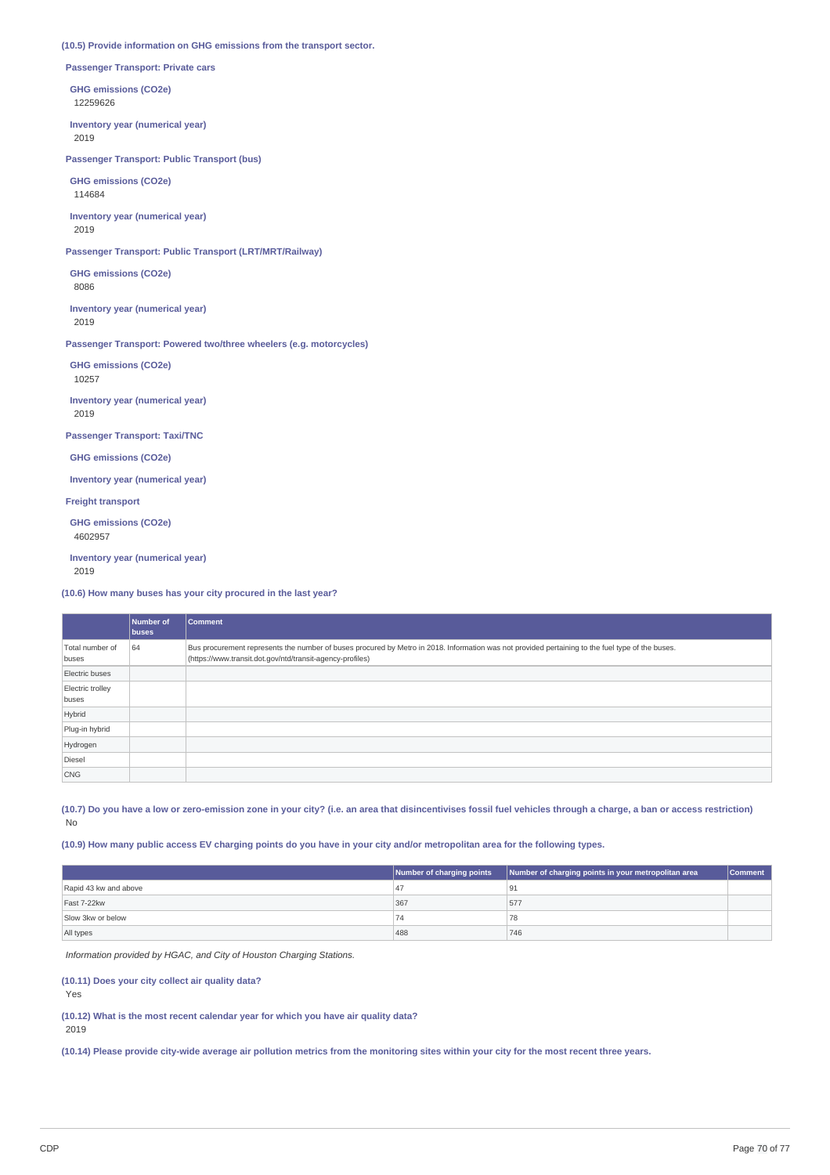## **(10.5) Provide information on GHG emissions from the transport sector.**

**Passenger Transport: Private cars**

**GHG emissions (CO2e)** 12259626

**Inventory year (numerical year)** 2019

**Passenger Transport: Public Transport (bus)**

**GHG emissions (CO2e)** 114684

**Inventory year (numerical year)** 2019

**Passenger Transport: Public Transport (LRT/MRT/Railway)**

**GHG emissions (CO2e)** 8086

**Inventory year (numerical year)** 2019

**Passenger Transport: Powered two/three wheelers (e.g. motorcycles)**

**GHG emissions (CO2e)** 10257 **Inventory year (numerical year)**

2019

**Passenger Transport: Taxi/TNC**

**GHG emissions (CO2e)**

**Inventory year (numerical year)**

**Freight transport**

**GHG emissions (CO2e)** 4602957

**Inventory year (numerical year)** 2019

**(10.6) How many buses has your city procured in the last year?**

|                           | Number of<br><b>buses</b> | Comment                                                                                                                                                                                                       |
|---------------------------|---------------------------|---------------------------------------------------------------------------------------------------------------------------------------------------------------------------------------------------------------|
| Total number of<br>buses  | 64                        | Bus procurement represents the number of buses procured by Metro in 2018. Information was not provided pertaining to the fuel type of the buses.<br>(https://www.transit.dot.gov/ntd/transit-agency-profiles) |
| Electric buses            |                           |                                                                                                                                                                                                               |
| Electric trolley<br>buses |                           |                                                                                                                                                                                                               |
| Hybrid                    |                           |                                                                                                                                                                                                               |
| Plug-in hybrid            |                           |                                                                                                                                                                                                               |
| Hydrogen                  |                           |                                                                                                                                                                                                               |
| Diesel                    |                           |                                                                                                                                                                                                               |
| <b>CNG</b>                |                           |                                                                                                                                                                                                               |

(10.7) Do you have a low or zero-emission zone in your city? (i.e. an area that disincentivises fossil fuel vehicles through a charge, a ban or access restriction) No

(10.9) How many public access EV charging points do you have in your city and/or metropolitan area for the following types.

|                       | Number of charging points | Number of charging points in your metropolitan area | <b>Comment</b> |
|-----------------------|---------------------------|-----------------------------------------------------|----------------|
| Rapid 43 kw and above |                           |                                                     |                |
| Fast 7-22kw           | 367                       | 577                                                 |                |
| Slow 3kw or below     |                           | 78                                                  |                |
| All types             | 488                       | 746                                                 |                |

*Information provided by HGAC, and City of Houston Charging Stations.*

**(10.11) Does your city collect air quality data?**

Yes

**(10.12) What is the most recent calendar year for which you have air quality data?** 2019

(10.14) Please provide city-wide average air pollution metrics from the monitoring sites within your city for the most recent three years.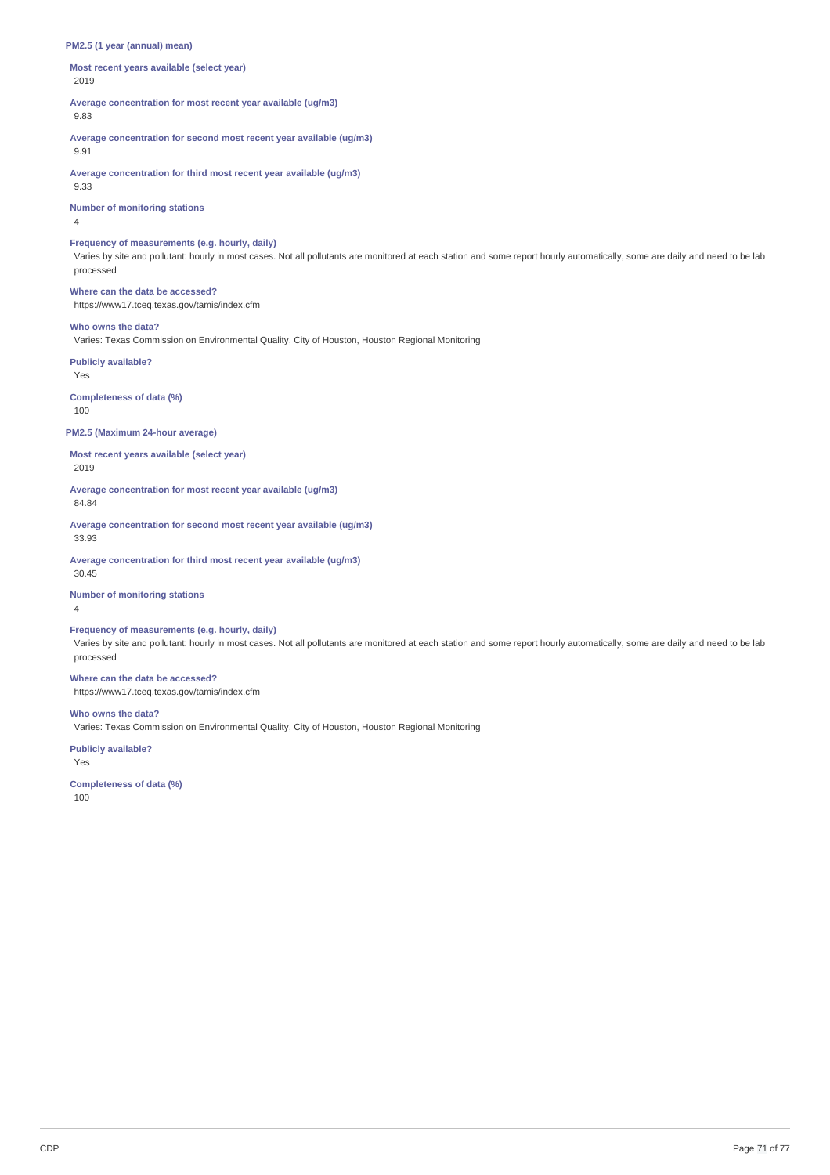## **PM2.5 (1 year (annual) mean)**

**Most recent years available (select year)** 2019

**Average concentration for most recent year available (ug/m3)** 9.83

**Average concentration for second most recent year available (ug/m3)** 9.91

**Average concentration for third most recent year available (ug/m3)**

9.33

**Number of monitoring stations**

4

## **Frequency of measurements (e.g. hourly, daily)**

Varies by site and pollutant: hourly in most cases. Not all pollutants are monitored at each station and some report hourly automatically, some are daily and need to be lab processed

**Where can the data be accessed?** https://www17.tceq.texas.gov/tamis/index.cfm

#### **Who owns the data?**

Varies: Texas Commission on Environmental Quality, City of Houston, Houston Regional Monitoring

**Publicly available?** Yes

**Completeness of data (%)**

100

## **PM2.5 (Maximum 24-hour average)**

**Most recent years available (select year)** 2019

**Average concentration for most recent year available (ug/m3)**

84.84

**Average concentration for second most recent year available (ug/m3)** 33.93

**Average concentration for third most recent year available (ug/m3)** 30.45

**Number of monitoring stations**

4

## **Frequency of measurements (e.g. hourly, daily)**

Varies by site and pollutant: hourly in most cases. Not all pollutants are monitored at each station and some report hourly automatically, some are daily and need to be lab processed

## **Where can the data be accessed?**

https://www17.tceq.texas.gov/tamis/index.cfm

**Who owns the data?**

Varies: Texas Commission on Environmental Quality, City of Houston, Houston Regional Monitoring

**Publicly available?**

Yes

**Completeness of data (%)** 100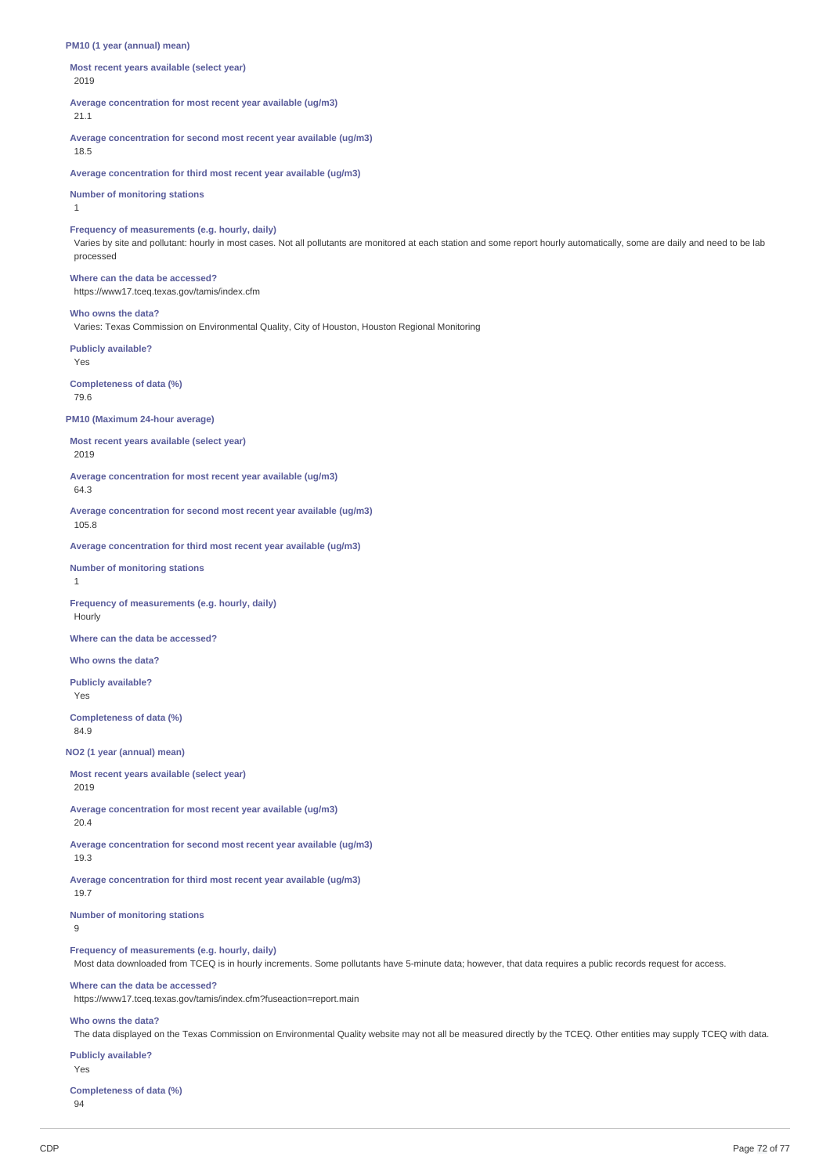#### **PM10 (1 year (annual) mean)**

**Most recent years available (select year)** 2019

**Average concentration for most recent year available (ug/m3)** 21.1

**Average concentration for second most recent year available (ug/m3)** 18.5

**Average concentration for third most recent year available (ug/m3)**

#### **Number of monitoring stations**

1

**Frequency of measurements (e.g. hourly, daily)**

Varies by site and pollutant: hourly in most cases. Not all pollutants are monitored at each station and some report hourly automatically, some are daily and need to be lab processed

# **Where can the data be accessed?**

https://www17.tceq.texas.gov/tamis/index.cfm

## **Who owns the data?**

Varies: Texas Commission on Environmental Quality, City of Houston, Houston Regional Monitoring

**Publicly available?** Yes

## **Completeness of data (%)**

79.6

## **PM10 (Maximum 24-hour average)**

**Most recent years available (select year)** 2019

**Average concentration for most recent year available (ug/m3)**

## 64.3

**Average concentration for second most recent year available (ug/m3)** 105.8

**Average concentration for third most recent year available (ug/m3)**

## **Number of monitoring stations**

1

**Frequency of measurements (e.g. hourly, daily)** Hourly

**Where can the data be accessed?**

## **Who owns the data?**

**Publicly available?**

Yes

**Completeness of data (%)** 84.9

**NO2 (1 year (annual) mean)**

## **Most recent years available (select year)**

2019

**Average concentration for most recent year available (ug/m3)** 20.4

**Average concentration for second most recent year available (ug/m3)** 19.3

**Average concentration for third most recent year available (ug/m3)** 19.7

**Number of monitoring stations**  $\alpha$ 

## **Frequency of measurements (e.g. hourly, daily)**

Most data downloaded from TCEQ is in hourly increments. Some pollutants have 5-minute data; however, that data requires a public records request for access.

#### **Where can the data be accessed?**

https://www17.tceq.texas.gov/tamis/index.cfm?fuseaction=report.main

## **Who owns the data?**

The data displayed on the Texas Commission on Environmental Quality website may not all be measured directly by the TCEQ. Other entities may supply TCEQ with data.

## **Publicly available?** Yes

**Completeness of data (%)** 94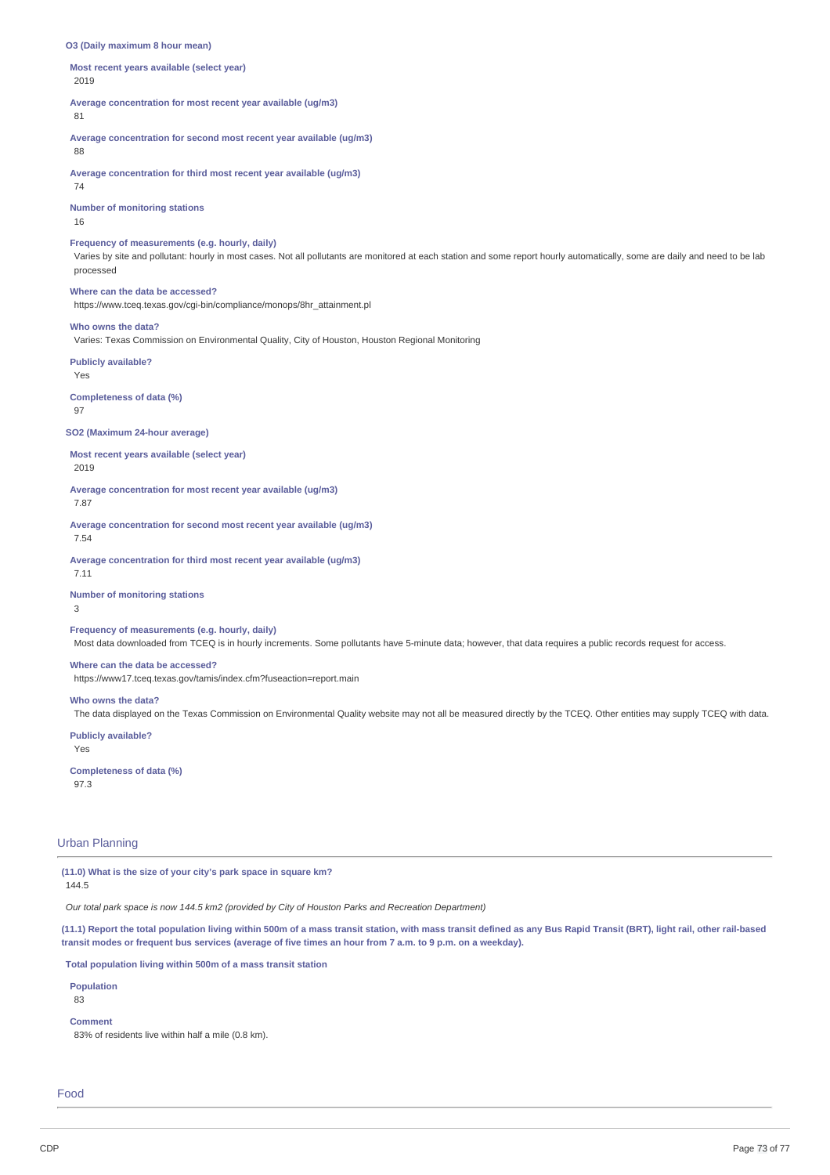#### **O3 (Daily maximum 8 hour mean)**

**Most recent years available (select year)** 2019

**Average concentration for most recent year available (ug/m3)**

## 81

**Average concentration for second most recent year available (ug/m3)**

# 88

**Average concentration for third most recent year available (ug/m3)** 74

**Number of monitoring stations**

16

## **Frequency of measurements (e.g. hourly, daily)**

Varies by site and pollutant: hourly in most cases. Not all pollutants are monitored at each station and some report hourly automatically, some are daily and need to be lab processed

#### **Where can the data be accessed?**

https://www.tceq.texas.gov/cgi-bin/compliance/monops/8hr\_attainment.pl

#### **Who owns the data?**

Varies: Texas Commission on Environmental Quality, City of Houston, Houston Regional Monitoring

**Publicly available?**

Yes

#### **Completeness of data (%)** 97

### **SO2 (Maximum 24-hour average)**

**Most recent years available (select year)** 2019

**Average concentration for most recent year available (ug/m3)**

7.87

**Average concentration for second most recent year available (ug/m3)** 7.54

**Average concentration for third most recent year available (ug/m3)**

7.11

## **Number of monitoring stations**

3

## **Frequency of measurements (e.g. hourly, daily)**

Most data downloaded from TCEQ is in hourly increments. Some pollutants have 5-minute data; however, that data requires a public records request for access.

## **Where can the data be accessed?**

https://www17.tceq.texas.gov/tamis/index.cfm?fuseaction=report.main

## **Who owns the data?**

The data displayed on the Texas Commission on Environmental Quality website may not all be measured directly by the TCEQ. Other entities may supply TCEQ with data.

**Publicly available?** Yes

**Completeness of data (%)** 97.3

## Urban Planning

**(11.0) What is the size of your city's park space in square km?**

144.5

*Our total park space is now 144.5 km2 (provided by City of Houston Parks and Recreation Department)*

(11.1) Report the total population living within 500m of a mass transit station, with mass transit defined as any Bus Rapid Transit (BRT), light rail, other rail-based transit modes or frequent bus services (average of five times an hour from 7 a.m. to 9 p.m. on a weekday).

**Total population living within 500m of a mass transit station**

## **Population**

83

**Comment**

83% of residents live within half a mile (0.8 km).

Food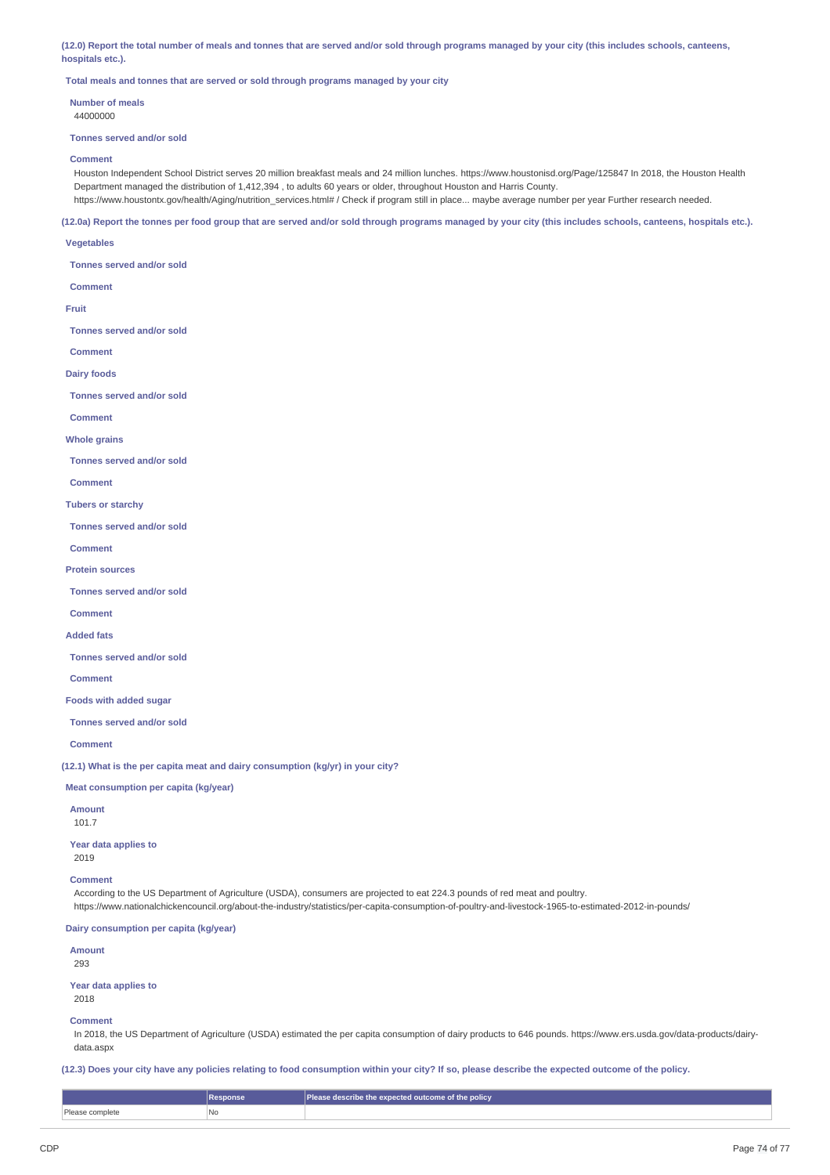(12.0) Report the total number of meals and tonnes that are served and/or sold through programs managed by your city (this includes schools, canteens, **hospitals etc.).**

**Total meals and tonnes that are served or sold through programs managed by your city**

**Number of meals** 44000000

#### **Tonnes served and/or sold**

#### **Comment**

Houston Independent School District serves 20 million breakfast meals and 24 million lunches. https://www.houstonisd.org/Page/125847 In 2018, the Houston Health Department managed the distribution of 1,412,394 , to adults 60 years or older, throughout Houston and Harris County. https://www.houstontx.gov/health/Aging/nutrition\_services.html# / Check if program still in place... maybe average number per year Further research needed.

(12.0a) Report the tonnes per food group that are served and/or sold through programs managed by your city (this includes schools, canteens, hospitals etc.).

#### **Vegetables**

**Tonnes served and/or sold**

**Comment**

#### **Fruit**

**Tonnes served and/or sold**

**Comment**

### **Dairy foods**

**Tonnes served and/or sold**

**Comment**

**Whole grains**

**Tonnes served and/or sold**

**Comment**

#### **Tubers or starchy**

**Tonnes served and/or sold**

**Comment**

#### **Protein sources**

**Tonnes served and/or sold**

#### **Comment**

**Added fats**

#### **Tonnes served and/or sold**

**Comment**

## **Foods with added sugar**

**Tonnes served and/or sold**

**Comment**

**(12.1) What is the per capita meat and dairy consumption (kg/yr) in your city?**

## **Meat consumption per capita (kg/year)**

## **Amount**

101.7

**Year data applies to** 2019

### **Comment**

According to the US Department of Agriculture (USDA), consumers are projected to eat 224.3 pounds of red meat and poultry. https://www.nationalchickencouncil.org/about-the-industry/statistics/per-capita-consumption-of-poultry-and-livestock-1965-to-estimated-2012-in-pounds/

### **Dairy consumption per capita (kg/year)**

**Amount** 293

**Year data applies to** 2018

### **Comment**

In 2018, the US Department of Agriculture (USDA) estimated the per capita consumption of dairy products to 646 pounds. https://www.ers.usda.gov/data-products/dairydata.aspx

(12.3) Does your city have any policies relating to food consumption within your city? If so, please describe the expected outcome of the policy.

|                 | Response | <b>Please describe the expected outcome of the policy</b> |
|-----------------|----------|-----------------------------------------------------------|
| Please complete | No       |                                                           |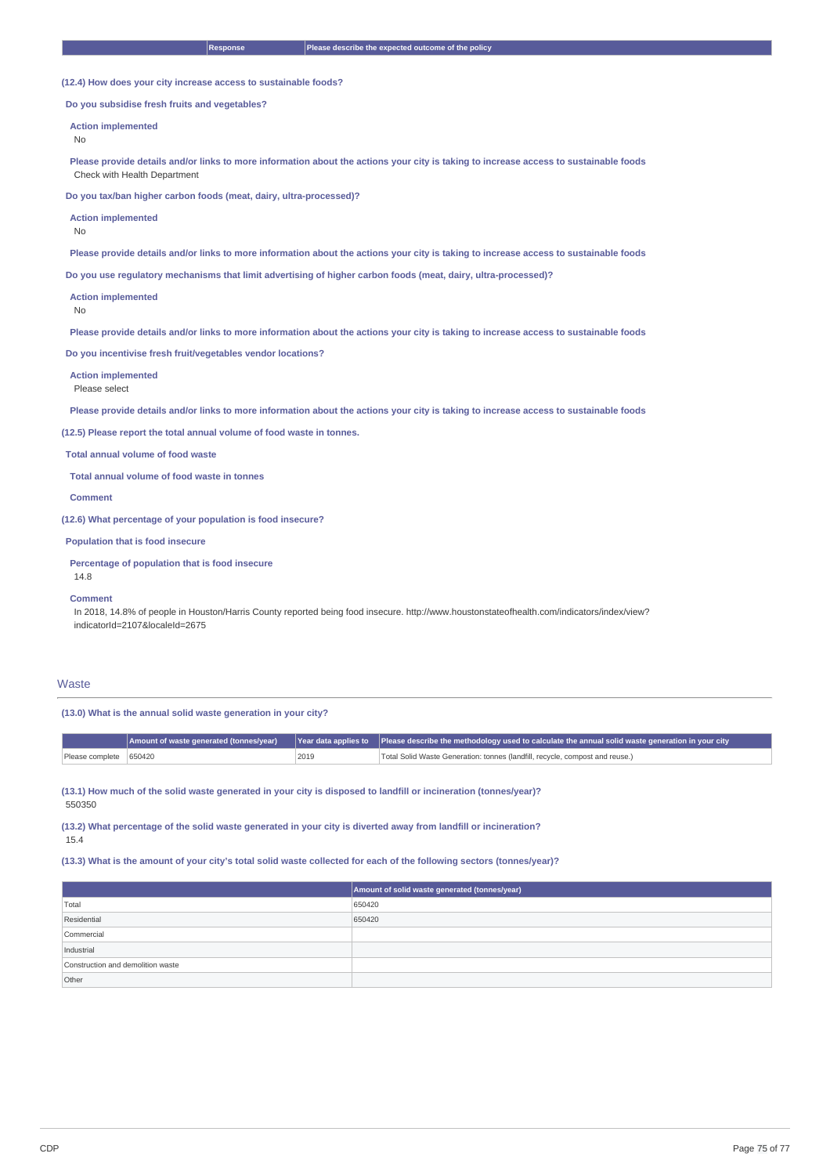**(12.4) How does your city increase access to sustainable foods?**

**Do you subsidise fresh fruits and vegetables?**

#### **Action implemented**

No

Please provide details and/or links to more information about the actions your city is taking to increase access to sustainable foods Check with Health Department

**Do you tax/ban higher carbon foods (meat, dairy, ultra-processed)?**

**Action implemented**

No

Please provide details and/or links to more information about the actions your city is taking to increase access to sustainable foods

**Do you use regulatory mechanisms that limit advertising of higher carbon foods (meat, dairy, ultra-processed)?**

**Action implemented**

No

Please provide details and/or links to more information about the actions your city is taking to increase access to sustainable foods

**Do you incentivise fresh fruit/vegetables vendor locations?**

**Action implemented** Please select

Please provide details and/or links to more information about the actions your city is taking to increase access to sustainable foods

**(12.5) Please report the total annual volume of food waste in tonnes.**

**Total annual volume of food waste**

**Total annual volume of food waste in tonnes**

**Comment**

**(12.6) What percentage of your population is food insecure?**

**Population that is food insecure**

**Percentage of population that is food insecure**

14.8

**Comment**

In 2018, 14.8% of people in Houston/Harris County reported being food insecure. http://www.houstonstateofhealth.com/indicators/index/view? indicatorId=2107&localeId=2675

#### **Waste**

**(13.0) What is the annual solid waste generation in your city?**

|                        |      | Annount of waste generated (tonnes/year) Year data applies to Please describe the methodology used to calculate the annual solid waste generation in your city |
|------------------------|------|----------------------------------------------------------------------------------------------------------------------------------------------------------------|
| Please complete 650420 | 2019 | Total Solid Waste Generation: tonnes (landfill, recycle, compost and reuse.)                                                                                   |

(13.1) How much of the solid waste generated in your city is disposed to landfill or incineration (tonnes/year)? 550350

(13.2) What percentage of the solid waste generated in your city is diverted away from landfill or incineration? 15.4

(13.3) What is the amount of your city's total solid waste collected for each of the following sectors (tonnes/year)?

|                                   | Amount of solid waste generated (tonnes/year) |
|-----------------------------------|-----------------------------------------------|
| Total                             | 650420                                        |
| Residential                       | 650420                                        |
| Commercial                        |                                               |
| Industrial                        |                                               |
| Construction and demolition waste |                                               |
| Other                             |                                               |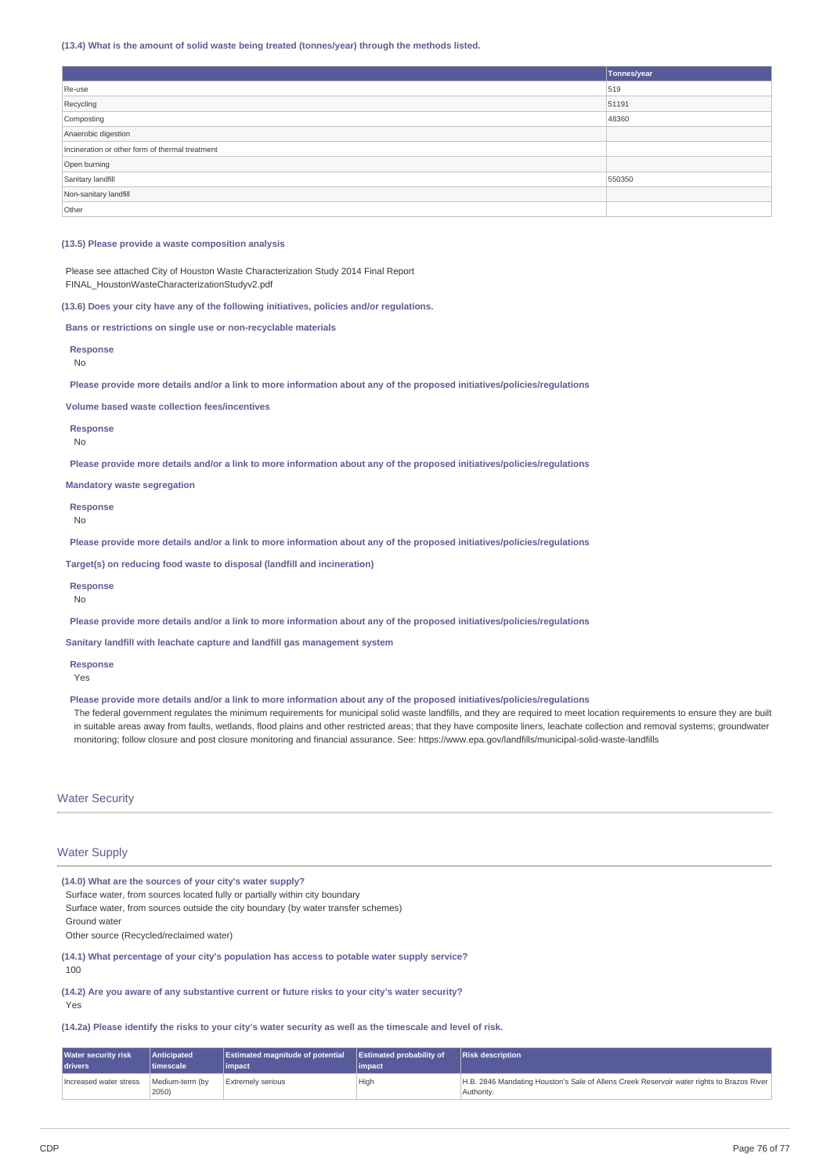#### **(13.4) What is the amount of solid waste being treated (tonnes/year) through the methods listed.**

|                                                 | Tonnes/year |
|-------------------------------------------------|-------------|
| Re-use                                          | 519         |
| Recycling                                       | 51191       |
| Composting                                      | 48360       |
| Anaerobic digestion                             |             |
| Incineration or other form of thermal treatment |             |
| Open burning                                    |             |
| Sanitary landfill                               | 550350      |
| Non-sanitary landfill                           |             |
| Other                                           |             |

#### **(13.5) Please provide a waste composition analysis**

Please see attached City of Houston Waste Characterization Study 2014 Final Report FINAL\_HoustonWasteCharacterizationStudyv2.pdf

**(13.6) Does your city have any of the following initiatives, policies and/or regulations.**

**Bans or restrictions on single use or non-recyclable materials**

**Response**

No

Please provide more details and/or a link to more information about any of the proposed initiatives/policies/regulations

**Volume based waste collection fees/incentives**

**Response**

No

Please provide more details and/or a link to more information about any of the proposed initiatives/policies/regulations

**Mandatory waste segregation**

**Response** No

Please provide more details and/or a link to more information about any of the proposed initiatives/policies/regulations

**Target(s) on reducing food waste to disposal (landfill and incineration)**

**Response**

No

Please provide more details and/or a link to more information about any of the proposed initiatives/policies/regulations

**Sanitary landfill with leachate capture and landfill gas management system**

**Response**

Yes

#### Please provide more details and/or a link to more information about any of the proposed initiatives/policies/regulations

The federal government regulates the minimum reguirements for municipal solid waste landfills, and they are required to meet location requirements to ensure they are built in suitable areas away from faults, wetlands, flood plains and other restricted areas; that they have composite liners, leachate collection and removal systems; groundwater monitoring; follow closure and post closure monitoring and financial assurance. See: https://www.epa.gov/landfills/municipal-solid-waste-landfills

## Water Security

## Water Supply

**(14.0) What are the sources of your city's water supply?**

Surface water, from sources located fully or partially within city boundary

Surface water, from sources outside the city boundary (by water transfer schemes) Ground water

Other source (Recycled/reclaimed water)

**(14.1) What percentage of your city's population has access to potable water supply service?**

100

**(14.2) Are you aware of any substantive current or future risks to your city's water security?** Yes

(14.2a) Please identify the risks to your city's water security as well as the timescale and level of risk.

| <b>Water security risk</b> | Anticipated              | <b>Estimated magnitude of potential</b> | <b>Estimated probability of</b> | <b>Risk description</b>                                                                                 |
|----------------------------|--------------------------|-----------------------------------------|---------------------------------|---------------------------------------------------------------------------------------------------------|
| <b>drivers</b>             | timescale                | impact                                  | l impact                        |                                                                                                         |
| Increased water stress     | Medium-term (by<br>2050) | <b>Extremely serious</b>                | High                            | H.B. 2846 Mandating Houston's Sale of Allens Creek Reservoir water rights to Brazos River<br>Authority. |